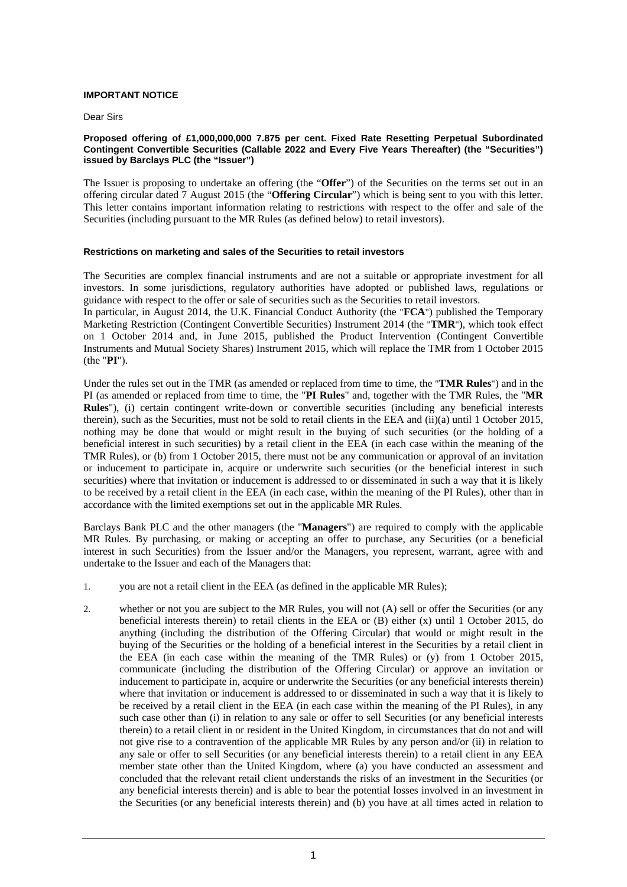## **IMPORTANT NOTICE**

Dear Sirs

#### **Proposed offering of £1,000,000,000 7.875 per cent. Fixed Rate Resetting Perpetual Subordinated Contingent Convertible Securities (Callable 2022 and Every Five Years Thereafter) (the "Securities") issued by Barclays PLC (the "Issuer")**

The Issuer is proposing to undertake an offering (the "**Offer**") of the Securities on the terms set out in an offering circular dated 7 August 2015 (the "**Offering Circular**") which is being sent to you with this letter. This letter contains important information relating to restrictions with respect to the offer and sale of the Securities (including pursuant to the MR Rules (as defined below) to retail investors).

# **Restrictions on marketing and sales of the Securities to retail investors**

The Securities are complex financial instruments and are not a suitable or appropriate investment for all investors. In some jurisdictions, regulatory authorities have adopted or published laws, regulations or guidance with respect to the offer or sale of securities such as the Securities to retail investors.

In particular, in August 2014, the U.K. Financial Conduct Authority (the "**FCA**") published the Temporary Marketing Restriction (Contingent Convertible Securities) Instrument 2014 (the "**TMR**"), which took effect on 1 October 2014 and, in June 2015, published the Product Intervention (Contingent Convertible Instruments and Mutual Society Shares) Instrument 2015, which will replace the TMR from 1 October 2015 (the "**PI**").

Under the rules set out in the TMR (as amended or replaced from time to time, the "**TMR Rules**") and in the PI (as amended or replaced from time to time, the "**PI Rules**" and, together with the TMR Rules, the "**MR Rules**"), (i) certain contingent write-down or convertible securities (including any beneficial interests therein), such as the Securities, must not be sold to retail clients in the EEA and (ii)(a) until 1 October 2015, nothing may be done that would or might result in the buying of such securities (or the holding of a beneficial interest in such securities) by a retail client in the EEA (in each case within the meaning of the TMR Rules), or (b) from 1 October 2015, there must not be any communication or approval of an invitation or inducement to participate in, acquire or underwrite such securities (or the beneficial interest in such securities) where that invitation or inducement is addressed to or disseminated in such a way that it is likely to be received by a retail client in the EEA (in each case, within the meaning of the PI Rules), other than in accordance with the limited exemptions set out in the applicable MR Rules.

Barclays Bank PLC and the other managers (the "**Managers**") are required to comply with the applicable MR Rules. By purchasing, or making or accepting an offer to purchase, any Securities (or a beneficial interest in such Securities) from the Issuer and/or the Managers, you represent, warrant, agree with and undertake to the Issuer and each of the Managers that:

- 1. you are not a retail client in the EEA (as defined in the applicable MR Rules);
- 2. whether or not you are subject to the MR Rules, you will not (A) sell or offer the Securities (or any beneficial interests therein) to retail clients in the EEA or (B) either (x) until 1 October 2015, do anything (including the distribution of the Offering Circular) that would or might result in the buying of the Securities or the holding of a beneficial interest in the Securities by a retail client in the EEA (in each case within the meaning of the TMR Rules) or (y) from 1 October 2015, communicate (including the distribution of the Offering Circular) or approve an invitation or inducement to participate in, acquire or underwrite the Securities (or any beneficial interests therein) where that invitation or inducement is addressed to or disseminated in such a way that it is likely to be received by a retail client in the EEA (in each case within the meaning of the PI Rules), in any such case other than (i) in relation to any sale or offer to sell Securities (or any beneficial interests therein) to a retail client in or resident in the United Kingdom, in circumstances that do not and will not give rise to a contravention of the applicable MR Rules by any person and/or (ii) in relation to any sale or offer to sell Securities (or any beneficial interests therein) to a retail client in any EEA member state other than the United Kingdom, where (a) you have conducted an assessment and concluded that the relevant retail client understands the risks of an investment in the Securities (or any beneficial interests therein) and is able to bear the potential losses involved in an investment in the Securities (or any beneficial interests therein) and (b) you have at all times acted in relation to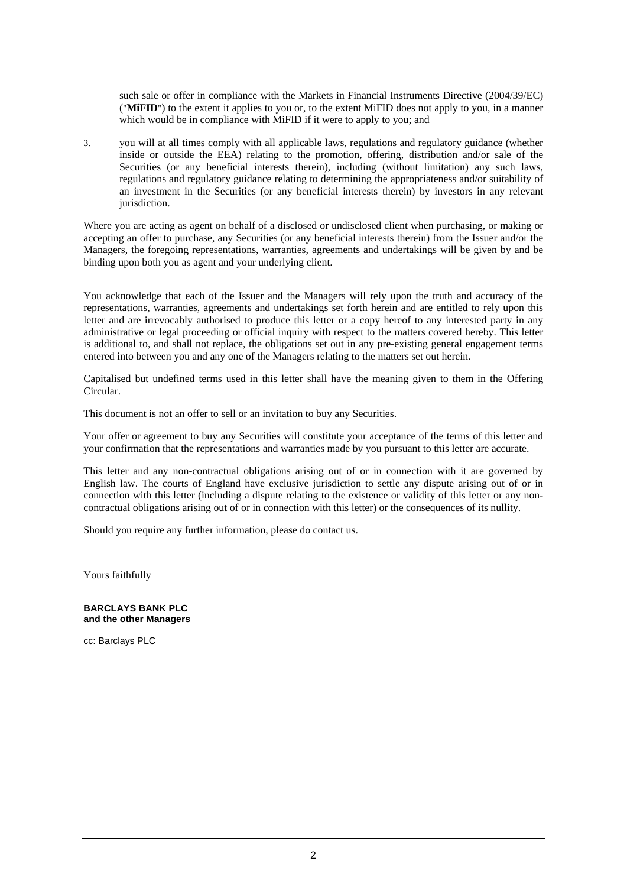such sale or offer in compliance with the Markets in Financial Instruments Directive (2004/39/EC) ("**MiFID**") to the extent it applies to you or, to the extent MiFID does not apply to you, in a manner which would be in compliance with MiFID if it were to apply to you; and

3. you will at all times comply with all applicable laws, regulations and regulatory guidance (whether inside or outside the EEA) relating to the promotion, offering, distribution and/or sale of the Securities (or any beneficial interests therein), including (without limitation) any such laws, regulations and regulatory guidance relating to determining the appropriateness and/or suitability of an investment in the Securities (or any beneficial interests therein) by investors in any relevant jurisdiction.

Where you are acting as agent on behalf of a disclosed or undisclosed client when purchasing, or making or accepting an offer to purchase, any Securities (or any beneficial interests therein) from the Issuer and/or the Managers, the foregoing representations, warranties, agreements and undertakings will be given by and be binding upon both you as agent and your underlying client.

You acknowledge that each of the Issuer and the Managers will rely upon the truth and accuracy of the representations, warranties, agreements and undertakings set forth herein and are entitled to rely upon this letter and are irrevocably authorised to produce this letter or a copy hereof to any interested party in any administrative or legal proceeding or official inquiry with respect to the matters covered hereby. This letter is additional to, and shall not replace, the obligations set out in any pre-existing general engagement terms entered into between you and any one of the Managers relating to the matters set out herein.

Capitalised but undefined terms used in this letter shall have the meaning given to them in the Offering Circular.

This document is not an offer to sell or an invitation to buy any Securities.

Your offer or agreement to buy any Securities will constitute your acceptance of the terms of this letter and your confirmation that the representations and warranties made by you pursuant to this letter are accurate.

This letter and any non-contractual obligations arising out of or in connection with it are governed by English law. The courts of England have exclusive jurisdiction to settle any dispute arising out of or in connection with this letter (including a dispute relating to the existence or validity of this letter or any noncontractual obligations arising out of or in connection with this letter) or the consequences of its nullity.

Should you require any further information, please do contact us.

Yours faithfully

#### **BARCLAYS BANK PLC and the other Managers**

cc: Barclays PLC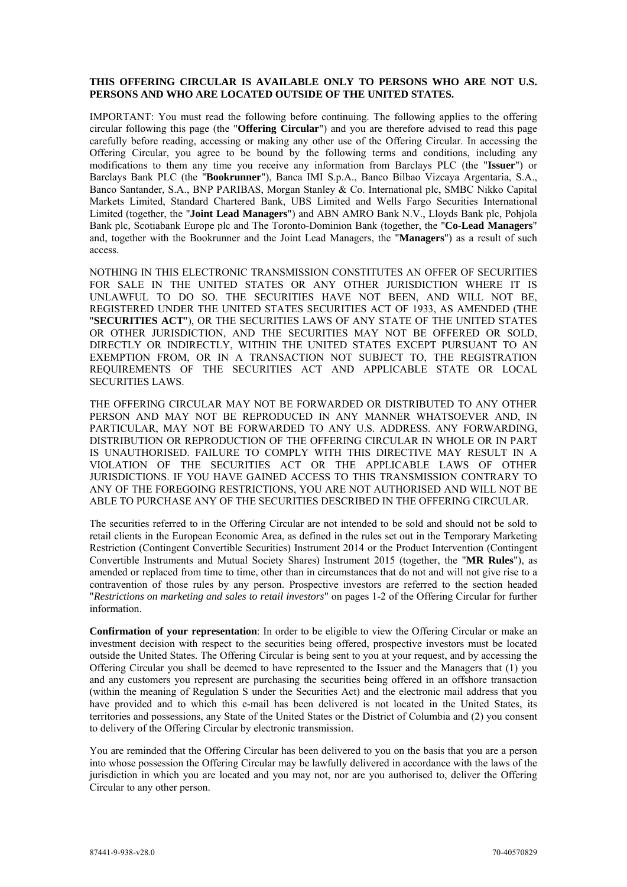## **THIS OFFERING CIRCULAR IS AVAILABLE ONLY TO PERSONS WHO ARE NOT U.S. PERSONS AND WHO ARE LOCATED OUTSIDE OF THE UNITED STATES.**

IMPORTANT: You must read the following before continuing. The following applies to the offering circular following this page (the "**Offering Circular**") and you are therefore advised to read this page carefully before reading, accessing or making any other use of the Offering Circular. In accessing the Offering Circular, you agree to be bound by the following terms and conditions, including any modifications to them any time you receive any information from Barclays PLC (the "**Issuer**") or Barclays Bank PLC (the "**Bookrunner**"), Banca IMI S.p.A., Banco Bilbao Vizcaya Argentaria, S.A., Banco Santander, S.A., BNP PARIBAS, Morgan Stanley & Co. International plc, SMBC Nikko Capital Markets Limited, Standard Chartered Bank, UBS Limited and Wells Fargo Securities International Limited (together, the "**Joint Lead Managers**") and ABN AMRO Bank N.V., Lloyds Bank plc, Pohjola Bank plc, Scotiabank Europe plc and The Toronto-Dominion Bank (together, the "**Co-Lead Managers**" and, together with the Bookrunner and the Joint Lead Managers, the "**Managers**") as a result of such access.

NOTHING IN THIS ELECTRONIC TRANSMISSION CONSTITUTES AN OFFER OF SECURITIES FOR SALE IN THE UNITED STATES OR ANY OTHER JURISDICTION WHERE IT IS UNLAWFUL TO DO SO. THE SECURITIES HAVE NOT BEEN, AND WILL NOT BE, REGISTERED UNDER THE UNITED STATES SECURITIES ACT OF 1933, AS AMENDED (THE "**SECURITIES ACT**"), OR THE SECURITIES LAWS OF ANY STATE OF THE UNITED STATES OR OTHER JURISDICTION, AND THE SECURITIES MAY NOT BE OFFERED OR SOLD, DIRECTLY OR INDIRECTLY, WITHIN THE UNITED STATES EXCEPT PURSUANT TO AN EXEMPTION FROM, OR IN A TRANSACTION NOT SUBJECT TO, THE REGISTRATION REQUIREMENTS OF THE SECURITIES ACT AND APPLICABLE STATE OR LOCAL SECURITIES LAWS.

THE OFFERING CIRCULAR MAY NOT BE FORWARDED OR DISTRIBUTED TO ANY OTHER PERSON AND MAY NOT BE REPRODUCED IN ANY MANNER WHATSOEVER AND, IN PARTICULAR, MAY NOT BE FORWARDED TO ANY U.S. ADDRESS. ANY FORWARDING, DISTRIBUTION OR REPRODUCTION OF THE OFFERING CIRCULAR IN WHOLE OR IN PART IS UNAUTHORISED. FAILURE TO COMPLY WITH THIS DIRECTIVE MAY RESULT IN A VIOLATION OF THE SECURITIES ACT OR THE APPLICABLE LAWS OF OTHER JURISDICTIONS. IF YOU HAVE GAINED ACCESS TO THIS TRANSMISSION CONTRARY TO ANY OF THE FOREGOING RESTRICTIONS, YOU ARE NOT AUTHORISED AND WILL NOT BE ABLE TO PURCHASE ANY OF THE SECURITIES DESCRIBED IN THE OFFERING CIRCULAR.

The securities referred to in the Offering Circular are not intended to be sold and should not be sold to retail clients in the European Economic Area, as defined in the rules set out in the Temporary Marketing Restriction (Contingent Convertible Securities) Instrument 2014 or the Product Intervention (Contingent Convertible Instruments and Mutual Society Shares) Instrument 2015 (together, the "**MR Rules**"), as amended or replaced from time to time, other than in circumstances that do not and will not give rise to a contravention of those rules by any person. Prospective investors are referred to the section headed "*Restrictions on marketing and sales to retail investors*" on pages 1-2 of the Offering Circular for further information.

**Confirmation of your representation**: In order to be eligible to view the Offering Circular or make an investment decision with respect to the securities being offered, prospective investors must be located outside the United States. The Offering Circular is being sent to you at your request, and by accessing the Offering Circular you shall be deemed to have represented to the Issuer and the Managers that (1) you and any customers you represent are purchasing the securities being offered in an offshore transaction (within the meaning of Regulation S under the Securities Act) and the electronic mail address that you have provided and to which this e-mail has been delivered is not located in the United States, its territories and possessions, any State of the United States or the District of Columbia and (2) you consent to delivery of the Offering Circular by electronic transmission.

You are reminded that the Offering Circular has been delivered to you on the basis that you are a person into whose possession the Offering Circular may be lawfully delivered in accordance with the laws of the jurisdiction in which you are located and you may not, nor are you authorised to, deliver the Offering Circular to any other person.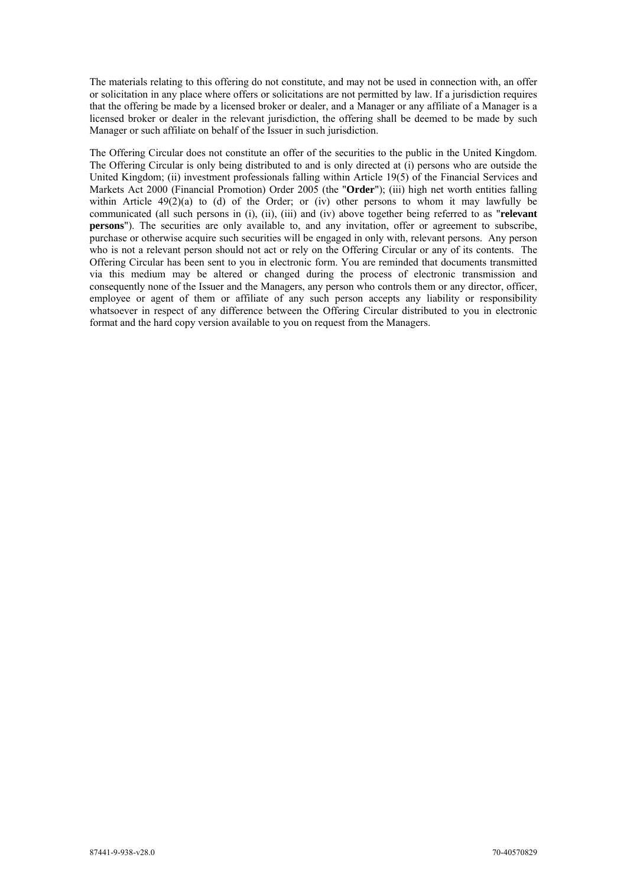The materials relating to this offering do not constitute, and may not be used in connection with, an offer or solicitation in any place where offers or solicitations are not permitted by law. If a jurisdiction requires that the offering be made by a licensed broker or dealer, and a Manager or any affiliate of a Manager is a licensed broker or dealer in the relevant jurisdiction, the offering shall be deemed to be made by such Manager or such affiliate on behalf of the Issuer in such jurisdiction.

The Offering Circular does not constitute an offer of the securities to the public in the United Kingdom. The Offering Circular is only being distributed to and is only directed at (i) persons who are outside the United Kingdom; (ii) investment professionals falling within Article 19(5) of the Financial Services and Markets Act 2000 (Financial Promotion) Order 2005 (the "**Order**"); (iii) high net worth entities falling within Article 49(2)(a) to (d) of the Order; or (iv) other persons to whom it may lawfully be communicated (all such persons in (i), (ii), (iii) and (iv) above together being referred to as "**relevant persons**"). The securities are only available to, and any invitation, offer or agreement to subscribe, purchase or otherwise acquire such securities will be engaged in only with, relevant persons. Any person who is not a relevant person should not act or rely on the Offering Circular or any of its contents. The Offering Circular has been sent to you in electronic form. You are reminded that documents transmitted via this medium may be altered or changed during the process of electronic transmission and consequently none of the Issuer and the Managers, any person who controls them or any director, officer, employee or agent of them or affiliate of any such person accepts any liability or responsibility whatsoever in respect of any difference between the Offering Circular distributed to you in electronic format and the hard copy version available to you on request from the Managers.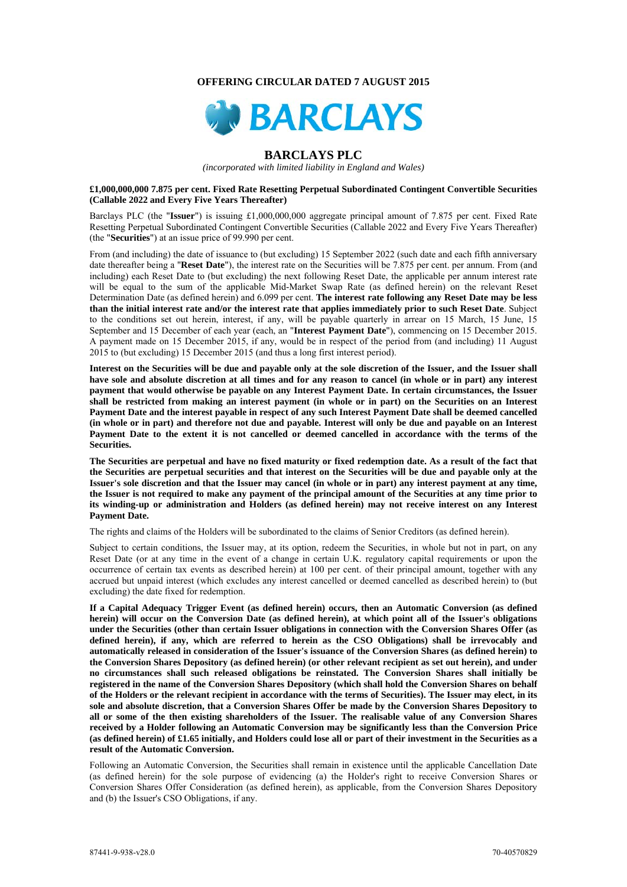#### **OFFERING CIRCULAR DATED 7 AUGUST 2015**



# **BARCLAYS PLC**

*(incorporated with limited liability in England and Wales)* 

#### **£1,000,000,000 7.875 per cent. Fixed Rate Resetting Perpetual Subordinated Contingent Convertible Securities (Callable 2022 and Every Five Years Thereafter)**

Barclays PLC (the "**Issuer**") is issuing £1,000,000,000 aggregate principal amount of 7.875 per cent. Fixed Rate Resetting Perpetual Subordinated Contingent Convertible Securities (Callable 2022 and Every Five Years Thereafter) (the "**Securities**") at an issue price of 99.990 per cent.

From (and including) the date of issuance to (but excluding) 15 September 2022 (such date and each fifth anniversary date thereafter being a "**Reset Date**"), the interest rate on the Securities will be 7.875 per cent. per annum. From (and including) each Reset Date to (but excluding) the next following Reset Date, the applicable per annum interest rate will be equal to the sum of the applicable Mid-Market Swap Rate (as defined herein) on the relevant Reset Determination Date (as defined herein) and 6.099 per cent. **The interest rate following any Reset Date may be less than the initial interest rate and/or the interest rate that applies immediately prior to such Reset Date**. Subject to the conditions set out herein, interest, if any, will be payable quarterly in arrear on 15 March, 15 June, 15 September and 15 December of each year (each, an "**Interest Payment Date**"), commencing on 15 December 2015. A payment made on 15 December 2015, if any, would be in respect of the period from (and including) 11 August 2015 to (but excluding) 15 December 2015 (and thus a long first interest period).

**Interest on the Securities will be due and payable only at the sole discretion of the Issuer, and the Issuer shall have sole and absolute discretion at all times and for any reason to cancel (in whole or in part) any interest payment that would otherwise be payable on any Interest Payment Date. In certain circumstances, the Issuer shall be restricted from making an interest payment (in whole or in part) on the Securities on an Interest Payment Date and the interest payable in respect of any such Interest Payment Date shall be deemed cancelled (in whole or in part) and therefore not due and payable. Interest will only be due and payable on an Interest Payment Date to the extent it is not cancelled or deemed cancelled in accordance with the terms of the Securities.** 

**The Securities are perpetual and have no fixed maturity or fixed redemption date. As a result of the fact that the Securities are perpetual securities and that interest on the Securities will be due and payable only at the Issuer's sole discretion and that the Issuer may cancel (in whole or in part) any interest payment at any time, the Issuer is not required to make any payment of the principal amount of the Securities at any time prior to its winding-up or administration and Holders (as defined herein) may not receive interest on any Interest Payment Date.** 

The rights and claims of the Holders will be subordinated to the claims of Senior Creditors (as defined herein).

Subject to certain conditions, the Issuer may, at its option, redeem the Securities, in whole but not in part, on any Reset Date (or at any time in the event of a change in certain U.K. regulatory capital requirements or upon the occurrence of certain tax events as described herein) at 100 per cent. of their principal amount, together with any accrued but unpaid interest (which excludes any interest cancelled or deemed cancelled as described herein) to (but excluding) the date fixed for redemption.

**If a Capital Adequacy Trigger Event (as defined herein) occurs, then an Automatic Conversion (as defined herein) will occur on the Conversion Date (as defined herein), at which point all of the Issuer's obligations under the Securities (other than certain Issuer obligations in connection with the Conversion Shares Offer (as defined herein), if any, which are referred to herein as the CSO Obligations) shall be irrevocably and automatically released in consideration of the Issuer's issuance of the Conversion Shares (as defined herein) to the Conversion Shares Depository (as defined herein) (or other relevant recipient as set out herein), and under no circumstances shall such released obligations be reinstated. The Conversion Shares shall initially be registered in the name of the Conversion Shares Depository (which shall hold the Conversion Shares on behalf of the Holders or the relevant recipient in accordance with the terms of Securities). The Issuer may elect, in its sole and absolute discretion, that a Conversion Shares Offer be made by the Conversion Shares Depository to all or some of the then existing shareholders of the Issuer. The realisable value of any Conversion Shares received by a Holder following an Automatic Conversion may be significantly less than the Conversion Price (as defined herein) of £1.65 initially, and Holders could lose all or part of their investment in the Securities as a result of the Automatic Conversion.** 

Following an Automatic Conversion, the Securities shall remain in existence until the applicable Cancellation Date (as defined herein) for the sole purpose of evidencing (a) the Holder's right to receive Conversion Shares or Conversion Shares Offer Consideration (as defined herein), as applicable, from the Conversion Shares Depository and (b) the Issuer's CSO Obligations, if any.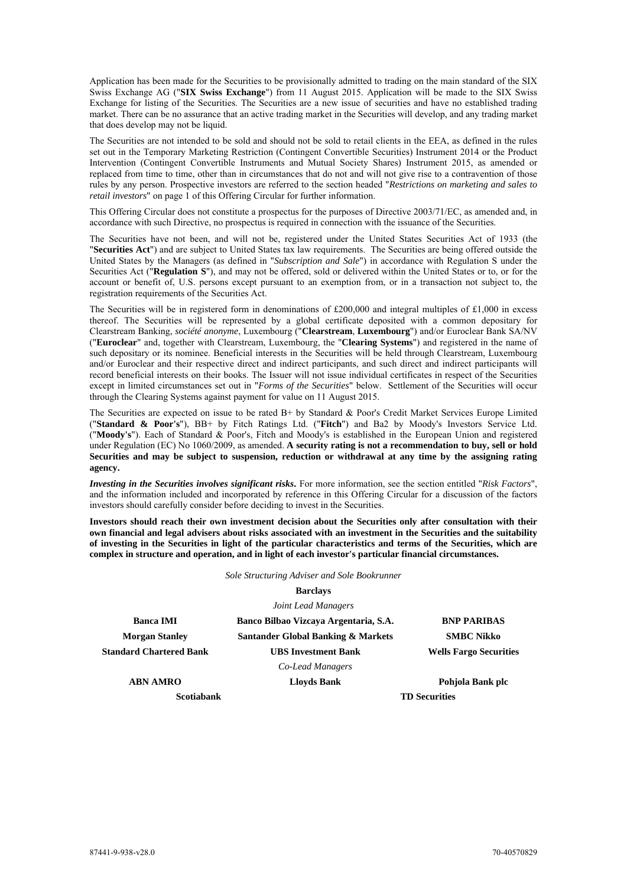Application has been made for the Securities to be provisionally admitted to trading on the main standard of the SIX Swiss Exchange AG ("**SIX Swiss Exchange**") from 11 August 2015. Application will be made to the SIX Swiss Exchange for listing of the Securities. The Securities are a new issue of securities and have no established trading market. There can be no assurance that an active trading market in the Securities will develop, and any trading market that does develop may not be liquid.

The Securities are not intended to be sold and should not be sold to retail clients in the EEA, as defined in the rules set out in the Temporary Marketing Restriction (Contingent Convertible Securities) Instrument 2014 or the Product Intervention (Contingent Convertible Instruments and Mutual Society Shares) Instrument 2015, as amended or replaced from time to time, other than in circumstances that do not and will not give rise to a contravention of those rules by any person. Prospective investors are referred to the section headed "*Restrictions on marketing and sales to retail investors*" on page 1 of this Offering Circular for further information.

This Offering Circular does not constitute a prospectus for the purposes of Directive 2003/71/EC, as amended and, in accordance with such Directive, no prospectus is required in connection with the issuance of the Securities.

The Securities have not been, and will not be, registered under the United States Securities Act of 1933 (the "**Securities Act**") and are subject to United States tax law requirements. The Securities are being offered outside the United States by the Managers (as defined in "*Subscription and Sale*") in accordance with Regulation S under the Securities Act ("**Regulation S**"), and may not be offered, sold or delivered within the United States or to, or for the account or benefit of, U.S. persons except pursuant to an exemption from, or in a transaction not subject to, the registration requirements of the Securities Act.

The Securities will be in registered form in denominations of  $£200,000$  and integral multiples of  $£1,000$  in excess thereof. The Securities will be represented by a global certificate deposited with a common depositary for Clearstream Banking, *société anonyme*, Luxembourg ("**Clearstream**, **Luxembourg**") and/or Euroclear Bank SA/NV ("**Euroclear**" and, together with Clearstream, Luxembourg, the "**Clearing Systems**") and registered in the name of such depositary or its nominee. Beneficial interests in the Securities will be held through Clearstream, Luxembourg and/or Euroclear and their respective direct and indirect participants, and such direct and indirect participants will record beneficial interests on their books. The Issuer will not issue individual certificates in respect of the Securities except in limited circumstances set out in "*Forms of the Securities*" below. Settlement of the Securities will occur through the Clearing Systems against payment for value on 11 August 2015.

The Securities are expected on issue to be rated B+ by Standard & Poor's Credit Market Services Europe Limited ("**Standard & Poor's**"), BB+ by Fitch Ratings Ltd. ("**Fitch**") and Ba2 by Moody's Investors Service Ltd. ("**Moody's**"). Each of Standard & Poor's, Fitch and Moody's is established in the European Union and registered under Regulation (EC) No 1060/2009, as amended. A security rating is not a recommendation to buy, sell or hold **Securities and may be subject to suspension, reduction or withdrawal at any time by the assigning rating agency.** 

*Investing in the Securities involves significant risks***.** For more information, see the section entitled "*Risk Factors*", and the information included and incorporated by reference in this Offering Circular for a discussion of the factors investors should carefully consider before deciding to invest in the Securities.

**Investors should reach their own investment decision about the Securities only after consultation with their own financial and legal advisers about risks associated with an investment in the Securities and the suitability of investing in the Securities in light of the particular characteristics and terms of the Securities, which are complex in structure and operation, and in light of each investor's particular financial circumstances.** 

*Sole Structuring Adviser and Sole Bookrunner*

## **Barclays**  *Joint Lead Managers*

**Banca IMI Banco Bilbao Vizcaya Argentaria, S.A. BNP PARIBAS Morgan Stanley Santander Global Banking & Markets SMBC Nikko Standard Chartered Bank UBS Investment Bank Wells Fargo Securities**  *Co-Lead Managers*

**ABN AMRO Lloyds Bank Pohjola Bank plc Scotiabank TD Securities**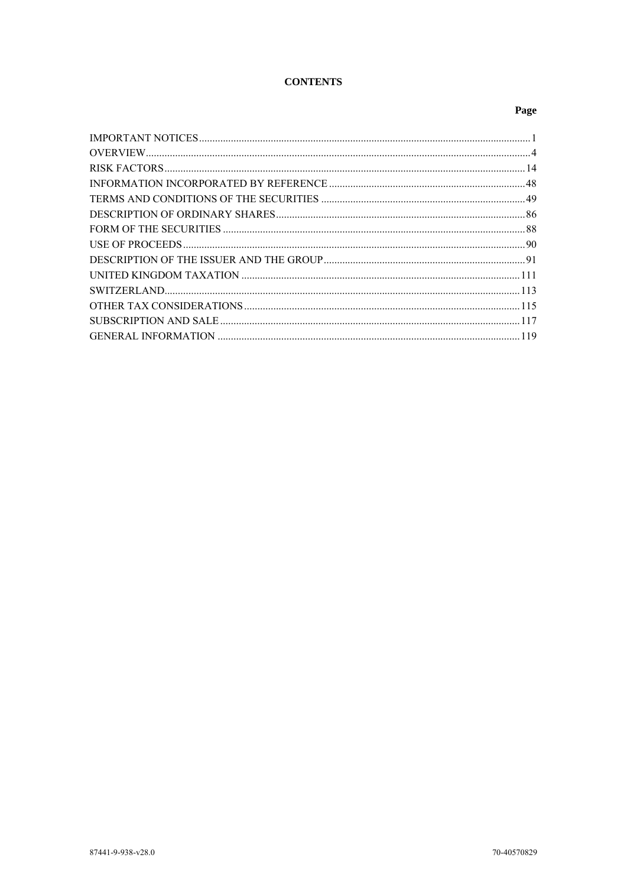# **CONTENTS**

# Page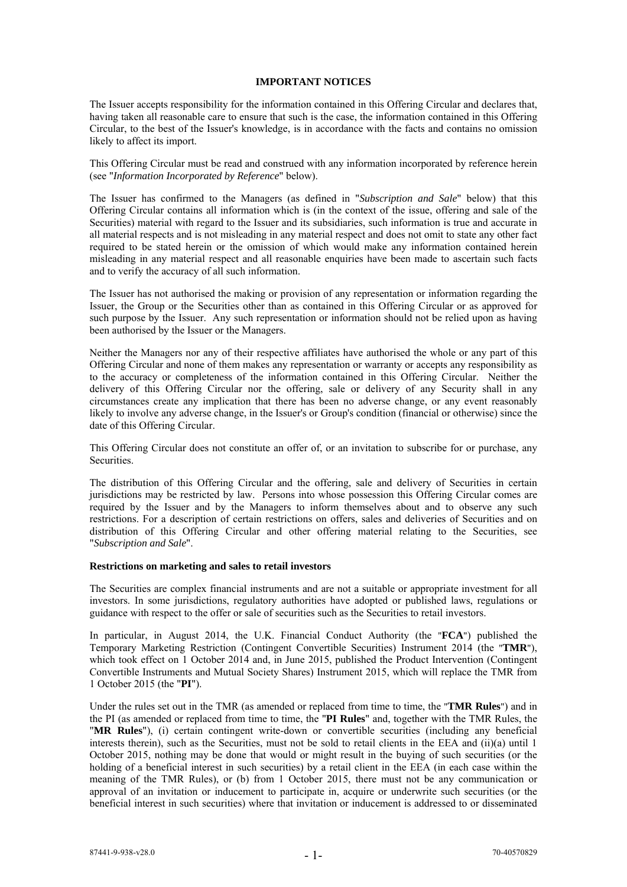# **IMPORTANT NOTICES**

The Issuer accepts responsibility for the information contained in this Offering Circular and declares that, having taken all reasonable care to ensure that such is the case, the information contained in this Offering Circular, to the best of the Issuer's knowledge, is in accordance with the facts and contains no omission likely to affect its import.

This Offering Circular must be read and construed with any information incorporated by reference herein (see "*Information Incorporated by Reference*" below).

The Issuer has confirmed to the Managers (as defined in "*Subscription and Sale*" below) that this Offering Circular contains all information which is (in the context of the issue, offering and sale of the Securities) material with regard to the Issuer and its subsidiaries, such information is true and accurate in all material respects and is not misleading in any material respect and does not omit to state any other fact required to be stated herein or the omission of which would make any information contained herein misleading in any material respect and all reasonable enquiries have been made to ascertain such facts and to verify the accuracy of all such information.

The Issuer has not authorised the making or provision of any representation or information regarding the Issuer, the Group or the Securities other than as contained in this Offering Circular or as approved for such purpose by the Issuer. Any such representation or information should not be relied upon as having been authorised by the Issuer or the Managers.

Neither the Managers nor any of their respective affiliates have authorised the whole or any part of this Offering Circular and none of them makes any representation or warranty or accepts any responsibility as to the accuracy or completeness of the information contained in this Offering Circular. Neither the delivery of this Offering Circular nor the offering, sale or delivery of any Security shall in any circumstances create any implication that there has been no adverse change, or any event reasonably likely to involve any adverse change, in the Issuer's or Group's condition (financial or otherwise) since the date of this Offering Circular.

This Offering Circular does not constitute an offer of, or an invitation to subscribe for or purchase, any Securities.

The distribution of this Offering Circular and the offering, sale and delivery of Securities in certain jurisdictions may be restricted by law. Persons into whose possession this Offering Circular comes are required by the Issuer and by the Managers to inform themselves about and to observe any such restrictions. For a description of certain restrictions on offers, sales and deliveries of Securities and on distribution of this Offering Circular and other offering material relating to the Securities, see "*Subscription and Sale*".

#### **Restrictions on marketing and sales to retail investors**

The Securities are complex financial instruments and are not a suitable or appropriate investment for all investors. In some jurisdictions, regulatory authorities have adopted or published laws, regulations or guidance with respect to the offer or sale of securities such as the Securities to retail investors.

In particular, in August 2014, the U.K. Financial Conduct Authority (the "**FCA**") published the Temporary Marketing Restriction (Contingent Convertible Securities) Instrument 2014 (the "**TMR**"), which took effect on 1 October 2014 and, in June 2015, published the Product Intervention (Contingent Convertible Instruments and Mutual Society Shares) Instrument 2015, which will replace the TMR from 1 October 2015 (the "**PI**").

Under the rules set out in the TMR (as amended or replaced from time to time, the "**TMR Rules**") and in the PI (as amended or replaced from time to time, the "**PI Rules**" and, together with the TMR Rules, the "**MR Rules**"), (i) certain contingent write-down or convertible securities (including any beneficial interests therein), such as the Securities, must not be sold to retail clients in the EEA and (ii)(a) until 1 October 2015, nothing may be done that would or might result in the buying of such securities (or the holding of a beneficial interest in such securities) by a retail client in the EEA (in each case within the meaning of the TMR Rules), or (b) from 1 October 2015, there must not be any communication or approval of an invitation or inducement to participate in, acquire or underwrite such securities (or the beneficial interest in such securities) where that invitation or inducement is addressed to or disseminated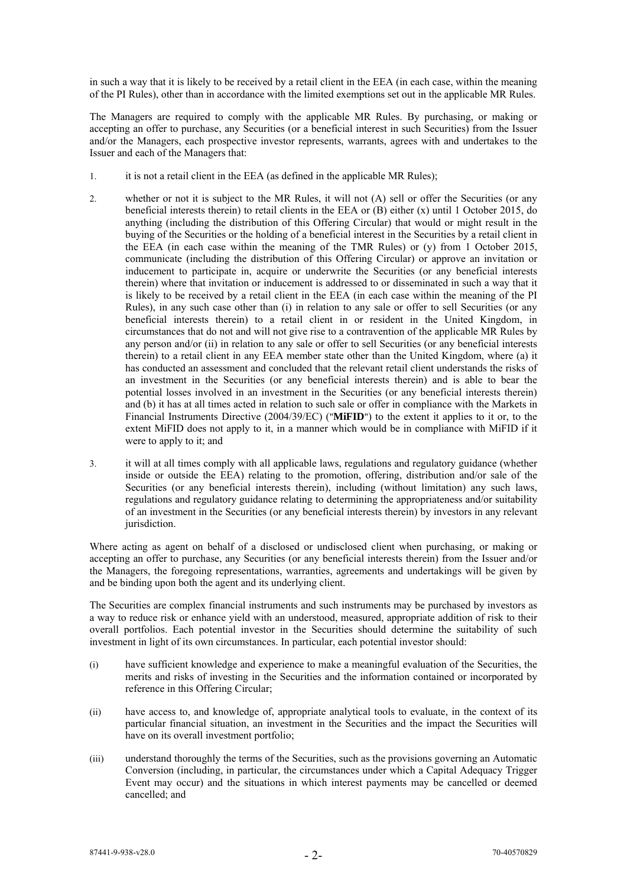in such a way that it is likely to be received by a retail client in the EEA (in each case, within the meaning of the PI Rules), other than in accordance with the limited exemptions set out in the applicable MR Rules.

The Managers are required to comply with the applicable MR Rules. By purchasing, or making or accepting an offer to purchase, any Securities (or a beneficial interest in such Securities) from the Issuer and/or the Managers, each prospective investor represents, warrants, agrees with and undertakes to the Issuer and each of the Managers that:

- 1. it is not a retail client in the EEA (as defined in the applicable MR Rules);
- 2. whether or not it is subject to the MR Rules, it will not (A) sell or offer the Securities (or any beneficial interests therein) to retail clients in the EEA or (B) either (x) until 1 October 2015, do anything (including the distribution of this Offering Circular) that would or might result in the buying of the Securities or the holding of a beneficial interest in the Securities by a retail client in the EEA (in each case within the meaning of the TMR Rules) or (y) from 1 October 2015, communicate (including the distribution of this Offering Circular) or approve an invitation or inducement to participate in, acquire or underwrite the Securities (or any beneficial interests therein) where that invitation or inducement is addressed to or disseminated in such a way that it is likely to be received by a retail client in the EEA (in each case within the meaning of the PI Rules), in any such case other than (i) in relation to any sale or offer to sell Securities (or any beneficial interests therein) to a retail client in or resident in the United Kingdom, in circumstances that do not and will not give rise to a contravention of the applicable MR Rules by any person and/or (ii) in relation to any sale or offer to sell Securities (or any beneficial interests therein) to a retail client in any EEA member state other than the United Kingdom, where (a) it has conducted an assessment and concluded that the relevant retail client understands the risks of an investment in the Securities (or any beneficial interests therein) and is able to bear the potential losses involved in an investment in the Securities (or any beneficial interests therein) and (b) it has at all times acted in relation to such sale or offer in compliance with the Markets in Financial Instruments Directive (2004/39/EC) ("**MiFID**") to the extent it applies to it or, to the extent MiFID does not apply to it, in a manner which would be in compliance with MiFID if it were to apply to it; and
- 3. it will at all times comply with all applicable laws, regulations and regulatory guidance (whether inside or outside the EEA) relating to the promotion, offering, distribution and/or sale of the Securities (or any beneficial interests therein), including (without limitation) any such laws, regulations and regulatory guidance relating to determining the appropriateness and/or suitability of an investment in the Securities (or any beneficial interests therein) by investors in any relevant jurisdiction.

Where acting as agent on behalf of a disclosed or undisclosed client when purchasing, or making or accepting an offer to purchase, any Securities (or any beneficial interests therein) from the Issuer and/or the Managers, the foregoing representations, warranties, agreements and undertakings will be given by and be binding upon both the agent and its underlying client.

The Securities are complex financial instruments and such instruments may be purchased by investors as a way to reduce risk or enhance yield with an understood, measured, appropriate addition of risk to their overall portfolios. Each potential investor in the Securities should determine the suitability of such investment in light of its own circumstances. In particular, each potential investor should:

- (i) have sufficient knowledge and experience to make a meaningful evaluation of the Securities, the merits and risks of investing in the Securities and the information contained or incorporated by reference in this Offering Circular;
- (ii) have access to, and knowledge of, appropriate analytical tools to evaluate, in the context of its particular financial situation, an investment in the Securities and the impact the Securities will have on its overall investment portfolio;
- (iii) understand thoroughly the terms of the Securities, such as the provisions governing an Automatic Conversion (including, in particular, the circumstances under which a Capital Adequacy Trigger Event may occur) and the situations in which interest payments may be cancelled or deemed cancelled; and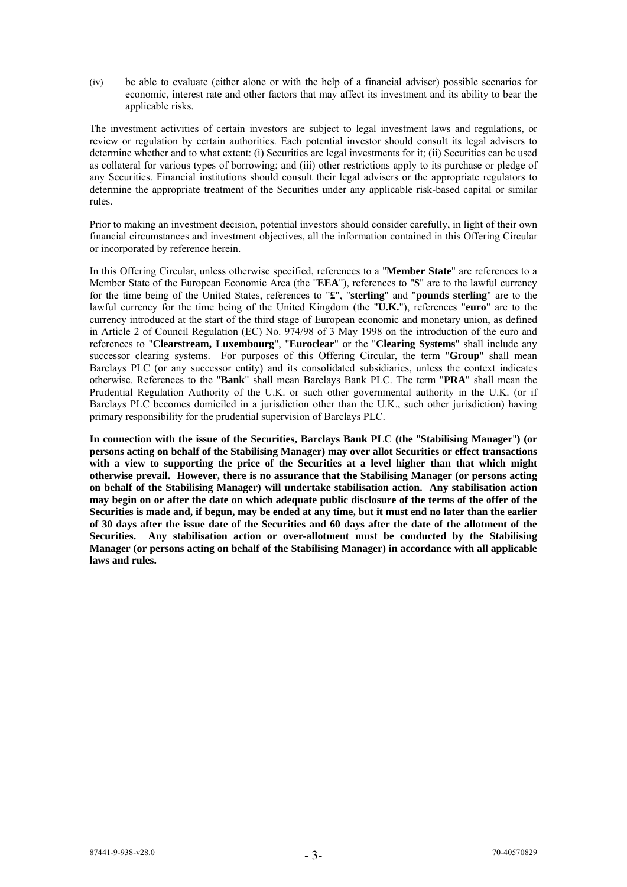(iv) be able to evaluate (either alone or with the help of a financial adviser) possible scenarios for economic, interest rate and other factors that may affect its investment and its ability to bear the applicable risks.

The investment activities of certain investors are subject to legal investment laws and regulations, or review or regulation by certain authorities. Each potential investor should consult its legal advisers to determine whether and to what extent: (i) Securities are legal investments for it; (ii) Securities can be used as collateral for various types of borrowing; and (iii) other restrictions apply to its purchase or pledge of any Securities. Financial institutions should consult their legal advisers or the appropriate regulators to determine the appropriate treatment of the Securities under any applicable risk-based capital or similar rules.

Prior to making an investment decision, potential investors should consider carefully, in light of their own financial circumstances and investment objectives, all the information contained in this Offering Circular or incorporated by reference herein.

In this Offering Circular, unless otherwise specified, references to a "**Member State**" are references to a Member State of the European Economic Area (the "**EEA**"), references to "**\$**" are to the lawful currency for the time being of the United States, references to "**£**", "**sterling**" and "**pounds sterling**" are to the lawful currency for the time being of the United Kingdom (the "**U.K.**"), references "**euro**" are to the currency introduced at the start of the third stage of European economic and monetary union, as defined in Article 2 of Council Regulation (EC) No. 974/98 of 3 May 1998 on the introduction of the euro and references to "**Clearstream, Luxembourg**", "**Euroclear**" or the "**Clearing Systems**" shall include any successor clearing systems. For purposes of this Offering Circular, the term "**Group**" shall mean Barclays PLC (or any successor entity) and its consolidated subsidiaries, unless the context indicates otherwise. References to the "**Bank**" shall mean Barclays Bank PLC. The term "**PRA**" shall mean the Prudential Regulation Authority of the U.K. or such other governmental authority in the U.K. (or if Barclays PLC becomes domiciled in a jurisdiction other than the U.K., such other jurisdiction) having primary responsibility for the prudential supervision of Barclays PLC.

**In connection with the issue of the Securities, Barclays Bank PLC (the** "**Stabilising Manager**"**) (or persons acting on behalf of the Stabilising Manager) may over allot Securities or effect transactions**  with a view to supporting the price of the Securities at a level higher than that which might **otherwise prevail. However, there is no assurance that the Stabilising Manager (or persons acting on behalf of the Stabilising Manager) will undertake stabilisation action. Any stabilisation action may begin on or after the date on which adequate public disclosure of the terms of the offer of the Securities is made and, if begun, may be ended at any time, but it must end no later than the earlier of 30 days after the issue date of the Securities and 60 days after the date of the allotment of the Securities. Any stabilisation action or over-allotment must be conducted by the Stabilising Manager (or persons acting on behalf of the Stabilising Manager) in accordance with all applicable laws and rules.**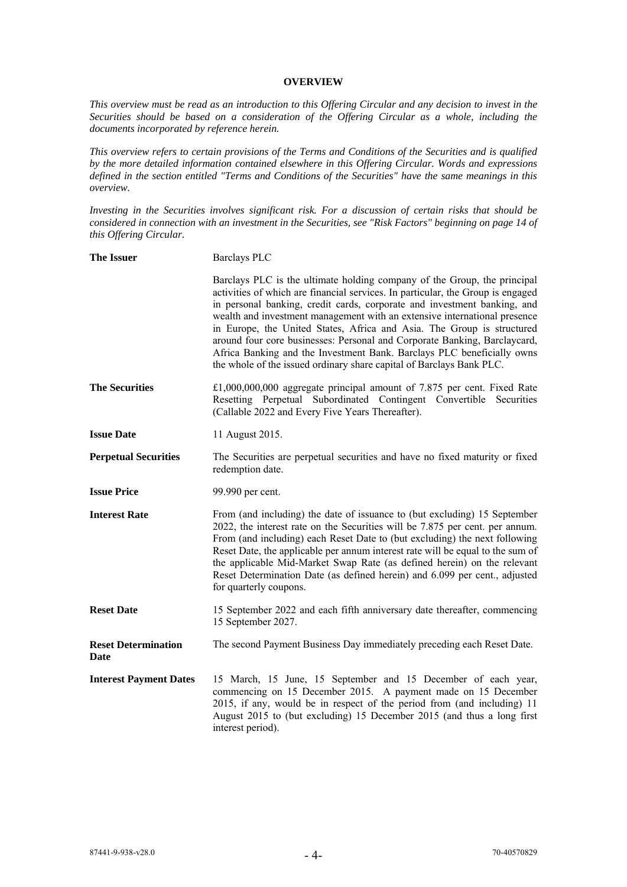# **OVERVIEW**

*This overview must be read as an introduction to this Offering Circular and any decision to invest in the Securities should be based on a consideration of the Offering Circular as a whole, including the documents incorporated by reference herein.*

*This overview refers to certain provisions of the Terms and Conditions of the Securities and is qualified by the more detailed information contained elsewhere in this Offering Circular. Words and expressions defined in the section entitled "Terms and Conditions of the Securities" have the same meanings in this overview.* 

*Investing in the Securities involves significant risk. For a discussion of certain risks that should be considered in connection with an investment in the Securities, see "Risk Factors" beginning on page 14 of this Offering Circular.* 

| <b>The Issuer</b>                  | <b>Barclays PLC</b>                                                                                                                                                                                                                                                                                                                                                                                                                                                                                                                                                                                                           |
|------------------------------------|-------------------------------------------------------------------------------------------------------------------------------------------------------------------------------------------------------------------------------------------------------------------------------------------------------------------------------------------------------------------------------------------------------------------------------------------------------------------------------------------------------------------------------------------------------------------------------------------------------------------------------|
|                                    | Barclays PLC is the ultimate holding company of the Group, the principal<br>activities of which are financial services. In particular, the Group is engaged<br>in personal banking, credit cards, corporate and investment banking, and<br>wealth and investment management with an extensive international presence<br>in Europe, the United States, Africa and Asia. The Group is structured<br>around four core businesses: Personal and Corporate Banking, Barclaycard,<br>Africa Banking and the Investment Bank. Barclays PLC beneficially owns<br>the whole of the issued ordinary share capital of Barclays Bank PLC. |
| <b>The Securities</b>              | $£1,000,000,000$ aggregate principal amount of 7.875 per cent. Fixed Rate<br>Resetting Perpetual Subordinated Contingent Convertible Securities<br>(Callable 2022 and Every Five Years Thereafter).                                                                                                                                                                                                                                                                                                                                                                                                                           |
| <b>Issue Date</b>                  | 11 August 2015.                                                                                                                                                                                                                                                                                                                                                                                                                                                                                                                                                                                                               |
| <b>Perpetual Securities</b>        | The Securities are perpetual securities and have no fixed maturity or fixed<br>redemption date.                                                                                                                                                                                                                                                                                                                                                                                                                                                                                                                               |
| <b>Issue Price</b>                 | 99.990 per cent.                                                                                                                                                                                                                                                                                                                                                                                                                                                                                                                                                                                                              |
| <b>Interest Rate</b>               | From (and including) the date of issuance to (but excluding) 15 September<br>2022, the interest rate on the Securities will be 7.875 per cent. per annum.<br>From (and including) each Reset Date to (but excluding) the next following<br>Reset Date, the applicable per annum interest rate will be equal to the sum of<br>the applicable Mid-Market Swap Rate (as defined herein) on the relevant<br>Reset Determination Date (as defined herein) and 6.099 per cent., adjusted<br>for quarterly coupons.                                                                                                                  |
| <b>Reset Date</b>                  | 15 September 2022 and each fifth anniversary date thereafter, commencing<br>15 September 2027.                                                                                                                                                                                                                                                                                                                                                                                                                                                                                                                                |
| <b>Reset Determination</b><br>Date | The second Payment Business Day immediately preceding each Reset Date.                                                                                                                                                                                                                                                                                                                                                                                                                                                                                                                                                        |
| <b>Interest Payment Dates</b>      | 15 March, 15 June, 15 September and 15 December of each year,<br>commencing on 15 December 2015. A payment made on 15 December<br>2015, if any, would be in respect of the period from (and including) 11<br>August 2015 to (but excluding) 15 December 2015 (and thus a long first<br>interest period).                                                                                                                                                                                                                                                                                                                      |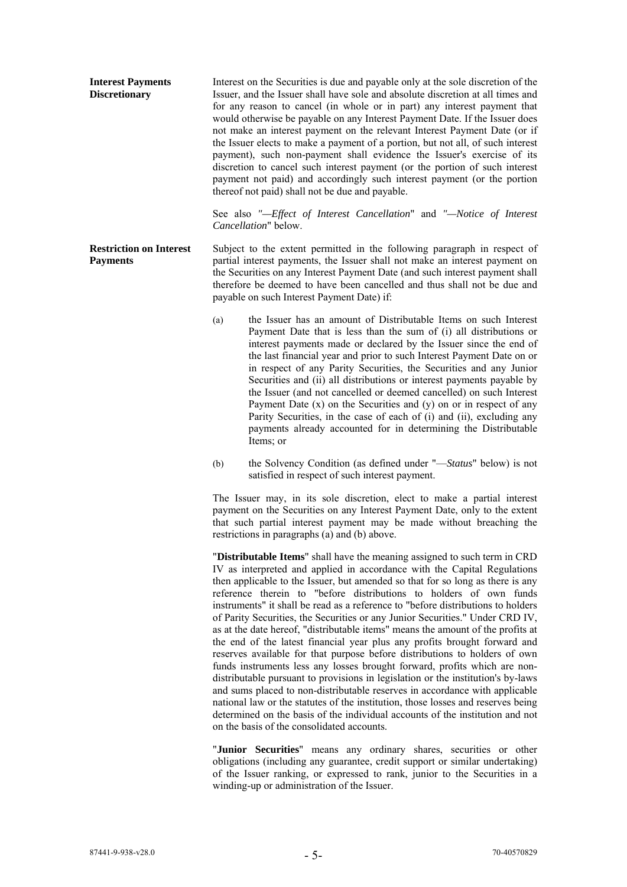| <b>Interest Payments</b><br><b>Discretionary</b> | Interest on the Securities is due and payable only at the sole discretion of the<br>Issuer, and the Issuer shall have sole and absolute discretion at all times and<br>for any reason to cancel (in whole or in part) any interest payment that<br>would otherwise be payable on any Interest Payment Date. If the Issuer does<br>not make an interest payment on the relevant Interest Payment Date (or if<br>the Issuer elects to make a payment of a portion, but not all, of such interest<br>payment), such non-payment shall evidence the Issuer's exercise of its<br>discretion to cancel such interest payment (or the portion of such interest<br>payment not paid) and accordingly such interest payment (or the portion<br>thereof not paid) shall not be due and payable.<br>See also "-Effect of Interest Cancellation" and "-Notice of Interest<br><i>Cancellation</i> " below. |
|--------------------------------------------------|-----------------------------------------------------------------------------------------------------------------------------------------------------------------------------------------------------------------------------------------------------------------------------------------------------------------------------------------------------------------------------------------------------------------------------------------------------------------------------------------------------------------------------------------------------------------------------------------------------------------------------------------------------------------------------------------------------------------------------------------------------------------------------------------------------------------------------------------------------------------------------------------------|
| <b>Restriction on Interest</b>                   | Subject to the extent permitted in the following paragraph in respect of                                                                                                                                                                                                                                                                                                                                                                                                                                                                                                                                                                                                                                                                                                                                                                                                                      |
| <b>Payments</b>                                  | partial interest payments, the Issuer shall not make an interest payment on                                                                                                                                                                                                                                                                                                                                                                                                                                                                                                                                                                                                                                                                                                                                                                                                                   |

the Securities on any Interest Payment Date (and such interest payment shall therefore be deemed to have been cancelled and thus shall not be due and payable on such Interest Payment Date) if:

- (a) the Issuer has an amount of Distributable Items on such Interest Payment Date that is less than the sum of (i) all distributions or interest payments made or declared by the Issuer since the end of the last financial year and prior to such Interest Payment Date on or in respect of any Parity Securities, the Securities and any Junior Securities and (ii) all distributions or interest payments payable by the Issuer (and not cancelled or deemed cancelled) on such Interest Payment Date  $(x)$  on the Securities and  $(y)$  on or in respect of any Parity Securities, in the case of each of (i) and (ii), excluding any payments already accounted for in determining the Distributable Items; or
- (b) the Solvency Condition (as defined under "—*Status*" below) is not satisfied in respect of such interest payment.

The Issuer may, in its sole discretion, elect to make a partial interest payment on the Securities on any Interest Payment Date, only to the extent that such partial interest payment may be made without breaching the restrictions in paragraphs (a) and (b) above.

"**Distributable Items**" shall have the meaning assigned to such term in CRD IV as interpreted and applied in accordance with the Capital Regulations then applicable to the Issuer, but amended so that for so long as there is any reference therein to "before distributions to holders of own funds instruments" it shall be read as a reference to "before distributions to holders of Parity Securities, the Securities or any Junior Securities." Under CRD IV, as at the date hereof, "distributable items" means the amount of the profits at the end of the latest financial year plus any profits brought forward and reserves available for that purpose before distributions to holders of own funds instruments less any losses brought forward, profits which are nondistributable pursuant to provisions in legislation or the institution's by-laws and sums placed to non-distributable reserves in accordance with applicable national law or the statutes of the institution, those losses and reserves being determined on the basis of the individual accounts of the institution and not on the basis of the consolidated accounts.

"**Junior Securities**" means any ordinary shares, securities or other obligations (including any guarantee, credit support or similar undertaking) of the Issuer ranking, or expressed to rank, junior to the Securities in a winding-up or administration of the Issuer.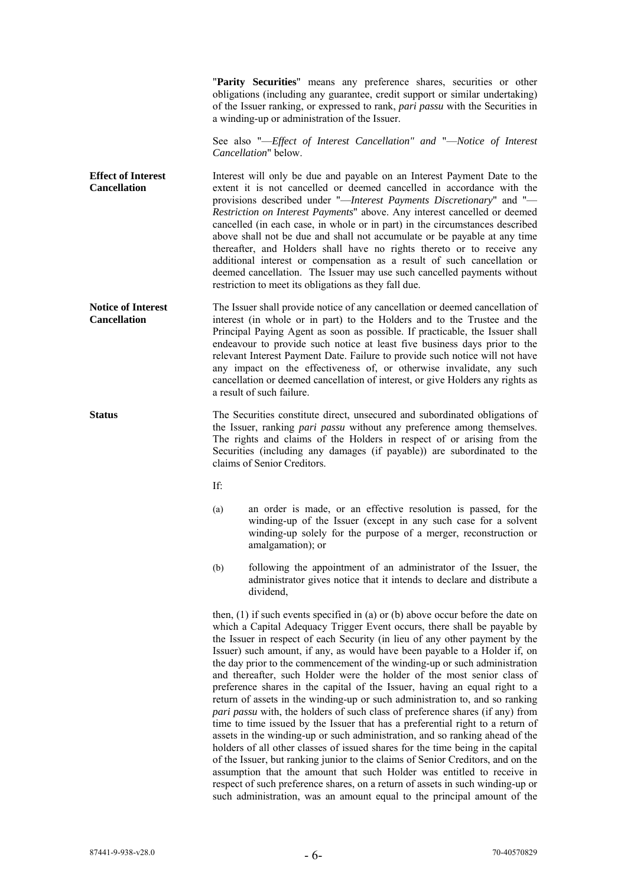"**Parity Securities**" means any preference shares, securities or other obligations (including any guarantee, credit support or similar undertaking) of the Issuer ranking, or expressed to rank, *pari passu* with the Securities in a winding-up or administration of the Issuer.

See also "—*Effect of Interest Cancellation" and* "—*Notice of Interest Cancellation*" below.

**Effect of Interest Cancellation**  Interest will only be due and payable on an Interest Payment Date to the extent it is not cancelled or deemed cancelled in accordance with the provisions described under "—*Interest Payments Discretionary*" and "— *Restriction on Interest Payments*" above. Any interest cancelled or deemed cancelled (in each case, in whole or in part) in the circumstances described above shall not be due and shall not accumulate or be payable at any time thereafter, and Holders shall have no rights thereto or to receive any additional interest or compensation as a result of such cancellation or deemed cancellation. The Issuer may use such cancelled payments without restriction to meet its obligations as they fall due.

**Notice of Interest Cancellation**  The Issuer shall provide notice of any cancellation or deemed cancellation of interest (in whole or in part) to the Holders and to the Trustee and the Principal Paying Agent as soon as possible. If practicable, the Issuer shall endeavour to provide such notice at least five business days prior to the relevant Interest Payment Date. Failure to provide such notice will not have any impact on the effectiveness of, or otherwise invalidate, any such cancellation or deemed cancellation of interest, or give Holders any rights as a result of such failure.

**Status The Securities constitute direct, unsecured and subordinated obligations of** the Issuer, ranking *pari passu* without any preference among themselves. The rights and claims of the Holders in respect of or arising from the Securities (including any damages (if payable)) are subordinated to the claims of Senior Creditors.

If:

- (a) an order is made, or an effective resolution is passed, for the winding-up of the Issuer (except in any such case for a solvent winding-up solely for the purpose of a merger, reconstruction or amalgamation); or
- (b) following the appointment of an administrator of the Issuer, the administrator gives notice that it intends to declare and distribute a dividend,

then, (1) if such events specified in (a) or (b) above occur before the date on which a Capital Adequacy Trigger Event occurs, there shall be payable by the Issuer in respect of each Security (in lieu of any other payment by the Issuer) such amount, if any, as would have been payable to a Holder if, on the day prior to the commencement of the winding-up or such administration and thereafter, such Holder were the holder of the most senior class of preference shares in the capital of the Issuer, having an equal right to a return of assets in the winding-up or such administration to, and so ranking *pari passu* with, the holders of such class of preference shares (if any) from time to time issued by the Issuer that has a preferential right to a return of assets in the winding-up or such administration, and so ranking ahead of the holders of all other classes of issued shares for the time being in the capital of the Issuer, but ranking junior to the claims of Senior Creditors, and on the assumption that the amount that such Holder was entitled to receive in respect of such preference shares, on a return of assets in such winding-up or such administration, was an amount equal to the principal amount of the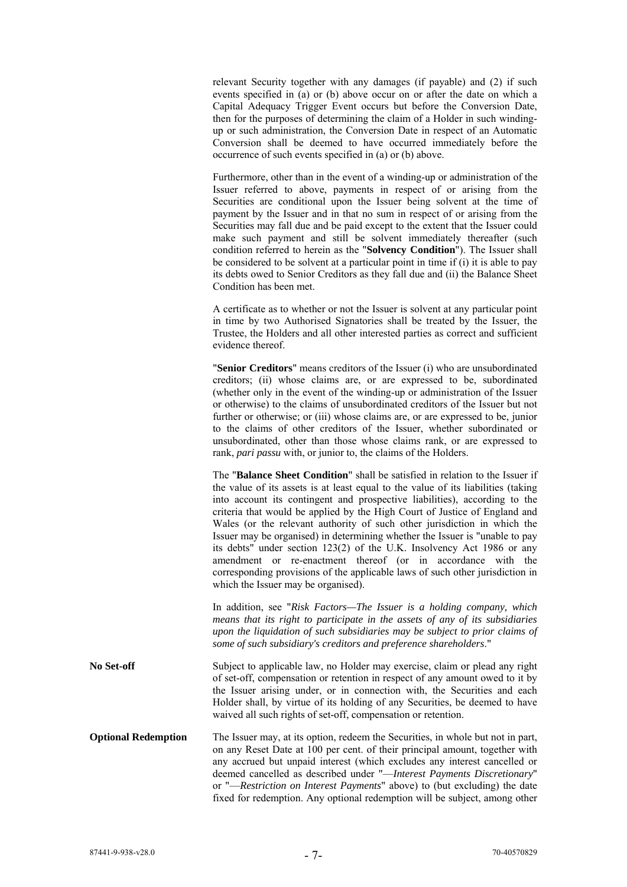relevant Security together with any damages (if payable) and (2) if such events specified in (a) or (b) above occur on or after the date on which a Capital Adequacy Trigger Event occurs but before the Conversion Date, then for the purposes of determining the claim of a Holder in such windingup or such administration, the Conversion Date in respect of an Automatic Conversion shall be deemed to have occurred immediately before the occurrence of such events specified in (a) or (b) above.

Furthermore, other than in the event of a winding-up or administration of the Issuer referred to above, payments in respect of or arising from the Securities are conditional upon the Issuer being solvent at the time of payment by the Issuer and in that no sum in respect of or arising from the Securities may fall due and be paid except to the extent that the Issuer could make such payment and still be solvent immediately thereafter (such condition referred to herein as the "**Solvency Condition**"). The Issuer shall be considered to be solvent at a particular point in time if (i) it is able to pay its debts owed to Senior Creditors as they fall due and (ii) the Balance Sheet Condition has been met.

A certificate as to whether or not the Issuer is solvent at any particular point in time by two Authorised Signatories shall be treated by the Issuer, the Trustee, the Holders and all other interested parties as correct and sufficient evidence thereof.

"**Senior Creditors**" means creditors of the Issuer (i) who are unsubordinated creditors; (ii) whose claims are, or are expressed to be, subordinated (whether only in the event of the winding-up or administration of the Issuer or otherwise) to the claims of unsubordinated creditors of the Issuer but not further or otherwise; or (iii) whose claims are, or are expressed to be, junior to the claims of other creditors of the Issuer, whether subordinated or unsubordinated, other than those whose claims rank, or are expressed to rank, *pari passu* with, or junior to, the claims of the Holders.

The "**Balance Sheet Condition**" shall be satisfied in relation to the Issuer if the value of its assets is at least equal to the value of its liabilities (taking into account its contingent and prospective liabilities), according to the criteria that would be applied by the High Court of Justice of England and Wales (or the relevant authority of such other jurisdiction in which the Issuer may be organised) in determining whether the Issuer is "unable to pay its debts" under section 123(2) of the U.K. Insolvency Act 1986 or any amendment or re-enactment thereof (or in accordance with the corresponding provisions of the applicable laws of such other jurisdiction in which the Issuer may be organised).

In addition, see "*Risk Factors—The Issuer is a holding company, which means that its right to participate in the assets of any of its subsidiaries upon the liquidation of such subsidiaries may be subject to prior claims of some of such subsidiary's creditors and preference shareholders*."

**No Set-off** Subject to applicable law, no Holder may exercise, claim or plead any right of set-off, compensation or retention in respect of any amount owed to it by the Issuer arising under, or in connection with, the Securities and each Holder shall, by virtue of its holding of any Securities, be deemed to have waived all such rights of set-off, compensation or retention.

**Optional Redemption** The Issuer may, at its option, redeem the Securities, in whole but not in part, on any Reset Date at 100 per cent. of their principal amount, together with any accrued but unpaid interest (which excludes any interest cancelled or deemed cancelled as described under "—*Interest Payments Discretionary*" or "—*Restriction on Interest Payments*" above) to (but excluding) the date fixed for redemption. Any optional redemption will be subject, among other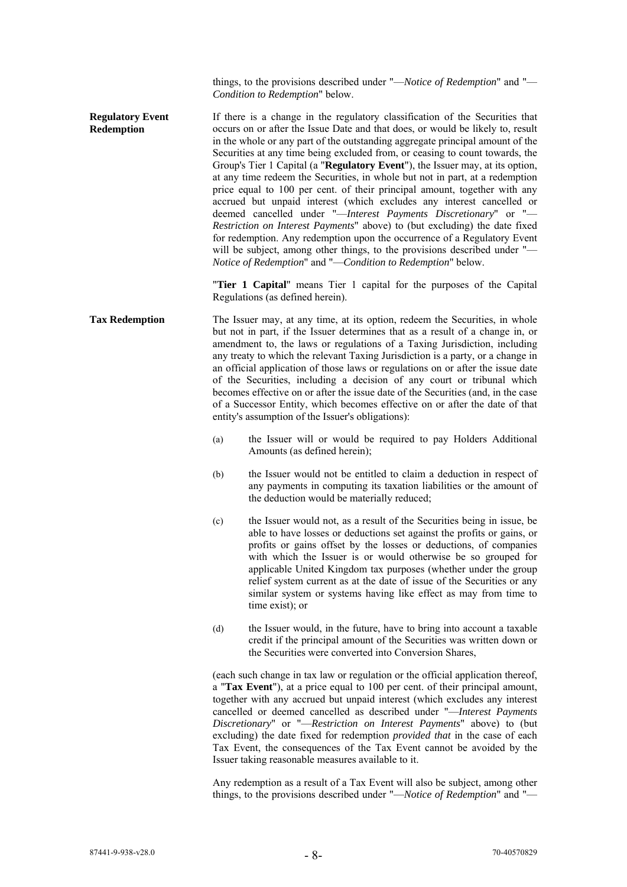things, to the provisions described under "—*Notice of Redemption*" and "— *Condition to Redemption*" below.

**Regulatory Event Redemption**  If there is a change in the regulatory classification of the Securities that occurs on or after the Issue Date and that does, or would be likely to, result in the whole or any part of the outstanding aggregate principal amount of the Securities at any time being excluded from, or ceasing to count towards, the Group's Tier 1 Capital (a "**Regulatory Event**"), the Issuer may, at its option, at any time redeem the Securities, in whole but not in part, at a redemption price equal to 100 per cent. of their principal amount, together with any accrued but unpaid interest (which excludes any interest cancelled or deemed cancelled under "—*Interest Payments Discretionary*" or "— *Restriction on Interest Payments*" above) to (but excluding) the date fixed for redemption. Any redemption upon the occurrence of a Regulatory Event will be subject, among other things, to the provisions described under "-*Notice of Redemption*" and "—*Condition to Redemption*" below.

> "**Tier 1 Capital**" means Tier 1 capital for the purposes of the Capital Regulations (as defined herein).

- **Tax Redemption** The Issuer may, at any time, at its option, redeem the Securities, in whole but not in part, if the Issuer determines that as a result of a change in, or amendment to, the laws or regulations of a Taxing Jurisdiction, including any treaty to which the relevant Taxing Jurisdiction is a party, or a change in an official application of those laws or regulations on or after the issue date of the Securities, including a decision of any court or tribunal which becomes effective on or after the issue date of the Securities (and, in the case of a Successor Entity, which becomes effective on or after the date of that entity's assumption of the Issuer's obligations):
	- (a) the Issuer will or would be required to pay Holders Additional Amounts (as defined herein);
	- (b) the Issuer would not be entitled to claim a deduction in respect of any payments in computing its taxation liabilities or the amount of the deduction would be materially reduced;
	- (c) the Issuer would not, as a result of the Securities being in issue, be able to have losses or deductions set against the profits or gains, or profits or gains offset by the losses or deductions, of companies with which the Issuer is or would otherwise be so grouped for applicable United Kingdom tax purposes (whether under the group relief system current as at the date of issue of the Securities or any similar system or systems having like effect as may from time to time exist); or
	- (d) the Issuer would, in the future, have to bring into account a taxable credit if the principal amount of the Securities was written down or the Securities were converted into Conversion Shares,

(each such change in tax law or regulation or the official application thereof, a "**Tax Event**"), at a price equal to 100 per cent. of their principal amount, together with any accrued but unpaid interest (which excludes any interest cancelled or deemed cancelled as described under "—*Interest Payments Discretionary*" or "—*Restriction on Interest Payments*" above) to (but excluding) the date fixed for redemption *provided that* in the case of each Tax Event, the consequences of the Tax Event cannot be avoided by the Issuer taking reasonable measures available to it.

Any redemption as a result of a Tax Event will also be subject, among other things, to the provisions described under "—*Notice of Redemption*" and "—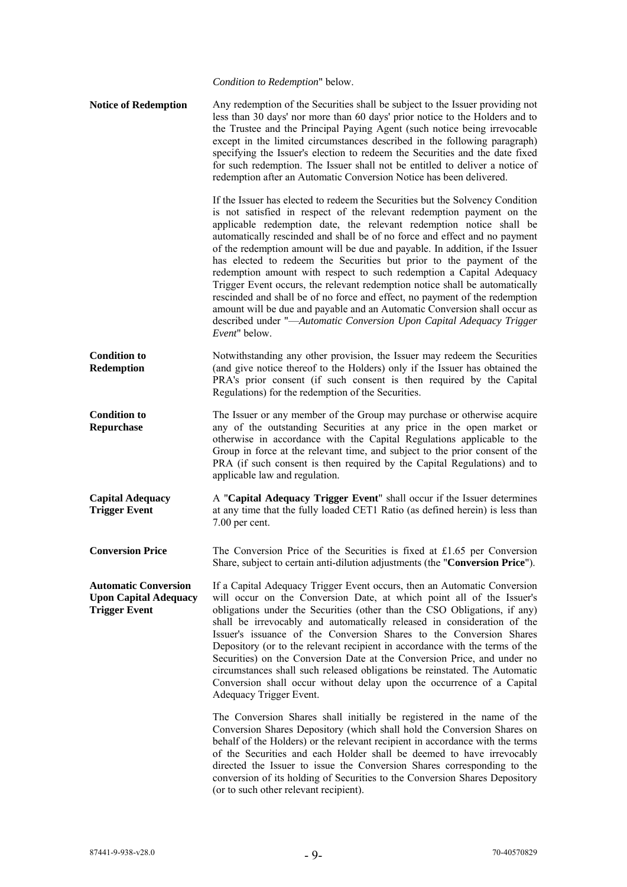*Condition to Redemption*" below.

**Notice of Redemption** Any redemption of the Securities shall be subject to the Issuer providing not less than 30 days' nor more than 60 days' prior notice to the Holders and to the Trustee and the Principal Paying Agent (such notice being irrevocable except in the limited circumstances described in the following paragraph) specifying the Issuer's election to redeem the Securities and the date fixed for such redemption. The Issuer shall not be entitled to deliver a notice of redemption after an Automatic Conversion Notice has been delivered.

> If the Issuer has elected to redeem the Securities but the Solvency Condition is not satisfied in respect of the relevant redemption payment on the applicable redemption date, the relevant redemption notice shall be automatically rescinded and shall be of no force and effect and no payment of the redemption amount will be due and payable. In addition, if the Issuer has elected to redeem the Securities but prior to the payment of the redemption amount with respect to such redemption a Capital Adequacy Trigger Event occurs, the relevant redemption notice shall be automatically rescinded and shall be of no force and effect, no payment of the redemption amount will be due and payable and an Automatic Conversion shall occur as described under "—*Automatic Conversion Upon Capital Adequacy Trigger Event*" below.

**Condition to Redemption**  Notwithstanding any other provision, the Issuer may redeem the Securities (and give notice thereof to the Holders) only if the Issuer has obtained the PRA's prior consent (if such consent is then required by the Capital Regulations) for the redemption of the Securities.

**Condition to Repurchase**  The Issuer or any member of the Group may purchase or otherwise acquire any of the outstanding Securities at any price in the open market or otherwise in accordance with the Capital Regulations applicable to the Group in force at the relevant time, and subject to the prior consent of the PRA (if such consent is then required by the Capital Regulations) and to applicable law and regulation.

**Capital Adequacy Trigger Event**  A "**Capital Adequacy Trigger Event**" shall occur if the Issuer determines at any time that the fully loaded CET1 Ratio (as defined herein) is less than 7.00 per cent.

**Conversion Price** The Conversion Price of the Securities is fixed at £1.65 per Conversion Share, subject to certain anti-dilution adjustments (the "**Conversion Price**").

**Automatic Conversion Upon Capital Adequacy Trigger Event**  If a Capital Adequacy Trigger Event occurs, then an Automatic Conversion will occur on the Conversion Date, at which point all of the Issuer's obligations under the Securities (other than the CSO Obligations, if any) shall be irrevocably and automatically released in consideration of the Issuer's issuance of the Conversion Shares to the Conversion Shares Depository (or to the relevant recipient in accordance with the terms of the Securities) on the Conversion Date at the Conversion Price, and under no circumstances shall such released obligations be reinstated. The Automatic Conversion shall occur without delay upon the occurrence of a Capital Adequacy Trigger Event.

> The Conversion Shares shall initially be registered in the name of the Conversion Shares Depository (which shall hold the Conversion Shares on behalf of the Holders) or the relevant recipient in accordance with the terms of the Securities and each Holder shall be deemed to have irrevocably directed the Issuer to issue the Conversion Shares corresponding to the conversion of its holding of Securities to the Conversion Shares Depository (or to such other relevant recipient).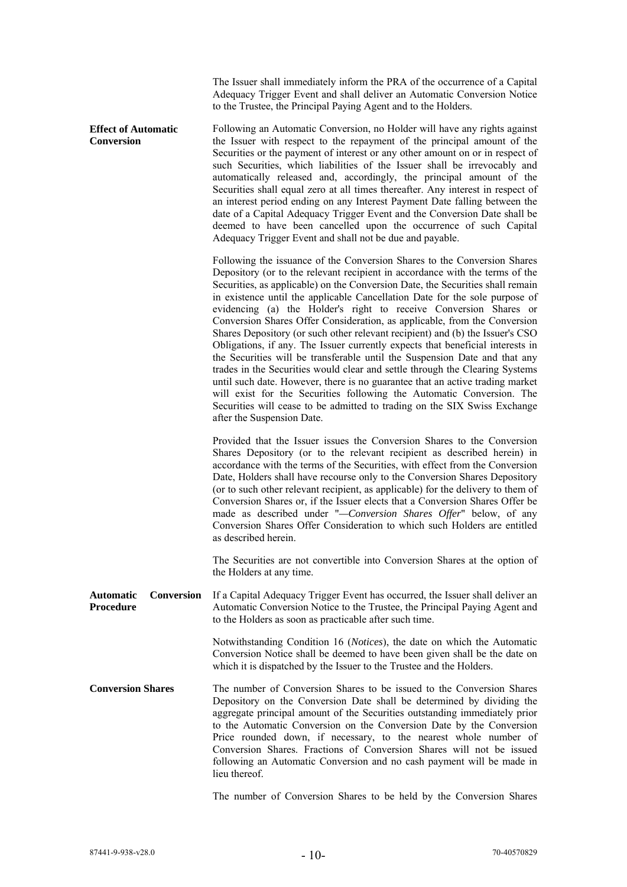|                                                    | The Issuer shall immediately inform the PRA of the occurrence of a Capital<br>Adequacy Trigger Event and shall deliver an Automatic Conversion Notice<br>to the Trustee, the Principal Paying Agent and to the Holders.                                                                                                                                                                                                                                                                                                                                                                                                                                                                                                                                                                                                                                                                                                                                                                                                                                                           |
|----------------------------------------------------|-----------------------------------------------------------------------------------------------------------------------------------------------------------------------------------------------------------------------------------------------------------------------------------------------------------------------------------------------------------------------------------------------------------------------------------------------------------------------------------------------------------------------------------------------------------------------------------------------------------------------------------------------------------------------------------------------------------------------------------------------------------------------------------------------------------------------------------------------------------------------------------------------------------------------------------------------------------------------------------------------------------------------------------------------------------------------------------|
| <b>Effect of Automatic</b><br><b>Conversion</b>    | Following an Automatic Conversion, no Holder will have any rights against<br>the Issuer with respect to the repayment of the principal amount of the<br>Securities or the payment of interest or any other amount on or in respect of<br>such Securities, which liabilities of the Issuer shall be irrevocably and<br>automatically released and, accordingly, the principal amount of the<br>Securities shall equal zero at all times thereafter. Any interest in respect of<br>an interest period ending on any Interest Payment Date falling between the<br>date of a Capital Adequacy Trigger Event and the Conversion Date shall be<br>deemed to have been cancelled upon the occurrence of such Capital<br>Adequacy Trigger Event and shall not be due and payable.                                                                                                                                                                                                                                                                                                         |
|                                                    | Following the issuance of the Conversion Shares to the Conversion Shares<br>Depository (or to the relevant recipient in accordance with the terms of the<br>Securities, as applicable) on the Conversion Date, the Securities shall remain<br>in existence until the applicable Cancellation Date for the sole purpose of<br>evidencing (a) the Holder's right to receive Conversion Shares or<br>Conversion Shares Offer Consideration, as applicable, from the Conversion<br>Shares Depository (or such other relevant recipient) and (b) the Issuer's CSO<br>Obligations, if any. The Issuer currently expects that beneficial interests in<br>the Securities will be transferable until the Suspension Date and that any<br>trades in the Securities would clear and settle through the Clearing Systems<br>until such date. However, there is no guarantee that an active trading market<br>will exist for the Securities following the Automatic Conversion. The<br>Securities will cease to be admitted to trading on the SIX Swiss Exchange<br>after the Suspension Date. |
|                                                    | Provided that the Issuer issues the Conversion Shares to the Conversion<br>Shares Depository (or to the relevant recipient as described herein) in<br>accordance with the terms of the Securities, with effect from the Conversion<br>Date, Holders shall have recourse only to the Conversion Shares Depository<br>(or to such other relevant recipient, as applicable) for the delivery to them of<br>Conversion Shares or, if the Issuer elects that a Conversion Shares Offer be<br>made as described under "-Conversion Shares Offer" below, of any<br>Conversion Shares Offer Consideration to which such Holders are entitled<br>as described herein.                                                                                                                                                                                                                                                                                                                                                                                                                      |
|                                                    | The Securities are not convertible into Conversion Shares at the option of<br>the Holders at any time.                                                                                                                                                                                                                                                                                                                                                                                                                                                                                                                                                                                                                                                                                                                                                                                                                                                                                                                                                                            |
| <b>Automatic</b><br>Conversion<br><b>Procedure</b> | If a Capital Adequacy Trigger Event has occurred, the Issuer shall deliver an<br>Automatic Conversion Notice to the Trustee, the Principal Paying Agent and<br>to the Holders as soon as practicable after such time.                                                                                                                                                                                                                                                                                                                                                                                                                                                                                                                                                                                                                                                                                                                                                                                                                                                             |
|                                                    | Notwithstanding Condition 16 (Notices), the date on which the Automatic<br>Conversion Notice shall be deemed to have been given shall be the date on<br>which it is dispatched by the Issuer to the Trustee and the Holders.                                                                                                                                                                                                                                                                                                                                                                                                                                                                                                                                                                                                                                                                                                                                                                                                                                                      |
| <b>Conversion Shares</b>                           | The number of Conversion Shares to be issued to the Conversion Shares<br>Depository on the Conversion Date shall be determined by dividing the<br>aggregate principal amount of the Securities outstanding immediately prior<br>to the Automatic Conversion on the Conversion Date by the Conversion<br>Price rounded down, if necessary, to the nearest whole number of<br>Conversion Shares. Fractions of Conversion Shares will not be issued<br>following an Automatic Conversion and no cash payment will be made in<br>lieu thereof.                                                                                                                                                                                                                                                                                                                                                                                                                                                                                                                                        |

The number of Conversion Shares to be held by the Conversion Shares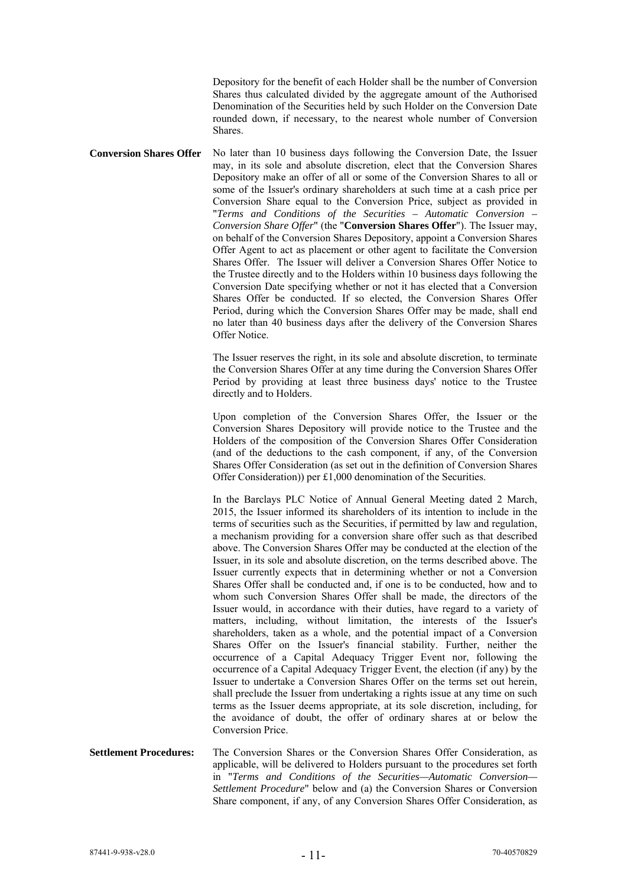Depository for the benefit of each Holder shall be the number of Conversion Shares thus calculated divided by the aggregate amount of the Authorised Denomination of the Securities held by such Holder on the Conversion Date rounded down, if necessary, to the nearest whole number of Conversion Shares.

**Conversion Shares Offer** No later than 10 business days following the Conversion Date, the Issuer may, in its sole and absolute discretion, elect that the Conversion Shares Depository make an offer of all or some of the Conversion Shares to all or some of the Issuer's ordinary shareholders at such time at a cash price per Conversion Share equal to the Conversion Price, subject as provided in "*Terms and Conditions of the Securities – Automatic Conversion – Conversion Share Offer*" (the "**Conversion Shares Offer**"). The Issuer may, on behalf of the Conversion Shares Depository, appoint a Conversion Shares Offer Agent to act as placement or other agent to facilitate the Conversion Shares Offer. The Issuer will deliver a Conversion Shares Offer Notice to the Trustee directly and to the Holders within 10 business days following the Conversion Date specifying whether or not it has elected that a Conversion Shares Offer be conducted. If so elected, the Conversion Shares Offer Period, during which the Conversion Shares Offer may be made, shall end no later than 40 business days after the delivery of the Conversion Shares Offer Notice.

> The Issuer reserves the right, in its sole and absolute discretion, to terminate the Conversion Shares Offer at any time during the Conversion Shares Offer Period by providing at least three business days' notice to the Trustee directly and to Holders.

> Upon completion of the Conversion Shares Offer, the Issuer or the Conversion Shares Depository will provide notice to the Trustee and the Holders of the composition of the Conversion Shares Offer Consideration (and of the deductions to the cash component, if any, of the Conversion Shares Offer Consideration (as set out in the definition of Conversion Shares Offer Consideration)) per £1,000 denomination of the Securities.

> In the Barclays PLC Notice of Annual General Meeting dated 2 March, 2015, the Issuer informed its shareholders of its intention to include in the terms of securities such as the Securities, if permitted by law and regulation, a mechanism providing for a conversion share offer such as that described above. The Conversion Shares Offer may be conducted at the election of the Issuer, in its sole and absolute discretion, on the terms described above. The Issuer currently expects that in determining whether or not a Conversion Shares Offer shall be conducted and, if one is to be conducted, how and to whom such Conversion Shares Offer shall be made, the directors of the Issuer would, in accordance with their duties, have regard to a variety of matters, including, without limitation, the interests of the Issuer's shareholders, taken as a whole, and the potential impact of a Conversion Shares Offer on the Issuer's financial stability. Further, neither the occurrence of a Capital Adequacy Trigger Event nor, following the occurrence of a Capital Adequacy Trigger Event, the election (if any) by the Issuer to undertake a Conversion Shares Offer on the terms set out herein, shall preclude the Issuer from undertaking a rights issue at any time on such terms as the Issuer deems appropriate, at its sole discretion, including, for the avoidance of doubt, the offer of ordinary shares at or below the Conversion Price.

**Settlement Procedures:** The Conversion Shares or the Conversion Shares Offer Consideration, as applicable, will be delivered to Holders pursuant to the procedures set forth in "*Terms and Conditions of the Securities—Automatic Conversion— Settlement Procedure*" below and (a) the Conversion Shares or Conversion Share component, if any, of any Conversion Shares Offer Consideration, as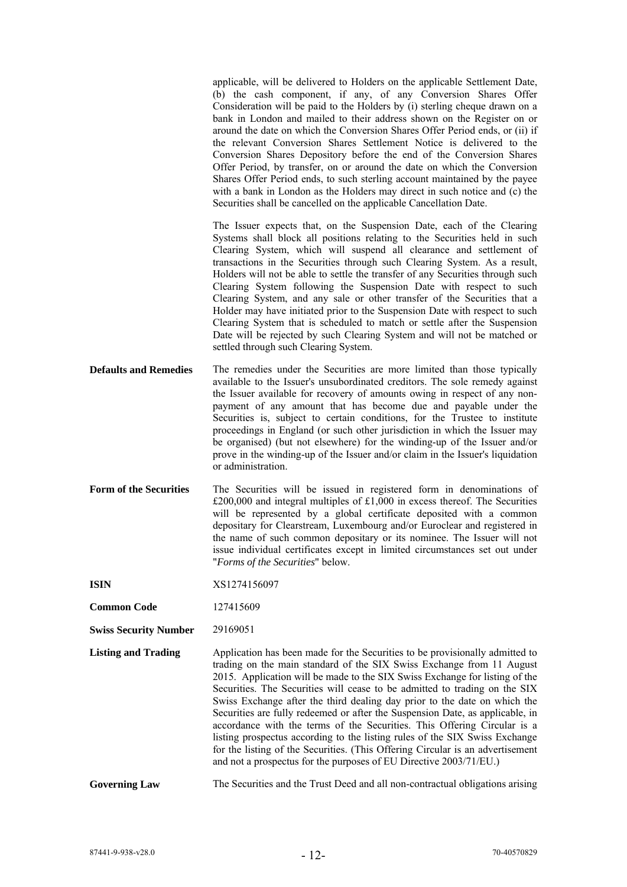|                               | applicable, will be delivered to Holders on the applicable Settlement Date,<br>(b) the cash component, if any, of any Conversion Shares Offer<br>Consideration will be paid to the Holders by (i) sterling cheque drawn on a<br>bank in London and mailed to their address shown on the Register on or<br>around the date on which the Conversion Shares Offer Period ends, or (ii) if<br>the relevant Conversion Shares Settlement Notice is delivered to the<br>Conversion Shares Depository before the end of the Conversion Shares<br>Offer Period, by transfer, on or around the date on which the Conversion<br>Shares Offer Period ends, to such sterling account maintained by the payee<br>with a bank in London as the Holders may direct in such notice and (c) the<br>Securities shall be cancelled on the applicable Cancellation Date. |
|-------------------------------|------------------------------------------------------------------------------------------------------------------------------------------------------------------------------------------------------------------------------------------------------------------------------------------------------------------------------------------------------------------------------------------------------------------------------------------------------------------------------------------------------------------------------------------------------------------------------------------------------------------------------------------------------------------------------------------------------------------------------------------------------------------------------------------------------------------------------------------------------|
|                               | The Issuer expects that, on the Suspension Date, each of the Clearing<br>Systems shall block all positions relating to the Securities held in such<br>Clearing System, which will suspend all clearance and settlement of<br>transactions in the Securities through such Clearing System. As a result,<br>Holders will not be able to settle the transfer of any Securities through such<br>Clearing System following the Suspension Date with respect to such<br>Clearing System, and any sale or other transfer of the Securities that a<br>Holder may have initiated prior to the Suspension Date with respect to such<br>Clearing System that is scheduled to match or settle after the Suspension<br>Date will be rejected by such Clearing System and will not be matched or<br>settled through such Clearing System.                          |
| <b>Defaults and Remedies</b>  | The remedies under the Securities are more limited than those typically<br>available to the Issuer's unsubordinated creditors. The sole remedy against<br>the Issuer available for recovery of amounts owing in respect of any non-<br>payment of any amount that has become due and payable under the<br>Securities is, subject to certain conditions, for the Trustee to institute<br>proceedings in England (or such other jurisdiction in which the Issuer may<br>be organised) (but not elsewhere) for the winding-up of the Issuer and/or<br>prove in the winding-up of the Issuer and/or claim in the Issuer's liquidation<br>or administration.                                                                                                                                                                                              |
| <b>Form of the Securities</b> | The Securities will be issued in registered form in denominations of<br>$£200,000$ and integral multiples of £1,000 in excess thereof. The Securities<br>will be represented by a global certificate deposited with a common<br>depositary for Clearstream, Luxembourg and/or Euroclear and registered in<br>the name of such common depositary or its nominee. The Issuer will not<br>issue individual certificates except in limited circumstances set out under<br>"Forms of the Securities" below.                                                                                                                                                                                                                                                                                                                                               |
| <b>ISIN</b>                   | XS1274156097                                                                                                                                                                                                                                                                                                                                                                                                                                                                                                                                                                                                                                                                                                                                                                                                                                         |
| <b>Common Code</b>            | 127415609                                                                                                                                                                                                                                                                                                                                                                                                                                                                                                                                                                                                                                                                                                                                                                                                                                            |
| <b>Swiss Security Number</b>  | 29169051                                                                                                                                                                                                                                                                                                                                                                                                                                                                                                                                                                                                                                                                                                                                                                                                                                             |
| <b>Listing and Trading</b>    | Application has been made for the Securities to be provisionally admitted to<br>trading on the main standard of the SIX Swiss Exchange from 11 August<br>2015. Application will be made to the SIX Swiss Exchange for listing of the<br>Securities. The Securities will cease to be admitted to trading on the SIX<br>Swiss Exchange after the third dealing day prior to the date on which the<br>Securities are fully redeemed or after the Suspension Date, as applicable, in<br>accordance with the terms of the Securities. This Offering Circular is a<br>listing prospectus according to the listing rules of the SIX Swiss Exchange<br>for the listing of the Securities. (This Offering Circular is an advertisement<br>and not a prospectus for the purposes of EU Directive 2003/71/EU.)                                                  |
| <b>Governing Law</b>          | The Securities and the Trust Deed and all non-contractual obligations arising                                                                                                                                                                                                                                                                                                                                                                                                                                                                                                                                                                                                                                                                                                                                                                        |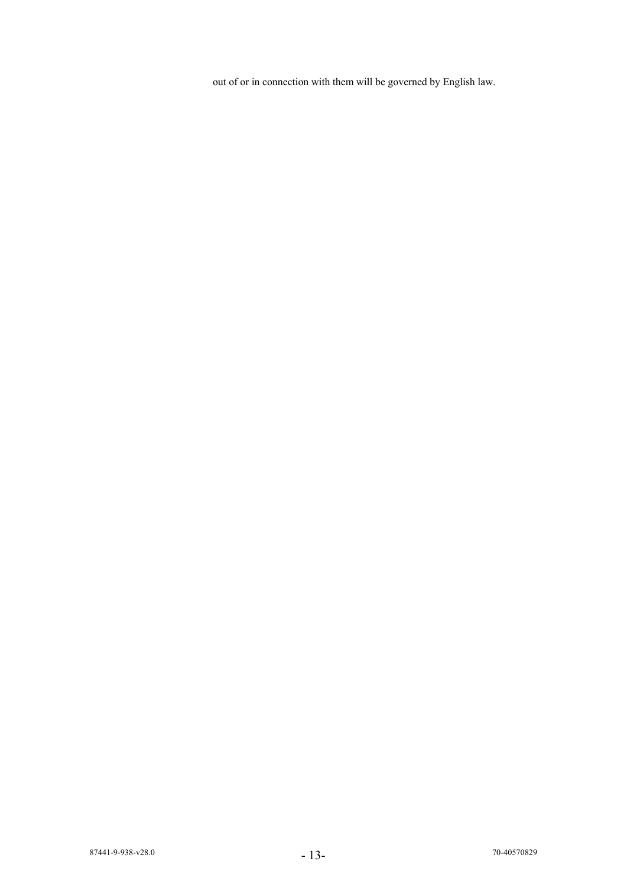out of or in connection with them will be governed by English law.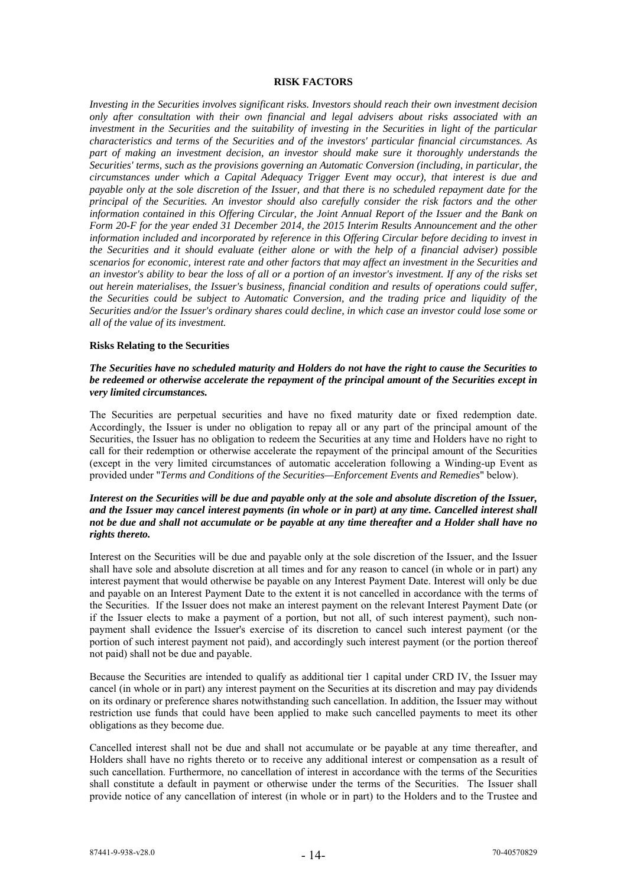#### **RISK FACTORS**

*Investing in the Securities involves significant risks. Investors should reach their own investment decision only after consultation with their own financial and legal advisers about risks associated with an investment in the Securities and the suitability of investing in the Securities in light of the particular characteristics and terms of the Securities and of the investors' particular financial circumstances. As part of making an investment decision, an investor should make sure it thoroughly understands the Securities' terms, such as the provisions governing an Automatic Conversion (including, in particular, the circumstances under which a Capital Adequacy Trigger Event may occur), that interest is due and payable only at the sole discretion of the Issuer, and that there is no scheduled repayment date for the principal of the Securities. An investor should also carefully consider the risk factors and the other information contained in this Offering Circular, the Joint Annual Report of the Issuer and the Bank on Form 20-F for the year ended 31 December 2014, the 2015 Interim Results Announcement and the other information included and incorporated by reference in this Offering Circular before deciding to invest in the Securities and it should evaluate (either alone or with the help of a financial adviser) possible scenarios for economic, interest rate and other factors that may affect an investment in the Securities and an investor's ability to bear the loss of all or a portion of an investor's investment. If any of the risks set out herein materialises, the Issuer's business, financial condition and results of operations could suffer, the Securities could be subject to Automatic Conversion, and the trading price and liquidity of the Securities and/or the Issuer's ordinary shares could decline, in which case an investor could lose some or all of the value of its investment.* 

#### **Risks Relating to the Securities**

## *The Securities have no scheduled maturity and Holders do not have the right to cause the Securities to be redeemed or otherwise accelerate the repayment of the principal amount of the Securities except in very limited circumstances.*

The Securities are perpetual securities and have no fixed maturity date or fixed redemption date. Accordingly, the Issuer is under no obligation to repay all or any part of the principal amount of the Securities, the Issuer has no obligation to redeem the Securities at any time and Holders have no right to call for their redemption or otherwise accelerate the repayment of the principal amount of the Securities (except in the very limited circumstances of automatic acceleration following a Winding-up Event as provided under "*Terms and Conditions of the Securities—Enforcement Events and Remedies*" below).

## *Interest on the Securities will be due and payable only at the sole and absolute discretion of the Issuer, and the Issuer may cancel interest payments (in whole or in part) at any time. Cancelled interest shall not be due and shall not accumulate or be payable at any time thereafter and a Holder shall have no rights thereto.*

Interest on the Securities will be due and payable only at the sole discretion of the Issuer, and the Issuer shall have sole and absolute discretion at all times and for any reason to cancel (in whole or in part) any interest payment that would otherwise be payable on any Interest Payment Date. Interest will only be due and payable on an Interest Payment Date to the extent it is not cancelled in accordance with the terms of the Securities. If the Issuer does not make an interest payment on the relevant Interest Payment Date (or if the Issuer elects to make a payment of a portion, but not all, of such interest payment), such nonpayment shall evidence the Issuer's exercise of its discretion to cancel such interest payment (or the portion of such interest payment not paid), and accordingly such interest payment (or the portion thereof not paid) shall not be due and payable.

Because the Securities are intended to qualify as additional tier 1 capital under CRD IV, the Issuer may cancel (in whole or in part) any interest payment on the Securities at its discretion and may pay dividends on its ordinary or preference shares notwithstanding such cancellation. In addition, the Issuer may without restriction use funds that could have been applied to make such cancelled payments to meet its other obligations as they become due.

Cancelled interest shall not be due and shall not accumulate or be payable at any time thereafter, and Holders shall have no rights thereto or to receive any additional interest or compensation as a result of such cancellation. Furthermore, no cancellation of interest in accordance with the terms of the Securities shall constitute a default in payment or otherwise under the terms of the Securities. The Issuer shall provide notice of any cancellation of interest (in whole or in part) to the Holders and to the Trustee and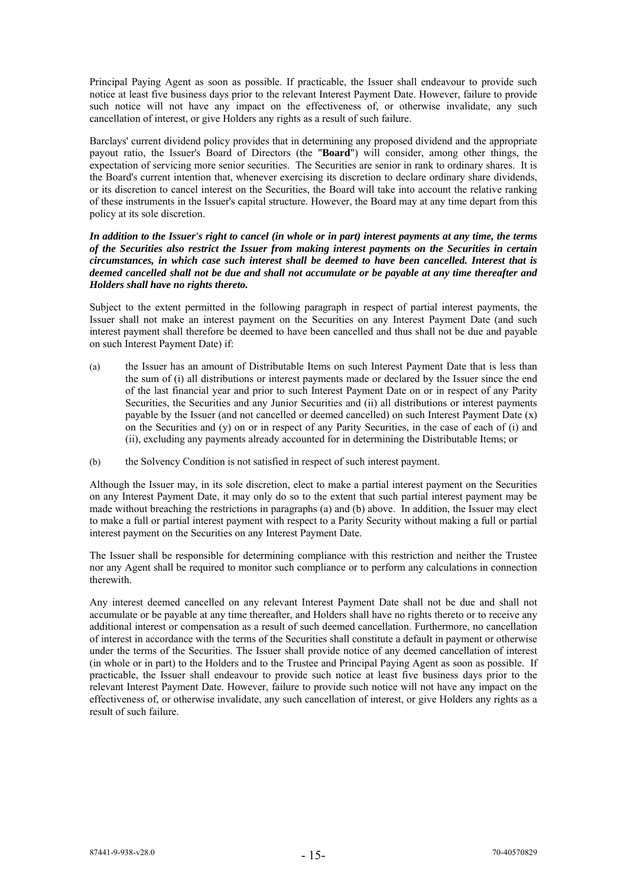Principal Paying Agent as soon as possible. If practicable, the Issuer shall endeavour to provide such notice at least five business days prior to the relevant Interest Payment Date. However, failure to provide such notice will not have any impact on the effectiveness of, or otherwise invalidate, any such cancellation of interest, or give Holders any rights as a result of such failure.

Barclays' current dividend policy provides that in determining any proposed dividend and the appropriate payout ratio, the Issuer's Board of Directors (the "**Board**") will consider, among other things, the expectation of servicing more senior securities. The Securities are senior in rank to ordinary shares. It is the Board's current intention that, whenever exercising its discretion to declare ordinary share dividends, or its discretion to cancel interest on the Securities, the Board will take into account the relative ranking of these instruments in the Issuer's capital structure. However, the Board may at any time depart from this policy at its sole discretion.

*In addition to the Issuer's right to cancel (in whole or in part) interest payments at any time, the terms of the Securities also restrict the Issuer from making interest payments on the Securities in certain circumstances, in which case such interest shall be deemed to have been cancelled. Interest that is deemed cancelled shall not be due and shall not accumulate or be payable at any time thereafter and Holders shall have no rights thereto.* 

Subject to the extent permitted in the following paragraph in respect of partial interest payments, the Issuer shall not make an interest payment on the Securities on any Interest Payment Date (and such interest payment shall therefore be deemed to have been cancelled and thus shall not be due and payable on such Interest Payment Date) if:

- (a) the Issuer has an amount of Distributable Items on such Interest Payment Date that is less than the sum of (i) all distributions or interest payments made or declared by the Issuer since the end of the last financial year and prior to such Interest Payment Date on or in respect of any Parity Securities, the Securities and any Junior Securities and (ii) all distributions or interest payments payable by the Issuer (and not cancelled or deemed cancelled) on such Interest Payment Date (x) on the Securities and (y) on or in respect of any Parity Securities, in the case of each of (i) and (ii), excluding any payments already accounted for in determining the Distributable Items; or
- (b) the Solvency Condition is not satisfied in respect of such interest payment.

Although the Issuer may, in its sole discretion, elect to make a partial interest payment on the Securities on any Interest Payment Date, it may only do so to the extent that such partial interest payment may be made without breaching the restrictions in paragraphs (a) and (b) above. In addition, the Issuer may elect to make a full or partial interest payment with respect to a Parity Security without making a full or partial interest payment on the Securities on any Interest Payment Date.

The Issuer shall be responsible for determining compliance with this restriction and neither the Trustee nor any Agent shall be required to monitor such compliance or to perform any calculations in connection therewith.

Any interest deemed cancelled on any relevant Interest Payment Date shall not be due and shall not accumulate or be payable at any time thereafter, and Holders shall have no rights thereto or to receive any additional interest or compensation as a result of such deemed cancellation. Furthermore, no cancellation of interest in accordance with the terms of the Securities shall constitute a default in payment or otherwise under the terms of the Securities. The Issuer shall provide notice of any deemed cancellation of interest (in whole or in part) to the Holders and to the Trustee and Principal Paying Agent as soon as possible. If practicable, the Issuer shall endeavour to provide such notice at least five business days prior to the relevant Interest Payment Date. However, failure to provide such notice will not have any impact on the effectiveness of, or otherwise invalidate, any such cancellation of interest, or give Holders any rights as a result of such failure.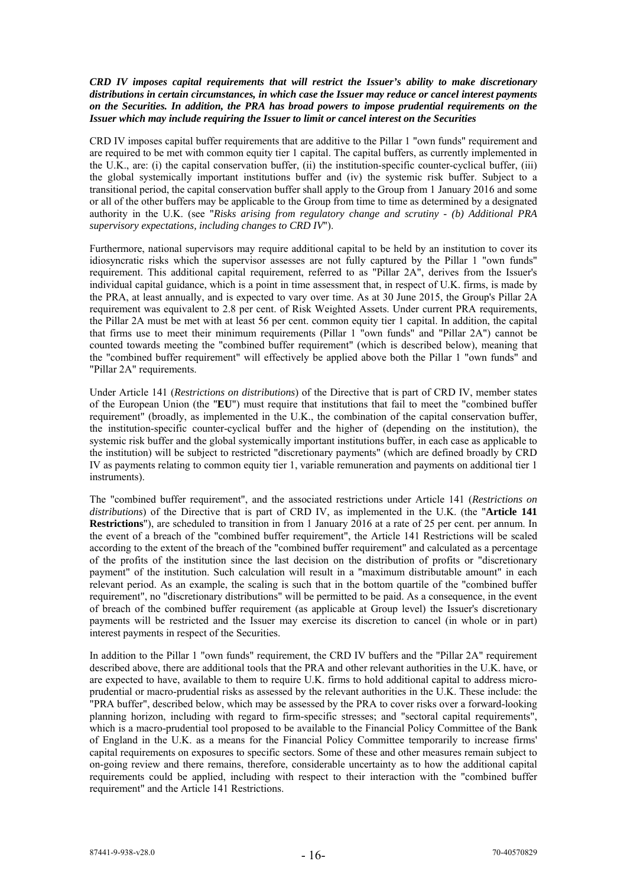## *CRD IV imposes capital requirements that will restrict the Issuer's ability to make discretionary distributions in certain circumstances, in which case the Issuer may reduce or cancel interest payments on the Securities. In addition, the PRA has broad powers to impose prudential requirements on the Issuer which may include requiring the Issuer to limit or cancel interest on the Securities*

CRD IV imposes capital buffer requirements that are additive to the Pillar 1 "own funds" requirement and are required to be met with common equity tier 1 capital. The capital buffers, as currently implemented in the U.K., are: (i) the capital conservation buffer, (ii) the institution-specific counter-cyclical buffer, (iii) the global systemically important institutions buffer and (iv) the systemic risk buffer. Subject to a transitional period, the capital conservation buffer shall apply to the Group from 1 January 2016 and some or all of the other buffers may be applicable to the Group from time to time as determined by a designated authority in the U.K. (see "*Risks arising from regulatory change and scrutiny - (b) Additional PRA supervisory expectations, including changes to CRD IV*").

Furthermore, national supervisors may require additional capital to be held by an institution to cover its idiosyncratic risks which the supervisor assesses are not fully captured by the Pillar 1 "own funds" requirement. This additional capital requirement, referred to as "Pillar 2A", derives from the Issuer's individual capital guidance, which is a point in time assessment that, in respect of U.K. firms, is made by the PRA, at least annually, and is expected to vary over time. As at 30 June 2015, the Group's Pillar 2A requirement was equivalent to 2.8 per cent. of Risk Weighted Assets. Under current PRA requirements, the Pillar 2A must be met with at least 56 per cent. common equity tier 1 capital. In addition, the capital that firms use to meet their minimum requirements (Pillar 1 "own funds" and "Pillar 2A") cannot be counted towards meeting the "combined buffer requirement" (which is described below), meaning that the "combined buffer requirement" will effectively be applied above both the Pillar 1 "own funds" and "Pillar 2A" requirements.

Under Article 141 (*Restrictions on distributions*) of the Directive that is part of CRD IV, member states of the European Union (the "**EU**") must require that institutions that fail to meet the "combined buffer requirement" (broadly, as implemented in the U.K., the combination of the capital conservation buffer, the institution-specific counter-cyclical buffer and the higher of (depending on the institution), the systemic risk buffer and the global systemically important institutions buffer, in each case as applicable to the institution) will be subject to restricted "discretionary payments" (which are defined broadly by CRD IV as payments relating to common equity tier 1, variable remuneration and payments on additional tier 1 instruments).

The "combined buffer requirement", and the associated restrictions under Article 141 (*Restrictions on distributions*) of the Directive that is part of CRD IV, as implemented in the U.K. (the "**Article 141 Restrictions**"), are scheduled to transition in from 1 January 2016 at a rate of 25 per cent. per annum. In the event of a breach of the "combined buffer requirement", the Article 141 Restrictions will be scaled according to the extent of the breach of the "combined buffer requirement" and calculated as a percentage of the profits of the institution since the last decision on the distribution of profits or "discretionary payment" of the institution. Such calculation will result in a "maximum distributable amount" in each relevant period. As an example, the scaling is such that in the bottom quartile of the "combined buffer requirement", no "discretionary distributions" will be permitted to be paid. As a consequence, in the event of breach of the combined buffer requirement (as applicable at Group level) the Issuer's discretionary payments will be restricted and the Issuer may exercise its discretion to cancel (in whole or in part) interest payments in respect of the Securities.

In addition to the Pillar 1 "own funds" requirement, the CRD IV buffers and the "Pillar 2A" requirement described above, there are additional tools that the PRA and other relevant authorities in the U.K. have, or are expected to have, available to them to require U.K. firms to hold additional capital to address microprudential or macro-prudential risks as assessed by the relevant authorities in the U.K. These include: the "PRA buffer", described below, which may be assessed by the PRA to cover risks over a forward-looking planning horizon, including with regard to firm-specific stresses; and "sectoral capital requirements", which is a macro-prudential tool proposed to be available to the Financial Policy Committee of the Bank of England in the U.K. as a means for the Financial Policy Committee temporarily to increase firms' capital requirements on exposures to specific sectors. Some of these and other measures remain subject to on-going review and there remains, therefore, considerable uncertainty as to how the additional capital requirements could be applied, including with respect to their interaction with the "combined buffer requirement" and the Article 141 Restrictions.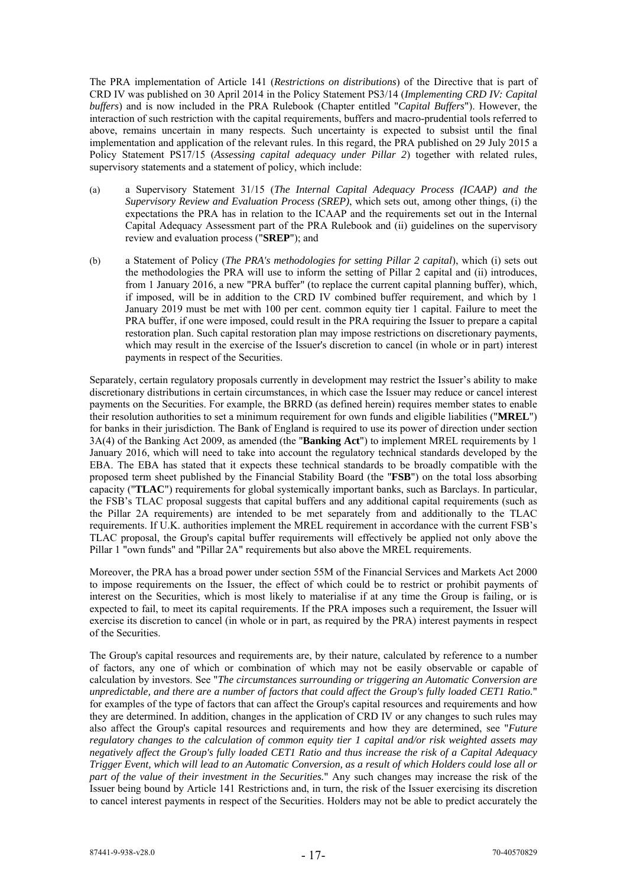The PRA implementation of Article 141 (*Restrictions on distributions*) of the Directive that is part of CRD IV was published on 30 April 2014 in the Policy Statement PS3/14 (*Implementing CRD IV: Capital buffers*) and is now included in the PRA Rulebook (Chapter entitled "*Capital Buffers*"). However, the interaction of such restriction with the capital requirements, buffers and macro-prudential tools referred to above, remains uncertain in many respects. Such uncertainty is expected to subsist until the final implementation and application of the relevant rules. In this regard, the PRA published on 29 July 2015 a Policy Statement PS17/15 (*Assessing capital adequacy under Pillar 2*) together with related rules, supervisory statements and a statement of policy, which include:

- (a) a Supervisory Statement 31/15 (*The Internal Capital Adequacy Process (ICAAP) and the Supervisory Review and Evaluation Process (SREP)*, which sets out, among other things, (i) the expectations the PRA has in relation to the ICAAP and the requirements set out in the Internal Capital Adequacy Assessment part of the PRA Rulebook and (ii) guidelines on the supervisory review and evaluation process ("**SREP**"); and
- (b) a Statement of Policy (*The PRA's methodologies for setting Pillar 2 capital*), which (i) sets out the methodologies the PRA will use to inform the setting of Pillar 2 capital and (ii) introduces, from 1 January 2016, a new "PRA buffer" (to replace the current capital planning buffer), which, if imposed, will be in addition to the CRD IV combined buffer requirement, and which by 1 January 2019 must be met with 100 per cent. common equity tier 1 capital. Failure to meet the PRA buffer, if one were imposed, could result in the PRA requiring the Issuer to prepare a capital restoration plan. Such capital restoration plan may impose restrictions on discretionary payments, which may result in the exercise of the Issuer's discretion to cancel (in whole or in part) interest payments in respect of the Securities.

Separately, certain regulatory proposals currently in development may restrict the Issuer's ability to make discretionary distributions in certain circumstances, in which case the Issuer may reduce or cancel interest payments on the Securities. For example, the BRRD (as defined herein) requires member states to enable their resolution authorities to set a minimum requirement for own funds and eligible liabilities ("**MREL**") for banks in their jurisdiction. The Bank of England is required to use its power of direction under section 3A(4) of the Banking Act 2009, as amended (the "**Banking Act**") to implement MREL requirements by 1 January 2016, which will need to take into account the regulatory technical standards developed by the EBA. The EBA has stated that it expects these technical standards to be broadly compatible with the proposed term sheet published by the Financial Stability Board (the "**FSB**") on the total loss absorbing capacity ("**TLAC**") requirements for global systemically important banks, such as Barclays. In particular, the FSB's TLAC proposal suggests that capital buffers and any additional capital requirements (such as the Pillar 2A requirements) are intended to be met separately from and additionally to the TLAC requirements. If U.K. authorities implement the MREL requirement in accordance with the current FSB's TLAC proposal, the Group's capital buffer requirements will effectively be applied not only above the Pillar 1 "own funds" and "Pillar 2A" requirements but also above the MREL requirements.

Moreover, the PRA has a broad power under section 55M of the Financial Services and Markets Act 2000 to impose requirements on the Issuer, the effect of which could be to restrict or prohibit payments of interest on the Securities, which is most likely to materialise if at any time the Group is failing, or is expected to fail, to meet its capital requirements. If the PRA imposes such a requirement, the Issuer will exercise its discretion to cancel (in whole or in part, as required by the PRA) interest payments in respect of the Securities.

The Group's capital resources and requirements are, by their nature, calculated by reference to a number of factors, any one of which or combination of which may not be easily observable or capable of calculation by investors. See "*The circumstances surrounding or triggering an Automatic Conversion are unpredictable, and there are a number of factors that could affect the Group's fully loaded CET1 Ratio.*" for examples of the type of factors that can affect the Group's capital resources and requirements and how they are determined. In addition, changes in the application of CRD IV or any changes to such rules may also affect the Group's capital resources and requirements and how they are determined, see "*Future regulatory changes to the calculation of common equity tier 1 capital and/or risk weighted assets may negatively affect the Group's fully loaded CET1 Ratio and thus increase the risk of a Capital Adequacy Trigger Event, which will lead to an Automatic Conversion, as a result of which Holders could lose all or part of the value of their investment in the Securities.*" Any such changes may increase the risk of the Issuer being bound by Article 141 Restrictions and, in turn, the risk of the Issuer exercising its discretion to cancel interest payments in respect of the Securities. Holders may not be able to predict accurately the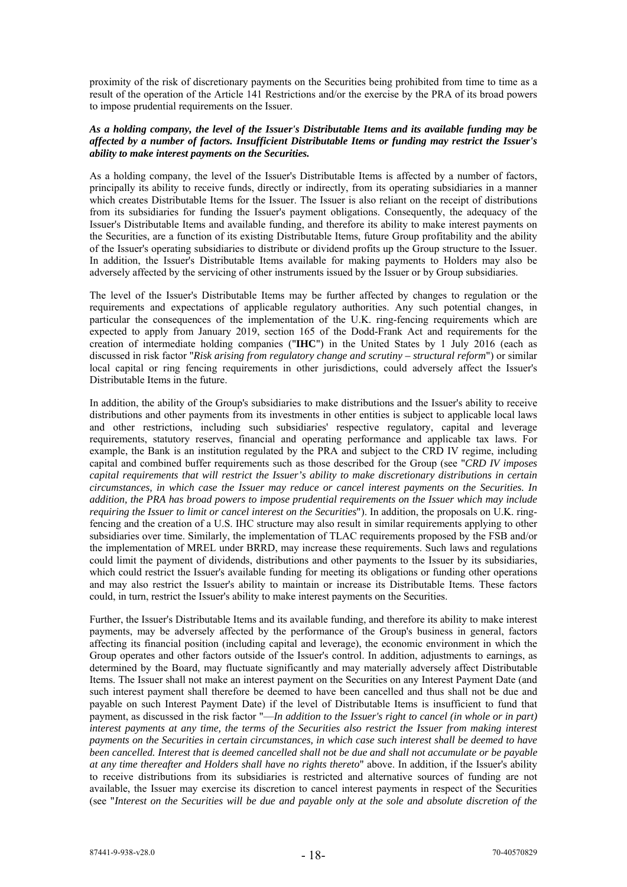proximity of the risk of discretionary payments on the Securities being prohibited from time to time as a result of the operation of the Article 141 Restrictions and/or the exercise by the PRA of its broad powers to impose prudential requirements on the Issuer.

#### *As a holding company, the level of the Issuer's Distributable Items and its available funding may be affected by a number of factors. Insufficient Distributable Items or funding may restrict the Issuer's ability to make interest payments on the Securities.*

As a holding company, the level of the Issuer's Distributable Items is affected by a number of factors, principally its ability to receive funds, directly or indirectly, from its operating subsidiaries in a manner which creates Distributable Items for the Issuer. The Issuer is also reliant on the receipt of distributions from its subsidiaries for funding the Issuer's payment obligations. Consequently, the adequacy of the Issuer's Distributable Items and available funding, and therefore its ability to make interest payments on the Securities, are a function of its existing Distributable Items, future Group profitability and the ability of the Issuer's operating subsidiaries to distribute or dividend profits up the Group structure to the Issuer. In addition, the Issuer's Distributable Items available for making payments to Holders may also be adversely affected by the servicing of other instruments issued by the Issuer or by Group subsidiaries.

The level of the Issuer's Distributable Items may be further affected by changes to regulation or the requirements and expectations of applicable regulatory authorities. Any such potential changes, in particular the consequences of the implementation of the U.K. ring-fencing requirements which are expected to apply from January 2019, section 165 of the Dodd-Frank Act and requirements for the creation of intermediate holding companies ("**IHC**") in the United States by 1 July 2016 (each as discussed in risk factor "*Risk arising from regulatory change and scrutiny – structural reform*") or similar local capital or ring fencing requirements in other jurisdictions, could adversely affect the Issuer's Distributable Items in the future.

In addition, the ability of the Group's subsidiaries to make distributions and the Issuer's ability to receive distributions and other payments from its investments in other entities is subject to applicable local laws and other restrictions, including such subsidiaries' respective regulatory, capital and leverage requirements, statutory reserves, financial and operating performance and applicable tax laws. For example, the Bank is an institution regulated by the PRA and subject to the CRD IV regime, including capital and combined buffer requirements such as those described for the Group (see "*CRD IV imposes capital requirements that will restrict the Issuer's ability to make discretionary distributions in certain circumstances, in which case the Issuer may reduce or cancel interest payments on the Securities. In addition, the PRA has broad powers to impose prudential requirements on the Issuer which may include requiring the Issuer to limit or cancel interest on the Securities*"). In addition, the proposals on U.K. ringfencing and the creation of a U.S. IHC structure may also result in similar requirements applying to other subsidiaries over time. Similarly, the implementation of TLAC requirements proposed by the FSB and/or the implementation of MREL under BRRD, may increase these requirements. Such laws and regulations could limit the payment of dividends, distributions and other payments to the Issuer by its subsidiaries, which could restrict the Issuer's available funding for meeting its obligations or funding other operations and may also restrict the Issuer's ability to maintain or increase its Distributable Items. These factors could, in turn, restrict the Issuer's ability to make interest payments on the Securities.

Further, the Issuer's Distributable Items and its available funding, and therefore its ability to make interest payments, may be adversely affected by the performance of the Group's business in general, factors affecting its financial position (including capital and leverage), the economic environment in which the Group operates and other factors outside of the Issuer's control. In addition, adjustments to earnings, as determined by the Board, may fluctuate significantly and may materially adversely affect Distributable Items. The Issuer shall not make an interest payment on the Securities on any Interest Payment Date (and such interest payment shall therefore be deemed to have been cancelled and thus shall not be due and payable on such Interest Payment Date) if the level of Distributable Items is insufficient to fund that payment, as discussed in the risk factor "—*In addition to the Issuer's right to cancel (in whole or in part) interest payments at any time, the terms of the Securities also restrict the Issuer from making interest payments on the Securities in certain circumstances, in which case such interest shall be deemed to have been cancelled. Interest that is deemed cancelled shall not be due and shall not accumulate or be payable at any time thereafter and Holders shall have no rights thereto*" above. In addition, if the Issuer's ability to receive distributions from its subsidiaries is restricted and alternative sources of funding are not available, the Issuer may exercise its discretion to cancel interest payments in respect of the Securities (see "*Interest on the Securities will be due and payable only at the sole and absolute discretion of the*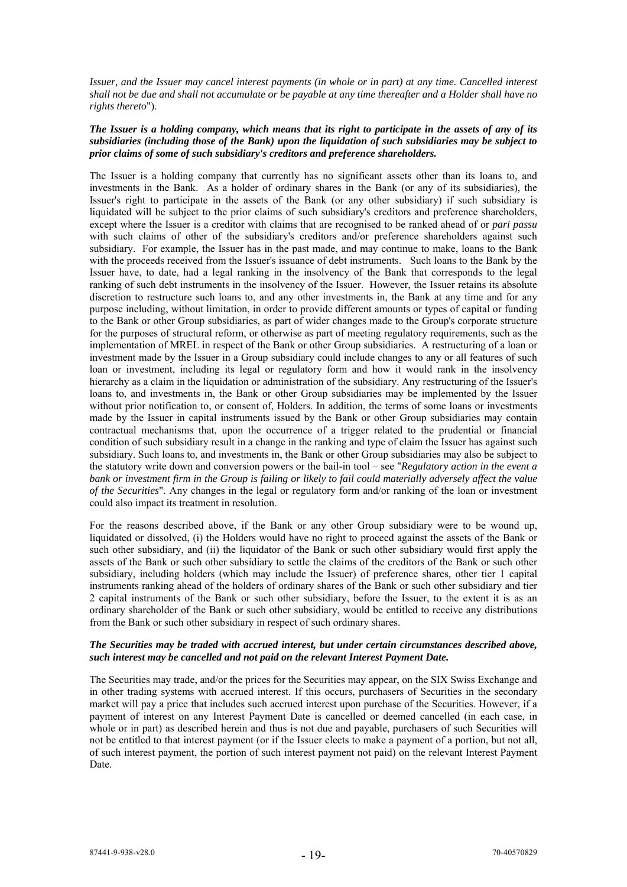*Issuer, and the Issuer may cancel interest payments (in whole or in part) at any time. Cancelled interest shall not be due and shall not accumulate or be payable at any time thereafter and a Holder shall have no rights thereto*").

# *The Issuer is a holding company, which means that its right to participate in the assets of any of its subsidiaries (including those of the Bank) upon the liquidation of such subsidiaries may be subject to prior claims of some of such subsidiary's creditors and preference shareholders.*

The Issuer is a holding company that currently has no significant assets other than its loans to, and investments in the Bank. As a holder of ordinary shares in the Bank (or any of its subsidiaries), the Issuer's right to participate in the assets of the Bank (or any other subsidiary) if such subsidiary is liquidated will be subject to the prior claims of such subsidiary's creditors and preference shareholders, except where the Issuer is a creditor with claims that are recognised to be ranked ahead of or *pari passu* with such claims of other of the subsidiary's creditors and/or preference shareholders against such subsidiary. For example, the Issuer has in the past made, and may continue to make, loans to the Bank with the proceeds received from the Issuer's issuance of debt instruments. Such loans to the Bank by the Issuer have, to date, had a legal ranking in the insolvency of the Bank that corresponds to the legal ranking of such debt instruments in the insolvency of the Issuer. However, the Issuer retains its absolute discretion to restructure such loans to, and any other investments in, the Bank at any time and for any purpose including, without limitation, in order to provide different amounts or types of capital or funding to the Bank or other Group subsidiaries, as part of wider changes made to the Group's corporate structure for the purposes of structural reform, or otherwise as part of meeting regulatory requirements, such as the implementation of MREL in respect of the Bank or other Group subsidiaries. A restructuring of a loan or investment made by the Issuer in a Group subsidiary could include changes to any or all features of such loan or investment, including its legal or regulatory form and how it would rank in the insolvency hierarchy as a claim in the liquidation or administration of the subsidiary. Any restructuring of the Issuer's loans to, and investments in, the Bank or other Group subsidiaries may be implemented by the Issuer without prior notification to, or consent of, Holders. In addition, the terms of some loans or investments made by the Issuer in capital instruments issued by the Bank or other Group subsidiaries may contain contractual mechanisms that, upon the occurrence of a trigger related to the prudential or financial condition of such subsidiary result in a change in the ranking and type of claim the Issuer has against such subsidiary. Such loans to, and investments in, the Bank or other Group subsidiaries may also be subject to the statutory write down and conversion powers or the bail-in tool – see "*Regulatory action in the event a bank or investment firm in the Group is failing or likely to fail could materially adversely affect the value of the Securities*". Any changes in the legal or regulatory form and/or ranking of the loan or investment could also impact its treatment in resolution.

For the reasons described above, if the Bank or any other Group subsidiary were to be wound up, liquidated or dissolved, (i) the Holders would have no right to proceed against the assets of the Bank or such other subsidiary, and (ii) the liquidator of the Bank or such other subsidiary would first apply the assets of the Bank or such other subsidiary to settle the claims of the creditors of the Bank or such other subsidiary, including holders (which may include the Issuer) of preference shares, other tier 1 capital instruments ranking ahead of the holders of ordinary shares of the Bank or such other subsidiary and tier 2 capital instruments of the Bank or such other subsidiary, before the Issuer, to the extent it is as an ordinary shareholder of the Bank or such other subsidiary, would be entitled to receive any distributions from the Bank or such other subsidiary in respect of such ordinary shares.

# *The Securities may be traded with accrued interest, but under certain circumstances described above, such interest may be cancelled and not paid on the relevant Interest Payment Date.*

The Securities may trade, and/or the prices for the Securities may appear, on the SIX Swiss Exchange and in other trading systems with accrued interest. If this occurs, purchasers of Securities in the secondary market will pay a price that includes such accrued interest upon purchase of the Securities. However, if a payment of interest on any Interest Payment Date is cancelled or deemed cancelled (in each case, in whole or in part) as described herein and thus is not due and payable, purchasers of such Securities will not be entitled to that interest payment (or if the Issuer elects to make a payment of a portion, but not all, of such interest payment, the portion of such interest payment not paid) on the relevant Interest Payment Date.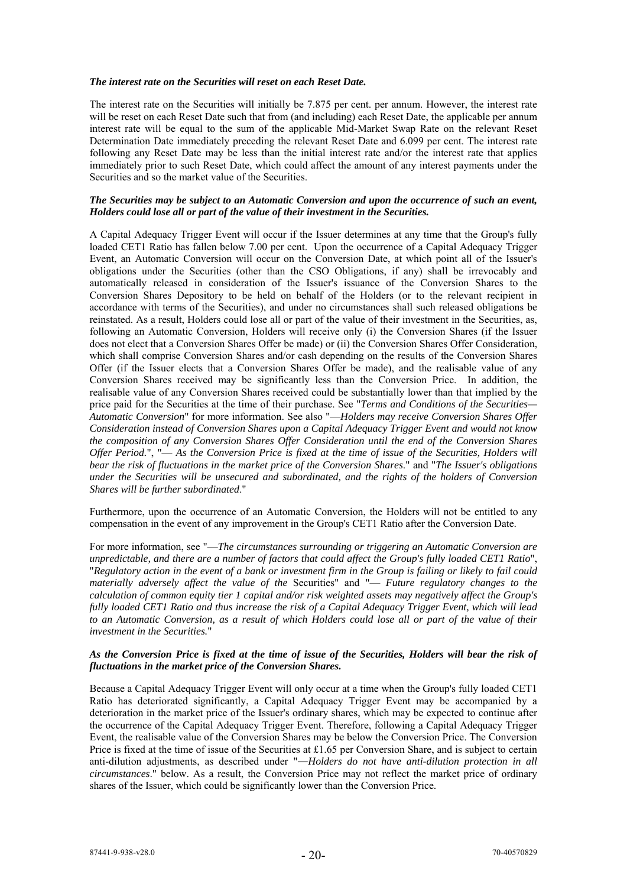### *The interest rate on the Securities will reset on each Reset Date.*

The interest rate on the Securities will initially be 7.875 per cent. per annum. However, the interest rate will be reset on each Reset Date such that from (and including) each Reset Date, the applicable per annum interest rate will be equal to the sum of the applicable Mid-Market Swap Rate on the relevant Reset Determination Date immediately preceding the relevant Reset Date and 6.099 per cent. The interest rate following any Reset Date may be less than the initial interest rate and/or the interest rate that applies immediately prior to such Reset Date, which could affect the amount of any interest payments under the Securities and so the market value of the Securities.

## *The Securities may be subject to an Automatic Conversion and upon the occurrence of such an event, Holders could lose all or part of the value of their investment in the Securities.*

A Capital Adequacy Trigger Event will occur if the Issuer determines at any time that the Group's fully loaded CET1 Ratio has fallen below 7.00 per cent. Upon the occurrence of a Capital Adequacy Trigger Event, an Automatic Conversion will occur on the Conversion Date, at which point all of the Issuer's obligations under the Securities (other than the CSO Obligations, if any) shall be irrevocably and automatically released in consideration of the Issuer's issuance of the Conversion Shares to the Conversion Shares Depository to be held on behalf of the Holders (or to the relevant recipient in accordance with terms of the Securities), and under no circumstances shall such released obligations be reinstated. As a result, Holders could lose all or part of the value of their investment in the Securities, as, following an Automatic Conversion, Holders will receive only (i) the Conversion Shares (if the Issuer does not elect that a Conversion Shares Offer be made) or (ii) the Conversion Shares Offer Consideration, which shall comprise Conversion Shares and/or cash depending on the results of the Conversion Shares Offer (if the Issuer elects that a Conversion Shares Offer be made), and the realisable value of any Conversion Shares received may be significantly less than the Conversion Price. In addition, the realisable value of any Conversion Shares received could be substantially lower than that implied by the price paid for the Securities at the time of their purchase. See "*Terms and Conditions of the Securities— Automatic Conversion*" for more information. See also "—*Holders may receive Conversion Shares Offer Consideration instead of Conversion Shares upon a Capital Adequacy Trigger Event and would not know the composition of any Conversion Shares Offer Consideration until the end of the Conversion Shares Offer Period.*", "— *As the Conversion Price is fixed at the time of issue of the Securities, Holders will bear the risk of fluctuations in the market price of the Conversion Shares*." and "*The Issuer's obligations under the Securities will be unsecured and subordinated, and the rights of the holders of Conversion Shares will be further subordinated*."

Furthermore, upon the occurrence of an Automatic Conversion, the Holders will not be entitled to any compensation in the event of any improvement in the Group's CET1 Ratio after the Conversion Date.

For more information, see "—*The circumstances surrounding or triggering an Automatic Conversion are unpredictable, and there are a number of factors that could affect the Group's fully loaded CET1 Ratio*", "*Regulatory action in the event of a bank or investment firm in the Group is failing or likely to fail could materially adversely affect the value of the* Securities" and "— *Future regulatory changes to the calculation of common equity tier 1 capital and/or risk weighted assets may negatively affect the Group's fully loaded CET1 Ratio and thus increase the risk of a Capital Adequacy Trigger Event, which will lead to an Automatic Conversion, as a result of which Holders could lose all or part of the value of their investment in the Securities.*"

# *As the Conversion Price is fixed at the time of issue of the Securities, Holders will bear the risk of fluctuations in the market price of the Conversion Shares.*

Because a Capital Adequacy Trigger Event will only occur at a time when the Group's fully loaded CET1 Ratio has deteriorated significantly, a Capital Adequacy Trigger Event may be accompanied by a deterioration in the market price of the Issuer's ordinary shares, which may be expected to continue after the occurrence of the Capital Adequacy Trigger Event. Therefore, following a Capital Adequacy Trigger Event, the realisable value of the Conversion Shares may be below the Conversion Price. The Conversion Price is fixed at the time of issue of the Securities at £1.65 per Conversion Share, and is subject to certain anti-dilution adjustments, as described under "―*Holders do not have anti-dilution protection in all circumstances*." below. As a result, the Conversion Price may not reflect the market price of ordinary shares of the Issuer, which could be significantly lower than the Conversion Price.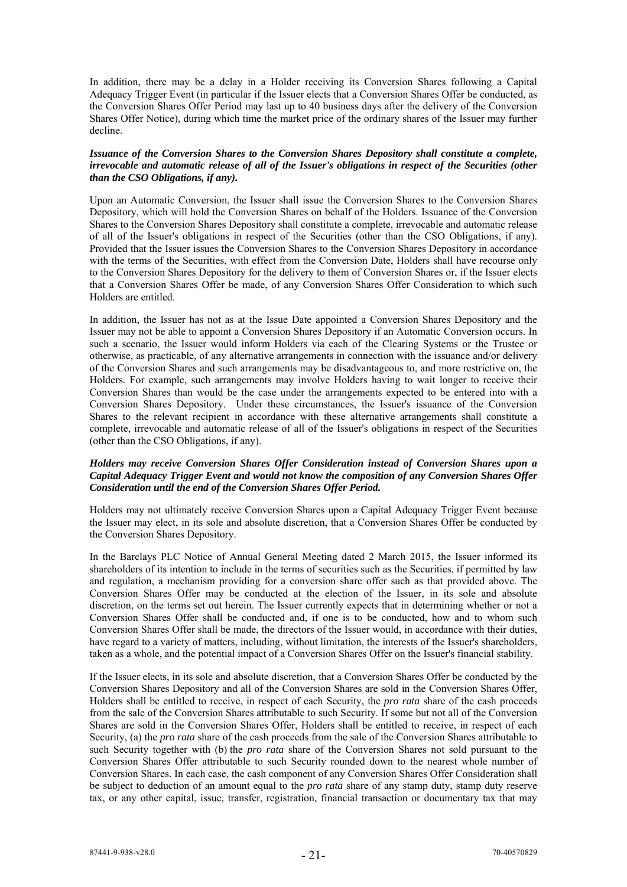In addition, there may be a delay in a Holder receiving its Conversion Shares following a Capital Adequacy Trigger Event (in particular if the Issuer elects that a Conversion Shares Offer be conducted, as the Conversion Shares Offer Period may last up to 40 business days after the delivery of the Conversion Shares Offer Notice), during which time the market price of the ordinary shares of the Issuer may further decline.

# *Issuance of the Conversion Shares to the Conversion Shares Depository shall constitute a complete, irrevocable and automatic release of all of the Issuer's obligations in respect of the Securities (other than the CSO Obligations, if any).*

Upon an Automatic Conversion, the Issuer shall issue the Conversion Shares to the Conversion Shares Depository, which will hold the Conversion Shares on behalf of the Holders. Issuance of the Conversion Shares to the Conversion Shares Depository shall constitute a complete, irrevocable and automatic release of all of the Issuer's obligations in respect of the Securities (other than the CSO Obligations, if any). Provided that the Issuer issues the Conversion Shares to the Conversion Shares Depository in accordance with the terms of the Securities, with effect from the Conversion Date, Holders shall have recourse only to the Conversion Shares Depository for the delivery to them of Conversion Shares or, if the Issuer elects that a Conversion Shares Offer be made, of any Conversion Shares Offer Consideration to which such Holders are entitled.

In addition, the Issuer has not as at the Issue Date appointed a Conversion Shares Depository and the Issuer may not be able to appoint a Conversion Shares Depository if an Automatic Conversion occurs. In such a scenario, the Issuer would inform Holders via each of the Clearing Systems or the Trustee or otherwise, as practicable, of any alternative arrangements in connection with the issuance and/or delivery of the Conversion Shares and such arrangements may be disadvantageous to, and more restrictive on, the Holders. For example, such arrangements may involve Holders having to wait longer to receive their Conversion Shares than would be the case under the arrangements expected to be entered into with a Conversion Shares Depository. Under these circumstances, the Issuer's issuance of the Conversion Shares to the relevant recipient in accordance with these alternative arrangements shall constitute a complete, irrevocable and automatic release of all of the Issuer's obligations in respect of the Securities (other than the CSO Obligations, if any).

# *Holders may receive Conversion Shares Offer Consideration instead of Conversion Shares upon a Capital Adequacy Trigger Event and would not know the composition of any Conversion Shares Offer Consideration until the end of the Conversion Shares Offer Period.*

Holders may not ultimately receive Conversion Shares upon a Capital Adequacy Trigger Event because the Issuer may elect, in its sole and absolute discretion, that a Conversion Shares Offer be conducted by the Conversion Shares Depository.

In the Barclays PLC Notice of Annual General Meeting dated 2 March 2015, the Issuer informed its shareholders of its intention to include in the terms of securities such as the Securities, if permitted by law and regulation, a mechanism providing for a conversion share offer such as that provided above. The Conversion Shares Offer may be conducted at the election of the Issuer, in its sole and absolute discretion, on the terms set out herein. The Issuer currently expects that in determining whether or not a Conversion Shares Offer shall be conducted and, if one is to be conducted, how and to whom such Conversion Shares Offer shall be made, the directors of the Issuer would, in accordance with their duties, have regard to a variety of matters, including, without limitation, the interests of the Issuer's shareholders, taken as a whole, and the potential impact of a Conversion Shares Offer on the Issuer's financial stability.

If the Issuer elects, in its sole and absolute discretion, that a Conversion Shares Offer be conducted by the Conversion Shares Depository and all of the Conversion Shares are sold in the Conversion Shares Offer, Holders shall be entitled to receive, in respect of each Security, the *pro rata* share of the cash proceeds from the sale of the Conversion Shares attributable to such Security. If some but not all of the Conversion Shares are sold in the Conversion Shares Offer, Holders shall be entitled to receive, in respect of each Security, (a) the *pro rata* share of the cash proceeds from the sale of the Conversion Shares attributable to such Security together with (b) the *pro rata* share of the Conversion Shares not sold pursuant to the Conversion Shares Offer attributable to such Security rounded down to the nearest whole number of Conversion Shares. In each case, the cash component of any Conversion Shares Offer Consideration shall be subject to deduction of an amount equal to the *pro rata* share of any stamp duty, stamp duty reserve tax, or any other capital, issue, transfer, registration, financial transaction or documentary tax that may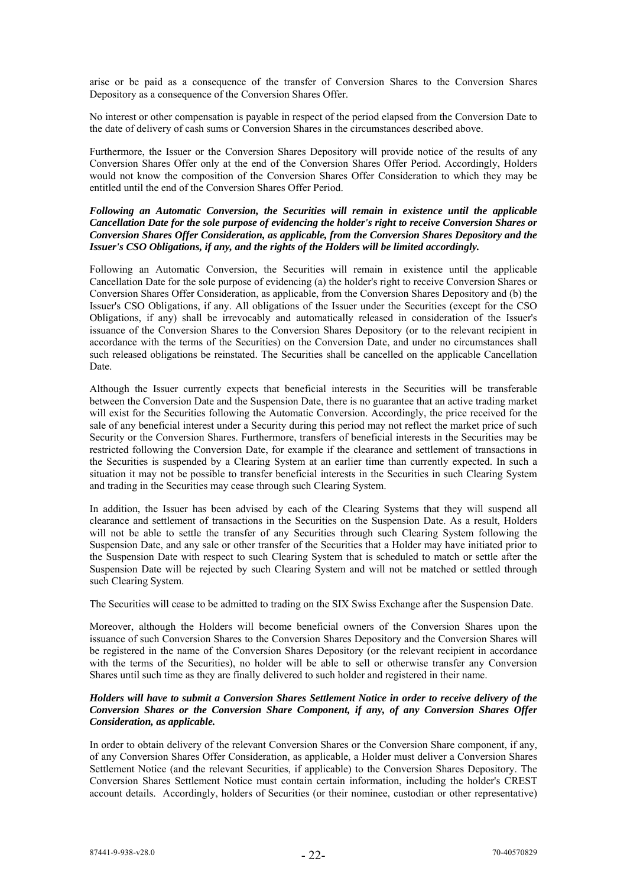arise or be paid as a consequence of the transfer of Conversion Shares to the Conversion Shares Depository as a consequence of the Conversion Shares Offer.

No interest or other compensation is payable in respect of the period elapsed from the Conversion Date to the date of delivery of cash sums or Conversion Shares in the circumstances described above.

Furthermore, the Issuer or the Conversion Shares Depository will provide notice of the results of any Conversion Shares Offer only at the end of the Conversion Shares Offer Period. Accordingly, Holders would not know the composition of the Conversion Shares Offer Consideration to which they may be entitled until the end of the Conversion Shares Offer Period.

# *Following an Automatic Conversion, the Securities will remain in existence until the applicable Cancellation Date for the sole purpose of evidencing the holder's right to receive Conversion Shares or Conversion Shares Offer Consideration, as applicable, from the Conversion Shares Depository and the Issuer's CSO Obligations, if any, and the rights of the Holders will be limited accordingly.*

Following an Automatic Conversion, the Securities will remain in existence until the applicable Cancellation Date for the sole purpose of evidencing (a) the holder's right to receive Conversion Shares or Conversion Shares Offer Consideration, as applicable, from the Conversion Shares Depository and (b) the Issuer's CSO Obligations, if any. All obligations of the Issuer under the Securities (except for the CSO Obligations, if any) shall be irrevocably and automatically released in consideration of the Issuer's issuance of the Conversion Shares to the Conversion Shares Depository (or to the relevant recipient in accordance with the terms of the Securities) on the Conversion Date, and under no circumstances shall such released obligations be reinstated. The Securities shall be cancelled on the applicable Cancellation Date.

Although the Issuer currently expects that beneficial interests in the Securities will be transferable between the Conversion Date and the Suspension Date, there is no guarantee that an active trading market will exist for the Securities following the Automatic Conversion. Accordingly, the price received for the sale of any beneficial interest under a Security during this period may not reflect the market price of such Security or the Conversion Shares. Furthermore, transfers of beneficial interests in the Securities may be restricted following the Conversion Date, for example if the clearance and settlement of transactions in the Securities is suspended by a Clearing System at an earlier time than currently expected. In such a situation it may not be possible to transfer beneficial interests in the Securities in such Clearing System and trading in the Securities may cease through such Clearing System.

In addition, the Issuer has been advised by each of the Clearing Systems that they will suspend all clearance and settlement of transactions in the Securities on the Suspension Date. As a result, Holders will not be able to settle the transfer of any Securities through such Clearing System following the Suspension Date, and any sale or other transfer of the Securities that a Holder may have initiated prior to the Suspension Date with respect to such Clearing System that is scheduled to match or settle after the Suspension Date will be rejected by such Clearing System and will not be matched or settled through such Clearing System.

The Securities will cease to be admitted to trading on the SIX Swiss Exchange after the Suspension Date.

Moreover, although the Holders will become beneficial owners of the Conversion Shares upon the issuance of such Conversion Shares to the Conversion Shares Depository and the Conversion Shares will be registered in the name of the Conversion Shares Depository (or the relevant recipient in accordance with the terms of the Securities), no holder will be able to sell or otherwise transfer any Conversion Shares until such time as they are finally delivered to such holder and registered in their name.

# *Holders will have to submit a Conversion Shares Settlement Notice in order to receive delivery of the Conversion Shares or the Conversion Share Component, if any, of any Conversion Shares Offer Consideration, as applicable.*

In order to obtain delivery of the relevant Conversion Shares or the Conversion Share component, if any, of any Conversion Shares Offer Consideration, as applicable, a Holder must deliver a Conversion Shares Settlement Notice (and the relevant Securities, if applicable) to the Conversion Shares Depository. The Conversion Shares Settlement Notice must contain certain information, including the holder's CREST account details. Accordingly, holders of Securities (or their nominee, custodian or other representative)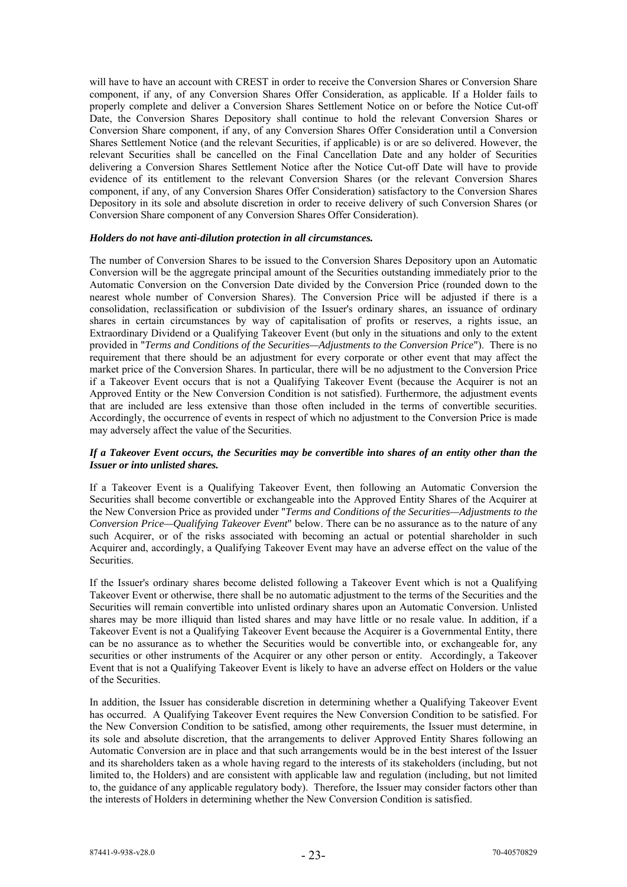will have to have an account with CREST in order to receive the Conversion Shares or Conversion Share component, if any, of any Conversion Shares Offer Consideration, as applicable. If a Holder fails to properly complete and deliver a Conversion Shares Settlement Notice on or before the Notice Cut-off Date, the Conversion Shares Depository shall continue to hold the relevant Conversion Shares or Conversion Share component, if any, of any Conversion Shares Offer Consideration until a Conversion Shares Settlement Notice (and the relevant Securities, if applicable) is or are so delivered. However, the relevant Securities shall be cancelled on the Final Cancellation Date and any holder of Securities delivering a Conversion Shares Settlement Notice after the Notice Cut-off Date will have to provide evidence of its entitlement to the relevant Conversion Shares (or the relevant Conversion Shares component, if any, of any Conversion Shares Offer Consideration) satisfactory to the Conversion Shares Depository in its sole and absolute discretion in order to receive delivery of such Conversion Shares (or Conversion Share component of any Conversion Shares Offer Consideration).

#### *Holders do not have anti-dilution protection in all circumstances.*

The number of Conversion Shares to be issued to the Conversion Shares Depository upon an Automatic Conversion will be the aggregate principal amount of the Securities outstanding immediately prior to the Automatic Conversion on the Conversion Date divided by the Conversion Price (rounded down to the nearest whole number of Conversion Shares). The Conversion Price will be adjusted if there is a consolidation, reclassification or subdivision of the Issuer's ordinary shares, an issuance of ordinary shares in certain circumstances by way of capitalisation of profits or reserves, a rights issue, an Extraordinary Dividend or a Qualifying Takeover Event (but only in the situations and only to the extent provided in "*Terms and Conditions of the Securities—Adjustments to the Conversion Price*"). There is no requirement that there should be an adjustment for every corporate or other event that may affect the market price of the Conversion Shares. In particular, there will be no adjustment to the Conversion Price if a Takeover Event occurs that is not a Qualifying Takeover Event (because the Acquirer is not an Approved Entity or the New Conversion Condition is not satisfied). Furthermore, the adjustment events that are included are less extensive than those often included in the terms of convertible securities. Accordingly, the occurrence of events in respect of which no adjustment to the Conversion Price is made may adversely affect the value of the Securities.

# *If a Takeover Event occurs, the Securities may be convertible into shares of an entity other than the Issuer or into unlisted shares.*

If a Takeover Event is a Qualifying Takeover Event, then following an Automatic Conversion the Securities shall become convertible or exchangeable into the Approved Entity Shares of the Acquirer at the New Conversion Price as provided under "*Terms and Conditions of the Securities—Adjustments to the Conversion Price—Qualifying Takeover Event*" below. There can be no assurance as to the nature of any such Acquirer, or of the risks associated with becoming an actual or potential shareholder in such Acquirer and, accordingly, a Qualifying Takeover Event may have an adverse effect on the value of the Securities.

If the Issuer's ordinary shares become delisted following a Takeover Event which is not a Qualifying Takeover Event or otherwise, there shall be no automatic adjustment to the terms of the Securities and the Securities will remain convertible into unlisted ordinary shares upon an Automatic Conversion. Unlisted shares may be more illiquid than listed shares and may have little or no resale value. In addition, if a Takeover Event is not a Qualifying Takeover Event because the Acquirer is a Governmental Entity, there can be no assurance as to whether the Securities would be convertible into, or exchangeable for, any securities or other instruments of the Acquirer or any other person or entity. Accordingly, a Takeover Event that is not a Qualifying Takeover Event is likely to have an adverse effect on Holders or the value of the Securities.

In addition, the Issuer has considerable discretion in determining whether a Qualifying Takeover Event has occurred. A Qualifying Takeover Event requires the New Conversion Condition to be satisfied. For the New Conversion Condition to be satisfied, among other requirements, the Issuer must determine, in its sole and absolute discretion, that the arrangements to deliver Approved Entity Shares following an Automatic Conversion are in place and that such arrangements would be in the best interest of the Issuer and its shareholders taken as a whole having regard to the interests of its stakeholders (including, but not limited to, the Holders) and are consistent with applicable law and regulation (including, but not limited to, the guidance of any applicable regulatory body). Therefore, the Issuer may consider factors other than the interests of Holders in determining whether the New Conversion Condition is satisfied.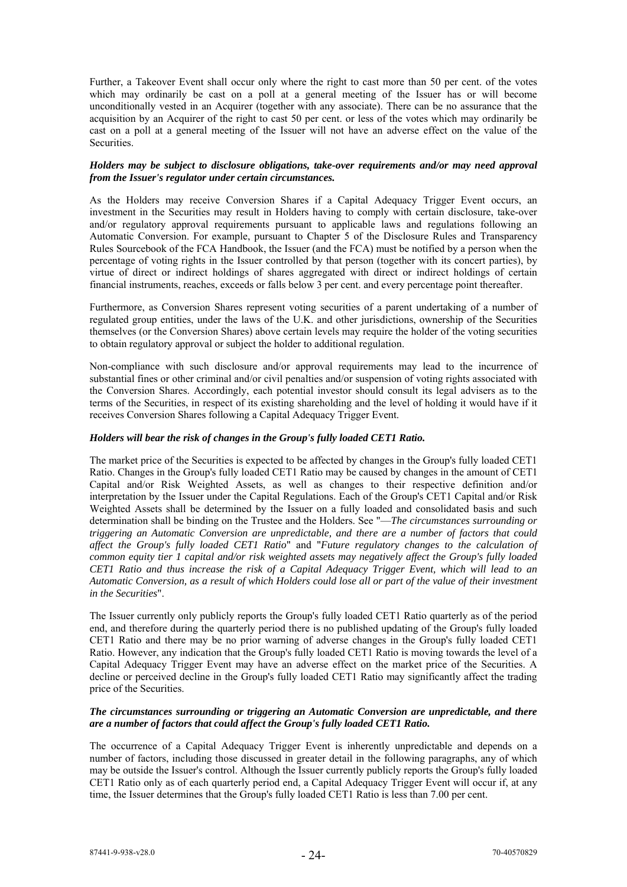Further, a Takeover Event shall occur only where the right to cast more than 50 per cent. of the votes which may ordinarily be cast on a poll at a general meeting of the Issuer has or will become unconditionally vested in an Acquirer (together with any associate). There can be no assurance that the acquisition by an Acquirer of the right to cast 50 per cent. or less of the votes which may ordinarily be cast on a poll at a general meeting of the Issuer will not have an adverse effect on the value of the Securities.

# *Holders may be subject to disclosure obligations, take-over requirements and/or may need approval from the Issuer's regulator under certain circumstances.*

As the Holders may receive Conversion Shares if a Capital Adequacy Trigger Event occurs, an investment in the Securities may result in Holders having to comply with certain disclosure, take-over and/or regulatory approval requirements pursuant to applicable laws and regulations following an Automatic Conversion. For example, pursuant to Chapter 5 of the Disclosure Rules and Transparency Rules Sourcebook of the FCA Handbook, the Issuer (and the FCA) must be notified by a person when the percentage of voting rights in the Issuer controlled by that person (together with its concert parties), by virtue of direct or indirect holdings of shares aggregated with direct or indirect holdings of certain financial instruments, reaches, exceeds or falls below 3 per cent. and every percentage point thereafter.

Furthermore, as Conversion Shares represent voting securities of a parent undertaking of a number of regulated group entities, under the laws of the U.K. and other jurisdictions, ownership of the Securities themselves (or the Conversion Shares) above certain levels may require the holder of the voting securities to obtain regulatory approval or subject the holder to additional regulation.

Non-compliance with such disclosure and/or approval requirements may lead to the incurrence of substantial fines or other criminal and/or civil penalties and/or suspension of voting rights associated with the Conversion Shares. Accordingly, each potential investor should consult its legal advisers as to the terms of the Securities, in respect of its existing shareholding and the level of holding it would have if it receives Conversion Shares following a Capital Adequacy Trigger Event.

## *Holders will bear the risk of changes in the Group's fully loaded CET1 Ratio.*

The market price of the Securities is expected to be affected by changes in the Group's fully loaded CET1 Ratio. Changes in the Group's fully loaded CET1 Ratio may be caused by changes in the amount of CET1 Capital and/or Risk Weighted Assets, as well as changes to their respective definition and/or interpretation by the Issuer under the Capital Regulations. Each of the Group's CET1 Capital and/or Risk Weighted Assets shall be determined by the Issuer on a fully loaded and consolidated basis and such determination shall be binding on the Trustee and the Holders. See "—*The circumstances surrounding or triggering an Automatic Conversion are unpredictable, and there are a number of factors that could affect the Group's fully loaded CET1 Ratio*" and "*Future regulatory changes to the calculation of common equity tier 1 capital and/or risk weighted assets may negatively affect the Group's fully loaded CET1 Ratio and thus increase the risk of a Capital Adequacy Trigger Event, which will lead to an Automatic Conversion, as a result of which Holders could lose all or part of the value of their investment in the Securities*".

The Issuer currently only publicly reports the Group's fully loaded CET1 Ratio quarterly as of the period end, and therefore during the quarterly period there is no published updating of the Group's fully loaded CET1 Ratio and there may be no prior warning of adverse changes in the Group's fully loaded CET1 Ratio. However, any indication that the Group's fully loaded CET1 Ratio is moving towards the level of a Capital Adequacy Trigger Event may have an adverse effect on the market price of the Securities. A decline or perceived decline in the Group's fully loaded CET1 Ratio may significantly affect the trading price of the Securities.

# *The circumstances surrounding or triggering an Automatic Conversion are unpredictable, and there are a number of factors that could affect the Group's fully loaded CET1 Ratio.*

The occurrence of a Capital Adequacy Trigger Event is inherently unpredictable and depends on a number of factors, including those discussed in greater detail in the following paragraphs, any of which may be outside the Issuer's control. Although the Issuer currently publicly reports the Group's fully loaded CET1 Ratio only as of each quarterly period end, a Capital Adequacy Trigger Event will occur if, at any time, the Issuer determines that the Group's fully loaded CET1 Ratio is less than 7.00 per cent.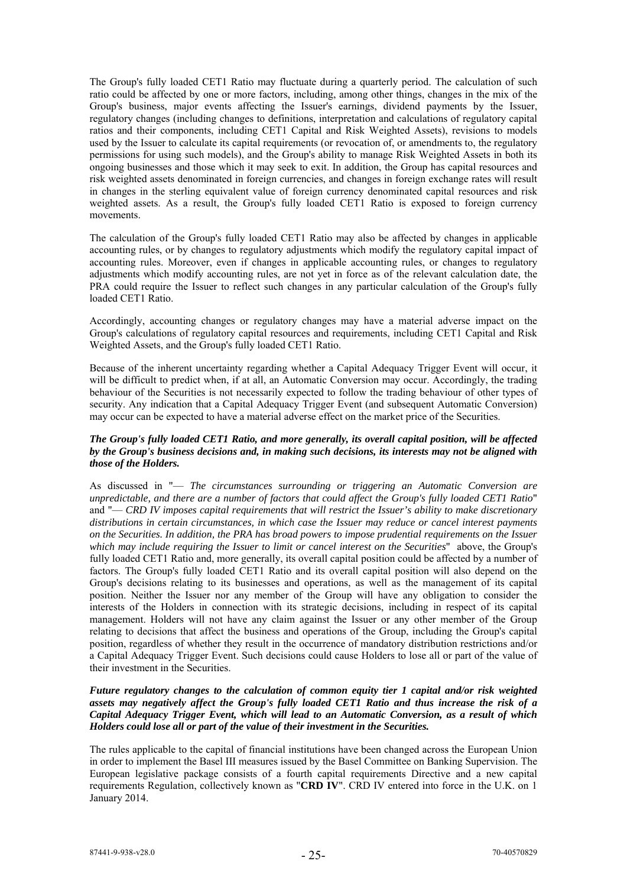The Group's fully loaded CET1 Ratio may fluctuate during a quarterly period. The calculation of such ratio could be affected by one or more factors, including, among other things, changes in the mix of the Group's business, major events affecting the Issuer's earnings, dividend payments by the Issuer, regulatory changes (including changes to definitions, interpretation and calculations of regulatory capital ratios and their components, including CET1 Capital and Risk Weighted Assets), revisions to models used by the Issuer to calculate its capital requirements (or revocation of, or amendments to, the regulatory permissions for using such models), and the Group's ability to manage Risk Weighted Assets in both its ongoing businesses and those which it may seek to exit. In addition, the Group has capital resources and risk weighted assets denominated in foreign currencies, and changes in foreign exchange rates will result in changes in the sterling equivalent value of foreign currency denominated capital resources and risk weighted assets. As a result, the Group's fully loaded CET1 Ratio is exposed to foreign currency movements.

The calculation of the Group's fully loaded CET1 Ratio may also be affected by changes in applicable accounting rules, or by changes to regulatory adjustments which modify the regulatory capital impact of accounting rules. Moreover, even if changes in applicable accounting rules, or changes to regulatory adjustments which modify accounting rules, are not yet in force as of the relevant calculation date, the PRA could require the Issuer to reflect such changes in any particular calculation of the Group's fully loaded CET1 Ratio.

Accordingly, accounting changes or regulatory changes may have a material adverse impact on the Group's calculations of regulatory capital resources and requirements, including CET1 Capital and Risk Weighted Assets, and the Group's fully loaded CET1 Ratio.

Because of the inherent uncertainty regarding whether a Capital Adequacy Trigger Event will occur, it will be difficult to predict when, if at all, an Automatic Conversion may occur. Accordingly, the trading behaviour of the Securities is not necessarily expected to follow the trading behaviour of other types of security. Any indication that a Capital Adequacy Trigger Event (and subsequent Automatic Conversion) may occur can be expected to have a material adverse effect on the market price of the Securities.

## *The Group's fully loaded CET1 Ratio, and more generally, its overall capital position, will be affected by the Group's business decisions and, in making such decisions, its interests may not be aligned with those of the Holders.*

As discussed in "— *The circumstances surrounding or triggering an Automatic Conversion are unpredictable, and there are a number of factors that could affect the Group's fully loaded CET1 Ratio*" and "— *CRD IV imposes capital requirements that will restrict the Issuer's ability to make discretionary distributions in certain circumstances, in which case the Issuer may reduce or cancel interest payments on the Securities. In addition, the PRA has broad powers to impose prudential requirements on the Issuer which may include requiring the Issuer to limit or cancel interest on the Securities*" above, the Group's fully loaded CET1 Ratio and, more generally, its overall capital position could be affected by a number of factors. The Group's fully loaded CET1 Ratio and its overall capital position will also depend on the Group's decisions relating to its businesses and operations, as well as the management of its capital position. Neither the Issuer nor any member of the Group will have any obligation to consider the interests of the Holders in connection with its strategic decisions, including in respect of its capital management. Holders will not have any claim against the Issuer or any other member of the Group relating to decisions that affect the business and operations of the Group, including the Group's capital position, regardless of whether they result in the occurrence of mandatory distribution restrictions and/or a Capital Adequacy Trigger Event. Such decisions could cause Holders to lose all or part of the value of their investment in the Securities.

# *Future regulatory changes to the calculation of common equity tier 1 capital and/or risk weighted assets may negatively affect the Group's fully loaded CET1 Ratio and thus increase the risk of a Capital Adequacy Trigger Event, which will lead to an Automatic Conversion, as a result of which Holders could lose all or part of the value of their investment in the Securities.*

The rules applicable to the capital of financial institutions have been changed across the European Union in order to implement the Basel III measures issued by the Basel Committee on Banking Supervision. The European legislative package consists of a fourth capital requirements Directive and a new capital requirements Regulation, collectively known as "**CRD IV**". CRD IV entered into force in the U.K. on 1 January 2014.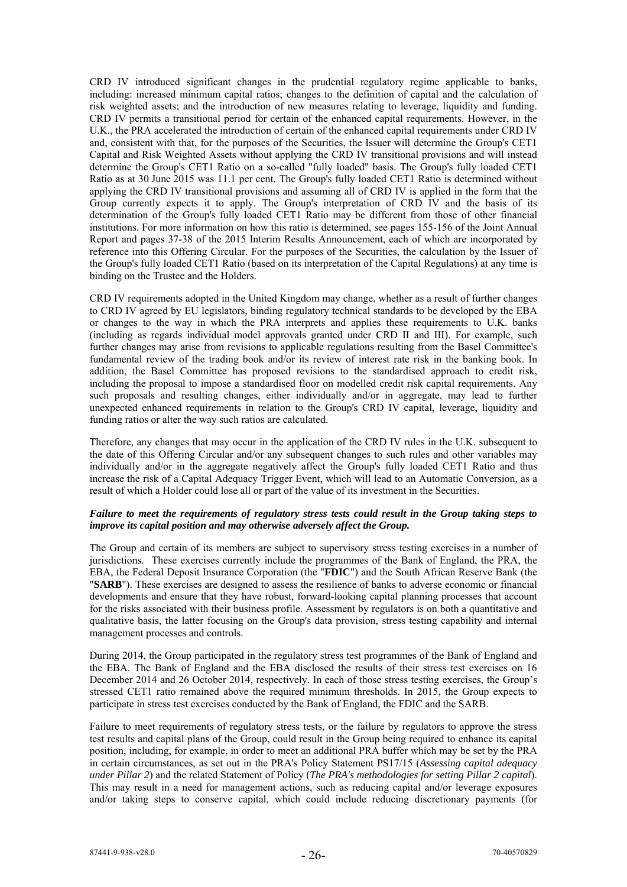CRD IV introduced significant changes in the prudential regulatory regime applicable to banks, including: increased minimum capital ratios; changes to the definition of capital and the calculation of risk weighted assets; and the introduction of new measures relating to leverage, liquidity and funding. CRD IV permits a transitional period for certain of the enhanced capital requirements. However, in the U.K., the PRA accelerated the introduction of certain of the enhanced capital requirements under CRD IV and, consistent with that, for the purposes of the Securities, the Issuer will determine the Group's CET1 Capital and Risk Weighted Assets without applying the CRD IV transitional provisions and will instead determine the Group's CET1 Ratio on a so-called "fully loaded" basis. The Group's fully loaded CET1 Ratio as at 30 June 2015 was 11.1 per cent. The Group's fully loaded CET1 Ratio is determined without applying the CRD IV transitional provisions and assuming all of CRD IV is applied in the form that the Group currently expects it to apply. The Group's interpretation of CRD IV and the basis of its determination of the Group's fully loaded CET1 Ratio may be different from those of other financial institutions. For more information on how this ratio is determined, see pages 155-156 of the Joint Annual Report and pages 37-38 of the 2015 Interim Results Announcement, each of which are incorporated by reference into this Offering Circular. For the purposes of the Securities, the calculation by the Issuer of the Group's fully loaded CET1 Ratio (based on its interpretation of the Capital Regulations) at any time is binding on the Trustee and the Holders.

CRD IV requirements adopted in the United Kingdom may change, whether as a result of further changes to CRD IV agreed by EU legislators, binding regulatory technical standards to be developed by the EBA or changes to the way in which the PRA interprets and applies these requirements to U.K. banks (including as regards individual model approvals granted under CRD II and III). For example, such further changes may arise from revisions to applicable regulations resulting from the Basel Committee's fundamental review of the trading book and/or its review of interest rate risk in the banking book. In addition, the Basel Committee has proposed revisions to the standardised approach to credit risk, including the proposal to impose a standardised floor on modelled credit risk capital requirements. Any such proposals and resulting changes, either individually and/or in aggregate, may lead to further unexpected enhanced requirements in relation to the Group's CRD IV capital, leverage, liquidity and funding ratios or alter the way such ratios are calculated.

Therefore, any changes that may occur in the application of the CRD IV rules in the U.K. subsequent to the date of this Offering Circular and/or any subsequent changes to such rules and other variables may individually and/or in the aggregate negatively affect the Group's fully loaded CET1 Ratio and thus increase the risk of a Capital Adequacy Trigger Event, which will lead to an Automatic Conversion, as a result of which a Holder could lose all or part of the value of its investment in the Securities.

# *Failure to meet the requirements of regulatory stress tests could result in the Group taking steps to improve its capital position and may otherwise adversely affect the Group.*

The Group and certain of its members are subject to supervisory stress testing exercises in a number of jurisdictions. These exercises currently include the programmes of the Bank of England, the PRA, the EBA, the Federal Deposit Insurance Corporation (the "**FDIC**") and the South African Reserve Bank (the "**SARB**"). These exercises are designed to assess the resilience of banks to adverse economic or financial developments and ensure that they have robust, forward-looking capital planning processes that account for the risks associated with their business profile. Assessment by regulators is on both a quantitative and qualitative basis, the latter focusing on the Group's data provision, stress testing capability and internal management processes and controls.

During 2014, the Group participated in the regulatory stress test programmes of the Bank of England and the EBA. The Bank of England and the EBA disclosed the results of their stress test exercises on 16 December 2014 and 26 October 2014, respectively. In each of those stress testing exercises, the Group's stressed CET1 ratio remained above the required minimum thresholds. In 2015, the Group expects to participate in stress test exercises conducted by the Bank of England, the FDIC and the SARB.

Failure to meet requirements of regulatory stress tests, or the failure by regulators to approve the stress test results and capital plans of the Group, could result in the Group being required to enhance its capital position, including, for example, in order to meet an additional PRA buffer which may be set by the PRA in certain circumstances, as set out in the PRA's Policy Statement PS17/15 (*Assessing capital adequacy under Pillar 2*) and the related Statement of Policy (*The PRA's methodologies for setting Pillar 2 capital*). This may result in a need for management actions, such as reducing capital and/or leverage exposures and/or taking steps to conserve capital, which could include reducing discretionary payments (for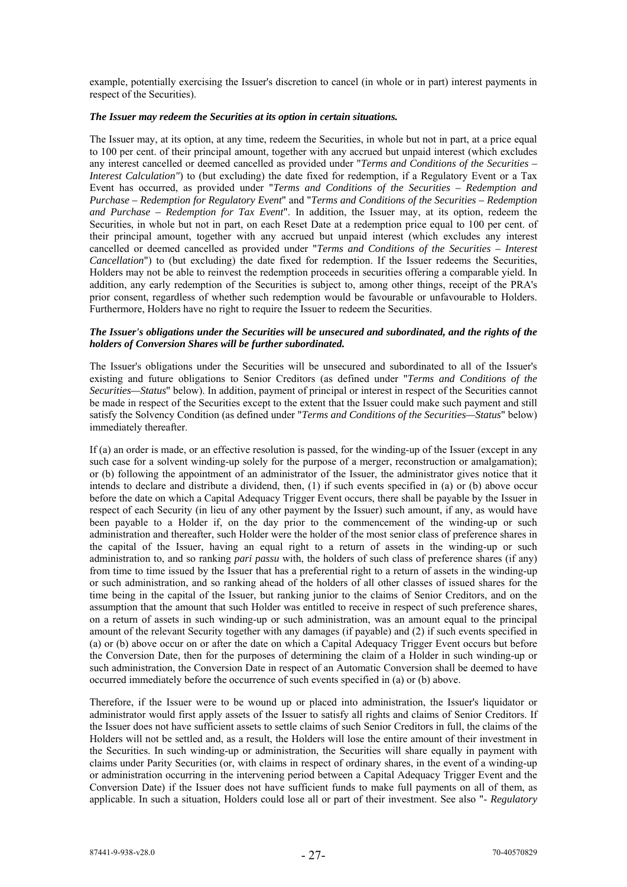example, potentially exercising the Issuer's discretion to cancel (in whole or in part) interest payments in respect of the Securities).

#### *The Issuer may redeem the Securities at its option in certain situations.*

The Issuer may, at its option, at any time, redeem the Securities, in whole but not in part, at a price equal to 100 per cent. of their principal amount, together with any accrued but unpaid interest (which excludes any interest cancelled or deemed cancelled as provided under "*Terms and Conditions of the Securities – Interest Calculation"*) to (but excluding) the date fixed for redemption, if a Regulatory Event or a Tax Event has occurred, as provided under "*Terms and Conditions of the Securities – Redemption and Purchase – Redemption for Regulatory Event*" and "*Terms and Conditions of the Securities – Redemption and Purchase – Redemption for Tax Event*". In addition, the Issuer may, at its option, redeem the Securities, in whole but not in part, on each Reset Date at a redemption price equal to 100 per cent. of their principal amount, together with any accrued but unpaid interest (which excludes any interest cancelled or deemed cancelled as provided under "*Terms and Conditions of the Securities – Interest Cancellation*") to (but excluding) the date fixed for redemption. If the Issuer redeems the Securities, Holders may not be able to reinvest the redemption proceeds in securities offering a comparable yield. In addition, any early redemption of the Securities is subject to, among other things, receipt of the PRA's prior consent, regardless of whether such redemption would be favourable or unfavourable to Holders. Furthermore, Holders have no right to require the Issuer to redeem the Securities.

## *The Issuer's obligations under the Securities will be unsecured and subordinated, and the rights of the holders of Conversion Shares will be further subordinated.*

The Issuer's obligations under the Securities will be unsecured and subordinated to all of the Issuer's existing and future obligations to Senior Creditors (as defined under "*Terms and Conditions of the Securities—Status*" below). In addition, payment of principal or interest in respect of the Securities cannot be made in respect of the Securities except to the extent that the Issuer could make such payment and still satisfy the Solvency Condition (as defined under "*Terms and Conditions of the Securities—Status*" below) immediately thereafter.

If (a) an order is made, or an effective resolution is passed, for the winding-up of the Issuer (except in any such case for a solvent winding-up solely for the purpose of a merger, reconstruction or amalgamation); or (b) following the appointment of an administrator of the Issuer, the administrator gives notice that it intends to declare and distribute a dividend, then, (1) if such events specified in (a) or (b) above occur before the date on which a Capital Adequacy Trigger Event occurs, there shall be payable by the Issuer in respect of each Security (in lieu of any other payment by the Issuer) such amount, if any, as would have been payable to a Holder if, on the day prior to the commencement of the winding-up or such administration and thereafter, such Holder were the holder of the most senior class of preference shares in the capital of the Issuer, having an equal right to a return of assets in the winding-up or such administration to, and so ranking *pari passu* with, the holders of such class of preference shares (if any) from time to time issued by the Issuer that has a preferential right to a return of assets in the winding-up or such administration, and so ranking ahead of the holders of all other classes of issued shares for the time being in the capital of the Issuer, but ranking junior to the claims of Senior Creditors, and on the assumption that the amount that such Holder was entitled to receive in respect of such preference shares, on a return of assets in such winding-up or such administration, was an amount equal to the principal amount of the relevant Security together with any damages (if payable) and (2) if such events specified in (a) or (b) above occur on or after the date on which a Capital Adequacy Trigger Event occurs but before the Conversion Date, then for the purposes of determining the claim of a Holder in such winding-up or such administration, the Conversion Date in respect of an Automatic Conversion shall be deemed to have occurred immediately before the occurrence of such events specified in (a) or (b) above.

Therefore, if the Issuer were to be wound up or placed into administration, the Issuer's liquidator or administrator would first apply assets of the Issuer to satisfy all rights and claims of Senior Creditors. If the Issuer does not have sufficient assets to settle claims of such Senior Creditors in full, the claims of the Holders will not be settled and, as a result, the Holders will lose the entire amount of their investment in the Securities. In such winding-up or administration, the Securities will share equally in payment with claims under Parity Securities (or, with claims in respect of ordinary shares, in the event of a winding-up or administration occurring in the intervening period between a Capital Adequacy Trigger Event and the Conversion Date) if the Issuer does not have sufficient funds to make full payments on all of them, as applicable. In such a situation, Holders could lose all or part of their investment. See also "- *Regulatory*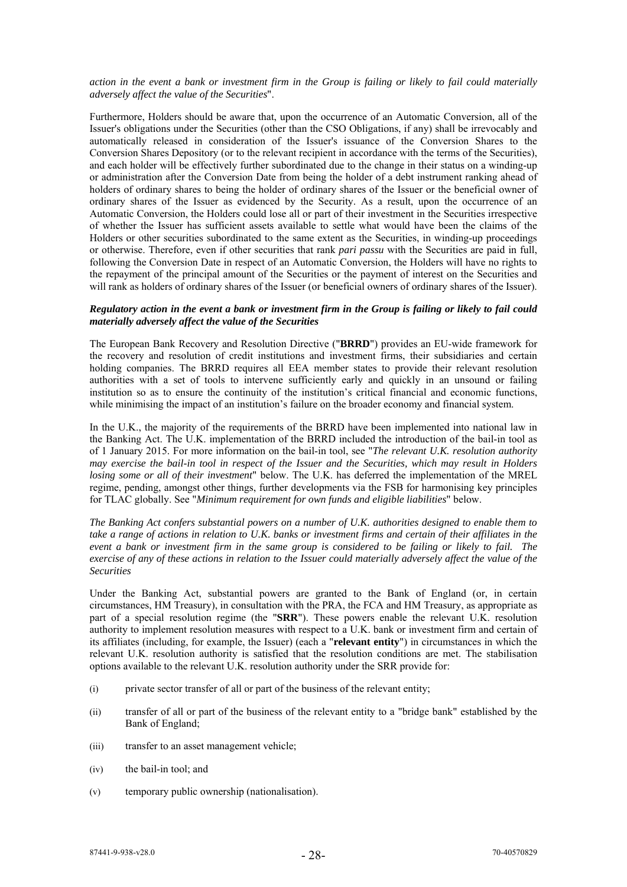#### *action in the event a bank or investment firm in the Group is failing or likely to fail could materially adversely affect the value of the Securities*".

Furthermore, Holders should be aware that, upon the occurrence of an Automatic Conversion, all of the Issuer's obligations under the Securities (other than the CSO Obligations, if any) shall be irrevocably and automatically released in consideration of the Issuer's issuance of the Conversion Shares to the Conversion Shares Depository (or to the relevant recipient in accordance with the terms of the Securities), and each holder will be effectively further subordinated due to the change in their status on a winding-up or administration after the Conversion Date from being the holder of a debt instrument ranking ahead of holders of ordinary shares to being the holder of ordinary shares of the Issuer or the beneficial owner of ordinary shares of the Issuer as evidenced by the Security. As a result, upon the occurrence of an Automatic Conversion, the Holders could lose all or part of their investment in the Securities irrespective of whether the Issuer has sufficient assets available to settle what would have been the claims of the Holders or other securities subordinated to the same extent as the Securities, in winding-up proceedings or otherwise. Therefore, even if other securities that rank *pari passu* with the Securities are paid in full, following the Conversion Date in respect of an Automatic Conversion, the Holders will have no rights to the repayment of the principal amount of the Securities or the payment of interest on the Securities and will rank as holders of ordinary shares of the Issuer (or beneficial owners of ordinary shares of the Issuer).

#### *Regulatory action in the event a bank or investment firm in the Group is failing or likely to fail could materially adversely affect the value of the Securities*

The European Bank Recovery and Resolution Directive ("**BRRD**") provides an EU-wide framework for the recovery and resolution of credit institutions and investment firms, their subsidiaries and certain holding companies. The BRRD requires all EEA member states to provide their relevant resolution authorities with a set of tools to intervene sufficiently early and quickly in an unsound or failing institution so as to ensure the continuity of the institution's critical financial and economic functions, while minimising the impact of an institution's failure on the broader economy and financial system.

In the U.K., the majority of the requirements of the BRRD have been implemented into national law in the Banking Act. The U.K. implementation of the BRRD included the introduction of the bail-in tool as of 1 January 2015. For more information on the bail-in tool, see "*The relevant U.K. resolution authority may exercise the bail-in tool in respect of the Issuer and the Securities, which may result in Holders losing some or all of their investment*" below. The U.K. has deferred the implementation of the MREL regime, pending, amongst other things, further developments via the FSB for harmonising key principles for TLAC globally. See "*Minimum requirement for own funds and eligible liabilities*" below.

*The Banking Act confers substantial powers on a number of U.K. authorities designed to enable them to take a range of actions in relation to U.K. banks or investment firms and certain of their affiliates in the event a bank or investment firm in the same group is considered to be failing or likely to fail. The exercise of any of these actions in relation to the Issuer could materially adversely affect the value of the Securities* 

Under the Banking Act, substantial powers are granted to the Bank of England (or, in certain circumstances, HM Treasury), in consultation with the PRA, the FCA and HM Treasury, as appropriate as part of a special resolution regime (the "**SRR**"). These powers enable the relevant U.K. resolution authority to implement resolution measures with respect to a U.K. bank or investment firm and certain of its affiliates (including, for example, the Issuer) (each a "**relevant entity**") in circumstances in which the relevant U.K. resolution authority is satisfied that the resolution conditions are met. The stabilisation options available to the relevant U.K. resolution authority under the SRR provide for:

- (i) private sector transfer of all or part of the business of the relevant entity;
- (ii) transfer of all or part of the business of the relevant entity to a "bridge bank" established by the Bank of England;
- (iii) transfer to an asset management vehicle;
- (iv) the bail-in tool; and
- (v) temporary public ownership (nationalisation).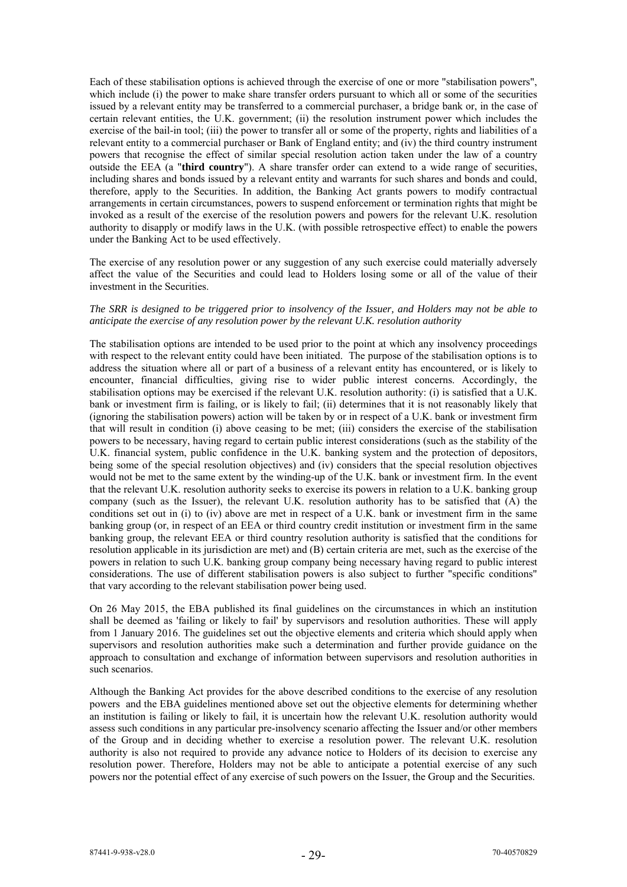Each of these stabilisation options is achieved through the exercise of one or more "stabilisation powers", which include (i) the power to make share transfer orders pursuant to which all or some of the securities issued by a relevant entity may be transferred to a commercial purchaser, a bridge bank or, in the case of certain relevant entities, the U.K. government; (ii) the resolution instrument power which includes the exercise of the bail-in tool; (iii) the power to transfer all or some of the property, rights and liabilities of a relevant entity to a commercial purchaser or Bank of England entity; and (iv) the third country instrument powers that recognise the effect of similar special resolution action taken under the law of a country outside the EEA (a "**third country**"). A share transfer order can extend to a wide range of securities, including shares and bonds issued by a relevant entity and warrants for such shares and bonds and could, therefore, apply to the Securities. In addition, the Banking Act grants powers to modify contractual arrangements in certain circumstances, powers to suspend enforcement or termination rights that might be invoked as a result of the exercise of the resolution powers and powers for the relevant U.K. resolution authority to disapply or modify laws in the U.K. (with possible retrospective effect) to enable the powers under the Banking Act to be used effectively.

The exercise of any resolution power or any suggestion of any such exercise could materially adversely affect the value of the Securities and could lead to Holders losing some or all of the value of their investment in the Securities.

#### *The SRR is designed to be triggered prior to insolvency of the Issuer, and Holders may not be able to anticipate the exercise of any resolution power by the relevant U.K. resolution authority*

The stabilisation options are intended to be used prior to the point at which any insolvency proceedings with respect to the relevant entity could have been initiated. The purpose of the stabilisation options is to address the situation where all or part of a business of a relevant entity has encountered, or is likely to encounter, financial difficulties, giving rise to wider public interest concerns. Accordingly, the stabilisation options may be exercised if the relevant U.K. resolution authority: (i) is satisfied that a U.K. bank or investment firm is failing, or is likely to fail; (ii) determines that it is not reasonably likely that (ignoring the stabilisation powers) action will be taken by or in respect of a U.K. bank or investment firm that will result in condition (i) above ceasing to be met; (iii) considers the exercise of the stabilisation powers to be necessary, having regard to certain public interest considerations (such as the stability of the U.K. financial system, public confidence in the U.K. banking system and the protection of depositors, being some of the special resolution objectives) and (iv) considers that the special resolution objectives would not be met to the same extent by the winding-up of the U.K. bank or investment firm. In the event that the relevant U.K. resolution authority seeks to exercise its powers in relation to a U.K. banking group company (such as the Issuer), the relevant U.K. resolution authority has to be satisfied that (A) the conditions set out in (i) to (iv) above are met in respect of a U.K. bank or investment firm in the same banking group (or, in respect of an EEA or third country credit institution or investment firm in the same banking group, the relevant EEA or third country resolution authority is satisfied that the conditions for resolution applicable in its jurisdiction are met) and (B) certain criteria are met, such as the exercise of the powers in relation to such U.K. banking group company being necessary having regard to public interest considerations. The use of different stabilisation powers is also subject to further "specific conditions" that vary according to the relevant stabilisation power being used.

On 26 May 2015, the EBA published its final guidelines on the circumstances in which an institution shall be deemed as 'failing or likely to fail' by supervisors and resolution authorities. These will apply from 1 January 2016. The guidelines set out the objective elements and criteria which should apply when supervisors and resolution authorities make such a determination and further provide guidance on the approach to consultation and exchange of information between supervisors and resolution authorities in such scenarios.

Although the Banking Act provides for the above described conditions to the exercise of any resolution powers and the EBA guidelines mentioned above set out the objective elements for determining whether an institution is failing or likely to fail, it is uncertain how the relevant U.K. resolution authority would assess such conditions in any particular pre-insolvency scenario affecting the Issuer and/or other members of the Group and in deciding whether to exercise a resolution power. The relevant U.K. resolution authority is also not required to provide any advance notice to Holders of its decision to exercise any resolution power. Therefore, Holders may not be able to anticipate a potential exercise of any such powers nor the potential effect of any exercise of such powers on the Issuer, the Group and the Securities.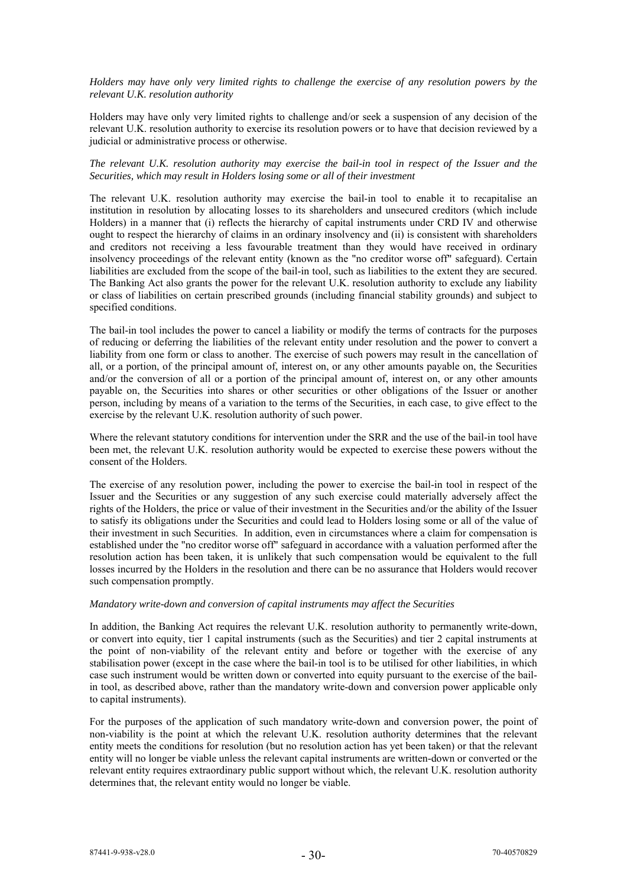*Holders may have only very limited rights to challenge the exercise of any resolution powers by the relevant U.K. resolution authority*

Holders may have only very limited rights to challenge and/or seek a suspension of any decision of the relevant U.K. resolution authority to exercise its resolution powers or to have that decision reviewed by a judicial or administrative process or otherwise.

### *The relevant U.K. resolution authority may exercise the bail-in tool in respect of the Issuer and the Securities, which may result in Holders losing some or all of their investment*

The relevant U.K. resolution authority may exercise the bail-in tool to enable it to recapitalise an institution in resolution by allocating losses to its shareholders and unsecured creditors (which include Holders) in a manner that (i) reflects the hierarchy of capital instruments under CRD IV and otherwise ought to respect the hierarchy of claims in an ordinary insolvency and (ii) is consistent with shareholders and creditors not receiving a less favourable treatment than they would have received in ordinary insolvency proceedings of the relevant entity (known as the "no creditor worse off" safeguard). Certain liabilities are excluded from the scope of the bail-in tool, such as liabilities to the extent they are secured. The Banking Act also grants the power for the relevant U.K. resolution authority to exclude any liability or class of liabilities on certain prescribed grounds (including financial stability grounds) and subject to specified conditions.

The bail-in tool includes the power to cancel a liability or modify the terms of contracts for the purposes of reducing or deferring the liabilities of the relevant entity under resolution and the power to convert a liability from one form or class to another. The exercise of such powers may result in the cancellation of all, or a portion, of the principal amount of, interest on, or any other amounts payable on, the Securities and/or the conversion of all or a portion of the principal amount of, interest on, or any other amounts payable on, the Securities into shares or other securities or other obligations of the Issuer or another person, including by means of a variation to the terms of the Securities, in each case, to give effect to the exercise by the relevant U.K. resolution authority of such power.

Where the relevant statutory conditions for intervention under the SRR and the use of the bail-in tool have been met, the relevant U.K. resolution authority would be expected to exercise these powers without the consent of the Holders.

The exercise of any resolution power, including the power to exercise the bail-in tool in respect of the Issuer and the Securities or any suggestion of any such exercise could materially adversely affect the rights of the Holders, the price or value of their investment in the Securities and/or the ability of the Issuer to satisfy its obligations under the Securities and could lead to Holders losing some or all of the value of their investment in such Securities. In addition, even in circumstances where a claim for compensation is established under the "no creditor worse off" safeguard in accordance with a valuation performed after the resolution action has been taken, it is unlikely that such compensation would be equivalent to the full losses incurred by the Holders in the resolution and there can be no assurance that Holders would recover such compensation promptly.

### *Mandatory write-down and conversion of capital instruments may affect the Securities*

In addition, the Banking Act requires the relevant U.K. resolution authority to permanently write-down, or convert into equity, tier 1 capital instruments (such as the Securities) and tier 2 capital instruments at the point of non-viability of the relevant entity and before or together with the exercise of any stabilisation power (except in the case where the bail-in tool is to be utilised for other liabilities, in which case such instrument would be written down or converted into equity pursuant to the exercise of the bailin tool, as described above, rather than the mandatory write-down and conversion power applicable only to capital instruments).

For the purposes of the application of such mandatory write-down and conversion power, the point of non-viability is the point at which the relevant U.K. resolution authority determines that the relevant entity meets the conditions for resolution (but no resolution action has yet been taken) or that the relevant entity will no longer be viable unless the relevant capital instruments are written-down or converted or the relevant entity requires extraordinary public support without which, the relevant U.K. resolution authority determines that, the relevant entity would no longer be viable.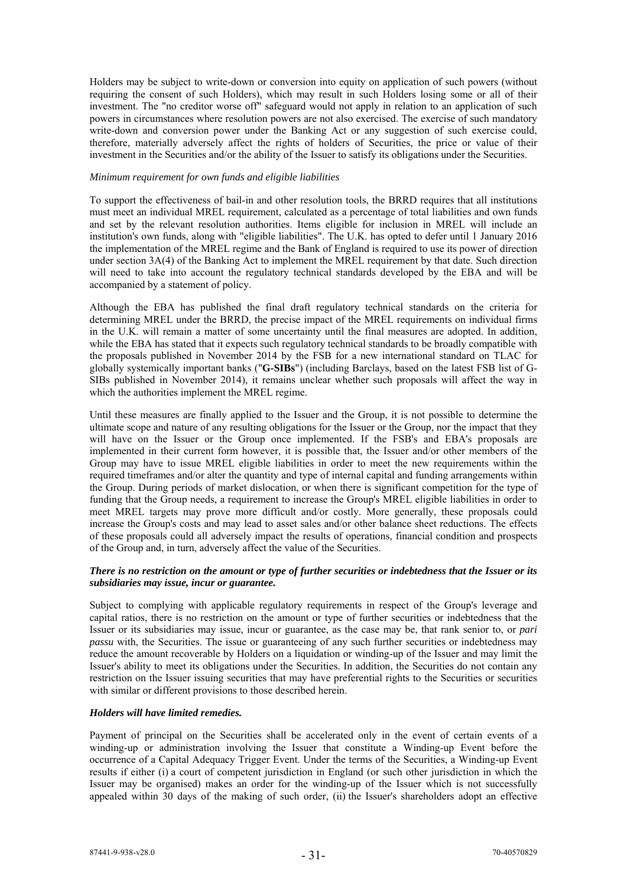Holders may be subject to write-down or conversion into equity on application of such powers (without requiring the consent of such Holders), which may result in such Holders losing some or all of their investment. The "no creditor worse off" safeguard would not apply in relation to an application of such powers in circumstances where resolution powers are not also exercised. The exercise of such mandatory write-down and conversion power under the Banking Act or any suggestion of such exercise could, therefore, materially adversely affect the rights of holders of Securities, the price or value of their investment in the Securities and/or the ability of the Issuer to satisfy its obligations under the Securities.

## *Minimum requirement for own funds and eligible liabilities*

To support the effectiveness of bail-in and other resolution tools, the BRRD requires that all institutions must meet an individual MREL requirement, calculated as a percentage of total liabilities and own funds and set by the relevant resolution authorities. Items eligible for inclusion in MREL will include an institution's own funds, along with "eligible liabilities". The U.K. has opted to defer until 1 January 2016 the implementation of the MREL regime and the Bank of England is required to use its power of direction under section 3A(4) of the Banking Act to implement the MREL requirement by that date. Such direction will need to take into account the regulatory technical standards developed by the EBA and will be accompanied by a statement of policy.

Although the EBA has published the final draft regulatory technical standards on the criteria for determining MREL under the BRRD, the precise impact of the MREL requirements on individual firms in the U.K. will remain a matter of some uncertainty until the final measures are adopted. In addition, while the EBA has stated that it expects such regulatory technical standards to be broadly compatible with the proposals published in November 2014 by the FSB for a new international standard on TLAC for globally systemically important banks ("**G-SIBs**") (including Barclays, based on the latest FSB list of G-SIBs published in November 2014), it remains unclear whether such proposals will affect the way in which the authorities implement the MREL regime.

Until these measures are finally applied to the Issuer and the Group, it is not possible to determine the ultimate scope and nature of any resulting obligations for the Issuer or the Group, nor the impact that they will have on the Issuer or the Group once implemented. If the FSB's and EBA's proposals are implemented in their current form however, it is possible that, the Issuer and/or other members of the Group may have to issue MREL eligible liabilities in order to meet the new requirements within the required timeframes and/or alter the quantity and type of internal capital and funding arrangements within the Group. During periods of market dislocation, or when there is significant competition for the type of funding that the Group needs, a requirement to increase the Group's MREL eligible liabilities in order to meet MREL targets may prove more difficult and/or costly. More generally, these proposals could increase the Group's costs and may lead to asset sales and/or other balance sheet reductions. The effects of these proposals could all adversely impact the results of operations, financial condition and prospects of the Group and, in turn, adversely affect the value of the Securities.

# *There is no restriction on the amount or type of further securities or indebtedness that the Issuer or its subsidiaries may issue, incur or guarantee.*

Subject to complying with applicable regulatory requirements in respect of the Group's leverage and capital ratios, there is no restriction on the amount or type of further securities or indebtedness that the Issuer or its subsidiaries may issue, incur or guarantee, as the case may be, that rank senior to, or *pari passu* with, the Securities. The issue or guaranteeing of any such further securities or indebtedness may reduce the amount recoverable by Holders on a liquidation or winding-up of the Issuer and may limit the Issuer's ability to meet its obligations under the Securities. In addition, the Securities do not contain any restriction on the Issuer issuing securities that may have preferential rights to the Securities or securities with similar or different provisions to those described herein.

# *Holders will have limited remedies.*

Payment of principal on the Securities shall be accelerated only in the event of certain events of a winding-up or administration involving the Issuer that constitute a Winding-up Event before the occurrence of a Capital Adequacy Trigger Event. Under the terms of the Securities, a Winding-up Event results if either (i) a court of competent jurisdiction in England (or such other jurisdiction in which the Issuer may be organised) makes an order for the winding-up of the Issuer which is not successfully appealed within 30 days of the making of such order, (ii) the Issuer's shareholders adopt an effective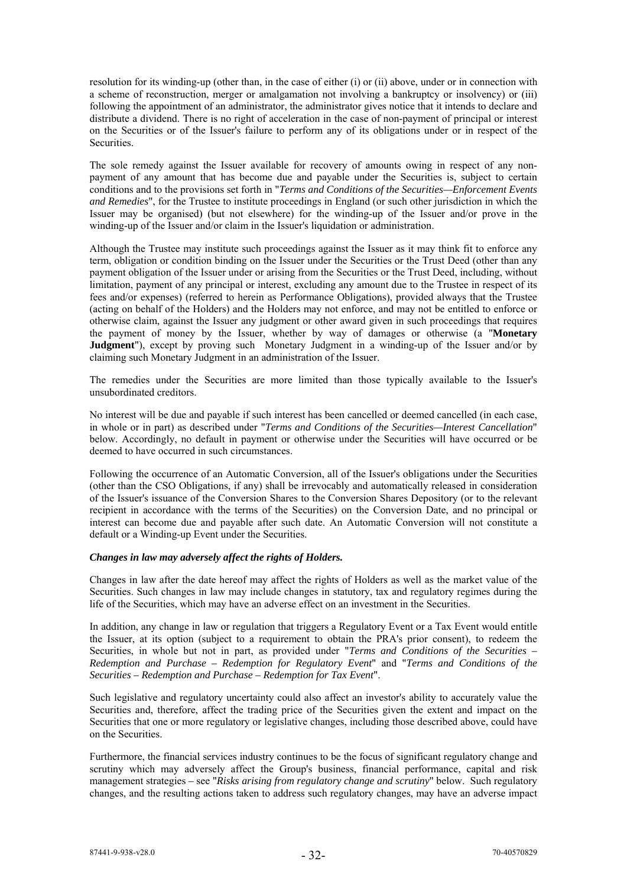resolution for its winding-up (other than, in the case of either (i) or (ii) above, under or in connection with a scheme of reconstruction, merger or amalgamation not involving a bankruptcy or insolvency) or (iii) following the appointment of an administrator, the administrator gives notice that it intends to declare and distribute a dividend. There is no right of acceleration in the case of non-payment of principal or interest on the Securities or of the Issuer's failure to perform any of its obligations under or in respect of the Securities.

The sole remedy against the Issuer available for recovery of amounts owing in respect of any nonpayment of any amount that has become due and payable under the Securities is, subject to certain conditions and to the provisions set forth in "*Terms and Conditions of the Securities—Enforcement Events and Remedies*", for the Trustee to institute proceedings in England (or such other jurisdiction in which the Issuer may be organised) (but not elsewhere) for the winding-up of the Issuer and/or prove in the winding-up of the Issuer and/or claim in the Issuer's liquidation or administration.

Although the Trustee may institute such proceedings against the Issuer as it may think fit to enforce any term, obligation or condition binding on the Issuer under the Securities or the Trust Deed (other than any payment obligation of the Issuer under or arising from the Securities or the Trust Deed, including, without limitation, payment of any principal or interest, excluding any amount due to the Trustee in respect of its fees and/or expenses) (referred to herein as Performance Obligations), provided always that the Trustee (acting on behalf of the Holders) and the Holders may not enforce, and may not be entitled to enforce or otherwise claim, against the Issuer any judgment or other award given in such proceedings that requires the payment of money by the Issuer, whether by way of damages or otherwise (a "**Monetary Judgment**"), except by proving such Monetary Judgment in a winding-up of the Issuer and/or by claiming such Monetary Judgment in an administration of the Issuer.

The remedies under the Securities are more limited than those typically available to the Issuer's unsubordinated creditors.

No interest will be due and payable if such interest has been cancelled or deemed cancelled (in each case, in whole or in part) as described under "*Terms and Conditions of the Securities—Interest Cancellation*" below. Accordingly, no default in payment or otherwise under the Securities will have occurred or be deemed to have occurred in such circumstances.

Following the occurrence of an Automatic Conversion, all of the Issuer's obligations under the Securities (other than the CSO Obligations, if any) shall be irrevocably and automatically released in consideration of the Issuer's issuance of the Conversion Shares to the Conversion Shares Depository (or to the relevant recipient in accordance with the terms of the Securities) on the Conversion Date, and no principal or interest can become due and payable after such date. An Automatic Conversion will not constitute a default or a Winding-up Event under the Securities.

# *Changes in law may adversely affect the rights of Holders.*

Changes in law after the date hereof may affect the rights of Holders as well as the market value of the Securities. Such changes in law may include changes in statutory, tax and regulatory regimes during the life of the Securities, which may have an adverse effect on an investment in the Securities.

In addition, any change in law or regulation that triggers a Regulatory Event or a Tax Event would entitle the Issuer, at its option (subject to a requirement to obtain the PRA's prior consent), to redeem the Securities, in whole but not in part, as provided under "*Terms and Conditions of the Securities – Redemption and Purchase – Redemption for Regulatory Event*" and "*Terms and Conditions of the Securities – Redemption and Purchase – Redemption for Tax Event*".

Such legislative and regulatory uncertainty could also affect an investor's ability to accurately value the Securities and, therefore, affect the trading price of the Securities given the extent and impact on the Securities that one or more regulatory or legislative changes, including those described above, could have on the Securities.

Furthermore, the financial services industry continues to be the focus of significant regulatory change and scrutiny which may adversely affect the Group's business, financial performance, capital and risk management strategies *–* see "*Risks arising from regulatory change and scrutiny*" below. Such regulatory changes, and the resulting actions taken to address such regulatory changes, may have an adverse impact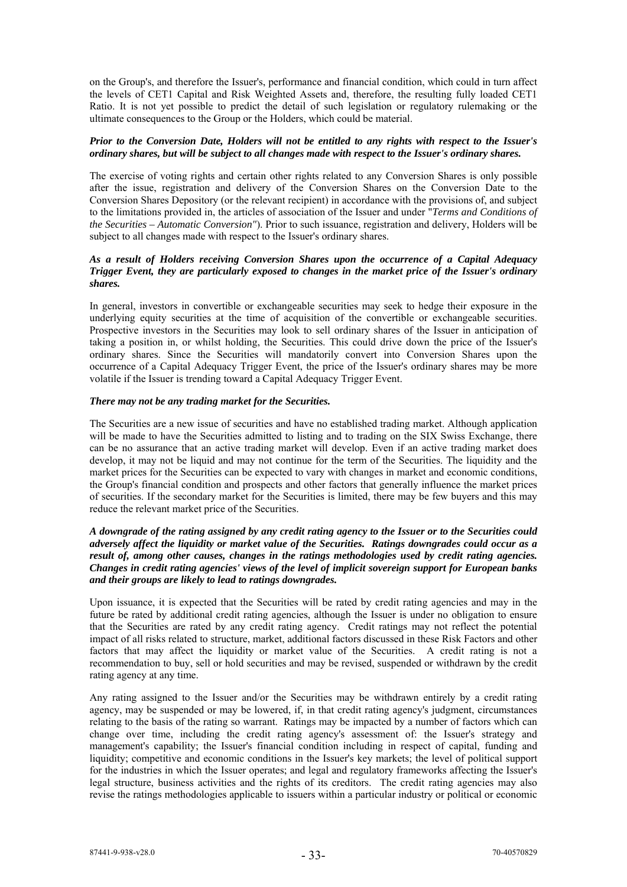on the Group's, and therefore the Issuer's, performance and financial condition, which could in turn affect the levels of CET1 Capital and Risk Weighted Assets and, therefore, the resulting fully loaded CET1 Ratio. It is not yet possible to predict the detail of such legislation or regulatory rulemaking or the ultimate consequences to the Group or the Holders, which could be material.

### *Prior to the Conversion Date, Holders will not be entitled to any rights with respect to the Issuer's ordinary shares, but will be subject to all changes made with respect to the Issuer's ordinary shares.*

The exercise of voting rights and certain other rights related to any Conversion Shares is only possible after the issue, registration and delivery of the Conversion Shares on the Conversion Date to the Conversion Shares Depository (or the relevant recipient) in accordance with the provisions of, and subject to the limitations provided in, the articles of association of the Issuer and under "*Terms and Conditions of the Securities – Automatic Conversion"*). Prior to such issuance, registration and delivery, Holders will be subject to all changes made with respect to the Issuer's ordinary shares.

# *As a result of Holders receiving Conversion Shares upon the occurrence of a Capital Adequacy Trigger Event, they are particularly exposed to changes in the market price of the Issuer's ordinary shares.*

In general, investors in convertible or exchangeable securities may seek to hedge their exposure in the underlying equity securities at the time of acquisition of the convertible or exchangeable securities. Prospective investors in the Securities may look to sell ordinary shares of the Issuer in anticipation of taking a position in, or whilst holding, the Securities. This could drive down the price of the Issuer's ordinary shares. Since the Securities will mandatorily convert into Conversion Shares upon the occurrence of a Capital Adequacy Trigger Event, the price of the Issuer's ordinary shares may be more volatile if the Issuer is trending toward a Capital Adequacy Trigger Event.

# *There may not be any trading market for the Securities.*

The Securities are a new issue of securities and have no established trading market. Although application will be made to have the Securities admitted to listing and to trading on the SIX Swiss Exchange, there can be no assurance that an active trading market will develop. Even if an active trading market does develop, it may not be liquid and may not continue for the term of the Securities. The liquidity and the market prices for the Securities can be expected to vary with changes in market and economic conditions, the Group's financial condition and prospects and other factors that generally influence the market prices of securities. If the secondary market for the Securities is limited, there may be few buyers and this may reduce the relevant market price of the Securities.

# *A downgrade of the rating assigned by any credit rating agency to the Issuer or to the Securities could adversely affect the liquidity or market value of the Securities. Ratings downgrades could occur as a result of, among other causes, changes in the ratings methodologies used by credit rating agencies. Changes in credit rating agencies' views of the level of implicit sovereign support for European banks and their groups are likely to lead to ratings downgrades.*

Upon issuance, it is expected that the Securities will be rated by credit rating agencies and may in the future be rated by additional credit rating agencies, although the Issuer is under no obligation to ensure that the Securities are rated by any credit rating agency. Credit ratings may not reflect the potential impact of all risks related to structure, market, additional factors discussed in these Risk Factors and other factors that may affect the liquidity or market value of the Securities. A credit rating is not a recommendation to buy, sell or hold securities and may be revised, suspended or withdrawn by the credit rating agency at any time.

Any rating assigned to the Issuer and/or the Securities may be withdrawn entirely by a credit rating agency, may be suspended or may be lowered, if, in that credit rating agency's judgment, circumstances relating to the basis of the rating so warrant. Ratings may be impacted by a number of factors which can change over time, including the credit rating agency's assessment of: the Issuer's strategy and management's capability; the Issuer's financial condition including in respect of capital, funding and liquidity; competitive and economic conditions in the Issuer's key markets; the level of political support for the industries in which the Issuer operates; and legal and regulatory frameworks affecting the Issuer's legal structure, business activities and the rights of its creditors. The credit rating agencies may also revise the ratings methodologies applicable to issuers within a particular industry or political or economic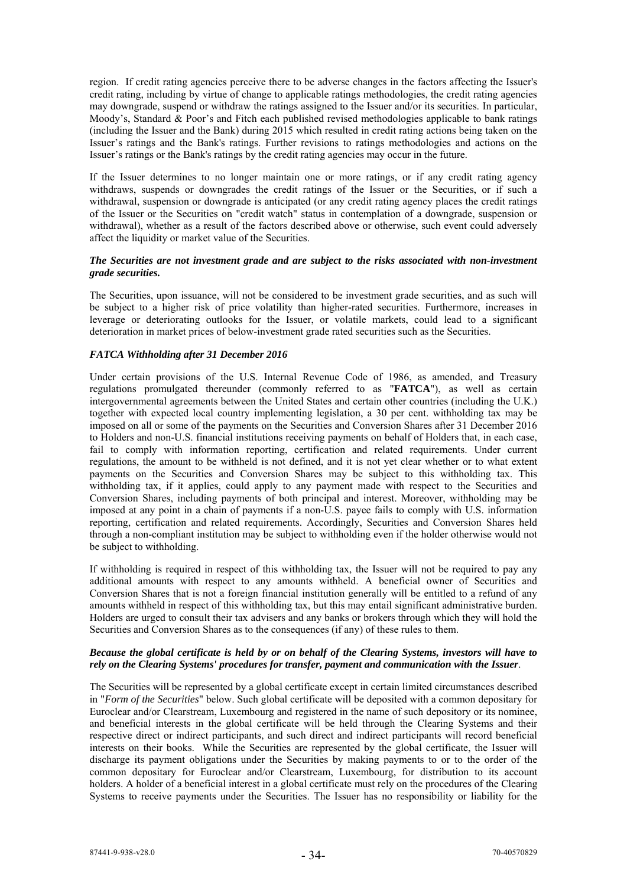region. If credit rating agencies perceive there to be adverse changes in the factors affecting the Issuer's credit rating, including by virtue of change to applicable ratings methodologies, the credit rating agencies may downgrade, suspend or withdraw the ratings assigned to the Issuer and/or its securities. In particular, Moody's, Standard & Poor's and Fitch each published revised methodologies applicable to bank ratings (including the Issuer and the Bank) during 2015 which resulted in credit rating actions being taken on the Issuer's ratings and the Bank's ratings. Further revisions to ratings methodologies and actions on the Issuer's ratings or the Bank's ratings by the credit rating agencies may occur in the future.

If the Issuer determines to no longer maintain one or more ratings, or if any credit rating agency withdraws, suspends or downgrades the credit ratings of the Issuer or the Securities, or if such a withdrawal, suspension or downgrade is anticipated (or any credit rating agency places the credit ratings of the Issuer or the Securities on "credit watch" status in contemplation of a downgrade, suspension or withdrawal), whether as a result of the factors described above or otherwise, such event could adversely affect the liquidity or market value of the Securities.

# *The Securities are not investment grade and are subject to the risks associated with non-investment grade securities.*

The Securities, upon issuance, will not be considered to be investment grade securities, and as such will be subject to a higher risk of price volatility than higher-rated securities. Furthermore, increases in leverage or deteriorating outlooks for the Issuer, or volatile markets, could lead to a significant deterioration in market prices of below-investment grade rated securities such as the Securities.

# *FATCA Withholding after 31 December 2016*

Under certain provisions of the U.S. Internal Revenue Code of 1986, as amended, and Treasury regulations promulgated thereunder (commonly referred to as "**FATCA**"), as well as certain intergovernmental agreements between the United States and certain other countries (including the U.K.) together with expected local country implementing legislation, a 30 per cent. withholding tax may be imposed on all or some of the payments on the Securities and Conversion Shares after 31 December 2016 to Holders and non-U.S. financial institutions receiving payments on behalf of Holders that, in each case, fail to comply with information reporting, certification and related requirements. Under current regulations, the amount to be withheld is not defined, and it is not yet clear whether or to what extent payments on the Securities and Conversion Shares may be subject to this withholding tax. This withholding tax, if it applies, could apply to any payment made with respect to the Securities and Conversion Shares, including payments of both principal and interest. Moreover, withholding may be imposed at any point in a chain of payments if a non-U.S. payee fails to comply with U.S. information reporting, certification and related requirements. Accordingly, Securities and Conversion Shares held through a non-compliant institution may be subject to withholding even if the holder otherwise would not be subject to withholding.

If withholding is required in respect of this withholding tax, the Issuer will not be required to pay any additional amounts with respect to any amounts withheld. A beneficial owner of Securities and Conversion Shares that is not a foreign financial institution generally will be entitled to a refund of any amounts withheld in respect of this withholding tax, but this may entail significant administrative burden. Holders are urged to consult their tax advisers and any banks or brokers through which they will hold the Securities and Conversion Shares as to the consequences (if any) of these rules to them.

### *Because the global certificate is held by or on behalf of the Clearing Systems, investors will have to rely on the Clearing Systems' procedures for transfer, payment and communication with the Issuer*.

The Securities will be represented by a global certificate except in certain limited circumstances described in "*Form of the Securities*" below. Such global certificate will be deposited with a common depositary for Euroclear and/or Clearstream, Luxembourg and registered in the name of such depository or its nominee, and beneficial interests in the global certificate will be held through the Clearing Systems and their respective direct or indirect participants, and such direct and indirect participants will record beneficial interests on their books. While the Securities are represented by the global certificate, the Issuer will discharge its payment obligations under the Securities by making payments to or to the order of the common depositary for Euroclear and/or Clearstream, Luxembourg, for distribution to its account holders. A holder of a beneficial interest in a global certificate must rely on the procedures of the Clearing Systems to receive payments under the Securities. The Issuer has no responsibility or liability for the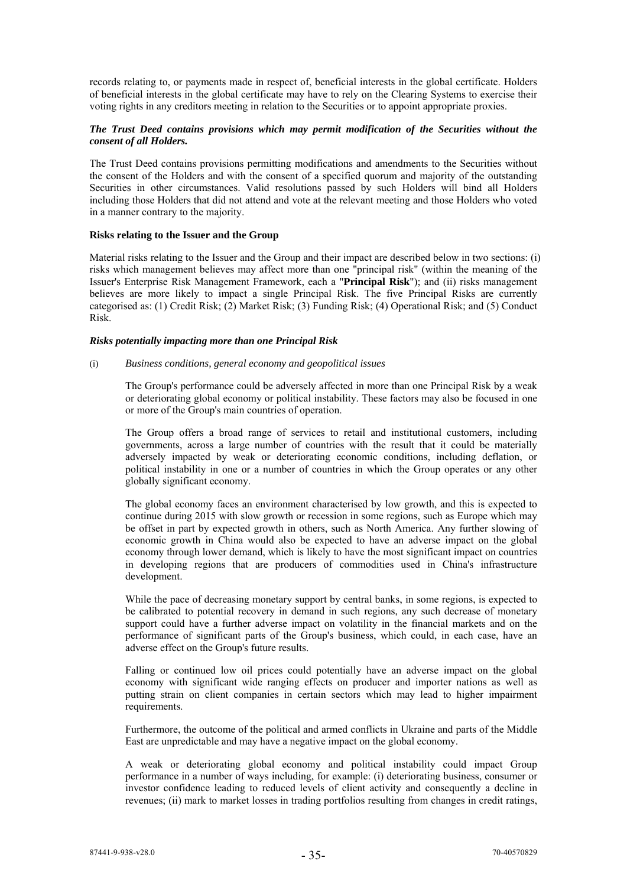records relating to, or payments made in respect of, beneficial interests in the global certificate. Holders of beneficial interests in the global certificate may have to rely on the Clearing Systems to exercise their voting rights in any creditors meeting in relation to the Securities or to appoint appropriate proxies.

## *The Trust Deed contains provisions which may permit modification of the Securities without the consent of all Holders.*

The Trust Deed contains provisions permitting modifications and amendments to the Securities without the consent of the Holders and with the consent of a specified quorum and majority of the outstanding Securities in other circumstances. Valid resolutions passed by such Holders will bind all Holders including those Holders that did not attend and vote at the relevant meeting and those Holders who voted in a manner contrary to the majority.

### **Risks relating to the Issuer and the Group**

Material risks relating to the Issuer and the Group and their impact are described below in two sections: (i) risks which management believes may affect more than one "principal risk" (within the meaning of the Issuer's Enterprise Risk Management Framework, each a "**Principal Risk**"); and (ii) risks management believes are more likely to impact a single Principal Risk. The five Principal Risks are currently categorised as: (1) Credit Risk; (2) Market Risk; (3) Funding Risk; (4) Operational Risk; and (5) Conduct Risk.

### *Risks potentially impacting more than one Principal Risk*

### (i) *Business conditions, general economy and geopolitical issues*

The Group's performance could be adversely affected in more than one Principal Risk by a weak or deteriorating global economy or political instability. These factors may also be focused in one or more of the Group's main countries of operation.

The Group offers a broad range of services to retail and institutional customers, including governments, across a large number of countries with the result that it could be materially adversely impacted by weak or deteriorating economic conditions, including deflation, or political instability in one or a number of countries in which the Group operates or any other globally significant economy.

The global economy faces an environment characterised by low growth, and this is expected to continue during 2015 with slow growth or recession in some regions, such as Europe which may be offset in part by expected growth in others, such as North America. Any further slowing of economic growth in China would also be expected to have an adverse impact on the global economy through lower demand, which is likely to have the most significant impact on countries in developing regions that are producers of commodities used in China's infrastructure development.

While the pace of decreasing monetary support by central banks, in some regions, is expected to be calibrated to potential recovery in demand in such regions, any such decrease of monetary support could have a further adverse impact on volatility in the financial markets and on the performance of significant parts of the Group's business, which could, in each case, have an adverse effect on the Group's future results.

Falling or continued low oil prices could potentially have an adverse impact on the global economy with significant wide ranging effects on producer and importer nations as well as putting strain on client companies in certain sectors which may lead to higher impairment requirements.

Furthermore, the outcome of the political and armed conflicts in Ukraine and parts of the Middle East are unpredictable and may have a negative impact on the global economy.

A weak or deteriorating global economy and political instability could impact Group performance in a number of ways including, for example: (i) deteriorating business, consumer or investor confidence leading to reduced levels of client activity and consequently a decline in revenues; (ii) mark to market losses in trading portfolios resulting from changes in credit ratings,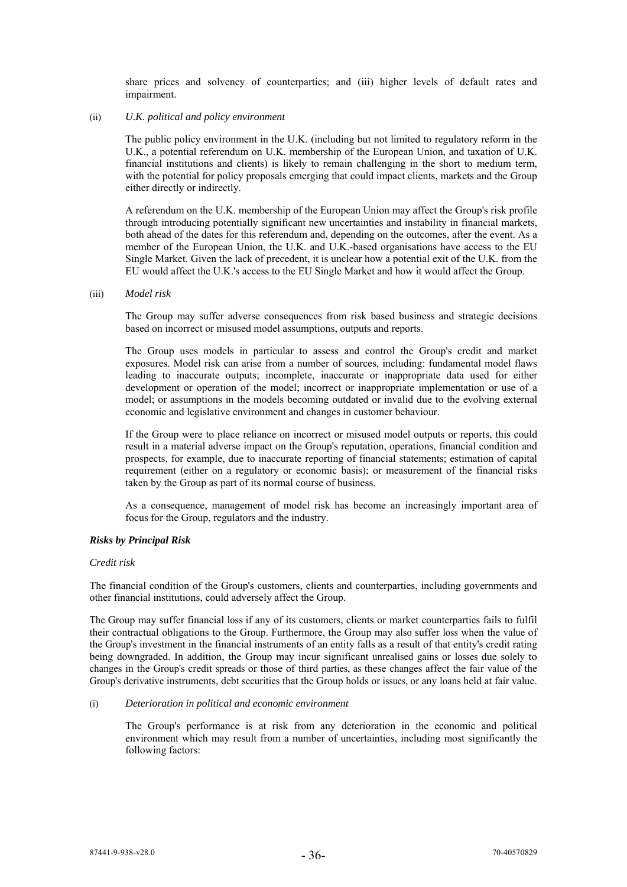share prices and solvency of counterparties; and (iii) higher levels of default rates and impairment.

### (ii) *U.K. political and policy environment*

The public policy environment in the U.K. (including but not limited to regulatory reform in the U.K., a potential referendum on U.K. membership of the European Union, and taxation of U.K. financial institutions and clients) is likely to remain challenging in the short to medium term, with the potential for policy proposals emerging that could impact clients, markets and the Group either directly or indirectly.

A referendum on the U.K. membership of the European Union may affect the Group's risk profile through introducing potentially significant new uncertainties and instability in financial markets, both ahead of the dates for this referendum and, depending on the outcomes, after the event. As a member of the European Union, the U.K. and U.K.-based organisations have access to the EU Single Market. Given the lack of precedent, it is unclear how a potential exit of the U.K. from the EU would affect the U.K.'s access to the EU Single Market and how it would affect the Group.

#### (iii) *Model risk*

The Group may suffer adverse consequences from risk based business and strategic decisions based on incorrect or misused model assumptions, outputs and reports.

The Group uses models in particular to assess and control the Group's credit and market exposures. Model risk can arise from a number of sources, including: fundamental model flaws leading to inaccurate outputs; incomplete, inaccurate or inappropriate data used for either development or operation of the model; incorrect or inappropriate implementation or use of a model; or assumptions in the models becoming outdated or invalid due to the evolving external economic and legislative environment and changes in customer behaviour.

If the Group were to place reliance on incorrect or misused model outputs or reports, this could result in a material adverse impact on the Group's reputation, operations, financial condition and prospects, for example, due to inaccurate reporting of financial statements; estimation of capital requirement (either on a regulatory or economic basis); or measurement of the financial risks taken by the Group as part of its normal course of business.

As a consequence, management of model risk has become an increasingly important area of focus for the Group, regulators and the industry.

# *Risks by Principal Risk*

### *Credit risk*

The financial condition of the Group's customers, clients and counterparties, including governments and other financial institutions, could adversely affect the Group.

The Group may suffer financial loss if any of its customers, clients or market counterparties fails to fulfil their contractual obligations to the Group. Furthermore, the Group may also suffer loss when the value of the Group's investment in the financial instruments of an entity falls as a result of that entity's credit rating being downgraded. In addition, the Group may incur significant unrealised gains or losses due solely to changes in the Group's credit spreads or those of third parties, as these changes affect the fair value of the Group's derivative instruments, debt securities that the Group holds or issues, or any loans held at fair value.

#### (i) *Deterioration in political and economic environment*

The Group's performance is at risk from any deterioration in the economic and political environment which may result from a number of uncertainties, including most significantly the following factors: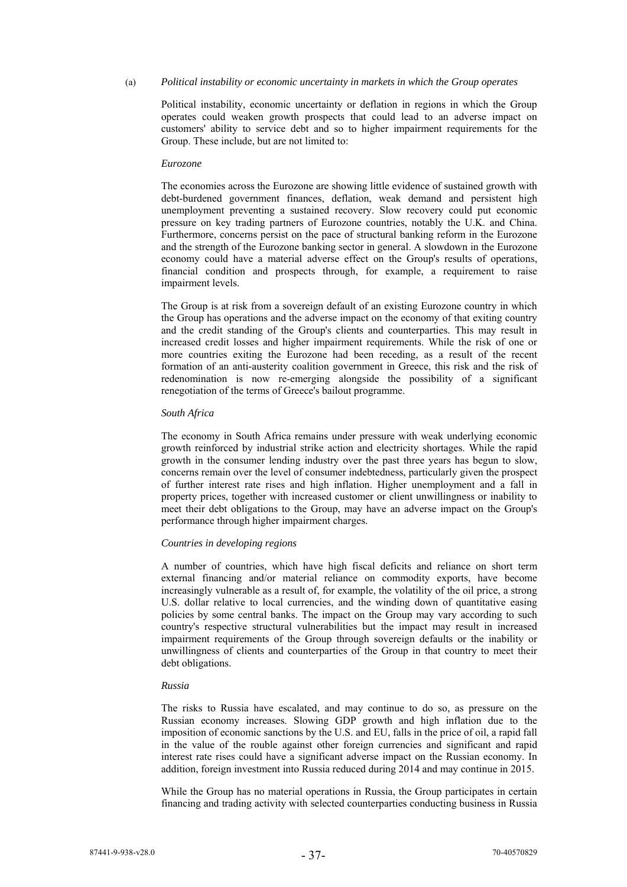### (a) *Political instability or economic uncertainty in markets in which the Group operates*

Political instability, economic uncertainty or deflation in regions in which the Group operates could weaken growth prospects that could lead to an adverse impact on customers' ability to service debt and so to higher impairment requirements for the Group. These include, but are not limited to:

#### *Eurozone*

The economies across the Eurozone are showing little evidence of sustained growth with debt-burdened government finances, deflation, weak demand and persistent high unemployment preventing a sustained recovery. Slow recovery could put economic pressure on key trading partners of Eurozone countries, notably the U.K. and China. Furthermore, concerns persist on the pace of structural banking reform in the Eurozone and the strength of the Eurozone banking sector in general. A slowdown in the Eurozone economy could have a material adverse effect on the Group's results of operations, financial condition and prospects through, for example, a requirement to raise impairment levels.

The Group is at risk from a sovereign default of an existing Eurozone country in which the Group has operations and the adverse impact on the economy of that exiting country and the credit standing of the Group's clients and counterparties. This may result in increased credit losses and higher impairment requirements. While the risk of one or more countries exiting the Eurozone had been receding, as a result of the recent formation of an anti-austerity coalition government in Greece, this risk and the risk of redenomination is now re-emerging alongside the possibility of a significant renegotiation of the terms of Greece's bailout programme.

#### *South Africa*

The economy in South Africa remains under pressure with weak underlying economic growth reinforced by industrial strike action and electricity shortages. While the rapid growth in the consumer lending industry over the past three years has begun to slow, concerns remain over the level of consumer indebtedness, particularly given the prospect of further interest rate rises and high inflation. Higher unemployment and a fall in property prices, together with increased customer or client unwillingness or inability to meet their debt obligations to the Group, may have an adverse impact on the Group's performance through higher impairment charges.

#### *Countries in developing regions*

A number of countries, which have high fiscal deficits and reliance on short term external financing and/or material reliance on commodity exports, have become increasingly vulnerable as a result of, for example, the volatility of the oil price, a strong U.S. dollar relative to local currencies, and the winding down of quantitative easing policies by some central banks. The impact on the Group may vary according to such country's respective structural vulnerabilities but the impact may result in increased impairment requirements of the Group through sovereign defaults or the inability or unwillingness of clients and counterparties of the Group in that country to meet their debt obligations.

#### *Russia*

The risks to Russia have escalated, and may continue to do so, as pressure on the Russian economy increases. Slowing GDP growth and high inflation due to the imposition of economic sanctions by the U.S. and EU, falls in the price of oil, a rapid fall in the value of the rouble against other foreign currencies and significant and rapid interest rate rises could have a significant adverse impact on the Russian economy. In addition, foreign investment into Russia reduced during 2014 and may continue in 2015.

While the Group has no material operations in Russia, the Group participates in certain financing and trading activity with selected counterparties conducting business in Russia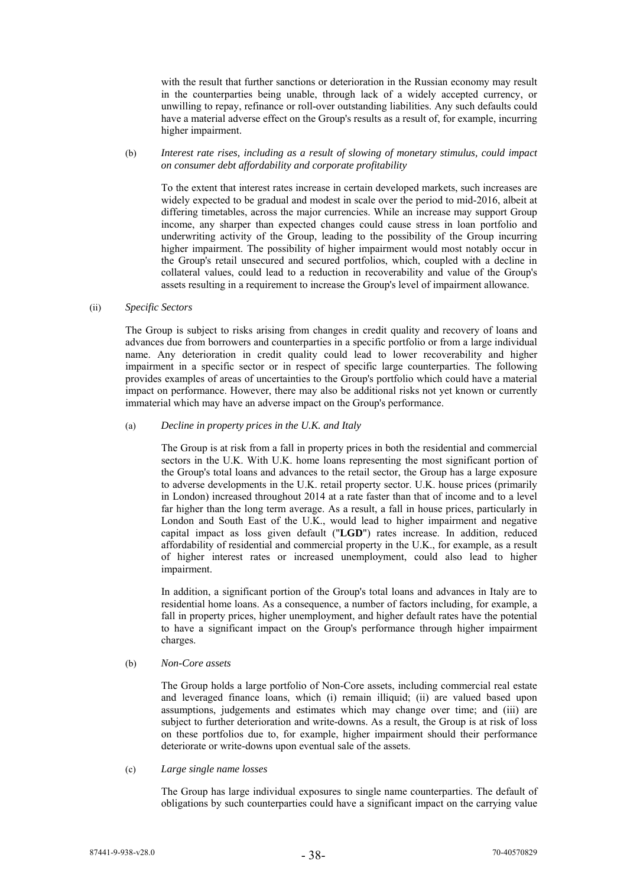with the result that further sanctions or deterioration in the Russian economy may result in the counterparties being unable, through lack of a widely accepted currency, or unwilling to repay, refinance or roll-over outstanding liabilities. Any such defaults could have a material adverse effect on the Group's results as a result of, for example, incurring higher impairment.

### (b) *Interest rate rises, including as a result of slowing of monetary stimulus, could impact on consumer debt affordability and corporate profitability*

To the extent that interest rates increase in certain developed markets, such increases are widely expected to be gradual and modest in scale over the period to mid-2016, albeit at differing timetables, across the major currencies. While an increase may support Group income, any sharper than expected changes could cause stress in loan portfolio and underwriting activity of the Group, leading to the possibility of the Group incurring higher impairment. The possibility of higher impairment would most notably occur in the Group's retail unsecured and secured portfolios, which, coupled with a decline in collateral values, could lead to a reduction in recoverability and value of the Group's assets resulting in a requirement to increase the Group's level of impairment allowance.

## (ii) *Specific Sectors*

The Group is subject to risks arising from changes in credit quality and recovery of loans and advances due from borrowers and counterparties in a specific portfolio or from a large individual name. Any deterioration in credit quality could lead to lower recoverability and higher impairment in a specific sector or in respect of specific large counterparties. The following provides examples of areas of uncertainties to the Group's portfolio which could have a material impact on performance. However, there may also be additional risks not yet known or currently immaterial which may have an adverse impact on the Group's performance.

### (a) *Decline in property prices in the U.K. and Italy*

The Group is at risk from a fall in property prices in both the residential and commercial sectors in the U.K. With U.K. home loans representing the most significant portion of the Group's total loans and advances to the retail sector, the Group has a large exposure to adverse developments in the U.K. retail property sector. U.K. house prices (primarily in London) increased throughout 2014 at a rate faster than that of income and to a level far higher than the long term average. As a result, a fall in house prices, particularly in London and South East of the U.K., would lead to higher impairment and negative capital impact as loss given default ("**LGD**") rates increase. In addition, reduced affordability of residential and commercial property in the U.K., for example, as a result of higher interest rates or increased unemployment, could also lead to higher impairment.

In addition, a significant portion of the Group's total loans and advances in Italy are to residential home loans. As a consequence, a number of factors including, for example, a fall in property prices, higher unemployment, and higher default rates have the potential to have a significant impact on the Group's performance through higher impairment charges.

# (b) *Non-Core assets*

The Group holds a large portfolio of Non-Core assets, including commercial real estate and leveraged finance loans, which (i) remain illiquid; (ii) are valued based upon assumptions, judgements and estimates which may change over time; and (iii) are subject to further deterioration and write-downs. As a result, the Group is at risk of loss on these portfolios due to, for example, higher impairment should their performance deteriorate or write-downs upon eventual sale of the assets.

### (c) *Large single name losses*

The Group has large individual exposures to single name counterparties. The default of obligations by such counterparties could have a significant impact on the carrying value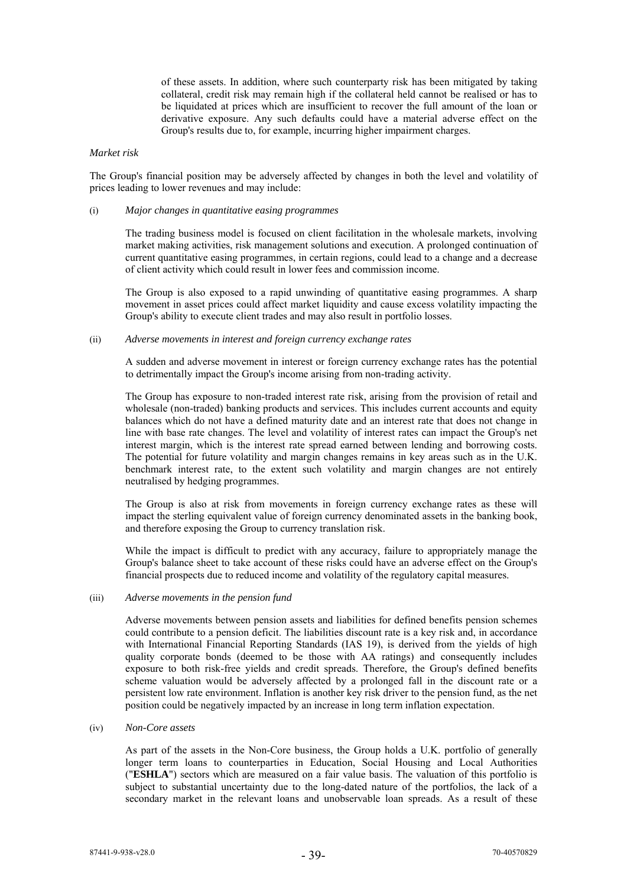of these assets. In addition, where such counterparty risk has been mitigated by taking collateral, credit risk may remain high if the collateral held cannot be realised or has to be liquidated at prices which are insufficient to recover the full amount of the loan or derivative exposure. Any such defaults could have a material adverse effect on the Group's results due to, for example, incurring higher impairment charges.

#### *Market risk*

The Group's financial position may be adversely affected by changes in both the level and volatility of prices leading to lower revenues and may include:

#### (i) *Major changes in quantitative easing programmes*

The trading business model is focused on client facilitation in the wholesale markets, involving market making activities, risk management solutions and execution. A prolonged continuation of current quantitative easing programmes, in certain regions, could lead to a change and a decrease of client activity which could result in lower fees and commission income.

The Group is also exposed to a rapid unwinding of quantitative easing programmes. A sharp movement in asset prices could affect market liquidity and cause excess volatility impacting the Group's ability to execute client trades and may also result in portfolio losses.

# (ii) *Adverse movements in interest and foreign currency exchange rates*

A sudden and adverse movement in interest or foreign currency exchange rates has the potential to detrimentally impact the Group's income arising from non-trading activity.

The Group has exposure to non-traded interest rate risk, arising from the provision of retail and wholesale (non-traded) banking products and services. This includes current accounts and equity balances which do not have a defined maturity date and an interest rate that does not change in line with base rate changes. The level and volatility of interest rates can impact the Group's net interest margin, which is the interest rate spread earned between lending and borrowing costs. The potential for future volatility and margin changes remains in key areas such as in the U.K. benchmark interest rate, to the extent such volatility and margin changes are not entirely neutralised by hedging programmes.

The Group is also at risk from movements in foreign currency exchange rates as these will impact the sterling equivalent value of foreign currency denominated assets in the banking book, and therefore exposing the Group to currency translation risk.

While the impact is difficult to predict with any accuracy, failure to appropriately manage the Group's balance sheet to take account of these risks could have an adverse effect on the Group's financial prospects due to reduced income and volatility of the regulatory capital measures.

### (iii) *Adverse movements in the pension fund*

Adverse movements between pension assets and liabilities for defined benefits pension schemes could contribute to a pension deficit. The liabilities discount rate is a key risk and, in accordance with International Financial Reporting Standards (IAS 19), is derived from the yields of high quality corporate bonds (deemed to be those with AA ratings) and consequently includes exposure to both risk-free yields and credit spreads. Therefore, the Group's defined benefits scheme valuation would be adversely affected by a prolonged fall in the discount rate or a persistent low rate environment. Inflation is another key risk driver to the pension fund, as the net position could be negatively impacted by an increase in long term inflation expectation.

#### (iv) *Non-Core assets*

As part of the assets in the Non-Core business, the Group holds a U.K. portfolio of generally longer term loans to counterparties in Education, Social Housing and Local Authorities ("**ESHLA**") sectors which are measured on a fair value basis. The valuation of this portfolio is subject to substantial uncertainty due to the long-dated nature of the portfolios, the lack of a secondary market in the relevant loans and unobservable loan spreads. As a result of these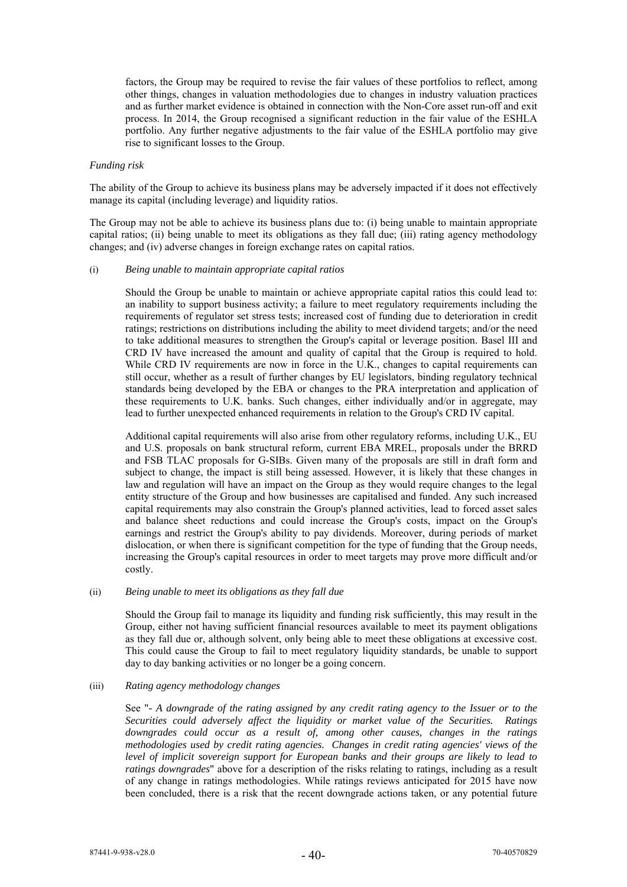factors, the Group may be required to revise the fair values of these portfolios to reflect, among other things, changes in valuation methodologies due to changes in industry valuation practices and as further market evidence is obtained in connection with the Non-Core asset run-off and exit process. In 2014, the Group recognised a significant reduction in the fair value of the ESHLA portfolio. Any further negative adjustments to the fair value of the ESHLA portfolio may give rise to significant losses to the Group.

#### *Funding risk*

The ability of the Group to achieve its business plans may be adversely impacted if it does not effectively manage its capital (including leverage) and liquidity ratios.

The Group may not be able to achieve its business plans due to: (i) being unable to maintain appropriate capital ratios; (ii) being unable to meet its obligations as they fall due; (iii) rating agency methodology changes; and (iv) adverse changes in foreign exchange rates on capital ratios.

# (i) *Being unable to maintain appropriate capital ratios*

Should the Group be unable to maintain or achieve appropriate capital ratios this could lead to: an inability to support business activity; a failure to meet regulatory requirements including the requirements of regulator set stress tests; increased cost of funding due to deterioration in credit ratings; restrictions on distributions including the ability to meet dividend targets; and/or the need to take additional measures to strengthen the Group's capital or leverage position. Basel III and CRD IV have increased the amount and quality of capital that the Group is required to hold. While CRD IV requirements are now in force in the U.K., changes to capital requirements can still occur, whether as a result of further changes by EU legislators, binding regulatory technical standards being developed by the EBA or changes to the PRA interpretation and application of these requirements to U.K. banks. Such changes, either individually and/or in aggregate, may lead to further unexpected enhanced requirements in relation to the Group's CRD IV capital.

Additional capital requirements will also arise from other regulatory reforms, including U.K., EU and U.S. proposals on bank structural reform, current EBA MREL, proposals under the BRRD and FSB TLAC proposals for G-SIBs. Given many of the proposals are still in draft form and subject to change, the impact is still being assessed. However, it is likely that these changes in law and regulation will have an impact on the Group as they would require changes to the legal entity structure of the Group and how businesses are capitalised and funded. Any such increased capital requirements may also constrain the Group's planned activities, lead to forced asset sales and balance sheet reductions and could increase the Group's costs, impact on the Group's earnings and restrict the Group's ability to pay dividends. Moreover, during periods of market dislocation, or when there is significant competition for the type of funding that the Group needs, increasing the Group's capital resources in order to meet targets may prove more difficult and/or costly.

### (ii) *Being unable to meet its obligations as they fall due*

Should the Group fail to manage its liquidity and funding risk sufficiently, this may result in the Group, either not having sufficient financial resources available to meet its payment obligations as they fall due or, although solvent, only being able to meet these obligations at excessive cost. This could cause the Group to fail to meet regulatory liquidity standards, be unable to support day to day banking activities or no longer be a going concern.

# (iii) *Rating agency methodology changes*

See "*- A downgrade of the rating assigned by any credit rating agency to the Issuer or to the Securities could adversely affect the liquidity or market value of the Securities. Ratings downgrades could occur as a result of, among other causes, changes in the ratings methodologies used by credit rating agencies. Changes in credit rating agencies' views of the level of implicit sovereign support for European banks and their groups are likely to lead to ratings downgrades*" above for a description of the risks relating to ratings, including as a result of any change in ratings methodologies. While ratings reviews anticipated for 2015 have now been concluded, there is a risk that the recent downgrade actions taken, or any potential future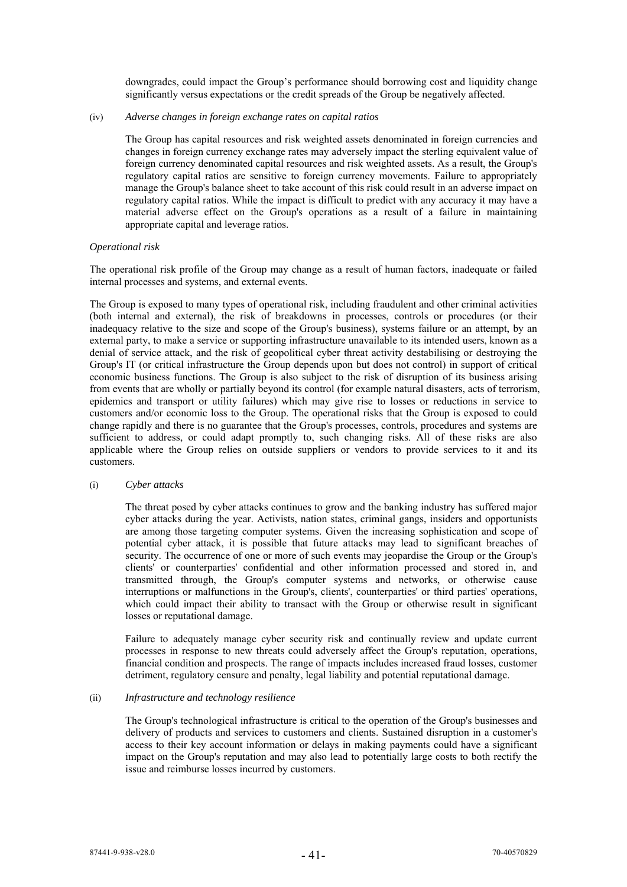downgrades, could impact the Group's performance should borrowing cost and liquidity change significantly versus expectations or the credit spreads of the Group be negatively affected.

### (iv) *Adverse changes in foreign exchange rates on capital ratios*

The Group has capital resources and risk weighted assets denominated in foreign currencies and changes in foreign currency exchange rates may adversely impact the sterling equivalent value of foreign currency denominated capital resources and risk weighted assets. As a result, the Group's regulatory capital ratios are sensitive to foreign currency movements. Failure to appropriately manage the Group's balance sheet to take account of this risk could result in an adverse impact on regulatory capital ratios. While the impact is difficult to predict with any accuracy it may have a material adverse effect on the Group's operations as a result of a failure in maintaining appropriate capital and leverage ratios.

### *Operational risk*

The operational risk profile of the Group may change as a result of human factors, inadequate or failed internal processes and systems, and external events.

The Group is exposed to many types of operational risk, including fraudulent and other criminal activities (both internal and external), the risk of breakdowns in processes, controls or procedures (or their inadequacy relative to the size and scope of the Group's business), systems failure or an attempt, by an external party, to make a service or supporting infrastructure unavailable to its intended users, known as a denial of service attack, and the risk of geopolitical cyber threat activity destabilising or destroying the Group's IT (or critical infrastructure the Group depends upon but does not control) in support of critical economic business functions. The Group is also subject to the risk of disruption of its business arising from events that are wholly or partially beyond its control (for example natural disasters, acts of terrorism, epidemics and transport or utility failures) which may give rise to losses or reductions in service to customers and/or economic loss to the Group. The operational risks that the Group is exposed to could change rapidly and there is no guarantee that the Group's processes, controls, procedures and systems are sufficient to address, or could adapt promptly to, such changing risks. All of these risks are also applicable where the Group relies on outside suppliers or vendors to provide services to it and its customers.

# (i) *Cyber attacks*

The threat posed by cyber attacks continues to grow and the banking industry has suffered major cyber attacks during the year. Activists, nation states, criminal gangs, insiders and opportunists are among those targeting computer systems. Given the increasing sophistication and scope of potential cyber attack, it is possible that future attacks may lead to significant breaches of security. The occurrence of one or more of such events may jeopardise the Group or the Group's clients' or counterparties' confidential and other information processed and stored in, and transmitted through, the Group's computer systems and networks, or otherwise cause interruptions or malfunctions in the Group's, clients', counterparties' or third parties' operations, which could impact their ability to transact with the Group or otherwise result in significant losses or reputational damage.

Failure to adequately manage cyber security risk and continually review and update current processes in response to new threats could adversely affect the Group's reputation, operations, financial condition and prospects. The range of impacts includes increased fraud losses, customer detriment, regulatory censure and penalty, legal liability and potential reputational damage.

### (ii) *Infrastructure and technology resilience*

The Group's technological infrastructure is critical to the operation of the Group's businesses and delivery of products and services to customers and clients. Sustained disruption in a customer's access to their key account information or delays in making payments could have a significant impact on the Group's reputation and may also lead to potentially large costs to both rectify the issue and reimburse losses incurred by customers.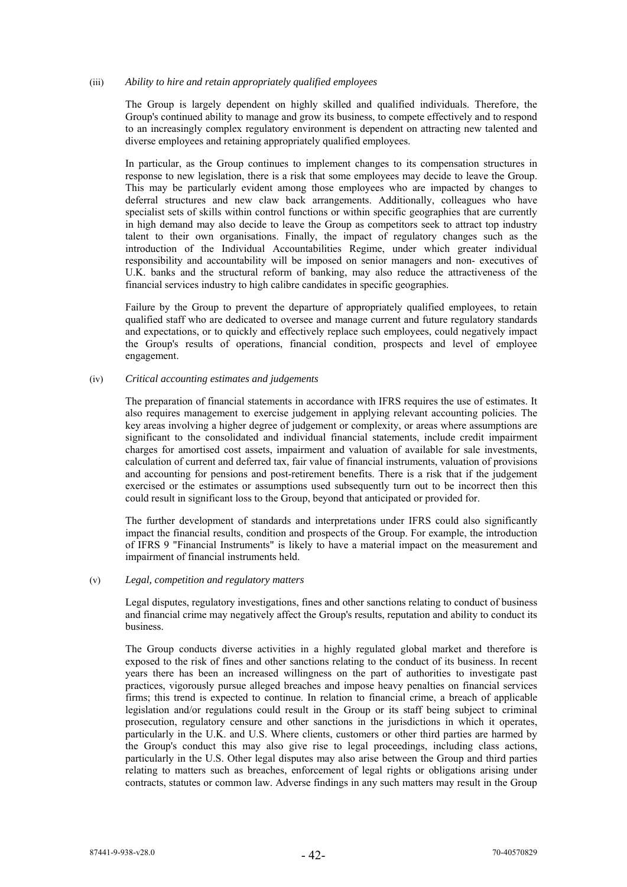### (iii) *Ability to hire and retain appropriately qualified employees*

The Group is largely dependent on highly skilled and qualified individuals. Therefore, the Group's continued ability to manage and grow its business, to compete effectively and to respond to an increasingly complex regulatory environment is dependent on attracting new talented and diverse employees and retaining appropriately qualified employees.

In particular, as the Group continues to implement changes to its compensation structures in response to new legislation, there is a risk that some employees may decide to leave the Group. This may be particularly evident among those employees who are impacted by changes to deferral structures and new claw back arrangements. Additionally, colleagues who have specialist sets of skills within control functions or within specific geographies that are currently in high demand may also decide to leave the Group as competitors seek to attract top industry talent to their own organisations. Finally, the impact of regulatory changes such as the introduction of the Individual Accountabilities Regime, under which greater individual responsibility and accountability will be imposed on senior managers and non- executives of U.K. banks and the structural reform of banking, may also reduce the attractiveness of the financial services industry to high calibre candidates in specific geographies.

Failure by the Group to prevent the departure of appropriately qualified employees, to retain qualified staff who are dedicated to oversee and manage current and future regulatory standards and expectations, or to quickly and effectively replace such employees, could negatively impact the Group's results of operations, financial condition, prospects and level of employee engagement.

### (iv) *Critical accounting estimates and judgements*

The preparation of financial statements in accordance with IFRS requires the use of estimates. It also requires management to exercise judgement in applying relevant accounting policies. The key areas involving a higher degree of judgement or complexity, or areas where assumptions are significant to the consolidated and individual financial statements, include credit impairment charges for amortised cost assets, impairment and valuation of available for sale investments, calculation of current and deferred tax, fair value of financial instruments, valuation of provisions and accounting for pensions and post-retirement benefits. There is a risk that if the judgement exercised or the estimates or assumptions used subsequently turn out to be incorrect then this could result in significant loss to the Group, beyond that anticipated or provided for.

The further development of standards and interpretations under IFRS could also significantly impact the financial results, condition and prospects of the Group. For example, the introduction of IFRS 9 "Financial Instruments" is likely to have a material impact on the measurement and impairment of financial instruments held.

# (v) *Legal, competition and regulatory matters*

Legal disputes, regulatory investigations, fines and other sanctions relating to conduct of business and financial crime may negatively affect the Group's results, reputation and ability to conduct its business.

The Group conducts diverse activities in a highly regulated global market and therefore is exposed to the risk of fines and other sanctions relating to the conduct of its business. In recent years there has been an increased willingness on the part of authorities to investigate past practices, vigorously pursue alleged breaches and impose heavy penalties on financial services firms; this trend is expected to continue. In relation to financial crime, a breach of applicable legislation and/or regulations could result in the Group or its staff being subject to criminal prosecution, regulatory censure and other sanctions in the jurisdictions in which it operates, particularly in the U.K. and U.S. Where clients, customers or other third parties are harmed by the Group's conduct this may also give rise to legal proceedings, including class actions, particularly in the U.S. Other legal disputes may also arise between the Group and third parties relating to matters such as breaches, enforcement of legal rights or obligations arising under contracts, statutes or common law. Adverse findings in any such matters may result in the Group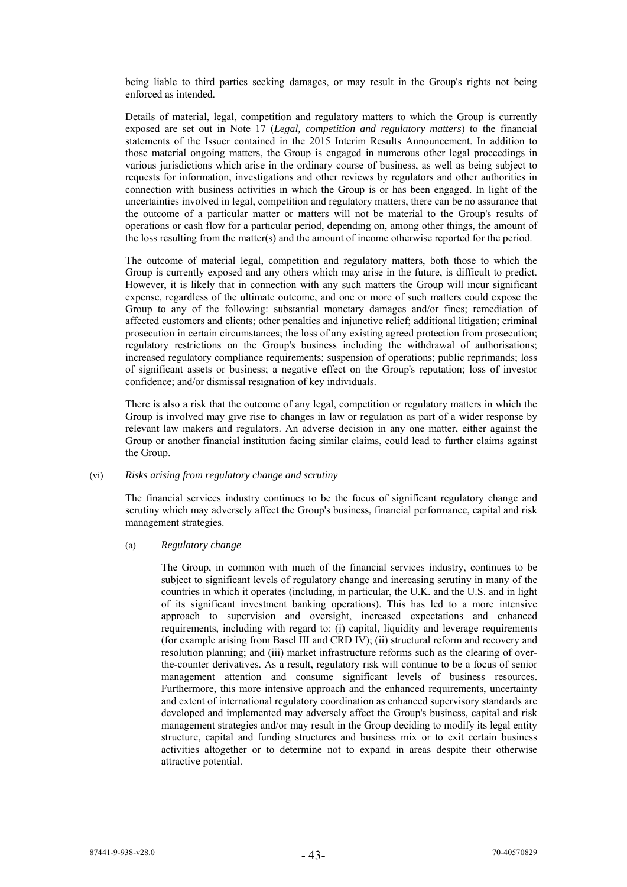being liable to third parties seeking damages, or may result in the Group's rights not being enforced as intended.

Details of material, legal, competition and regulatory matters to which the Group is currently exposed are set out in Note 17 (*Legal, competition and regulatory matters*) to the financial statements of the Issuer contained in the 2015 Interim Results Announcement. In addition to those material ongoing matters, the Group is engaged in numerous other legal proceedings in various jurisdictions which arise in the ordinary course of business, as well as being subject to requests for information, investigations and other reviews by regulators and other authorities in connection with business activities in which the Group is or has been engaged. In light of the uncertainties involved in legal, competition and regulatory matters, there can be no assurance that the outcome of a particular matter or matters will not be material to the Group's results of operations or cash flow for a particular period, depending on, among other things, the amount of the loss resulting from the matter(s) and the amount of income otherwise reported for the period.

The outcome of material legal, competition and regulatory matters, both those to which the Group is currently exposed and any others which may arise in the future, is difficult to predict. However, it is likely that in connection with any such matters the Group will incur significant expense, regardless of the ultimate outcome, and one or more of such matters could expose the Group to any of the following: substantial monetary damages and/or fines; remediation of affected customers and clients; other penalties and injunctive relief; additional litigation; criminal prosecution in certain circumstances; the loss of any existing agreed protection from prosecution; regulatory restrictions on the Group's business including the withdrawal of authorisations; increased regulatory compliance requirements; suspension of operations; public reprimands; loss of significant assets or business; a negative effect on the Group's reputation; loss of investor confidence; and/or dismissal resignation of key individuals.

There is also a risk that the outcome of any legal, competition or regulatory matters in which the Group is involved may give rise to changes in law or regulation as part of a wider response by relevant law makers and regulators. An adverse decision in any one matter, either against the Group or another financial institution facing similar claims, could lead to further claims against the Group.

#### (vi) *Risks arising from regulatory change and scrutiny*

The financial services industry continues to be the focus of significant regulatory change and scrutiny which may adversely affect the Group's business, financial performance, capital and risk management strategies.

#### (a) *Regulatory change*

The Group, in common with much of the financial services industry, continues to be subject to significant levels of regulatory change and increasing scrutiny in many of the countries in which it operates (including, in particular, the U.K. and the U.S. and in light of its significant investment banking operations). This has led to a more intensive approach to supervision and oversight, increased expectations and enhanced requirements, including with regard to: (i) capital, liquidity and leverage requirements (for example arising from Basel III and CRD IV); (ii) structural reform and recovery and resolution planning; and (iii) market infrastructure reforms such as the clearing of overthe-counter derivatives. As a result, regulatory risk will continue to be a focus of senior management attention and consume significant levels of business resources. Furthermore, this more intensive approach and the enhanced requirements, uncertainty and extent of international regulatory coordination as enhanced supervisory standards are developed and implemented may adversely affect the Group's business, capital and risk management strategies and/or may result in the Group deciding to modify its legal entity structure, capital and funding structures and business mix or to exit certain business activities altogether or to determine not to expand in areas despite their otherwise attractive potential.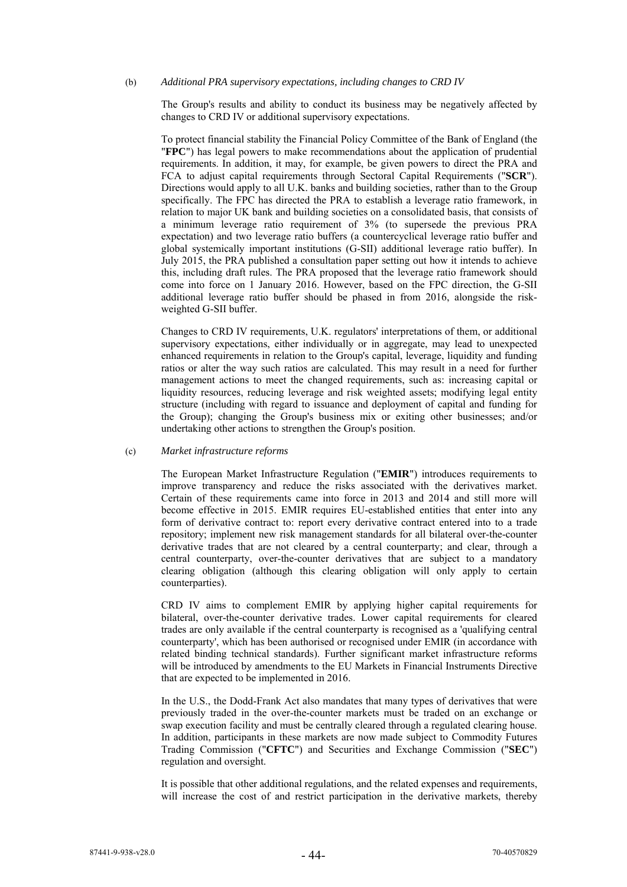#### (b) *Additional PRA supervisory expectations, including changes to CRD IV*

The Group's results and ability to conduct its business may be negatively affected by changes to CRD IV or additional supervisory expectations.

To protect financial stability the Financial Policy Committee of the Bank of England (the "**FPC**") has legal powers to make recommendations about the application of prudential requirements. In addition, it may, for example, be given powers to direct the PRA and FCA to adjust capital requirements through Sectoral Capital Requirements ("**SCR**"). Directions would apply to all U.K. banks and building societies, rather than to the Group specifically. The FPC has directed the PRA to establish a leverage ratio framework, in relation to major UK bank and building societies on a consolidated basis, that consists of a minimum leverage ratio requirement of 3% (to supersede the previous PRA expectation) and two leverage ratio buffers (a countercyclical leverage ratio buffer and global systemically important institutions (G-SII) additional leverage ratio buffer). In July 2015, the PRA published a consultation paper setting out how it intends to achieve this, including draft rules. The PRA proposed that the leverage ratio framework should come into force on 1 January 2016. However, based on the FPC direction, the G-SII additional leverage ratio buffer should be phased in from 2016, alongside the riskweighted G-SII buffer.

Changes to CRD IV requirements, U.K. regulators' interpretations of them, or additional supervisory expectations, either individually or in aggregate, may lead to unexpected enhanced requirements in relation to the Group's capital, leverage, liquidity and funding ratios or alter the way such ratios are calculated. This may result in a need for further management actions to meet the changed requirements, such as: increasing capital or liquidity resources, reducing leverage and risk weighted assets; modifying legal entity structure (including with regard to issuance and deployment of capital and funding for the Group); changing the Group's business mix or exiting other businesses; and/or undertaking other actions to strengthen the Group's position.

#### (c) *Market infrastructure reforms*

The European Market Infrastructure Regulation ("**EMIR**") introduces requirements to improve transparency and reduce the risks associated with the derivatives market. Certain of these requirements came into force in 2013 and 2014 and still more will become effective in 2015. EMIR requires EU-established entities that enter into any form of derivative contract to: report every derivative contract entered into to a trade repository; implement new risk management standards for all bilateral over-the-counter derivative trades that are not cleared by a central counterparty; and clear, through a central counterparty, over-the-counter derivatives that are subject to a mandatory clearing obligation (although this clearing obligation will only apply to certain counterparties).

CRD IV aims to complement EMIR by applying higher capital requirements for bilateral, over-the-counter derivative trades. Lower capital requirements for cleared trades are only available if the central counterparty is recognised as a 'qualifying central counterparty', which has been authorised or recognised under EMIR (in accordance with related binding technical standards). Further significant market infrastructure reforms will be introduced by amendments to the EU Markets in Financial Instruments Directive that are expected to be implemented in 2016.

In the U.S., the Dodd-Frank Act also mandates that many types of derivatives that were previously traded in the over-the-counter markets must be traded on an exchange or swap execution facility and must be centrally cleared through a regulated clearing house. In addition, participants in these markets are now made subject to Commodity Futures Trading Commission ("**CFTC**") and Securities and Exchange Commission ("**SEC**") regulation and oversight.

It is possible that other additional regulations, and the related expenses and requirements, will increase the cost of and restrict participation in the derivative markets, thereby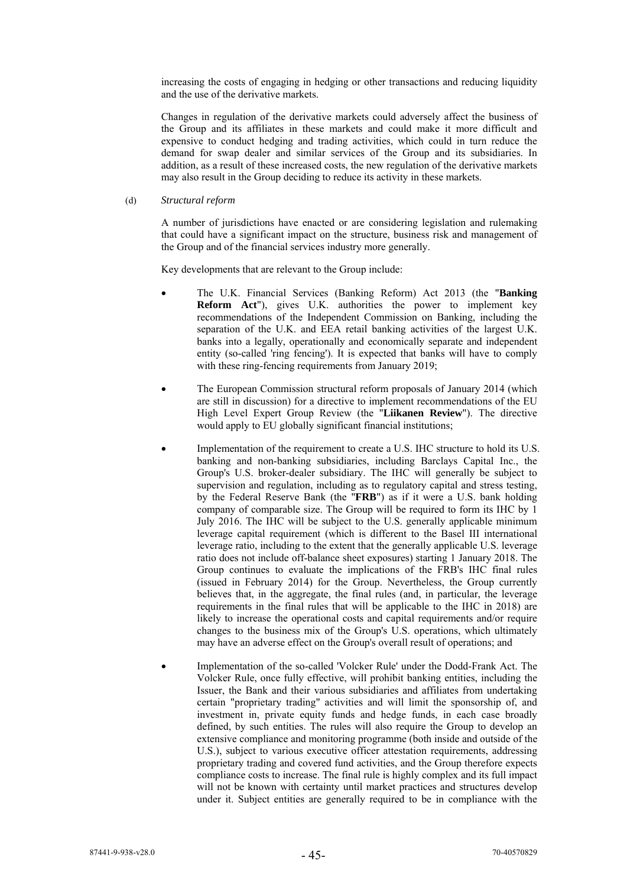increasing the costs of engaging in hedging or other transactions and reducing liquidity and the use of the derivative markets.

Changes in regulation of the derivative markets could adversely affect the business of the Group and its affiliates in these markets and could make it more difficult and expensive to conduct hedging and trading activities, which could in turn reduce the demand for swap dealer and similar services of the Group and its subsidiaries. In addition, as a result of these increased costs, the new regulation of the derivative markets may also result in the Group deciding to reduce its activity in these markets.

(d) *Structural reform* 

A number of jurisdictions have enacted or are considering legislation and rulemaking that could have a significant impact on the structure, business risk and management of the Group and of the financial services industry more generally.

Key developments that are relevant to the Group include:

- The U.K. Financial Services (Banking Reform) Act 2013 (the "**Banking Reform Act**"), gives U.K. authorities the power to implement key recommendations of the Independent Commission on Banking, including the separation of the U.K. and EEA retail banking activities of the largest U.K. banks into a legally, operationally and economically separate and independent entity (so-called 'ring fencing'). It is expected that banks will have to comply with these ring-fencing requirements from January 2019;
- The European Commission structural reform proposals of January 2014 (which are still in discussion) for a directive to implement recommendations of the EU High Level Expert Group Review (the "**Liikanen Review**"). The directive would apply to EU globally significant financial institutions;
- Implementation of the requirement to create a U.S. IHC structure to hold its U.S. banking and non-banking subsidiaries, including Barclays Capital Inc., the Group's U.S. broker-dealer subsidiary. The IHC will generally be subject to supervision and regulation, including as to regulatory capital and stress testing, by the Federal Reserve Bank (the "**FRB**") as if it were a U.S. bank holding company of comparable size. The Group will be required to form its IHC by 1 July 2016. The IHC will be subject to the U.S. generally applicable minimum leverage capital requirement (which is different to the Basel III international leverage ratio, including to the extent that the generally applicable U.S. leverage ratio does not include off-balance sheet exposures) starting 1 January 2018. The Group continues to evaluate the implications of the FRB's IHC final rules (issued in February 2014) for the Group. Nevertheless, the Group currently believes that, in the aggregate, the final rules (and, in particular, the leverage requirements in the final rules that will be applicable to the IHC in 2018) are likely to increase the operational costs and capital requirements and/or require changes to the business mix of the Group's U.S. operations, which ultimately may have an adverse effect on the Group's overall result of operations; and
- Implementation of the so-called 'Volcker Rule' under the Dodd-Frank Act. The Volcker Rule, once fully effective, will prohibit banking entities, including the Issuer, the Bank and their various subsidiaries and affiliates from undertaking certain "proprietary trading" activities and will limit the sponsorship of, and investment in, private equity funds and hedge funds, in each case broadly defined, by such entities. The rules will also require the Group to develop an extensive compliance and monitoring programme (both inside and outside of the U.S.), subject to various executive officer attestation requirements, addressing proprietary trading and covered fund activities, and the Group therefore expects compliance costs to increase. The final rule is highly complex and its full impact will not be known with certainty until market practices and structures develop under it. Subject entities are generally required to be in compliance with the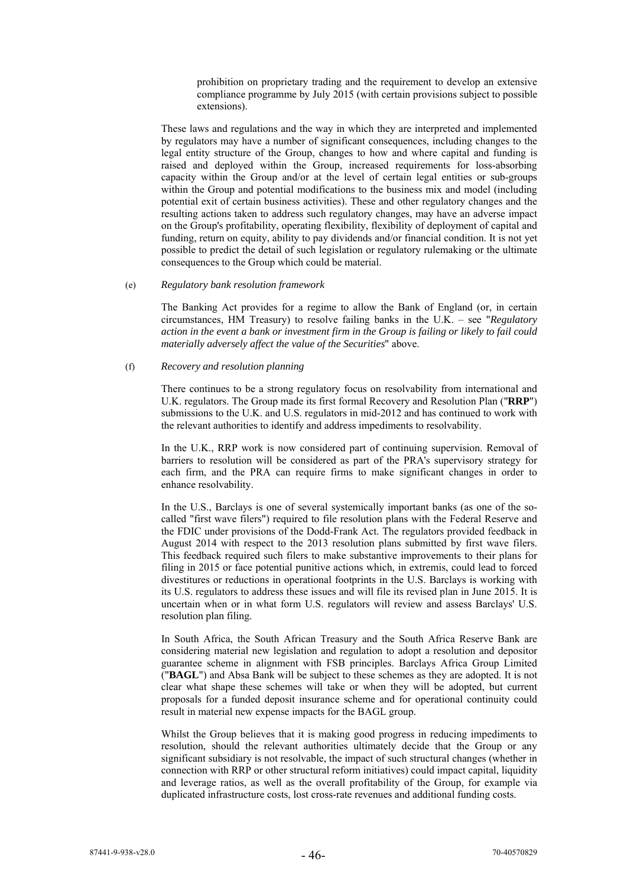prohibition on proprietary trading and the requirement to develop an extensive compliance programme by July 2015 (with certain provisions subject to possible extensions).

These laws and regulations and the way in which they are interpreted and implemented by regulators may have a number of significant consequences, including changes to the legal entity structure of the Group, changes to how and where capital and funding is raised and deployed within the Group, increased requirements for loss-absorbing capacity within the Group and/or at the level of certain legal entities or sub-groups within the Group and potential modifications to the business mix and model (including potential exit of certain business activities). These and other regulatory changes and the resulting actions taken to address such regulatory changes, may have an adverse impact on the Group's profitability, operating flexibility, flexibility of deployment of capital and funding, return on equity, ability to pay dividends and/or financial condition. It is not yet possible to predict the detail of such legislation or regulatory rulemaking or the ultimate consequences to the Group which could be material.

### (e) *Regulatory bank resolution framework*

The Banking Act provides for a regime to allow the Bank of England (or, in certain circumstances, HM Treasury) to resolve failing banks in the U.K. – see "*Regulatory action in the event a bank or investment firm in the Group is failing or likely to fail could materially adversely affect the value of the Securities*" above.

# (f) *Recovery and resolution planning*

There continues to be a strong regulatory focus on resolvability from international and U.K. regulators. The Group made its first formal Recovery and Resolution Plan ("**RRP**") submissions to the U.K. and U.S. regulators in mid-2012 and has continued to work with the relevant authorities to identify and address impediments to resolvability.

In the U.K., RRP work is now considered part of continuing supervision. Removal of barriers to resolution will be considered as part of the PRA's supervisory strategy for each firm, and the PRA can require firms to make significant changes in order to enhance resolvability.

In the U.S., Barclays is one of several systemically important banks (as one of the socalled "first wave filers") required to file resolution plans with the Federal Reserve and the FDIC under provisions of the Dodd-Frank Act. The regulators provided feedback in August 2014 with respect to the 2013 resolution plans submitted by first wave filers. This feedback required such filers to make substantive improvements to their plans for filing in 2015 or face potential punitive actions which, in extremis, could lead to forced divestitures or reductions in operational footprints in the U.S. Barclays is working with its U.S. regulators to address these issues and will file its revised plan in June 2015. It is uncertain when or in what form U.S. regulators will review and assess Barclays' U.S. resolution plan filing.

In South Africa, the South African Treasury and the South Africa Reserve Bank are considering material new legislation and regulation to adopt a resolution and depositor guarantee scheme in alignment with FSB principles. Barclays Africa Group Limited ("**BAGL**") and Absa Bank will be subject to these schemes as they are adopted. It is not clear what shape these schemes will take or when they will be adopted, but current proposals for a funded deposit insurance scheme and for operational continuity could result in material new expense impacts for the BAGL group.

Whilst the Group believes that it is making good progress in reducing impediments to resolution, should the relevant authorities ultimately decide that the Group or any significant subsidiary is not resolvable, the impact of such structural changes (whether in connection with RRP or other structural reform initiatives) could impact capital, liquidity and leverage ratios, as well as the overall profitability of the Group, for example via duplicated infrastructure costs, lost cross-rate revenues and additional funding costs.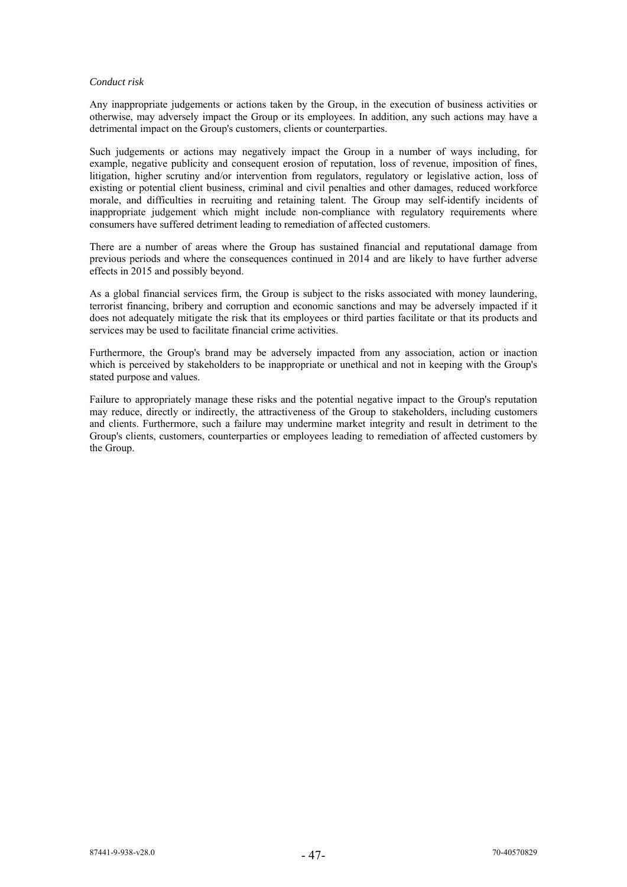### *Conduct risk*

Any inappropriate judgements or actions taken by the Group, in the execution of business activities or otherwise, may adversely impact the Group or its employees. In addition, any such actions may have a detrimental impact on the Group's customers, clients or counterparties.

Such judgements or actions may negatively impact the Group in a number of ways including, for example, negative publicity and consequent erosion of reputation, loss of revenue, imposition of fines, litigation, higher scrutiny and/or intervention from regulators, regulatory or legislative action, loss of existing or potential client business, criminal and civil penalties and other damages, reduced workforce morale, and difficulties in recruiting and retaining talent. The Group may self-identify incidents of inappropriate judgement which might include non-compliance with regulatory requirements where consumers have suffered detriment leading to remediation of affected customers.

There are a number of areas where the Group has sustained financial and reputational damage from previous periods and where the consequences continued in 2014 and are likely to have further adverse effects in 2015 and possibly beyond.

As a global financial services firm, the Group is subject to the risks associated with money laundering, terrorist financing, bribery and corruption and economic sanctions and may be adversely impacted if it does not adequately mitigate the risk that its employees or third parties facilitate or that its products and services may be used to facilitate financial crime activities.

Furthermore, the Group's brand may be adversely impacted from any association, action or inaction which is perceived by stakeholders to be inappropriate or unethical and not in keeping with the Group's stated purpose and values.

Failure to appropriately manage these risks and the potential negative impact to the Group's reputation may reduce, directly or indirectly, the attractiveness of the Group to stakeholders, including customers and clients. Furthermore, such a failure may undermine market integrity and result in detriment to the Group's clients, customers, counterparties or employees leading to remediation of affected customers by the Group.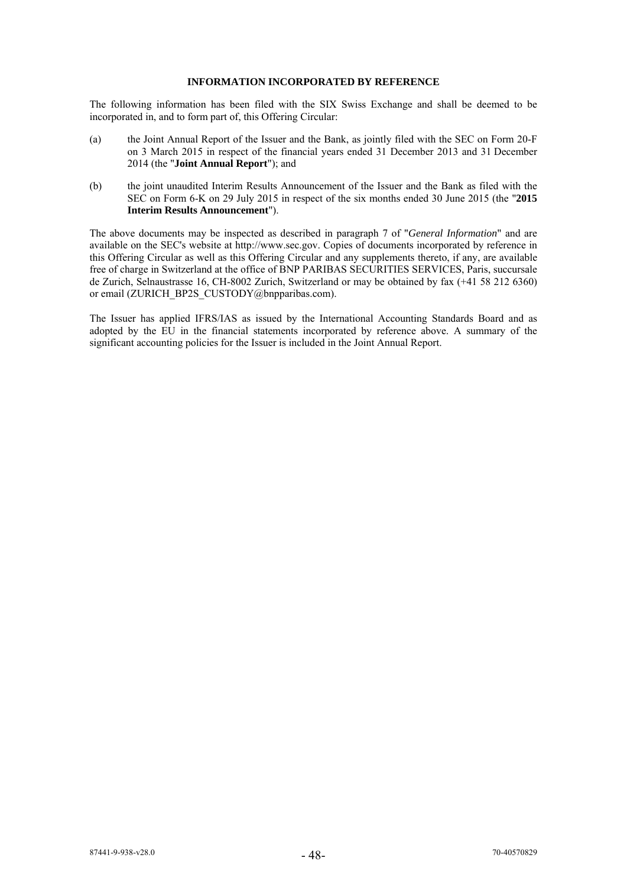# **INFORMATION INCORPORATED BY REFERENCE**

The following information has been filed with the SIX Swiss Exchange and shall be deemed to be incorporated in, and to form part of, this Offering Circular:

- (a) the Joint Annual Report of the Issuer and the Bank, as jointly filed with the SEC on Form 20-F on 3 March 2015 in respect of the financial years ended 31 December 2013 and 31 December 2014 (the "**Joint Annual Report**"); and
- (b) the joint unaudited Interim Results Announcement of the Issuer and the Bank as filed with the SEC on Form 6-K on 29 July 2015 in respect of the six months ended 30 June 2015 (the "**2015 Interim Results Announcement**").

The above documents may be inspected as described in paragraph 7 of "*General Information*" and are available on the SEC's website at http://www.sec.gov. Copies of documents incorporated by reference in this Offering Circular as well as this Offering Circular and any supplements thereto, if any, are available free of charge in Switzerland at the office of BNP PARIBAS SECURITIES SERVICES, Paris, succursale de Zurich, Selnaustrasse 16, CH-8002 Zurich, Switzerland or may be obtained by fax (+41 58 212 6360) or email (ZURICH\_BP2S\_CUSTODY@bnpparibas.com).

The Issuer has applied IFRS/IAS as issued by the International Accounting Standards Board and as adopted by the EU in the financial statements incorporated by reference above. A summary of the significant accounting policies for the Issuer is included in the Joint Annual Report.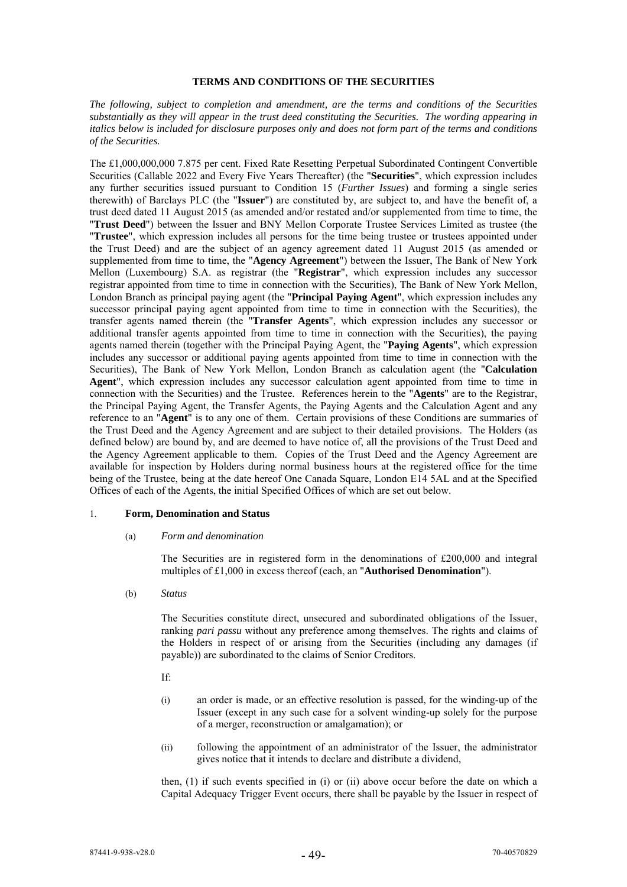### **TERMS AND CONDITIONS OF THE SECURITIES**

*The following, subject to completion and amendment, are the terms and conditions of the Securities substantially as they will appear in the trust deed constituting the Securities. The wording appearing in italics below is included for disclosure purposes only and does not form part of the terms and conditions of the Securities.* 

The £1,000,000,000 7.875 per cent. Fixed Rate Resetting Perpetual Subordinated Contingent Convertible Securities (Callable 2022 and Every Five Years Thereafter) (the "**Securities**", which expression includes any further securities issued pursuant to Condition 15 (*Further Issues*) and forming a single series therewith) of Barclays PLC (the "**Issuer**") are constituted by, are subject to, and have the benefit of, a trust deed dated 11 August 2015 (as amended and/or restated and/or supplemented from time to time, the "**Trust Deed**") between the Issuer and BNY Mellon Corporate Trustee Services Limited as trustee (the "**Trustee**", which expression includes all persons for the time being trustee or trustees appointed under the Trust Deed) and are the subject of an agency agreement dated 11 August 2015 (as amended or supplemented from time to time, the "**Agency Agreement**") between the Issuer, The Bank of New York Mellon (Luxembourg) S.A. as registrar (the "**Registrar**", which expression includes any successor registrar appointed from time to time in connection with the Securities), The Bank of New York Mellon, London Branch as principal paying agent (the "**Principal Paying Agent**", which expression includes any successor principal paying agent appointed from time to time in connection with the Securities), the transfer agents named therein (the "**Transfer Agents**", which expression includes any successor or additional transfer agents appointed from time to time in connection with the Securities), the paying agents named therein (together with the Principal Paying Agent, the "**Paying Agents**", which expression includes any successor or additional paying agents appointed from time to time in connection with the Securities), The Bank of New York Mellon, London Branch as calculation agent (the "**Calculation Agent**", which expression includes any successor calculation agent appointed from time to time in connection with the Securities) and the Trustee. References herein to the "**Agents**" are to the Registrar, the Principal Paying Agent, the Transfer Agents, the Paying Agents and the Calculation Agent and any reference to an "**Agent**" is to any one of them. Certain provisions of these Conditions are summaries of the Trust Deed and the Agency Agreement and are subject to their detailed provisions. The Holders (as defined below) are bound by, and are deemed to have notice of, all the provisions of the Trust Deed and the Agency Agreement applicable to them. Copies of the Trust Deed and the Agency Agreement are available for inspection by Holders during normal business hours at the registered office for the time being of the Trustee, being at the date hereof One Canada Square, London E14 5AL and at the Specified Offices of each of the Agents, the initial Specified Offices of which are set out below.

#### 1. **Form, Denomination and Status**

### (a) *Form and denomination*

The Securities are in registered form in the denominations of £200,000 and integral multiples of £1,000 in excess thereof (each, an "**Authorised Denomination**").

(b) *Status*

The Securities constitute direct, unsecured and subordinated obligations of the Issuer, ranking *pari passu* without any preference among themselves. The rights and claims of the Holders in respect of or arising from the Securities (including any damages (if payable)) are subordinated to the claims of Senior Creditors.

- If:
- (i) an order is made, or an effective resolution is passed, for the winding-up of the Issuer (except in any such case for a solvent winding-up solely for the purpose of a merger, reconstruction or amalgamation); or
- (ii) following the appointment of an administrator of the Issuer, the administrator gives notice that it intends to declare and distribute a dividend,

then, (1) if such events specified in (i) or (ii) above occur before the date on which a Capital Adequacy Trigger Event occurs, there shall be payable by the Issuer in respect of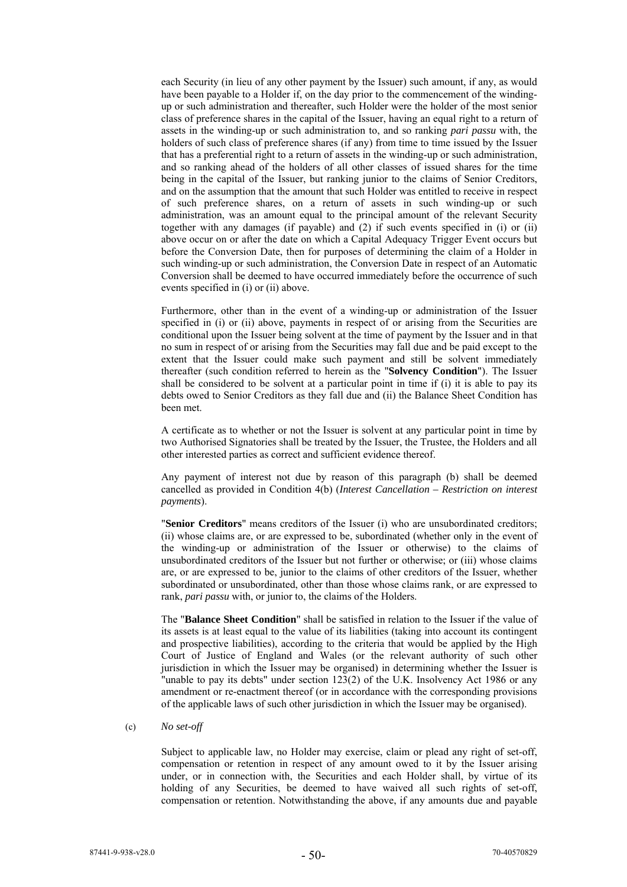each Security (in lieu of any other payment by the Issuer) such amount, if any, as would have been payable to a Holder if, on the day prior to the commencement of the windingup or such administration and thereafter, such Holder were the holder of the most senior class of preference shares in the capital of the Issuer, having an equal right to a return of assets in the winding-up or such administration to, and so ranking *pari passu* with, the holders of such class of preference shares (if any) from time to time issued by the Issuer that has a preferential right to a return of assets in the winding-up or such administration, and so ranking ahead of the holders of all other classes of issued shares for the time being in the capital of the Issuer, but ranking junior to the claims of Senior Creditors, and on the assumption that the amount that such Holder was entitled to receive in respect of such preference shares, on a return of assets in such winding-up or such administration, was an amount equal to the principal amount of the relevant Security together with any damages (if payable) and (2) if such events specified in (i) or (ii) above occur on or after the date on which a Capital Adequacy Trigger Event occurs but before the Conversion Date, then for purposes of determining the claim of a Holder in such winding-up or such administration, the Conversion Date in respect of an Automatic Conversion shall be deemed to have occurred immediately before the occurrence of such events specified in (i) or (ii) above.

Furthermore, other than in the event of a winding-up or administration of the Issuer specified in (i) or (ii) above, payments in respect of or arising from the Securities are conditional upon the Issuer being solvent at the time of payment by the Issuer and in that no sum in respect of or arising from the Securities may fall due and be paid except to the extent that the Issuer could make such payment and still be solvent immediately thereafter (such condition referred to herein as the "**Solvency Condition**"). The Issuer shall be considered to be solvent at a particular point in time if (i) it is able to pay its debts owed to Senior Creditors as they fall due and (ii) the Balance Sheet Condition has been met.

A certificate as to whether or not the Issuer is solvent at any particular point in time by two Authorised Signatories shall be treated by the Issuer, the Trustee, the Holders and all other interested parties as correct and sufficient evidence thereof.

Any payment of interest not due by reason of this paragraph (b) shall be deemed cancelled as provided in Condition 4(b) (*Interest Cancellation – Restriction on interest payments*).

"**Senior Creditors**" means creditors of the Issuer (i) who are unsubordinated creditors; (ii) whose claims are, or are expressed to be, subordinated (whether only in the event of the winding-up or administration of the Issuer or otherwise) to the claims of unsubordinated creditors of the Issuer but not further or otherwise; or (iii) whose claims are, or are expressed to be, junior to the claims of other creditors of the Issuer, whether subordinated or unsubordinated, other than those whose claims rank, or are expressed to rank, *pari passu* with, or junior to, the claims of the Holders.

The "**Balance Sheet Condition**" shall be satisfied in relation to the Issuer if the value of its assets is at least equal to the value of its liabilities (taking into account its contingent and prospective liabilities), according to the criteria that would be applied by the High Court of Justice of England and Wales (or the relevant authority of such other jurisdiction in which the Issuer may be organised) in determining whether the Issuer is "unable to pay its debts" under section  $123(2)$  of the U.K. Insolvency Act 1986 or any amendment or re-enactment thereof (or in accordance with the corresponding provisions of the applicable laws of such other jurisdiction in which the Issuer may be organised).

### (c) *No set-off*

Subject to applicable law, no Holder may exercise, claim or plead any right of set-off, compensation or retention in respect of any amount owed to it by the Issuer arising under, or in connection with, the Securities and each Holder shall, by virtue of its holding of any Securities, be deemed to have waived all such rights of set-off, compensation or retention. Notwithstanding the above, if any amounts due and payable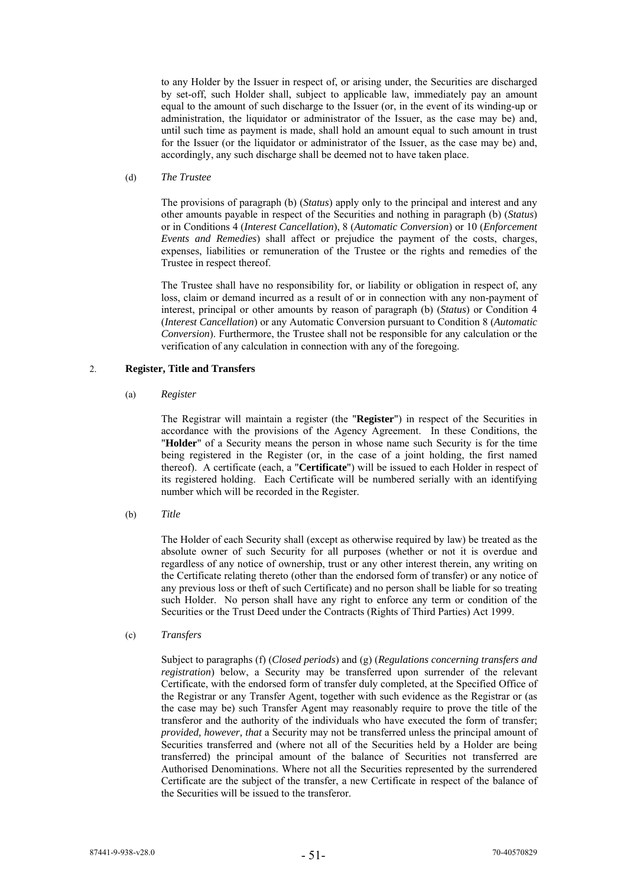to any Holder by the Issuer in respect of, or arising under, the Securities are discharged by set-off, such Holder shall, subject to applicable law, immediately pay an amount equal to the amount of such discharge to the Issuer (or, in the event of its winding-up or administration, the liquidator or administrator of the Issuer, as the case may be) and, until such time as payment is made, shall hold an amount equal to such amount in trust for the Issuer (or the liquidator or administrator of the Issuer, as the case may be) and, accordingly, any such discharge shall be deemed not to have taken place.

### (d) *The Trustee*

The provisions of paragraph (b) (*Status*) apply only to the principal and interest and any other amounts payable in respect of the Securities and nothing in paragraph (b) (*Status*) or in Conditions 4 (*Interest Cancellation*), 8 (*Automatic Conversion*) or 10 (*Enforcement Events and Remedies*) shall affect or prejudice the payment of the costs, charges, expenses, liabilities or remuneration of the Trustee or the rights and remedies of the Trustee in respect thereof.

The Trustee shall have no responsibility for, or liability or obligation in respect of, any loss, claim or demand incurred as a result of or in connection with any non-payment of interest, principal or other amounts by reason of paragraph (b) (*Status*) or Condition 4 (*Interest Cancellation*) or any Automatic Conversion pursuant to Condition 8 (*Automatic Conversion*). Furthermore, the Trustee shall not be responsible for any calculation or the verification of any calculation in connection with any of the foregoing.

# 2. **Register, Title and Transfers**

### (a) *Register*

The Registrar will maintain a register (the "**Register**") in respect of the Securities in accordance with the provisions of the Agency Agreement. In these Conditions, the "**Holder**" of a Security means the person in whose name such Security is for the time being registered in the Register (or, in the case of a joint holding, the first named thereof). A certificate (each, a "**Certificate**") will be issued to each Holder in respect of its registered holding. Each Certificate will be numbered serially with an identifying number which will be recorded in the Register.

(b) *Title*

The Holder of each Security shall (except as otherwise required by law) be treated as the absolute owner of such Security for all purposes (whether or not it is overdue and regardless of any notice of ownership, trust or any other interest therein, any writing on the Certificate relating thereto (other than the endorsed form of transfer) or any notice of any previous loss or theft of such Certificate) and no person shall be liable for so treating such Holder. No person shall have any right to enforce any term or condition of the Securities or the Trust Deed under the Contracts (Rights of Third Parties) Act 1999.

(c) *Transfers*

Subject to paragraphs (f) (*Closed periods*) and (g) (*Regulations concerning transfers and registration*) below, a Security may be transferred upon surrender of the relevant Certificate, with the endorsed form of transfer duly completed, at the Specified Office of the Registrar or any Transfer Agent, together with such evidence as the Registrar or (as the case may be) such Transfer Agent may reasonably require to prove the title of the transferor and the authority of the individuals who have executed the form of transfer; *provided, however, that* a Security may not be transferred unless the principal amount of Securities transferred and (where not all of the Securities held by a Holder are being transferred) the principal amount of the balance of Securities not transferred are Authorised Denominations. Where not all the Securities represented by the surrendered Certificate are the subject of the transfer, a new Certificate in respect of the balance of the Securities will be issued to the transferor.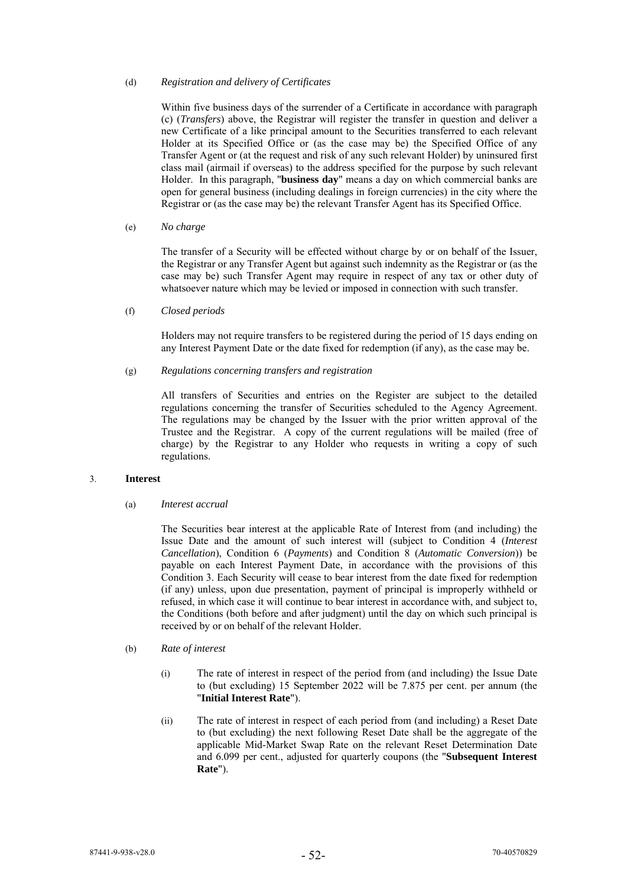### (d) *Registration and delivery of Certificates*

Within five business days of the surrender of a Certificate in accordance with paragraph (c) (*Transfers*) above, the Registrar will register the transfer in question and deliver a new Certificate of a like principal amount to the Securities transferred to each relevant Holder at its Specified Office or (as the case may be) the Specified Office of any Transfer Agent or (at the request and risk of any such relevant Holder) by uninsured first class mail (airmail if overseas) to the address specified for the purpose by such relevant Holder. In this paragraph, "**business day**" means a day on which commercial banks are open for general business (including dealings in foreign currencies) in the city where the Registrar or (as the case may be) the relevant Transfer Agent has its Specified Office.

(e) *No charge*

The transfer of a Security will be effected without charge by or on behalf of the Issuer, the Registrar or any Transfer Agent but against such indemnity as the Registrar or (as the case may be) such Transfer Agent may require in respect of any tax or other duty of whatsoever nature which may be levied or imposed in connection with such transfer.

(f) *Closed periods*

Holders may not require transfers to be registered during the period of 15 days ending on any Interest Payment Date or the date fixed for redemption (if any), as the case may be.

# (g) *Regulations concerning transfers and registration*

All transfers of Securities and entries on the Register are subject to the detailed regulations concerning the transfer of Securities scheduled to the Agency Agreement. The regulations may be changed by the Issuer with the prior written approval of the Trustee and the Registrar. A copy of the current regulations will be mailed (free of charge) by the Registrar to any Holder who requests in writing a copy of such regulations.

## 3. **Interest**

# (a) *Interest accrual*

The Securities bear interest at the applicable Rate of Interest from (and including) the Issue Date and the amount of such interest will (subject to Condition 4 (*Interest Cancellation*), Condition 6 (*Payments*) and Condition 8 (*Automatic Conversion*)) be payable on each Interest Payment Date, in accordance with the provisions of this Condition 3. Each Security will cease to bear interest from the date fixed for redemption (if any) unless, upon due presentation, payment of principal is improperly withheld or refused, in which case it will continue to bear interest in accordance with, and subject to, the Conditions (both before and after judgment) until the day on which such principal is received by or on behalf of the relevant Holder.

- (b) *Rate of interest* 
	- (i) The rate of interest in respect of the period from (and including) the Issue Date to (but excluding) 15 September 2022 will be 7.875 per cent. per annum (the "**Initial Interest Rate**").
	- (ii) The rate of interest in respect of each period from (and including) a Reset Date to (but excluding) the next following Reset Date shall be the aggregate of the applicable Mid-Market Swap Rate on the relevant Reset Determination Date and 6.099 per cent., adjusted for quarterly coupons (the "**Subsequent Interest Rate**").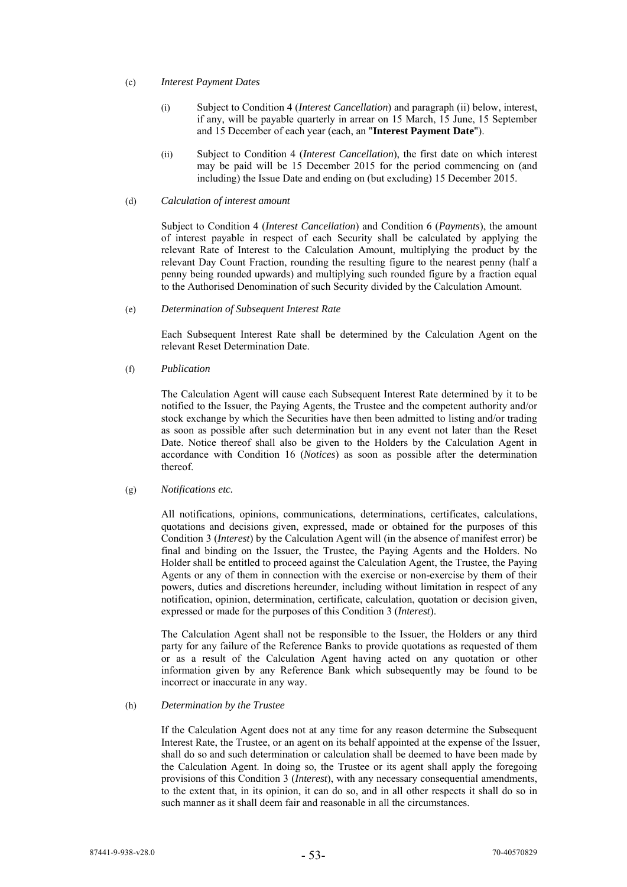### (c) *Interest Payment Dates*

- (i) Subject to Condition 4 (*Interest Cancellation*) and paragraph (ii) below, interest, if any, will be payable quarterly in arrear on 15 March, 15 June, 15 September and 15 December of each year (each, an "**Interest Payment Date**").
- (ii) Subject to Condition 4 (*Interest Cancellation*), the first date on which interest may be paid will be 15 December 2015 for the period commencing on (and including) the Issue Date and ending on (but excluding) 15 December 2015.

# (d) *Calculation of interest amount*

Subject to Condition 4 (*Interest Cancellation*) and Condition 6 (*Payments*), the amount of interest payable in respect of each Security shall be calculated by applying the relevant Rate of Interest to the Calculation Amount, multiplying the product by the relevant Day Count Fraction, rounding the resulting figure to the nearest penny (half a penny being rounded upwards) and multiplying such rounded figure by a fraction equal to the Authorised Denomination of such Security divided by the Calculation Amount.

# (e) *Determination of Subsequent Interest Rate*

Each Subsequent Interest Rate shall be determined by the Calculation Agent on the relevant Reset Determination Date.

(f) *Publication*

The Calculation Agent will cause each Subsequent Interest Rate determined by it to be notified to the Issuer, the Paying Agents, the Trustee and the competent authority and/or stock exchange by which the Securities have then been admitted to listing and/or trading as soon as possible after such determination but in any event not later than the Reset Date. Notice thereof shall also be given to the Holders by the Calculation Agent in accordance with Condition 16 (*Notices*) as soon as possible after the determination thereof.

# (g) *Notifications etc.*

All notifications, opinions, communications, determinations, certificates, calculations, quotations and decisions given, expressed, made or obtained for the purposes of this Condition 3 (*Interest*) by the Calculation Agent will (in the absence of manifest error) be final and binding on the Issuer, the Trustee, the Paying Agents and the Holders. No Holder shall be entitled to proceed against the Calculation Agent, the Trustee, the Paying Agents or any of them in connection with the exercise or non-exercise by them of their powers, duties and discretions hereunder, including without limitation in respect of any notification, opinion, determination, certificate, calculation, quotation or decision given, expressed or made for the purposes of this Condition 3 (*Interest*).

The Calculation Agent shall not be responsible to the Issuer, the Holders or any third party for any failure of the Reference Banks to provide quotations as requested of them or as a result of the Calculation Agent having acted on any quotation or other information given by any Reference Bank which subsequently may be found to be incorrect or inaccurate in any way.

#### (h) *Determination by the Trustee*

If the Calculation Agent does not at any time for any reason determine the Subsequent Interest Rate, the Trustee, or an agent on its behalf appointed at the expense of the Issuer, shall do so and such determination or calculation shall be deemed to have been made by the Calculation Agent. In doing so, the Trustee or its agent shall apply the foregoing provisions of this Condition 3 (*Interest*), with any necessary consequential amendments, to the extent that, in its opinion, it can do so, and in all other respects it shall do so in such manner as it shall deem fair and reasonable in all the circumstances.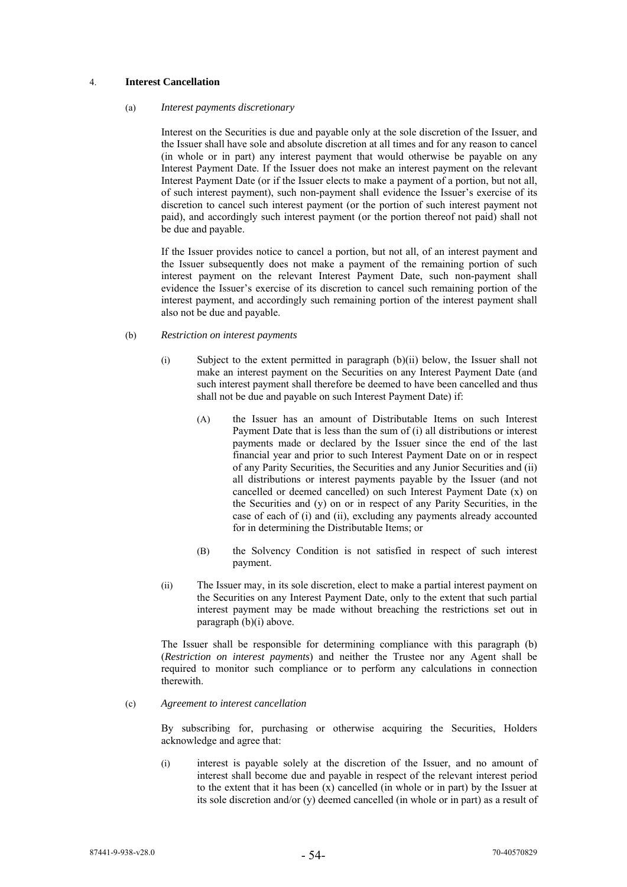## 4. **Interest Cancellation**

### (a) *Interest payments discretionary*

Interest on the Securities is due and payable only at the sole discretion of the Issuer, and the Issuer shall have sole and absolute discretion at all times and for any reason to cancel (in whole or in part) any interest payment that would otherwise be payable on any Interest Payment Date. If the Issuer does not make an interest payment on the relevant Interest Payment Date (or if the Issuer elects to make a payment of a portion, but not all, of such interest payment), such non-payment shall evidence the Issuer's exercise of its discretion to cancel such interest payment (or the portion of such interest payment not paid), and accordingly such interest payment (or the portion thereof not paid) shall not be due and payable.

If the Issuer provides notice to cancel a portion, but not all, of an interest payment and the Issuer subsequently does not make a payment of the remaining portion of such interest payment on the relevant Interest Payment Date, such non-payment shall evidence the Issuer's exercise of its discretion to cancel such remaining portion of the interest payment, and accordingly such remaining portion of the interest payment shall also not be due and payable.

### (b) *Restriction on interest payments*

- (i) Subject to the extent permitted in paragraph (b)(ii) below, the Issuer shall not make an interest payment on the Securities on any Interest Payment Date (and such interest payment shall therefore be deemed to have been cancelled and thus shall not be due and payable on such Interest Payment Date) if:
	- (A) the Issuer has an amount of Distributable Items on such Interest Payment Date that is less than the sum of (i) all distributions or interest payments made or declared by the Issuer since the end of the last financial year and prior to such Interest Payment Date on or in respect of any Parity Securities, the Securities and any Junior Securities and (ii) all distributions or interest payments payable by the Issuer (and not cancelled or deemed cancelled) on such Interest Payment Date (x) on the Securities and (y) on or in respect of any Parity Securities, in the case of each of (i) and (ii), excluding any payments already accounted for in determining the Distributable Items; or
	- (B) the Solvency Condition is not satisfied in respect of such interest payment.
- (ii) The Issuer may, in its sole discretion, elect to make a partial interest payment on the Securities on any Interest Payment Date, only to the extent that such partial interest payment may be made without breaching the restrictions set out in paragraph (b)(i) above.

The Issuer shall be responsible for determining compliance with this paragraph (b) (*Restriction on interest payments*) and neither the Trustee nor any Agent shall be required to monitor such compliance or to perform any calculations in connection therewith.

# (c) *Agreement to interest cancellation*

By subscribing for, purchasing or otherwise acquiring the Securities, Holders acknowledge and agree that:

(i) interest is payable solely at the discretion of the Issuer, and no amount of interest shall become due and payable in respect of the relevant interest period to the extent that it has been  $(x)$  cancelled (in whole or in part) by the Issuer at its sole discretion and/or (y) deemed cancelled (in whole or in part) as a result of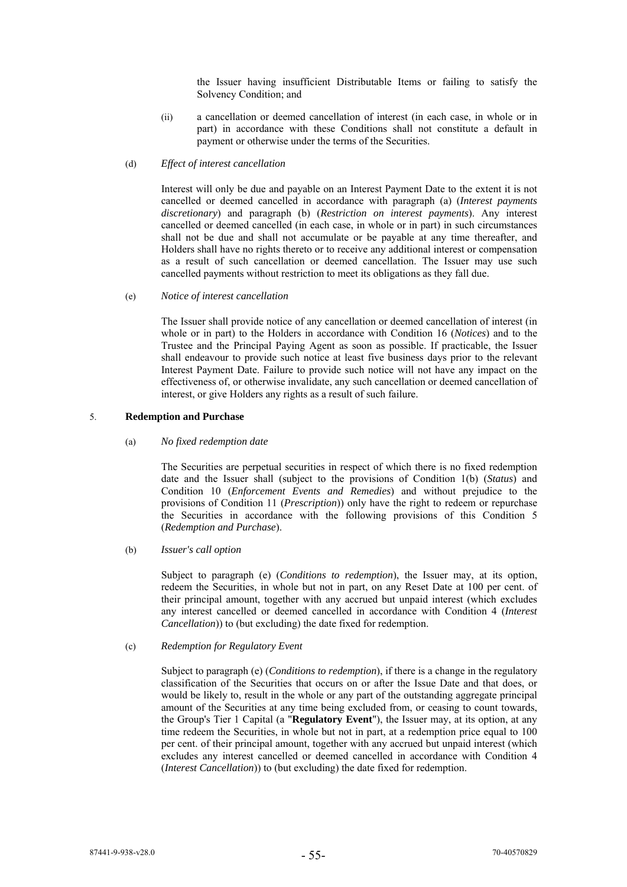the Issuer having insufficient Distributable Items or failing to satisfy the Solvency Condition; and

- (ii) a cancellation or deemed cancellation of interest (in each case, in whole or in part) in accordance with these Conditions shall not constitute a default in payment or otherwise under the terms of the Securities.
- (d) *Effect of interest cancellation*

Interest will only be due and payable on an Interest Payment Date to the extent it is not cancelled or deemed cancelled in accordance with paragraph (a) (*Interest payments discretionary*) and paragraph (b) (*Restriction on interest payments*). Any interest cancelled or deemed cancelled (in each case, in whole or in part) in such circumstances shall not be due and shall not accumulate or be payable at any time thereafter, and Holders shall have no rights thereto or to receive any additional interest or compensation as a result of such cancellation or deemed cancellation. The Issuer may use such cancelled payments without restriction to meet its obligations as they fall due.

(e) *Notice of interest cancellation* 

The Issuer shall provide notice of any cancellation or deemed cancellation of interest (in whole or in part) to the Holders in accordance with Condition 16 (*Notices*) and to the Trustee and the Principal Paying Agent as soon as possible. If practicable, the Issuer shall endeavour to provide such notice at least five business days prior to the relevant Interest Payment Date. Failure to provide such notice will not have any impact on the effectiveness of, or otherwise invalidate, any such cancellation or deemed cancellation of interest, or give Holders any rights as a result of such failure.

### 5. **Redemption and Purchase**

(a) *No fixed redemption date* 

The Securities are perpetual securities in respect of which there is no fixed redemption date and the Issuer shall (subject to the provisions of Condition 1(b) (*Status*) and Condition 10 (*Enforcement Events and Remedies*) and without prejudice to the provisions of Condition 11 (*Prescription*)) only have the right to redeem or repurchase the Securities in accordance with the following provisions of this Condition 5 (*Redemption and Purchase*).

(b) *Issuer's call option* 

Subject to paragraph (e) (*Conditions to redemption*), the Issuer may, at its option, redeem the Securities, in whole but not in part, on any Reset Date at 100 per cent. of their principal amount, together with any accrued but unpaid interest (which excludes any interest cancelled or deemed cancelled in accordance with Condition 4 (*Interest Cancellation*)) to (but excluding) the date fixed for redemption.

(c) *Redemption for Regulatory Event* 

Subject to paragraph (e) (*Conditions to redemption*), if there is a change in the regulatory classification of the Securities that occurs on or after the Issue Date and that does, or would be likely to, result in the whole or any part of the outstanding aggregate principal amount of the Securities at any time being excluded from, or ceasing to count towards, the Group's Tier 1 Capital (a "**Regulatory Event**"), the Issuer may, at its option, at any time redeem the Securities, in whole but not in part, at a redemption price equal to 100 per cent. of their principal amount, together with any accrued but unpaid interest (which excludes any interest cancelled or deemed cancelled in accordance with Condition 4 (*Interest Cancellation*)) to (but excluding) the date fixed for redemption.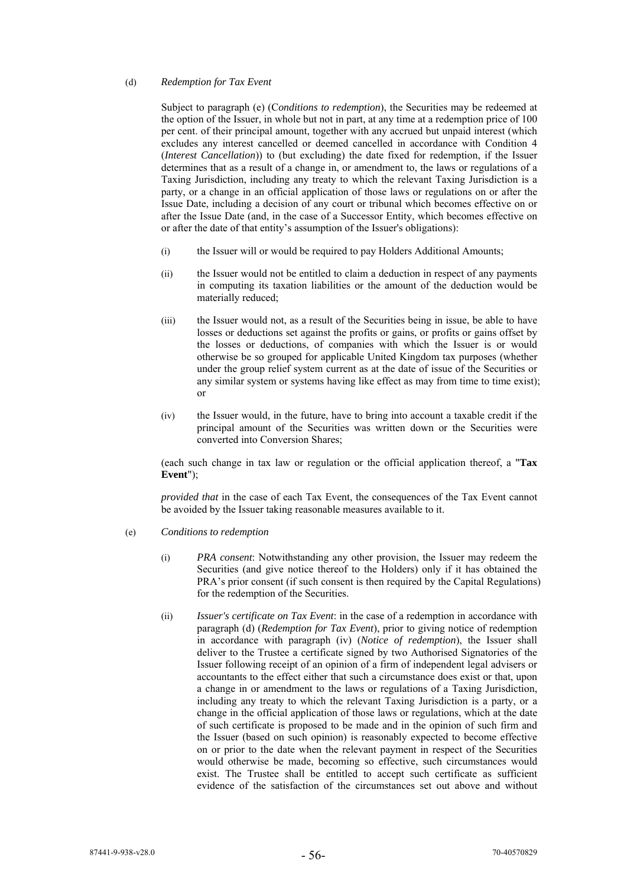### (d) *Redemption for Tax Event*

Subject to paragraph (e) (C*onditions to redemption*), the Securities may be redeemed at the option of the Issuer, in whole but not in part, at any time at a redemption price of 100 per cent. of their principal amount, together with any accrued but unpaid interest (which excludes any interest cancelled or deemed cancelled in accordance with Condition 4 (*Interest Cancellation*)) to (but excluding) the date fixed for redemption, if the Issuer determines that as a result of a change in, or amendment to, the laws or regulations of a Taxing Jurisdiction, including any treaty to which the relevant Taxing Jurisdiction is a party, or a change in an official application of those laws or regulations on or after the Issue Date, including a decision of any court or tribunal which becomes effective on or after the Issue Date (and, in the case of a Successor Entity, which becomes effective on or after the date of that entity's assumption of the Issuer's obligations):

- (i) the Issuer will or would be required to pay Holders Additional Amounts;
- (ii) the Issuer would not be entitled to claim a deduction in respect of any payments in computing its taxation liabilities or the amount of the deduction would be materially reduced;
- (iii) the Issuer would not, as a result of the Securities being in issue, be able to have losses or deductions set against the profits or gains, or profits or gains offset by the losses or deductions, of companies with which the Issuer is or would otherwise be so grouped for applicable United Kingdom tax purposes (whether under the group relief system current as at the date of issue of the Securities or any similar system or systems having like effect as may from time to time exist); or
- (iv) the Issuer would, in the future, have to bring into account a taxable credit if the principal amount of the Securities was written down or the Securities were converted into Conversion Shares;

(each such change in tax law or regulation or the official application thereof, a "**Tax Event**");

*provided that* in the case of each Tax Event, the consequences of the Tax Event cannot be avoided by the Issuer taking reasonable measures available to it.

#### (e) *Conditions to redemption*

- (i) *PRA consent*: Notwithstanding any other provision, the Issuer may redeem the Securities (and give notice thereof to the Holders) only if it has obtained the PRA's prior consent (if such consent is then required by the Capital Regulations) for the redemption of the Securities.
- (ii) *Issuer's certificate on Tax Event*: in the case of a redemption in accordance with paragraph (d) (*Redemption for Tax Event*), prior to giving notice of redemption in accordance with paragraph (iv) (*Notice of redemption*), the Issuer shall deliver to the Trustee a certificate signed by two Authorised Signatories of the Issuer following receipt of an opinion of a firm of independent legal advisers or accountants to the effect either that such a circumstance does exist or that, upon a change in or amendment to the laws or regulations of a Taxing Jurisdiction, including any treaty to which the relevant Taxing Jurisdiction is a party, or a change in the official application of those laws or regulations, which at the date of such certificate is proposed to be made and in the opinion of such firm and the Issuer (based on such opinion) is reasonably expected to become effective on or prior to the date when the relevant payment in respect of the Securities would otherwise be made, becoming so effective, such circumstances would exist. The Trustee shall be entitled to accept such certificate as sufficient evidence of the satisfaction of the circumstances set out above and without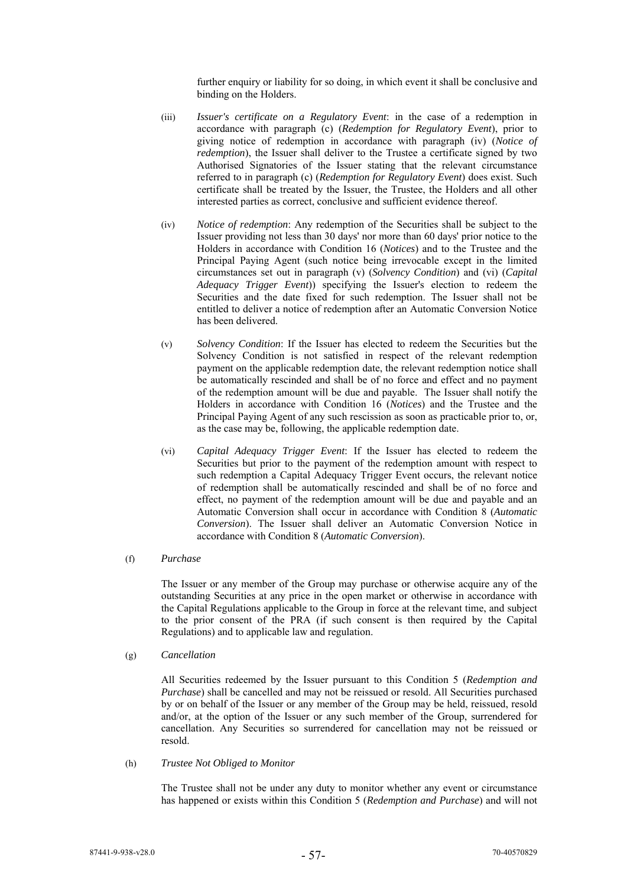further enquiry or liability for so doing, in which event it shall be conclusive and binding on the Holders.

- (iii) *Issuer's certificate on a Regulatory Event*: in the case of a redemption in accordance with paragraph (c) (*Redemption for Regulatory Event*), prior to giving notice of redemption in accordance with paragraph (iv) (*Notice of redemption*), the Issuer shall deliver to the Trustee a certificate signed by two Authorised Signatories of the Issuer stating that the relevant circumstance referred to in paragraph (c) (*Redemption for Regulatory Event*) does exist. Such certificate shall be treated by the Issuer, the Trustee, the Holders and all other interested parties as correct, conclusive and sufficient evidence thereof.
- (iv) *Notice of redemption*: Any redemption of the Securities shall be subject to the Issuer providing not less than 30 days' nor more than 60 days' prior notice to the Holders in accordance with Condition 16 (*Notices*) and to the Trustee and the Principal Paying Agent (such notice being irrevocable except in the limited circumstances set out in paragraph (v) (*Solvency Condition*) and (vi) (*Capital Adequacy Trigger Event*)) specifying the Issuer's election to redeem the Securities and the date fixed for such redemption. The Issuer shall not be entitled to deliver a notice of redemption after an Automatic Conversion Notice has been delivered.
- (v) *Solvency Condition*: If the Issuer has elected to redeem the Securities but the Solvency Condition is not satisfied in respect of the relevant redemption payment on the applicable redemption date, the relevant redemption notice shall be automatically rescinded and shall be of no force and effect and no payment of the redemption amount will be due and payable. The Issuer shall notify the Holders in accordance with Condition 16 (*Notices*) and the Trustee and the Principal Paying Agent of any such rescission as soon as practicable prior to, or, as the case may be, following, the applicable redemption date.
- (vi) *Capital Adequacy Trigger Event*: If the Issuer has elected to redeem the Securities but prior to the payment of the redemption amount with respect to such redemption a Capital Adequacy Trigger Event occurs, the relevant notice of redemption shall be automatically rescinded and shall be of no force and effect, no payment of the redemption amount will be due and payable and an Automatic Conversion shall occur in accordance with Condition 8 (*Automatic Conversion*). The Issuer shall deliver an Automatic Conversion Notice in accordance with Condition 8 (*Automatic Conversion*).

# (f) *Purchase*

The Issuer or any member of the Group may purchase or otherwise acquire any of the outstanding Securities at any price in the open market or otherwise in accordance with the Capital Regulations applicable to the Group in force at the relevant time, and subject to the prior consent of the PRA (if such consent is then required by the Capital Regulations) and to applicable law and regulation.

(g) *Cancellation*

All Securities redeemed by the Issuer pursuant to this Condition 5 (*Redemption and Purchase*) shall be cancelled and may not be reissued or resold. All Securities purchased by or on behalf of the Issuer or any member of the Group may be held, reissued, resold and/or, at the option of the Issuer or any such member of the Group, surrendered for cancellation. Any Securities so surrendered for cancellation may not be reissued or resold.

(h) *Trustee Not Obliged to Monitor* 

The Trustee shall not be under any duty to monitor whether any event or circumstance has happened or exists within this Condition 5 (*Redemption and Purchase*) and will not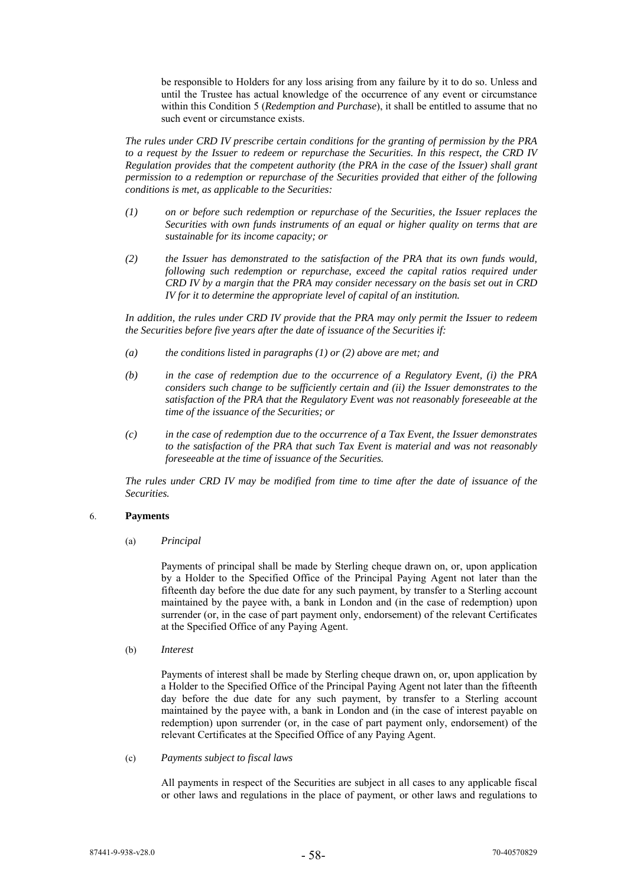be responsible to Holders for any loss arising from any failure by it to do so. Unless and until the Trustee has actual knowledge of the occurrence of any event or circumstance within this Condition 5 (*Redemption and Purchase*), it shall be entitled to assume that no such event or circumstance exists.

*The rules under CRD IV prescribe certain conditions for the granting of permission by the PRA to a request by the Issuer to redeem or repurchase the Securities. In this respect, the CRD IV Regulation provides that the competent authority (the PRA in the case of the Issuer) shall grant permission to a redemption or repurchase of the Securities provided that either of the following conditions is met, as applicable to the Securities:* 

- *(1) on or before such redemption or repurchase of the Securities, the Issuer replaces the Securities with own funds instruments of an equal or higher quality on terms that are sustainable for its income capacity; or*
- *(2) the Issuer has demonstrated to the satisfaction of the PRA that its own funds would, following such redemption or repurchase, exceed the capital ratios required under CRD IV by a margin that the PRA may consider necessary on the basis set out in CRD IV for it to determine the appropriate level of capital of an institution.*

*In addition, the rules under CRD IV provide that the PRA may only permit the Issuer to redeem the Securities before five years after the date of issuance of the Securities if:* 

- *(a) the conditions listed in paragraphs (1) or (2) above are met; and*
- *(b) in the case of redemption due to the occurrence of a Regulatory Event, (i) the PRA considers such change to be sufficiently certain and (ii) the Issuer demonstrates to the satisfaction of the PRA that the Regulatory Event was not reasonably foreseeable at the time of the issuance of the Securities; or*
- *(c) in the case of redemption due to the occurrence of a Tax Event, the Issuer demonstrates to the satisfaction of the PRA that such Tax Event is material and was not reasonably foreseeable at the time of issuance of the Securities.*

*The rules under CRD IV may be modified from time to time after the date of issuance of the Securities.* 

### 6. **Payments**

(a) *Principal*

Payments of principal shall be made by Sterling cheque drawn on, or, upon application by a Holder to the Specified Office of the Principal Paying Agent not later than the fifteenth day before the due date for any such payment, by transfer to a Sterling account maintained by the payee with, a bank in London and (in the case of redemption) upon surrender (or, in the case of part payment only, endorsement) of the relevant Certificates at the Specified Office of any Paying Agent.

(b) *Interest* 

Payments of interest shall be made by Sterling cheque drawn on, or, upon application by a Holder to the Specified Office of the Principal Paying Agent not later than the fifteenth day before the due date for any such payment, by transfer to a Sterling account maintained by the payee with, a bank in London and (in the case of interest payable on redemption) upon surrender (or, in the case of part payment only, endorsement) of the relevant Certificates at the Specified Office of any Paying Agent.

(c) *Payments subject to fiscal laws*

All payments in respect of the Securities are subject in all cases to any applicable fiscal or other laws and regulations in the place of payment, or other laws and regulations to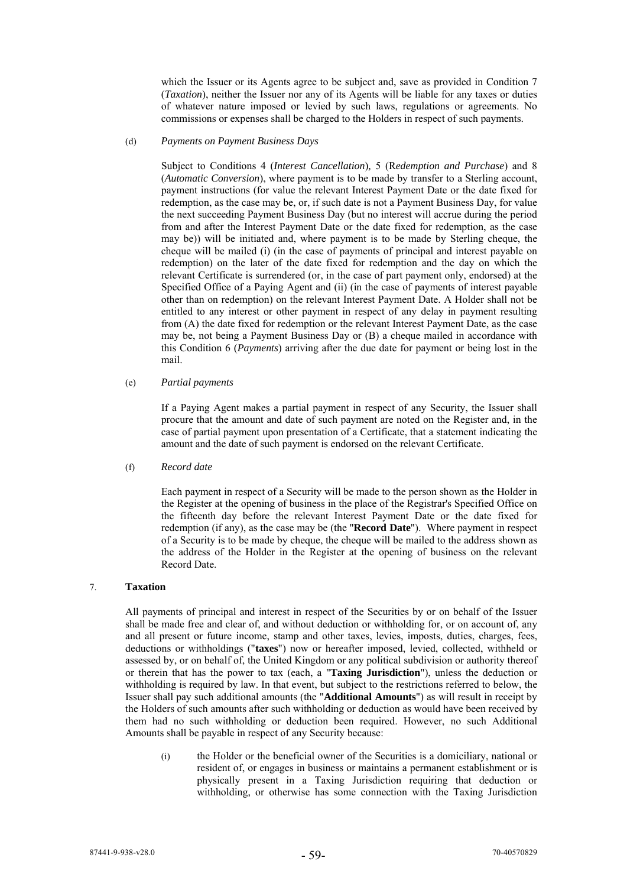which the Issuer or its Agents agree to be subject and, save as provided in Condition 7 (*Taxation*), neither the Issuer nor any of its Agents will be liable for any taxes or duties of whatever nature imposed or levied by such laws, regulations or agreements. No commissions or expenses shall be charged to the Holders in respect of such payments.

#### (d) *Payments on Payment Business Days*

Subject to Conditions 4 (*Interest Cancellation*)*,* 5 (R*edemption and Purchase*) and 8 (*Automatic Conversion*), where payment is to be made by transfer to a Sterling account, payment instructions (for value the relevant Interest Payment Date or the date fixed for redemption, as the case may be, or, if such date is not a Payment Business Day, for value the next succeeding Payment Business Day (but no interest will accrue during the period from and after the Interest Payment Date or the date fixed for redemption, as the case may be)) will be initiated and, where payment is to be made by Sterling cheque, the cheque will be mailed (i) (in the case of payments of principal and interest payable on redemption) on the later of the date fixed for redemption and the day on which the relevant Certificate is surrendered (or, in the case of part payment only, endorsed) at the Specified Office of a Paying Agent and (ii) (in the case of payments of interest payable other than on redemption) on the relevant Interest Payment Date. A Holder shall not be entitled to any interest or other payment in respect of any delay in payment resulting from (A) the date fixed for redemption or the relevant Interest Payment Date, as the case may be, not being a Payment Business Day or (B) a cheque mailed in accordance with this Condition 6 (*Payments*) arriving after the due date for payment or being lost in the mail.

(e) *Partial payments*

If a Paying Agent makes a partial payment in respect of any Security, the Issuer shall procure that the amount and date of such payment are noted on the Register and, in the case of partial payment upon presentation of a Certificate, that a statement indicating the amount and the date of such payment is endorsed on the relevant Certificate.

### (f) *Record date*

Each payment in respect of a Security will be made to the person shown as the Holder in the Register at the opening of business in the place of the Registrar's Specified Office on the fifteenth day before the relevant Interest Payment Date or the date fixed for redemption (if any), as the case may be (the "**Record Date**"). Where payment in respect of a Security is to be made by cheque, the cheque will be mailed to the address shown as the address of the Holder in the Register at the opening of business on the relevant Record Date.

# 7. **Taxation**

All payments of principal and interest in respect of the Securities by or on behalf of the Issuer shall be made free and clear of, and without deduction or withholding for, or on account of, any and all present or future income, stamp and other taxes, levies, imposts, duties, charges, fees, deductions or withholdings ("**taxes**") now or hereafter imposed, levied, collected, withheld or assessed by, or on behalf of, the United Kingdom or any political subdivision or authority thereof or therein that has the power to tax (each, a "**Taxing Jurisdiction**"), unless the deduction or withholding is required by law. In that event, but subject to the restrictions referred to below, the Issuer shall pay such additional amounts (the "**Additional Amounts**") as will result in receipt by the Holders of such amounts after such withholding or deduction as would have been received by them had no such withholding or deduction been required. However, no such Additional Amounts shall be payable in respect of any Security because:

(i) the Holder or the beneficial owner of the Securities is a domiciliary, national or resident of, or engages in business or maintains a permanent establishment or is physically present in a Taxing Jurisdiction requiring that deduction or withholding, or otherwise has some connection with the Taxing Jurisdiction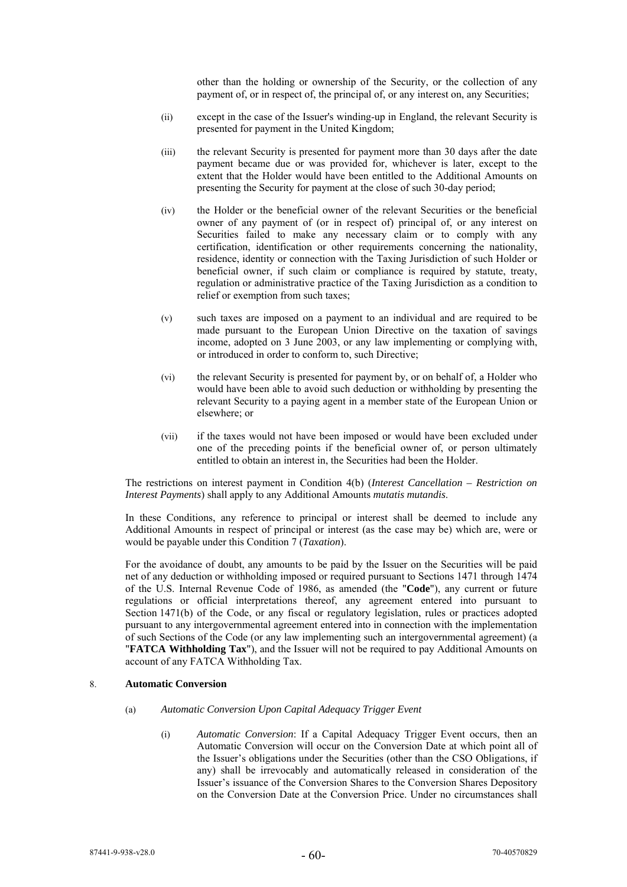other than the holding or ownership of the Security, or the collection of any payment of, or in respect of, the principal of, or any interest on, any Securities;

- (ii) except in the case of the Issuer's winding-up in England, the relevant Security is presented for payment in the United Kingdom;
- (iii) the relevant Security is presented for payment more than 30 days after the date payment became due or was provided for, whichever is later, except to the extent that the Holder would have been entitled to the Additional Amounts on presenting the Security for payment at the close of such 30-day period;
- (iv) the Holder or the beneficial owner of the relevant Securities or the beneficial owner of any payment of (or in respect of) principal of, or any interest on Securities failed to make any necessary claim or to comply with any certification, identification or other requirements concerning the nationality, residence, identity or connection with the Taxing Jurisdiction of such Holder or beneficial owner, if such claim or compliance is required by statute, treaty, regulation or administrative practice of the Taxing Jurisdiction as a condition to relief or exemption from such taxes;
- (v) such taxes are imposed on a payment to an individual and are required to be made pursuant to the European Union Directive on the taxation of savings income, adopted on 3 June 2003, or any law implementing or complying with, or introduced in order to conform to, such Directive;
- (vi) the relevant Security is presented for payment by, or on behalf of, a Holder who would have been able to avoid such deduction or withholding by presenting the relevant Security to a paying agent in a member state of the European Union or elsewhere; or
- (vii) if the taxes would not have been imposed or would have been excluded under one of the preceding points if the beneficial owner of, or person ultimately entitled to obtain an interest in, the Securities had been the Holder.

The restrictions on interest payment in Condition 4(b) (*Interest Cancellation – Restriction on Interest Payments*) shall apply to any Additional Amounts *mutatis mutandis*.

In these Conditions, any reference to principal or interest shall be deemed to include any Additional Amounts in respect of principal or interest (as the case may be) which are, were or would be payable under this Condition 7 (*Taxation*).

For the avoidance of doubt, any amounts to be paid by the Issuer on the Securities will be paid net of any deduction or withholding imposed or required pursuant to Sections 1471 through 1474 of the U.S. Internal Revenue Code of 1986, as amended (the "**Code**"), any current or future regulations or official interpretations thereof, any agreement entered into pursuant to Section 1471(b) of the Code, or any fiscal or regulatory legislation, rules or practices adopted pursuant to any intergovernmental agreement entered into in connection with the implementation of such Sections of the Code (or any law implementing such an intergovernmental agreement) (a "**FATCA Withholding Tax**"), and the Issuer will not be required to pay Additional Amounts on account of any FATCA Withholding Tax.

## 8. **Automatic Conversion**

- (a) *Automatic Conversion Upon Capital Adequacy Trigger Event* 
	- (i) *Automatic Conversion*: If a Capital Adequacy Trigger Event occurs, then an Automatic Conversion will occur on the Conversion Date at which point all of the Issuer's obligations under the Securities (other than the CSO Obligations, if any) shall be irrevocably and automatically released in consideration of the Issuer's issuance of the Conversion Shares to the Conversion Shares Depository on the Conversion Date at the Conversion Price. Under no circumstances shall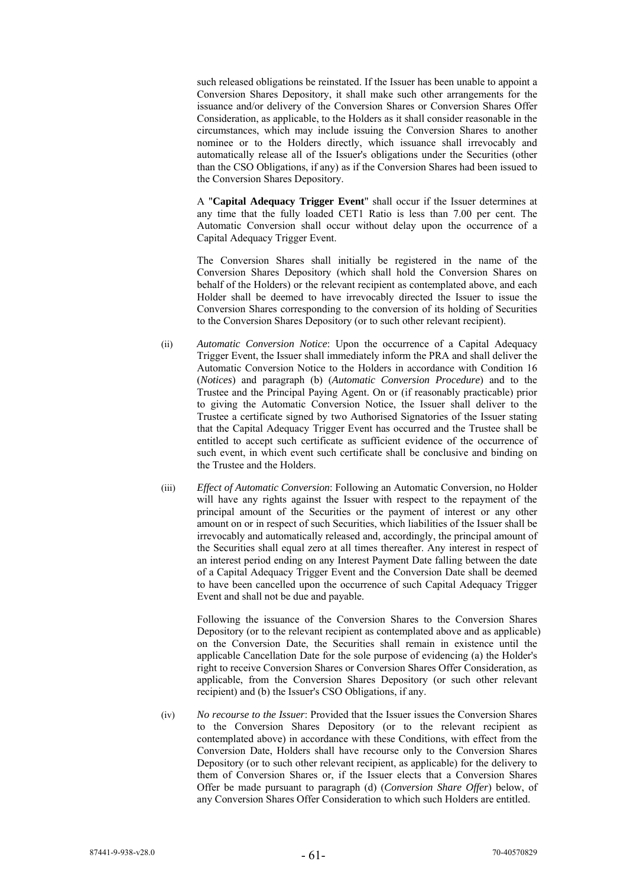such released obligations be reinstated. If the Issuer has been unable to appoint a Conversion Shares Depository, it shall make such other arrangements for the issuance and/or delivery of the Conversion Shares or Conversion Shares Offer Consideration, as applicable, to the Holders as it shall consider reasonable in the circumstances, which may include issuing the Conversion Shares to another nominee or to the Holders directly, which issuance shall irrevocably and automatically release all of the Issuer's obligations under the Securities (other than the CSO Obligations, if any) as if the Conversion Shares had been issued to the Conversion Shares Depository.

A "**Capital Adequacy Trigger Event**" shall occur if the Issuer determines at any time that the fully loaded CET1 Ratio is less than 7.00 per cent. The Automatic Conversion shall occur without delay upon the occurrence of a Capital Adequacy Trigger Event.

The Conversion Shares shall initially be registered in the name of the Conversion Shares Depository (which shall hold the Conversion Shares on behalf of the Holders) or the relevant recipient as contemplated above, and each Holder shall be deemed to have irrevocably directed the Issuer to issue the Conversion Shares corresponding to the conversion of its holding of Securities to the Conversion Shares Depository (or to such other relevant recipient).

- (ii) *Automatic Conversion Notice*: Upon the occurrence of a Capital Adequacy Trigger Event, the Issuer shall immediately inform the PRA and shall deliver the Automatic Conversion Notice to the Holders in accordance with Condition 16 (*Notices*) and paragraph (b) (*Automatic Conversion Procedure*) and to the Trustee and the Principal Paying Agent. On or (if reasonably practicable) prior to giving the Automatic Conversion Notice, the Issuer shall deliver to the Trustee a certificate signed by two Authorised Signatories of the Issuer stating that the Capital Adequacy Trigger Event has occurred and the Trustee shall be entitled to accept such certificate as sufficient evidence of the occurrence of such event, in which event such certificate shall be conclusive and binding on the Trustee and the Holders.
- (iii) *Effect of Automatic Conversion*: Following an Automatic Conversion, no Holder will have any rights against the Issuer with respect to the repayment of the principal amount of the Securities or the payment of interest or any other amount on or in respect of such Securities, which liabilities of the Issuer shall be irrevocably and automatically released and, accordingly, the principal amount of the Securities shall equal zero at all times thereafter. Any interest in respect of an interest period ending on any Interest Payment Date falling between the date of a Capital Adequacy Trigger Event and the Conversion Date shall be deemed to have been cancelled upon the occurrence of such Capital Adequacy Trigger Event and shall not be due and payable.

Following the issuance of the Conversion Shares to the Conversion Shares Depository (or to the relevant recipient as contemplated above and as applicable) on the Conversion Date, the Securities shall remain in existence until the applicable Cancellation Date for the sole purpose of evidencing (a) the Holder's right to receive Conversion Shares or Conversion Shares Offer Consideration, as applicable, from the Conversion Shares Depository (or such other relevant recipient) and (b) the Issuer's CSO Obligations, if any.

(iv) *No recourse to the Issuer*: Provided that the Issuer issues the Conversion Shares to the Conversion Shares Depository (or to the relevant recipient as contemplated above) in accordance with these Conditions, with effect from the Conversion Date, Holders shall have recourse only to the Conversion Shares Depository (or to such other relevant recipient, as applicable) for the delivery to them of Conversion Shares or, if the Issuer elects that a Conversion Shares Offer be made pursuant to paragraph (d) (*Conversion Share Offer*) below, of any Conversion Shares Offer Consideration to which such Holders are entitled.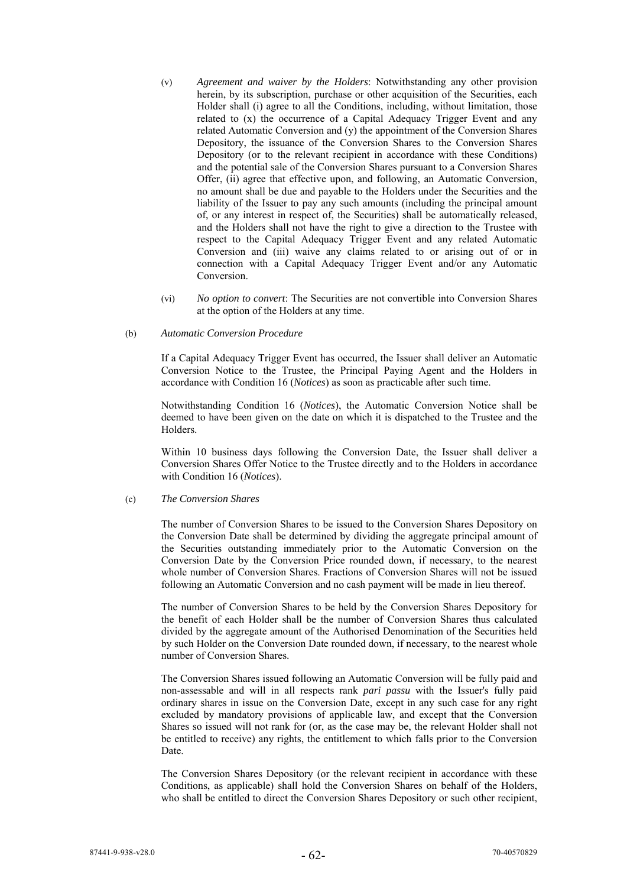- (v) *Agreement and waiver by the Holders*: Notwithstanding any other provision herein, by its subscription, purchase or other acquisition of the Securities, each Holder shall (i) agree to all the Conditions, including, without limitation, those related to (x) the occurrence of a Capital Adequacy Trigger Event and any related Automatic Conversion and (y) the appointment of the Conversion Shares Depository, the issuance of the Conversion Shares to the Conversion Shares Depository (or to the relevant recipient in accordance with these Conditions) and the potential sale of the Conversion Shares pursuant to a Conversion Shares Offer, (ii) agree that effective upon, and following, an Automatic Conversion, no amount shall be due and payable to the Holders under the Securities and the liability of the Issuer to pay any such amounts (including the principal amount of, or any interest in respect of, the Securities) shall be automatically released, and the Holders shall not have the right to give a direction to the Trustee with respect to the Capital Adequacy Trigger Event and any related Automatic Conversion and (iii) waive any claims related to or arising out of or in connection with a Capital Adequacy Trigger Event and/or any Automatic Conversion.
- (vi) *No option to convert*: The Securities are not convertible into Conversion Shares at the option of the Holders at any time.

#### (b) *Automatic Conversion Procedure*

If a Capital Adequacy Trigger Event has occurred, the Issuer shall deliver an Automatic Conversion Notice to the Trustee, the Principal Paying Agent and the Holders in accordance with Condition 16 (*Notices*) as soon as practicable after such time.

Notwithstanding Condition 16 (*Notices*), the Automatic Conversion Notice shall be deemed to have been given on the date on which it is dispatched to the Trustee and the Holders.

Within 10 business days following the Conversion Date, the Issuer shall deliver a Conversion Shares Offer Notice to the Trustee directly and to the Holders in accordance with Condition 16 (*Notices*).

#### (c) *The Conversion Shares*

The number of Conversion Shares to be issued to the Conversion Shares Depository on the Conversion Date shall be determined by dividing the aggregate principal amount of the Securities outstanding immediately prior to the Automatic Conversion on the Conversion Date by the Conversion Price rounded down, if necessary, to the nearest whole number of Conversion Shares. Fractions of Conversion Shares will not be issued following an Automatic Conversion and no cash payment will be made in lieu thereof.

The number of Conversion Shares to be held by the Conversion Shares Depository for the benefit of each Holder shall be the number of Conversion Shares thus calculated divided by the aggregate amount of the Authorised Denomination of the Securities held by such Holder on the Conversion Date rounded down, if necessary, to the nearest whole number of Conversion Shares.

The Conversion Shares issued following an Automatic Conversion will be fully paid and non-assessable and will in all respects rank *pari passu* with the Issuer's fully paid ordinary shares in issue on the Conversion Date, except in any such case for any right excluded by mandatory provisions of applicable law, and except that the Conversion Shares so issued will not rank for (or, as the case may be, the relevant Holder shall not be entitled to receive) any rights, the entitlement to which falls prior to the Conversion Date.

The Conversion Shares Depository (or the relevant recipient in accordance with these Conditions, as applicable) shall hold the Conversion Shares on behalf of the Holders, who shall be entitled to direct the Conversion Shares Depository or such other recipient,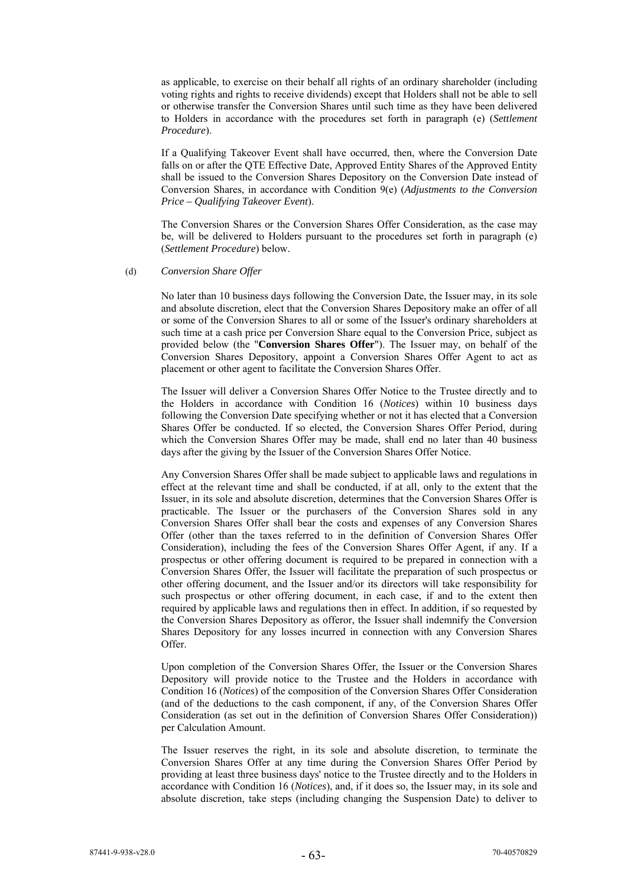as applicable, to exercise on their behalf all rights of an ordinary shareholder (including voting rights and rights to receive dividends) except that Holders shall not be able to sell or otherwise transfer the Conversion Shares until such time as they have been delivered to Holders in accordance with the procedures set forth in paragraph (e) (*Settlement Procedure*).

If a Qualifying Takeover Event shall have occurred, then, where the Conversion Date falls on or after the QTE Effective Date, Approved Entity Shares of the Approved Entity shall be issued to the Conversion Shares Depository on the Conversion Date instead of Conversion Shares, in accordance with Condition 9(e) (*Adjustments to the Conversion Price – Qualifying Takeover Event*).

The Conversion Shares or the Conversion Shares Offer Consideration, as the case may be, will be delivered to Holders pursuant to the procedures set forth in paragraph (e) (*Settlement Procedure*) below.

#### (d) *Conversion Share Offer*

No later than 10 business days following the Conversion Date, the Issuer may, in its sole and absolute discretion, elect that the Conversion Shares Depository make an offer of all or some of the Conversion Shares to all or some of the Issuer's ordinary shareholders at such time at a cash price per Conversion Share equal to the Conversion Price, subject as provided below (the "**Conversion Shares Offer**"). The Issuer may, on behalf of the Conversion Shares Depository, appoint a Conversion Shares Offer Agent to act as placement or other agent to facilitate the Conversion Shares Offer.

The Issuer will deliver a Conversion Shares Offer Notice to the Trustee directly and to the Holders in accordance with Condition 16 (*Notices*) within 10 business days following the Conversion Date specifying whether or not it has elected that a Conversion Shares Offer be conducted. If so elected, the Conversion Shares Offer Period, during which the Conversion Shares Offer may be made, shall end no later than 40 business days after the giving by the Issuer of the Conversion Shares Offer Notice.

Any Conversion Shares Offer shall be made subject to applicable laws and regulations in effect at the relevant time and shall be conducted, if at all, only to the extent that the Issuer, in its sole and absolute discretion, determines that the Conversion Shares Offer is practicable. The Issuer or the purchasers of the Conversion Shares sold in any Conversion Shares Offer shall bear the costs and expenses of any Conversion Shares Offer (other than the taxes referred to in the definition of Conversion Shares Offer Consideration), including the fees of the Conversion Shares Offer Agent, if any. If a prospectus or other offering document is required to be prepared in connection with a Conversion Shares Offer, the Issuer will facilitate the preparation of such prospectus or other offering document, and the Issuer and/or its directors will take responsibility for such prospectus or other offering document, in each case, if and to the extent then required by applicable laws and regulations then in effect. In addition, if so requested by the Conversion Shares Depository as offeror, the Issuer shall indemnify the Conversion Shares Depository for any losses incurred in connection with any Conversion Shares Offer.

Upon completion of the Conversion Shares Offer, the Issuer or the Conversion Shares Depository will provide notice to the Trustee and the Holders in accordance with Condition 16 (*Notices*) of the composition of the Conversion Shares Offer Consideration (and of the deductions to the cash component, if any, of the Conversion Shares Offer Consideration (as set out in the definition of Conversion Shares Offer Consideration)) per Calculation Amount.

The Issuer reserves the right, in its sole and absolute discretion, to terminate the Conversion Shares Offer at any time during the Conversion Shares Offer Period by providing at least three business days' notice to the Trustee directly and to the Holders in accordance with Condition 16 (*Notices*), and, if it does so, the Issuer may, in its sole and absolute discretion, take steps (including changing the Suspension Date) to deliver to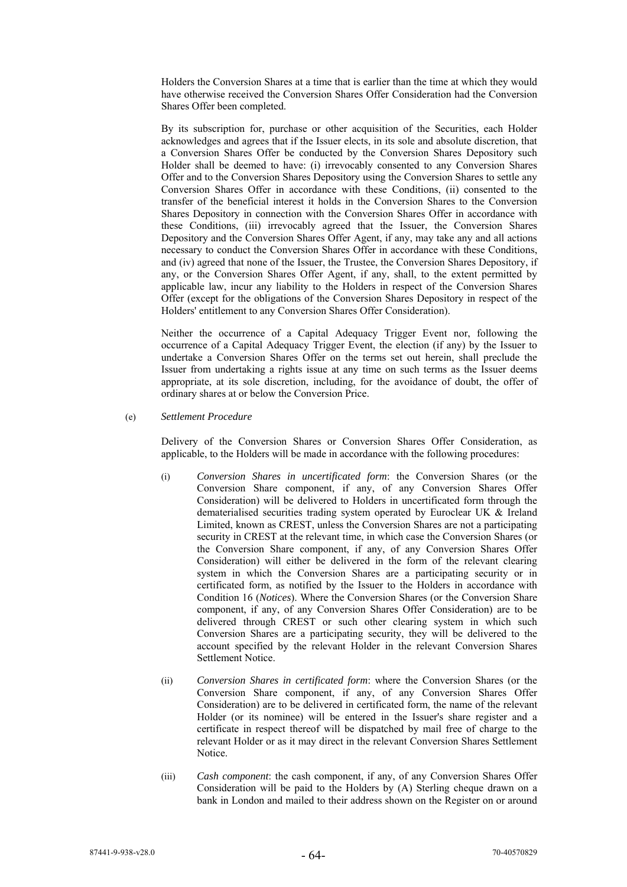Holders the Conversion Shares at a time that is earlier than the time at which they would have otherwise received the Conversion Shares Offer Consideration had the Conversion Shares Offer been completed.

By its subscription for, purchase or other acquisition of the Securities, each Holder acknowledges and agrees that if the Issuer elects, in its sole and absolute discretion, that a Conversion Shares Offer be conducted by the Conversion Shares Depository such Holder shall be deemed to have: (i) irrevocably consented to any Conversion Shares Offer and to the Conversion Shares Depository using the Conversion Shares to settle any Conversion Shares Offer in accordance with these Conditions, (ii) consented to the transfer of the beneficial interest it holds in the Conversion Shares to the Conversion Shares Depository in connection with the Conversion Shares Offer in accordance with these Conditions, (iii) irrevocably agreed that the Issuer, the Conversion Shares Depository and the Conversion Shares Offer Agent, if any, may take any and all actions necessary to conduct the Conversion Shares Offer in accordance with these Conditions, and (iv) agreed that none of the Issuer, the Trustee, the Conversion Shares Depository, if any, or the Conversion Shares Offer Agent, if any, shall, to the extent permitted by applicable law, incur any liability to the Holders in respect of the Conversion Shares Offer (except for the obligations of the Conversion Shares Depository in respect of the Holders' entitlement to any Conversion Shares Offer Consideration).

Neither the occurrence of a Capital Adequacy Trigger Event nor, following the occurrence of a Capital Adequacy Trigger Event, the election (if any) by the Issuer to undertake a Conversion Shares Offer on the terms set out herein, shall preclude the Issuer from undertaking a rights issue at any time on such terms as the Issuer deems appropriate, at its sole discretion, including, for the avoidance of doubt, the offer of ordinary shares at or below the Conversion Price.

(e) *Settlement Procedure* 

Delivery of the Conversion Shares or Conversion Shares Offer Consideration, as applicable, to the Holders will be made in accordance with the following procedures:

- (i) *Conversion Shares in uncertificated form*: the Conversion Shares (or the Conversion Share component, if any, of any Conversion Shares Offer Consideration) will be delivered to Holders in uncertificated form through the dematerialised securities trading system operated by Euroclear UK & Ireland Limited, known as CREST, unless the Conversion Shares are not a participating security in CREST at the relevant time, in which case the Conversion Shares (or the Conversion Share component, if any, of any Conversion Shares Offer Consideration) will either be delivered in the form of the relevant clearing system in which the Conversion Shares are a participating security or in certificated form, as notified by the Issuer to the Holders in accordance with Condition 16 (*Notices*). Where the Conversion Shares (or the Conversion Share component, if any, of any Conversion Shares Offer Consideration) are to be delivered through CREST or such other clearing system in which such Conversion Shares are a participating security, they will be delivered to the account specified by the relevant Holder in the relevant Conversion Shares Settlement Notice.
- (ii) *Conversion Shares in certificated form*: where the Conversion Shares (or the Conversion Share component, if any, of any Conversion Shares Offer Consideration) are to be delivered in certificated form, the name of the relevant Holder (or its nominee) will be entered in the Issuer's share register and a certificate in respect thereof will be dispatched by mail free of charge to the relevant Holder or as it may direct in the relevant Conversion Shares Settlement Notice.
- (iii) *Cash component*: the cash component, if any, of any Conversion Shares Offer Consideration will be paid to the Holders by (A) Sterling cheque drawn on a bank in London and mailed to their address shown on the Register on or around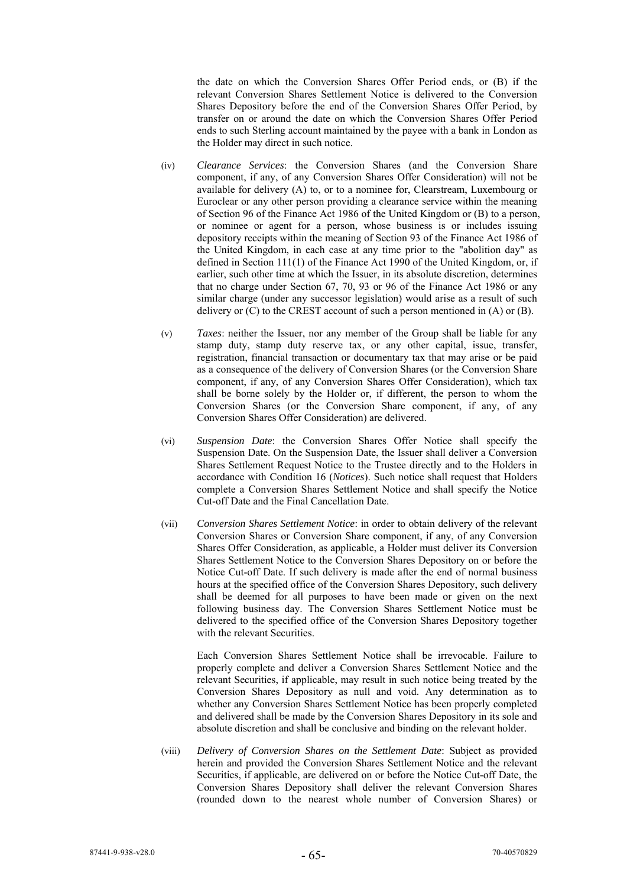the date on which the Conversion Shares Offer Period ends, or (B) if the relevant Conversion Shares Settlement Notice is delivered to the Conversion Shares Depository before the end of the Conversion Shares Offer Period, by transfer on or around the date on which the Conversion Shares Offer Period ends to such Sterling account maintained by the payee with a bank in London as the Holder may direct in such notice.

- (iv) *Clearance Services*: the Conversion Shares (and the Conversion Share component, if any, of any Conversion Shares Offer Consideration) will not be available for delivery (A) to, or to a nominee for, Clearstream, Luxembourg or Euroclear or any other person providing a clearance service within the meaning of Section 96 of the Finance Act 1986 of the United Kingdom or (B) to a person, or nominee or agent for a person, whose business is or includes issuing depository receipts within the meaning of Section 93 of the Finance Act 1986 of the United Kingdom, in each case at any time prior to the "abolition day" as defined in Section 111(1) of the Finance Act 1990 of the United Kingdom, or, if earlier, such other time at which the Issuer, in its absolute discretion, determines that no charge under Section 67, 70, 93 or 96 of the Finance Act 1986 or any similar charge (under any successor legislation) would arise as a result of such delivery or (C) to the CREST account of such a person mentioned in (A) or (B).
- (v) *Taxes*: neither the Issuer, nor any member of the Group shall be liable for any stamp duty, stamp duty reserve tax, or any other capital, issue, transfer, registration, financial transaction or documentary tax that may arise or be paid as a consequence of the delivery of Conversion Shares (or the Conversion Share component, if any, of any Conversion Shares Offer Consideration), which tax shall be borne solely by the Holder or, if different, the person to whom the Conversion Shares (or the Conversion Share component, if any, of any Conversion Shares Offer Consideration) are delivered.
- (vi) *Suspension Date*: the Conversion Shares Offer Notice shall specify the Suspension Date. On the Suspension Date, the Issuer shall deliver a Conversion Shares Settlement Request Notice to the Trustee directly and to the Holders in accordance with Condition 16 (*Notices*). Such notice shall request that Holders complete a Conversion Shares Settlement Notice and shall specify the Notice Cut-off Date and the Final Cancellation Date.
- (vii) *Conversion Shares Settlement Notice*: in order to obtain delivery of the relevant Conversion Shares or Conversion Share component, if any, of any Conversion Shares Offer Consideration, as applicable, a Holder must deliver its Conversion Shares Settlement Notice to the Conversion Shares Depository on or before the Notice Cut-off Date. If such delivery is made after the end of normal business hours at the specified office of the Conversion Shares Depository, such delivery shall be deemed for all purposes to have been made or given on the next following business day. The Conversion Shares Settlement Notice must be delivered to the specified office of the Conversion Shares Depository together with the relevant Securities.

Each Conversion Shares Settlement Notice shall be irrevocable. Failure to properly complete and deliver a Conversion Shares Settlement Notice and the relevant Securities, if applicable, may result in such notice being treated by the Conversion Shares Depository as null and void. Any determination as to whether any Conversion Shares Settlement Notice has been properly completed and delivered shall be made by the Conversion Shares Depository in its sole and absolute discretion and shall be conclusive and binding on the relevant holder.

(viii) *Delivery of Conversion Shares on the Settlement Date*: Subject as provided herein and provided the Conversion Shares Settlement Notice and the relevant Securities, if applicable, are delivered on or before the Notice Cut-off Date, the Conversion Shares Depository shall deliver the relevant Conversion Shares (rounded down to the nearest whole number of Conversion Shares) or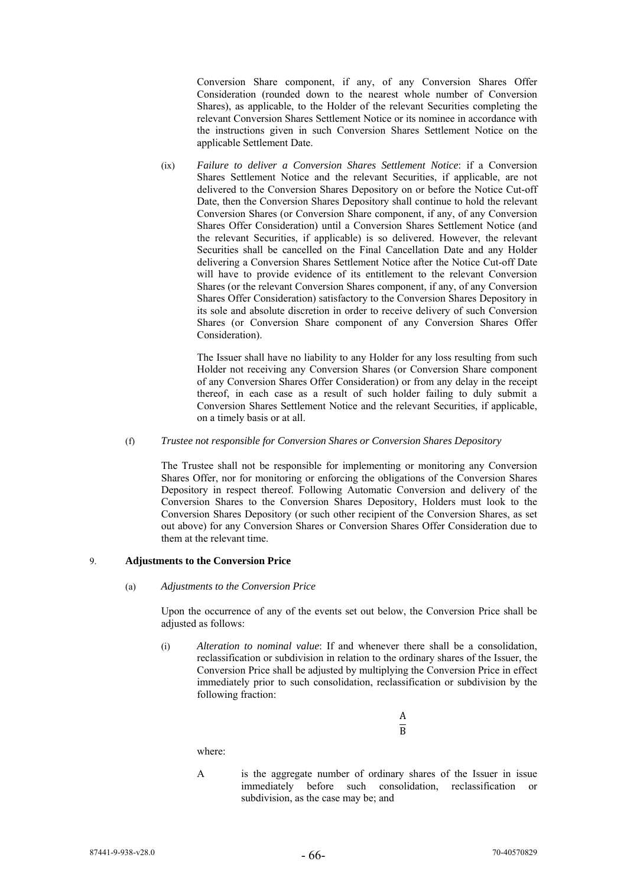Conversion Share component, if any, of any Conversion Shares Offer Consideration (rounded down to the nearest whole number of Conversion Shares), as applicable, to the Holder of the relevant Securities completing the relevant Conversion Shares Settlement Notice or its nominee in accordance with the instructions given in such Conversion Shares Settlement Notice on the applicable Settlement Date.

(ix) *Failure to deliver a Conversion Shares Settlement Notice*: if a Conversion Shares Settlement Notice and the relevant Securities, if applicable, are not delivered to the Conversion Shares Depository on or before the Notice Cut-off Date, then the Conversion Shares Depository shall continue to hold the relevant Conversion Shares (or Conversion Share component, if any, of any Conversion Shares Offer Consideration) until a Conversion Shares Settlement Notice (and the relevant Securities, if applicable) is so delivered. However, the relevant Securities shall be cancelled on the Final Cancellation Date and any Holder delivering a Conversion Shares Settlement Notice after the Notice Cut-off Date will have to provide evidence of its entitlement to the relevant Conversion Shares (or the relevant Conversion Shares component, if any, of any Conversion Shares Offer Consideration) satisfactory to the Conversion Shares Depository in its sole and absolute discretion in order to receive delivery of such Conversion Shares (or Conversion Share component of any Conversion Shares Offer Consideration).

The Issuer shall have no liability to any Holder for any loss resulting from such Holder not receiving any Conversion Shares (or Conversion Share component of any Conversion Shares Offer Consideration) or from any delay in the receipt thereof, in each case as a result of such holder failing to duly submit a Conversion Shares Settlement Notice and the relevant Securities, if applicable, on a timely basis or at all.

# (f) *Trustee not responsible for Conversion Shares or Conversion Shares Depository*

The Trustee shall not be responsible for implementing or monitoring any Conversion Shares Offer, nor for monitoring or enforcing the obligations of the Conversion Shares Depository in respect thereof. Following Automatic Conversion and delivery of the Conversion Shares to the Conversion Shares Depository, Holders must look to the Conversion Shares Depository (or such other recipient of the Conversion Shares, as set out above) for any Conversion Shares or Conversion Shares Offer Consideration due to them at the relevant time.

# 9. **Adjustments to the Conversion Price**

#### (a) *Adjustments to the Conversion Price*

Upon the occurrence of any of the events set out below, the Conversion Price shall be adjusted as follows:

(i) *Alteration to nominal value*: If and whenever there shall be a consolidation, reclassification or subdivision in relation to the ordinary shares of the Issuer, the Conversion Price shall be adjusted by multiplying the Conversion Price in effect immediately prior to such consolidation, reclassification or subdivision by the following fraction:

> A  $\overline{B}$

where:

A is the aggregate number of ordinary shares of the Issuer in issue immediately before such consolidation, reclassification or subdivision, as the case may be; and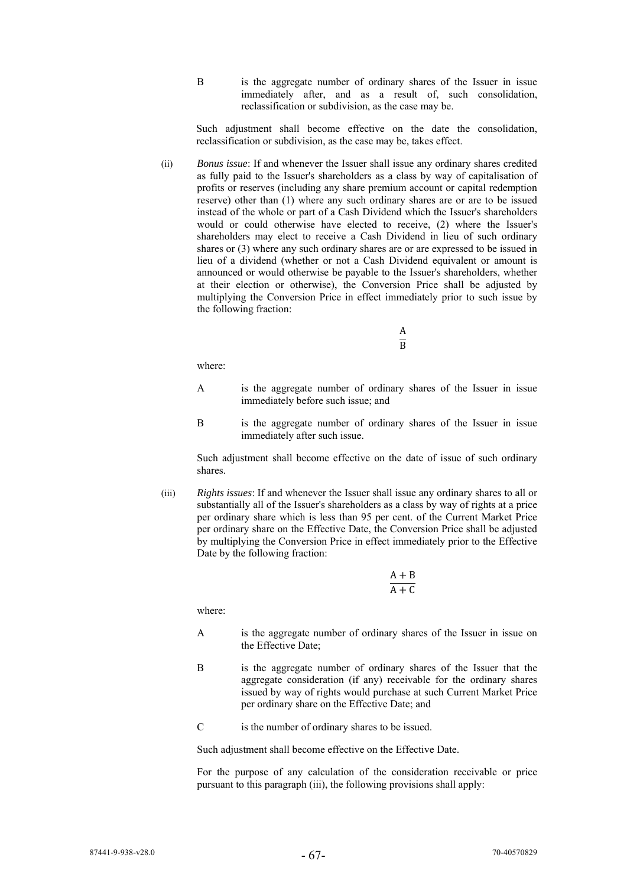B is the aggregate number of ordinary shares of the Issuer in issue immediately after, and as a result of, such consolidation, reclassification or subdivision, as the case may be.

Such adjustment shall become effective on the date the consolidation, reclassification or subdivision, as the case may be, takes effect.

(ii) *Bonus issue*: If and whenever the Issuer shall issue any ordinary shares credited as fully paid to the Issuer's shareholders as a class by way of capitalisation of profits or reserves (including any share premium account or capital redemption reserve) other than (1) where any such ordinary shares are or are to be issued instead of the whole or part of a Cash Dividend which the Issuer's shareholders would or could otherwise have elected to receive, (2) where the Issuer's shareholders may elect to receive a Cash Dividend in lieu of such ordinary shares or (3) where any such ordinary shares are or are expressed to be issued in lieu of a dividend (whether or not a Cash Dividend equivalent or amount is announced or would otherwise be payable to the Issuer's shareholders, whether at their election or otherwise), the Conversion Price shall be adjusted by multiplying the Conversion Price in effect immediately prior to such issue by the following fraction:

> A  $\overline{B}$

where:

- A is the aggregate number of ordinary shares of the Issuer in issue immediately before such issue; and
- B is the aggregate number of ordinary shares of the Issuer in issue immediately after such issue.

Such adjustment shall become effective on the date of issue of such ordinary shares.

(iii) *Rights issues*: If and whenever the Issuer shall issue any ordinary shares to all or substantially all of the Issuer's shareholders as a class by way of rights at a price per ordinary share which is less than 95 per cent. of the Current Market Price per ordinary share on the Effective Date, the Conversion Price shall be adjusted by multiplying the Conversion Price in effect immediately prior to the Effective Date by the following fraction:

> $A + B$  $\overline{\Delta + \Gamma}$

where:

- A is the aggregate number of ordinary shares of the Issuer in issue on the Effective Date;
- B is the aggregate number of ordinary shares of the Issuer that the aggregate consideration (if any) receivable for the ordinary shares issued by way of rights would purchase at such Current Market Price per ordinary share on the Effective Date; and
- C is the number of ordinary shares to be issued.

Such adjustment shall become effective on the Effective Date.

For the purpose of any calculation of the consideration receivable or price pursuant to this paragraph (iii), the following provisions shall apply: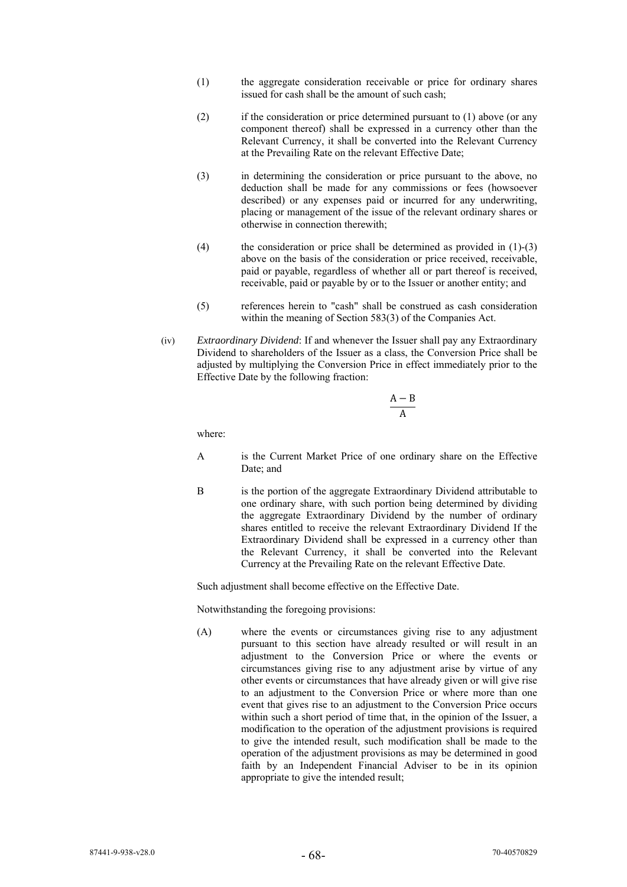- (1) the aggregate consideration receivable or price for ordinary shares issued for cash shall be the amount of such cash;
- (2) if the consideration or price determined pursuant to (1) above (or any component thereof) shall be expressed in a currency other than the Relevant Currency, it shall be converted into the Relevant Currency at the Prevailing Rate on the relevant Effective Date;
- (3) in determining the consideration or price pursuant to the above, no deduction shall be made for any commissions or fees (howsoever described) or any expenses paid or incurred for any underwriting, placing or management of the issue of the relevant ordinary shares or otherwise in connection therewith;
- (4) the consideration or price shall be determined as provided in (1)-(3) above on the basis of the consideration or price received, receivable, paid or payable, regardless of whether all or part thereof is received, receivable, paid or payable by or to the Issuer or another entity; and
- (5) references herein to "cash" shall be construed as cash consideration within the meaning of Section 583(3) of the Companies Act.
- (iv) *Extraordinary Dividend*: If and whenever the Issuer shall pay any Extraordinary Dividend to shareholders of the Issuer as a class, the Conversion Price shall be adjusted by multiplying the Conversion Price in effect immediately prior to the Effective Date by the following fraction:

$$
\frac{A-B}{A}
$$

where:

- A is the Current Market Price of one ordinary share on the Effective Date; and
- B is the portion of the aggregate Extraordinary Dividend attributable to one ordinary share, with such portion being determined by dividing the aggregate Extraordinary Dividend by the number of ordinary shares entitled to receive the relevant Extraordinary Dividend If the Extraordinary Dividend shall be expressed in a currency other than the Relevant Currency, it shall be converted into the Relevant Currency at the Prevailing Rate on the relevant Effective Date.

Such adjustment shall become effective on the Effective Date.

Notwithstanding the foregoing provisions:

(A) where the events or circumstances giving rise to any adjustment pursuant to this section have already resulted or will result in an adjustment to the Conversion Price or where the events or circumstances giving rise to any adjustment arise by virtue of any other events or circumstances that have already given or will give rise to an adjustment to the Conversion Price or where more than one event that gives rise to an adjustment to the Conversion Price occurs within such a short period of time that, in the opinion of the Issuer, a modification to the operation of the adjustment provisions is required to give the intended result, such modification shall be made to the operation of the adjustment provisions as may be determined in good faith by an Independent Financial Adviser to be in its opinion appropriate to give the intended result;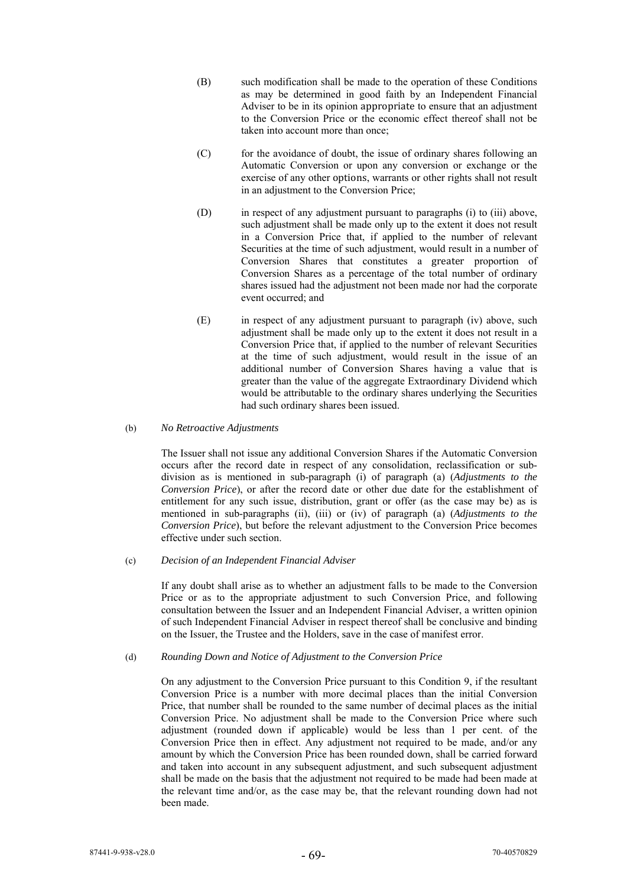- (B) such modification shall be made to the operation of these Conditions as may be determined in good faith by an Independent Financial Adviser to be in its opinion appropriate to ensure that an adjustment to the Conversion Price or the economic effect thereof shall not be taken into account more than once;
- (C) for the avoidance of doubt, the issue of ordinary shares following an Automatic Conversion or upon any conversion or exchange or the exercise of any other options, warrants or other rights shall not result in an adjustment to the Conversion Price;
- (D) in respect of any adjustment pursuant to paragraphs (i) to (iii) above, such adjustment shall be made only up to the extent it does not result in a Conversion Price that, if applied to the number of relevant Securities at the time of such adjustment, would result in a number of Conversion Shares that constitutes a greater proportion of Conversion Shares as a percentage of the total number of ordinary shares issued had the adjustment not been made nor had the corporate event occurred; and
- (E) in respect of any adjustment pursuant to paragraph (iv) above, such adjustment shall be made only up to the extent it does not result in a Conversion Price that, if applied to the number of relevant Securities at the time of such adjustment, would result in the issue of an additional number of Conversion Shares having a value that is greater than the value of the aggregate Extraordinary Dividend which would be attributable to the ordinary shares underlying the Securities had such ordinary shares been issued.

# (b) *No Retroactive Adjustments*

The Issuer shall not issue any additional Conversion Shares if the Automatic Conversion occurs after the record date in respect of any consolidation, reclassification or subdivision as is mentioned in sub-paragraph (i) of paragraph (a) (*Adjustments to the Conversion Price*), or after the record date or other due date for the establishment of entitlement for any such issue, distribution, grant or offer (as the case may be) as is mentioned in sub-paragraphs (ii), (iii) or (iv) of paragraph (a) (*Adjustments to the Conversion Price*), but before the relevant adjustment to the Conversion Price becomes effective under such section.

# (c) *Decision of an Independent Financial Adviser*

If any doubt shall arise as to whether an adjustment falls to be made to the Conversion Price or as to the appropriate adjustment to such Conversion Price, and following consultation between the Issuer and an Independent Financial Adviser, a written opinion of such Independent Financial Adviser in respect thereof shall be conclusive and binding on the Issuer, the Trustee and the Holders, save in the case of manifest error.

# (d) *Rounding Down and Notice of Adjustment to the Conversion Price*

On any adjustment to the Conversion Price pursuant to this Condition 9, if the resultant Conversion Price is a number with more decimal places than the initial Conversion Price, that number shall be rounded to the same number of decimal places as the initial Conversion Price. No adjustment shall be made to the Conversion Price where such adjustment (rounded down if applicable) would be less than 1 per cent. of the Conversion Price then in effect. Any adjustment not required to be made, and/or any amount by which the Conversion Price has been rounded down, shall be carried forward and taken into account in any subsequent adjustment, and such subsequent adjustment shall be made on the basis that the adjustment not required to be made had been made at the relevant time and/or, as the case may be, that the relevant rounding down had not been made.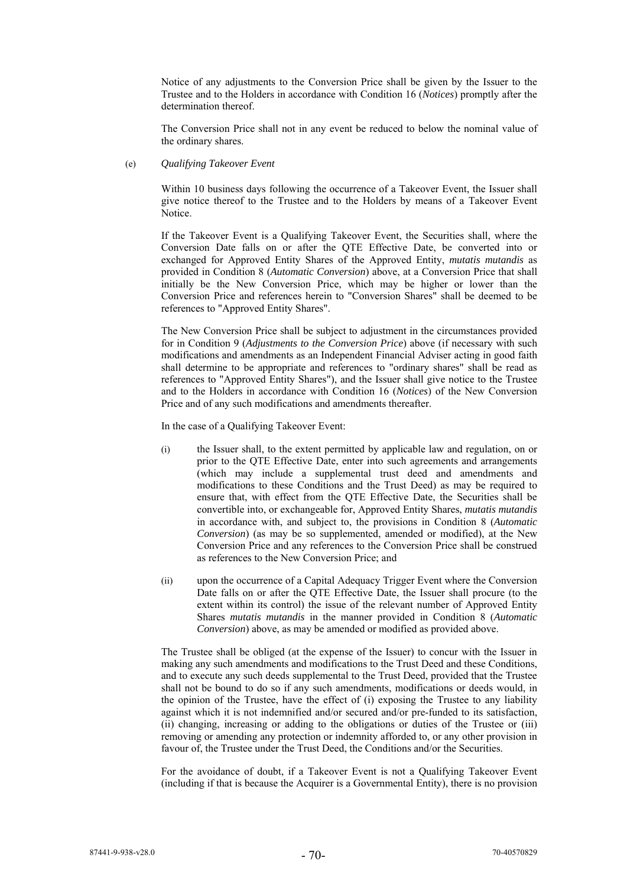Notice of any adjustments to the Conversion Price shall be given by the Issuer to the Trustee and to the Holders in accordance with Condition 16 (*Notices*) promptly after the determination thereof.

The Conversion Price shall not in any event be reduced to below the nominal value of the ordinary shares.

# (e) *Qualifying Takeover Event*

Within 10 business days following the occurrence of a Takeover Event, the Issuer shall give notice thereof to the Trustee and to the Holders by means of a Takeover Event Notice.

If the Takeover Event is a Qualifying Takeover Event, the Securities shall, where the Conversion Date falls on or after the QTE Effective Date, be converted into or exchanged for Approved Entity Shares of the Approved Entity, *mutatis mutandis* as provided in Condition 8 (*Automatic Conversion*) above, at a Conversion Price that shall initially be the New Conversion Price, which may be higher or lower than the Conversion Price and references herein to "Conversion Shares" shall be deemed to be references to "Approved Entity Shares".

The New Conversion Price shall be subject to adjustment in the circumstances provided for in Condition 9 (*Adjustments to the Conversion Price*) above (if necessary with such modifications and amendments as an Independent Financial Adviser acting in good faith shall determine to be appropriate and references to "ordinary shares" shall be read as references to "Approved Entity Shares"), and the Issuer shall give notice to the Trustee and to the Holders in accordance with Condition 16 (*Notices*) of the New Conversion Price and of any such modifications and amendments thereafter.

In the case of a Qualifying Takeover Event:

- (i) the Issuer shall, to the extent permitted by applicable law and regulation, on or prior to the QTE Effective Date, enter into such agreements and arrangements (which may include a supplemental trust deed and amendments and modifications to these Conditions and the Trust Deed) as may be required to ensure that, with effect from the QTE Effective Date, the Securities shall be convertible into, or exchangeable for, Approved Entity Shares, *mutatis mutandis* in accordance with, and subject to, the provisions in Condition 8 (*Automatic Conversion*) (as may be so supplemented, amended or modified), at the New Conversion Price and any references to the Conversion Price shall be construed as references to the New Conversion Price; and
- (ii) upon the occurrence of a Capital Adequacy Trigger Event where the Conversion Date falls on or after the QTE Effective Date, the Issuer shall procure (to the extent within its control) the issue of the relevant number of Approved Entity Shares *mutatis mutandis* in the manner provided in Condition 8 (*Automatic Conversion*) above, as may be amended or modified as provided above.

The Trustee shall be obliged (at the expense of the Issuer) to concur with the Issuer in making any such amendments and modifications to the Trust Deed and these Conditions, and to execute any such deeds supplemental to the Trust Deed, provided that the Trustee shall not be bound to do so if any such amendments, modifications or deeds would, in the opinion of the Trustee, have the effect of (i) exposing the Trustee to any liability against which it is not indemnified and/or secured and/or pre-funded to its satisfaction, (ii) changing, increasing or adding to the obligations or duties of the Trustee or (iii) removing or amending any protection or indemnity afforded to, or any other provision in favour of, the Trustee under the Trust Deed, the Conditions and/or the Securities.

For the avoidance of doubt, if a Takeover Event is not a Qualifying Takeover Event (including if that is because the Acquirer is a Governmental Entity), there is no provision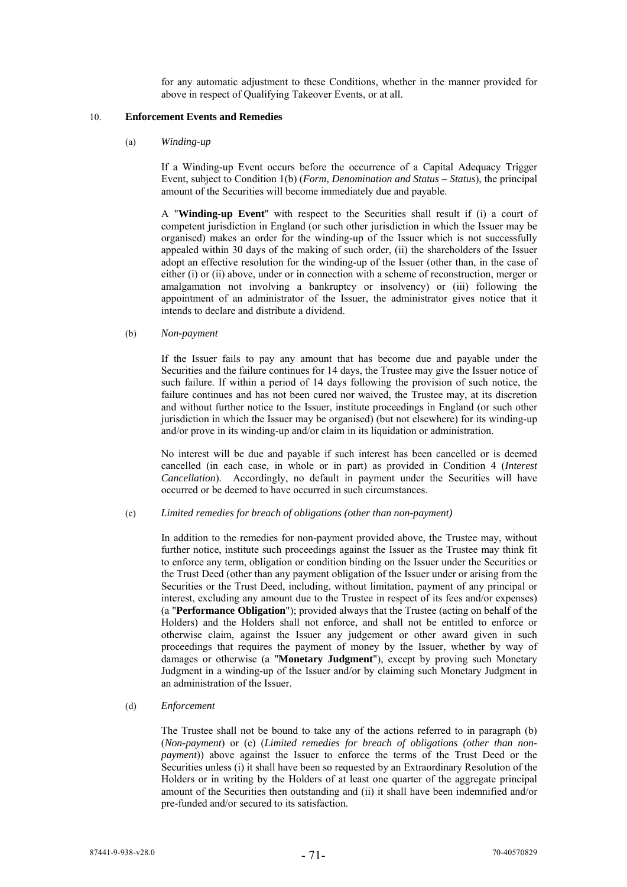for any automatic adjustment to these Conditions, whether in the manner provided for above in respect of Qualifying Takeover Events, or at all.

#### 10. **Enforcement Events and Remedies**

(a) *Winding-up* 

If a Winding-up Event occurs before the occurrence of a Capital Adequacy Trigger Event, subject to Condition 1(b) (*Form, Denomination and Status – Status*), the principal amount of the Securities will become immediately due and payable.

A "**Winding-up Event**" with respect to the Securities shall result if (i) a court of competent jurisdiction in England (or such other jurisdiction in which the Issuer may be organised) makes an order for the winding-up of the Issuer which is not successfully appealed within 30 days of the making of such order, (ii) the shareholders of the Issuer adopt an effective resolution for the winding-up of the Issuer (other than, in the case of either (i) or (ii) above, under or in connection with a scheme of reconstruction, merger or amalgamation not involving a bankruptcy or insolvency) or (iii) following the appointment of an administrator of the Issuer, the administrator gives notice that it intends to declare and distribute a dividend.

(b) *Non-payment* 

If the Issuer fails to pay any amount that has become due and payable under the Securities and the failure continues for 14 days, the Trustee may give the Issuer notice of such failure. If within a period of 14 days following the provision of such notice, the failure continues and has not been cured nor waived, the Trustee may, at its discretion and without further notice to the Issuer, institute proceedings in England (or such other jurisdiction in which the Issuer may be organised) (but not elsewhere) for its winding-up and/or prove in its winding-up and/or claim in its liquidation or administration.

No interest will be due and payable if such interest has been cancelled or is deemed cancelled (in each case, in whole or in part) as provided in Condition 4 (*Interest Cancellation*). Accordingly, no default in payment under the Securities will have occurred or be deemed to have occurred in such circumstances.

(c) *Limited remedies for breach of obligations (other than non-payment)* 

In addition to the remedies for non-payment provided above, the Trustee may, without further notice, institute such proceedings against the Issuer as the Trustee may think fit to enforce any term, obligation or condition binding on the Issuer under the Securities or the Trust Deed (other than any payment obligation of the Issuer under or arising from the Securities or the Trust Deed, including, without limitation, payment of any principal or interest, excluding any amount due to the Trustee in respect of its fees and/or expenses) (a "**Performance Obligation**"); provided always that the Trustee (acting on behalf of the Holders) and the Holders shall not enforce, and shall not be entitled to enforce or otherwise claim, against the Issuer any judgement or other award given in such proceedings that requires the payment of money by the Issuer, whether by way of damages or otherwise (a "**Monetary Judgment**"), except by proving such Monetary Judgment in a winding-up of the Issuer and/or by claiming such Monetary Judgment in an administration of the Issuer.

(d) *Enforcement* 

The Trustee shall not be bound to take any of the actions referred to in paragraph (b) (*Non-payment*) or (c) (*Limited remedies for breach of obligations (other than nonpayment*)) above against the Issuer to enforce the terms of the Trust Deed or the Securities unless (i) it shall have been so requested by an Extraordinary Resolution of the Holders or in writing by the Holders of at least one quarter of the aggregate principal amount of the Securities then outstanding and (ii) it shall have been indemnified and/or pre-funded and/or secured to its satisfaction.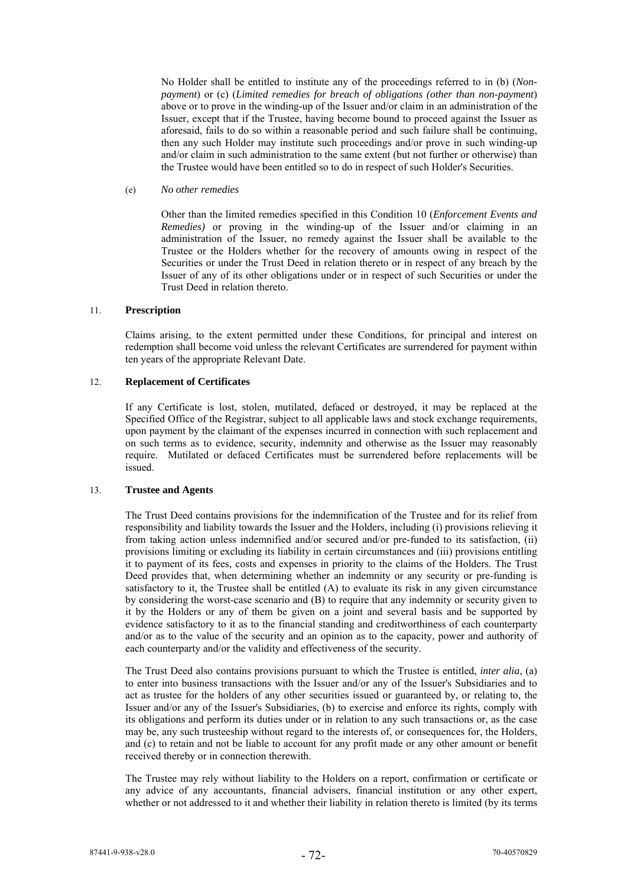No Holder shall be entitled to institute any of the proceedings referred to in (b) (*Nonpayment*) or (c) (*Limited remedies for breach of obligations (other than non-payment*) above or to prove in the winding-up of the Issuer and/or claim in an administration of the Issuer, except that if the Trustee, having become bound to proceed against the Issuer as aforesaid, fails to do so within a reasonable period and such failure shall be continuing, then any such Holder may institute such proceedings and/or prove in such winding-up and/or claim in such administration to the same extent (but not further or otherwise) than the Trustee would have been entitled so to do in respect of such Holder's Securities.

## (e) *No other remedies*

Other than the limited remedies specified in this Condition 10 (*Enforcement Events and Remedies*) or proving in the winding-up of the Issuer and/or claiming in an administration of the Issuer, no remedy against the Issuer shall be available to the Trustee or the Holders whether for the recovery of amounts owing in respect of the Securities or under the Trust Deed in relation thereto or in respect of any breach by the Issuer of any of its other obligations under or in respect of such Securities or under the Trust Deed in relation thereto.

# 11. **Prescription**

Claims arising, to the extent permitted under these Conditions, for principal and interest on redemption shall become void unless the relevant Certificates are surrendered for payment within ten years of the appropriate Relevant Date.

### 12. **Replacement of Certificates**

If any Certificate is lost, stolen, mutilated, defaced or destroyed, it may be replaced at the Specified Office of the Registrar, subject to all applicable laws and stock exchange requirements, upon payment by the claimant of the expenses incurred in connection with such replacement and on such terms as to evidence, security, indemnity and otherwise as the Issuer may reasonably require. Mutilated or defaced Certificates must be surrendered before replacements will be issued.

# 13. **Trustee and Agents**

The Trust Deed contains provisions for the indemnification of the Trustee and for its relief from responsibility and liability towards the Issuer and the Holders, including (i) provisions relieving it from taking action unless indemnified and/or secured and/or pre-funded to its satisfaction, (ii) provisions limiting or excluding its liability in certain circumstances and (iii) provisions entitling it to payment of its fees, costs and expenses in priority to the claims of the Holders. The Trust Deed provides that, when determining whether an indemnity or any security or pre-funding is satisfactory to it, the Trustee shall be entitled (A) to evaluate its risk in any given circumstance by considering the worst-case scenario and (B) to require that any indemnity or security given to it by the Holders or any of them be given on a joint and several basis and be supported by evidence satisfactory to it as to the financial standing and creditworthiness of each counterparty and/or as to the value of the security and an opinion as to the capacity, power and authority of each counterparty and/or the validity and effectiveness of the security.

The Trust Deed also contains provisions pursuant to which the Trustee is entitled, *inter alia*, (a) to enter into business transactions with the Issuer and/or any of the Issuer's Subsidiaries and to act as trustee for the holders of any other securities issued or guaranteed by, or relating to, the Issuer and/or any of the Issuer's Subsidiaries, (b) to exercise and enforce its rights, comply with its obligations and perform its duties under or in relation to any such transactions or, as the case may be, any such trusteeship without regard to the interests of, or consequences for, the Holders, and (c) to retain and not be liable to account for any profit made or any other amount or benefit received thereby or in connection therewith.

The Trustee may rely without liability to the Holders on a report, confirmation or certificate or any advice of any accountants, financial advisers, financial institution or any other expert, whether or not addressed to it and whether their liability in relation thereto is limited (by its terms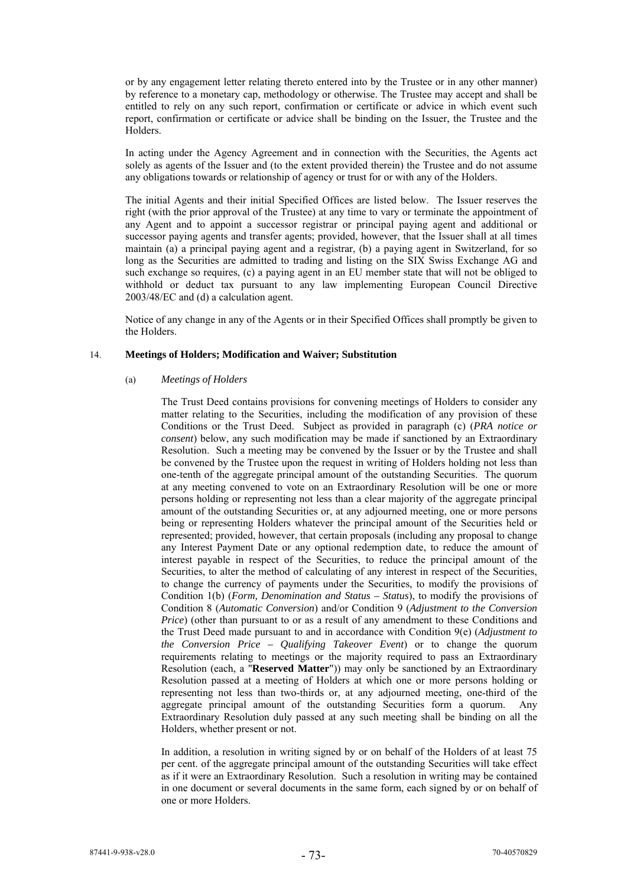or by any engagement letter relating thereto entered into by the Trustee or in any other manner) by reference to a monetary cap, methodology or otherwise. The Trustee may accept and shall be entitled to rely on any such report, confirmation or certificate or advice in which event such report, confirmation or certificate or advice shall be binding on the Issuer, the Trustee and the Holders.

In acting under the Agency Agreement and in connection with the Securities, the Agents act solely as agents of the Issuer and (to the extent provided therein) the Trustee and do not assume any obligations towards or relationship of agency or trust for or with any of the Holders.

The initial Agents and their initial Specified Offices are listed below. The Issuer reserves the right (with the prior approval of the Trustee) at any time to vary or terminate the appointment of any Agent and to appoint a successor registrar or principal paying agent and additional or successor paying agents and transfer agents; provided, however, that the Issuer shall at all times maintain (a) a principal paying agent and a registrar, (b) a paying agent in Switzerland, for so long as the Securities are admitted to trading and listing on the SIX Swiss Exchange AG and such exchange so requires, (c) a paying agent in an EU member state that will not be obliged to withhold or deduct tax pursuant to any law implementing European Council Directive 2003/48/EC and (d) a calculation agent.

Notice of any change in any of the Agents or in their Specified Offices shall promptly be given to the Holders.

### 14. **Meetings of Holders; Modification and Waiver; Substitution**

# (a) *Meetings of Holders*

The Trust Deed contains provisions for convening meetings of Holders to consider any matter relating to the Securities, including the modification of any provision of these Conditions or the Trust Deed. Subject as provided in paragraph (c) (*PRA notice or consent*) below, any such modification may be made if sanctioned by an Extraordinary Resolution. Such a meeting may be convened by the Issuer or by the Trustee and shall be convened by the Trustee upon the request in writing of Holders holding not less than one-tenth of the aggregate principal amount of the outstanding Securities. The quorum at any meeting convened to vote on an Extraordinary Resolution will be one or more persons holding or representing not less than a clear majority of the aggregate principal amount of the outstanding Securities or, at any adjourned meeting, one or more persons being or representing Holders whatever the principal amount of the Securities held or represented; provided, however, that certain proposals (including any proposal to change any Interest Payment Date or any optional redemption date, to reduce the amount of interest payable in respect of the Securities, to reduce the principal amount of the Securities, to alter the method of calculating of any interest in respect of the Securities, to change the currency of payments under the Securities, to modify the provisions of Condition 1(b) (*Form, Denomination and Status – Status*), to modify the provisions of Condition 8 (*Automatic Conversion*) and/or Condition 9 (*Adjustment to the Conversion Price*) (other than pursuant to or as a result of any amendment to these Conditions and the Trust Deed made pursuant to and in accordance with Condition 9(e) (*Adjustment to the Conversion Price – Qualifying Takeover Event*) or to change the quorum requirements relating to meetings or the majority required to pass an Extraordinary Resolution (each, a "**Reserved Matter**")) may only be sanctioned by an Extraordinary Resolution passed at a meeting of Holders at which one or more persons holding or representing not less than two-thirds or, at any adjourned meeting, one-third of the aggregate principal amount of the outstanding Securities form a quorum. Any Extraordinary Resolution duly passed at any such meeting shall be binding on all the Holders, whether present or not.

In addition, a resolution in writing signed by or on behalf of the Holders of at least 75 per cent. of the aggregate principal amount of the outstanding Securities will take effect as if it were an Extraordinary Resolution. Such a resolution in writing may be contained in one document or several documents in the same form, each signed by or on behalf of one or more Holders.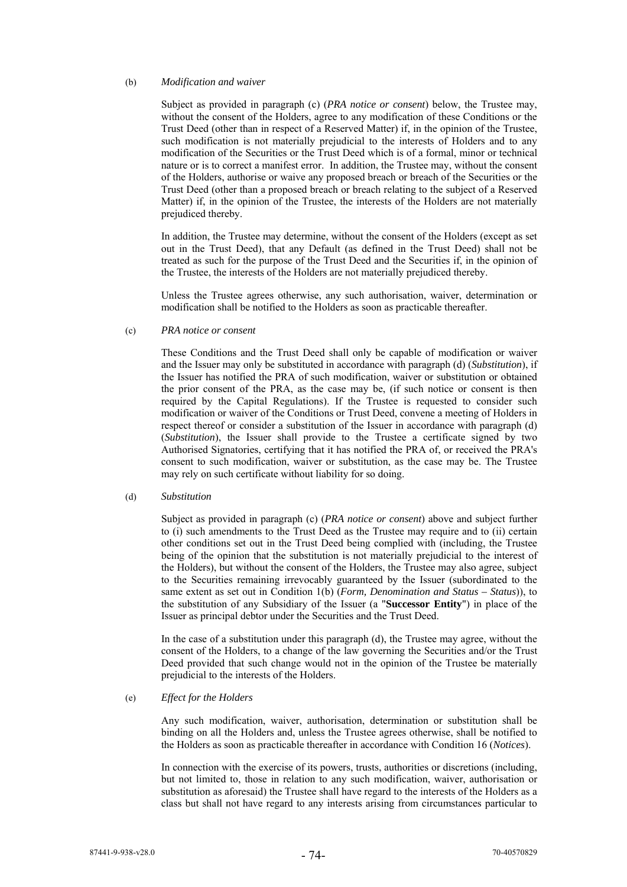### (b) *Modification and waiver*

Subject as provided in paragraph (c) (*PRA notice or consent*) below, the Trustee may, without the consent of the Holders, agree to any modification of these Conditions or the Trust Deed (other than in respect of a Reserved Matter) if, in the opinion of the Trustee, such modification is not materially prejudicial to the interests of Holders and to any modification of the Securities or the Trust Deed which is of a formal, minor or technical nature or is to correct a manifest error. In addition, the Trustee may, without the consent of the Holders, authorise or waive any proposed breach or breach of the Securities or the Trust Deed (other than a proposed breach or breach relating to the subject of a Reserved Matter) if, in the opinion of the Trustee, the interests of the Holders are not materially prejudiced thereby.

In addition, the Trustee may determine, without the consent of the Holders (except as set out in the Trust Deed), that any Default (as defined in the Trust Deed) shall not be treated as such for the purpose of the Trust Deed and the Securities if, in the opinion of the Trustee, the interests of the Holders are not materially prejudiced thereby.

Unless the Trustee agrees otherwise, any such authorisation, waiver, determination or modification shall be notified to the Holders as soon as practicable thereafter.

#### (c) *PRA notice or consent*

These Conditions and the Trust Deed shall only be capable of modification or waiver and the Issuer may only be substituted in accordance with paragraph (d) (*Substitution*), if the Issuer has notified the PRA of such modification, waiver or substitution or obtained the prior consent of the PRA, as the case may be, (if such notice or consent is then required by the Capital Regulations). If the Trustee is requested to consider such modification or waiver of the Conditions or Trust Deed, convene a meeting of Holders in respect thereof or consider a substitution of the Issuer in accordance with paragraph (d) (*Substitution*), the Issuer shall provide to the Trustee a certificate signed by two Authorised Signatories, certifying that it has notified the PRA of, or received the PRA's consent to such modification, waiver or substitution, as the case may be. The Trustee may rely on such certificate without liability for so doing.

#### (d) *Substitution*

Subject as provided in paragraph (c) (*PRA notice or consent*) above and subject further to (i) such amendments to the Trust Deed as the Trustee may require and to (ii) certain other conditions set out in the Trust Deed being complied with (including, the Trustee being of the opinion that the substitution is not materially prejudicial to the interest of the Holders), but without the consent of the Holders, the Trustee may also agree, subject to the Securities remaining irrevocably guaranteed by the Issuer (subordinated to the same extent as set out in Condition 1(b) (*Form, Denomination and Status – Status*)), to the substitution of any Subsidiary of the Issuer (a "**Successor Entity**") in place of the Issuer as principal debtor under the Securities and the Trust Deed.

In the case of a substitution under this paragraph (d), the Trustee may agree, without the consent of the Holders, to a change of the law governing the Securities and/or the Trust Deed provided that such change would not in the opinion of the Trustee be materially prejudicial to the interests of the Holders.

# (e) *Effect for the Holders*

Any such modification, waiver, authorisation, determination or substitution shall be binding on all the Holders and, unless the Trustee agrees otherwise, shall be notified to the Holders as soon as practicable thereafter in accordance with Condition 16 (*Notices*).

In connection with the exercise of its powers, trusts, authorities or discretions (including, but not limited to, those in relation to any such modification, waiver, authorisation or substitution as aforesaid) the Trustee shall have regard to the interests of the Holders as a class but shall not have regard to any interests arising from circumstances particular to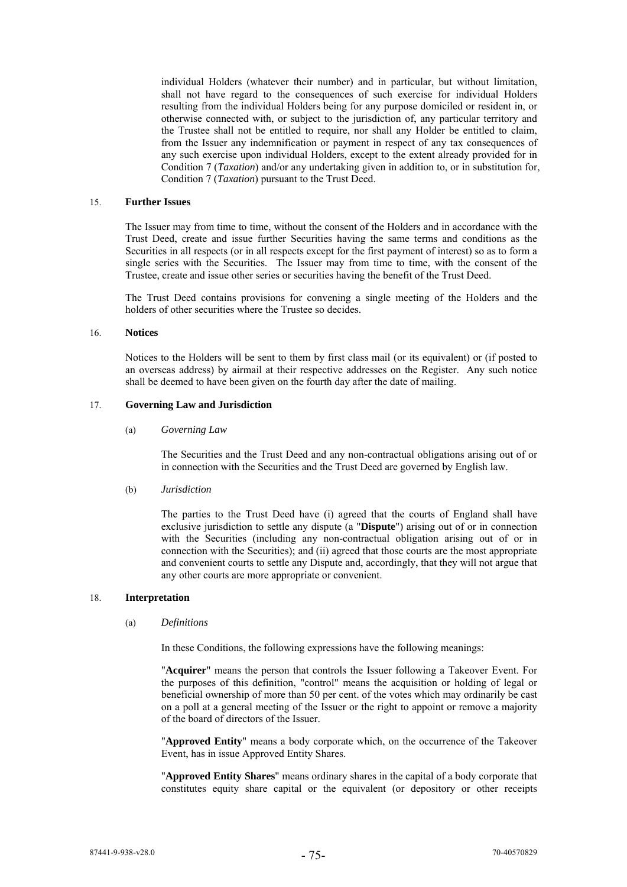individual Holders (whatever their number) and in particular, but without limitation, shall not have regard to the consequences of such exercise for individual Holders resulting from the individual Holders being for any purpose domiciled or resident in, or otherwise connected with, or subject to the jurisdiction of, any particular territory and the Trustee shall not be entitled to require, nor shall any Holder be entitled to claim, from the Issuer any indemnification or payment in respect of any tax consequences of any such exercise upon individual Holders, except to the extent already provided for in Condition 7 (*Taxation*) and/or any undertaking given in addition to, or in substitution for, Condition 7 (*Taxation*) pursuant to the Trust Deed.

### 15. **Further Issues**

The Issuer may from time to time, without the consent of the Holders and in accordance with the Trust Deed, create and issue further Securities having the same terms and conditions as the Securities in all respects (or in all respects except for the first payment of interest) so as to form a single series with the Securities. The Issuer may from time to time, with the consent of the Trustee, create and issue other series or securities having the benefit of the Trust Deed.

The Trust Deed contains provisions for convening a single meeting of the Holders and the holders of other securities where the Trustee so decides.

#### 16. **Notices**

Notices to the Holders will be sent to them by first class mail (or its equivalent) or (if posted to an overseas address) by airmail at their respective addresses on the Register. Any such notice shall be deemed to have been given on the fourth day after the date of mailing.

### 17. **Governing Law and Jurisdiction**

#### (a) *Governing Law*

The Securities and the Trust Deed and any non-contractual obligations arising out of or in connection with the Securities and the Trust Deed are governed by English law.

# (b) *Jurisdiction*

The parties to the Trust Deed have (i) agreed that the courts of England shall have exclusive jurisdiction to settle any dispute (a "**Dispute**") arising out of or in connection with the Securities (including any non-contractual obligation arising out of or in connection with the Securities); and (ii) agreed that those courts are the most appropriate and convenient courts to settle any Dispute and, accordingly, that they will not argue that any other courts are more appropriate or convenient.

### 18. **Interpretation**

#### (a) *Definitions*

In these Conditions, the following expressions have the following meanings:

"**Acquirer**" means the person that controls the Issuer following a Takeover Event. For the purposes of this definition, "control" means the acquisition or holding of legal or beneficial ownership of more than 50 per cent. of the votes which may ordinarily be cast on a poll at a general meeting of the Issuer or the right to appoint or remove a majority of the board of directors of the Issuer.

"**Approved Entity**" means a body corporate which, on the occurrence of the Takeover Event, has in issue Approved Entity Shares.

"**Approved Entity Shares**" means ordinary shares in the capital of a body corporate that constitutes equity share capital or the equivalent (or depository or other receipts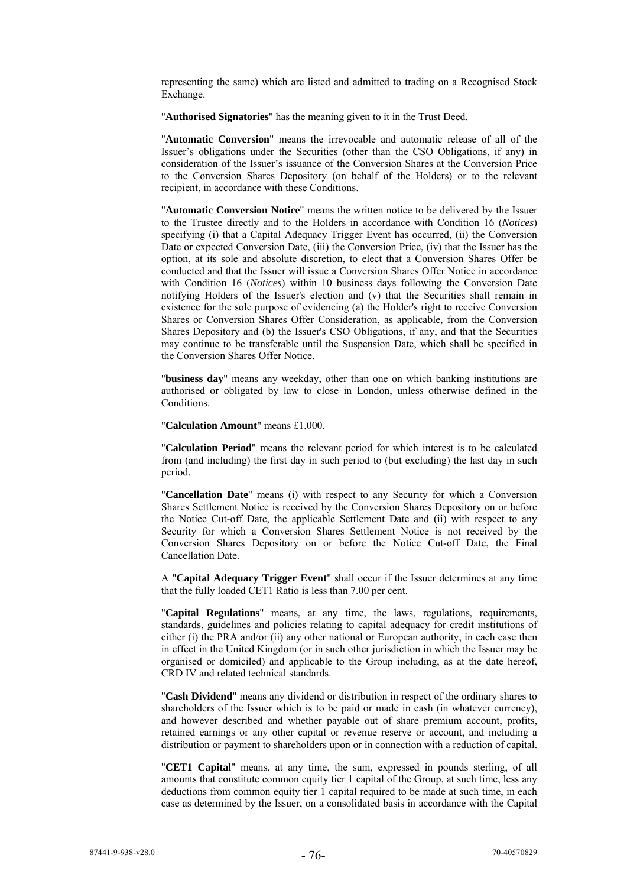representing the same) which are listed and admitted to trading on a Recognised Stock Exchange.

"**Authorised Signatories**" has the meaning given to it in the Trust Deed.

"**Automatic Conversion**" means the irrevocable and automatic release of all of the Issuer's obligations under the Securities (other than the CSO Obligations, if any) in consideration of the Issuer's issuance of the Conversion Shares at the Conversion Price to the Conversion Shares Depository (on behalf of the Holders) or to the relevant recipient, in accordance with these Conditions.

"**Automatic Conversion Notice**" means the written notice to be delivered by the Issuer to the Trustee directly and to the Holders in accordance with Condition 16 (*Notices*) specifying (i) that a Capital Adequacy Trigger Event has occurred, (ii) the Conversion Date or expected Conversion Date, (iii) the Conversion Price, (iv) that the Issuer has the option, at its sole and absolute discretion, to elect that a Conversion Shares Offer be conducted and that the Issuer will issue a Conversion Shares Offer Notice in accordance with Condition 16 (*Notices*) within 10 business days following the Conversion Date notifying Holders of the Issuer's election and (v) that the Securities shall remain in existence for the sole purpose of evidencing (a) the Holder's right to receive Conversion Shares or Conversion Shares Offer Consideration, as applicable, from the Conversion Shares Depository and (b) the Issuer's CSO Obligations, if any, and that the Securities may continue to be transferable until the Suspension Date, which shall be specified in the Conversion Shares Offer Notice.

"**business day**" means any weekday, other than one on which banking institutions are authorised or obligated by law to close in London, unless otherwise defined in the Conditions.

"**Calculation Amount**" means £1,000.

"**Calculation Period**" means the relevant period for which interest is to be calculated from (and including) the first day in such period to (but excluding) the last day in such period.

"**Cancellation Date**" means (i) with respect to any Security for which a Conversion Shares Settlement Notice is received by the Conversion Shares Depository on or before the Notice Cut-off Date, the applicable Settlement Date and (ii) with respect to any Security for which a Conversion Shares Settlement Notice is not received by the Conversion Shares Depository on or before the Notice Cut-off Date, the Final Cancellation Date.

A "**Capital Adequacy Trigger Event**" shall occur if the Issuer determines at any time that the fully loaded CET1 Ratio is less than 7.00 per cent.

"**Capital Regulations**" means, at any time, the laws, regulations, requirements, standards, guidelines and policies relating to capital adequacy for credit institutions of either (i) the PRA and/or (ii) any other national or European authority, in each case then in effect in the United Kingdom (or in such other jurisdiction in which the Issuer may be organised or domiciled) and applicable to the Group including, as at the date hereof, CRD IV and related technical standards.

"**Cash Dividend**" means any dividend or distribution in respect of the ordinary shares to shareholders of the Issuer which is to be paid or made in cash (in whatever currency), and however described and whether payable out of share premium account, profits, retained earnings or any other capital or revenue reserve or account, and including a distribution or payment to shareholders upon or in connection with a reduction of capital.

"**CET1 Capital**" means, at any time, the sum, expressed in pounds sterling, of all amounts that constitute common equity tier 1 capital of the Group, at such time, less any deductions from common equity tier 1 capital required to be made at such time, in each case as determined by the Issuer, on a consolidated basis in accordance with the Capital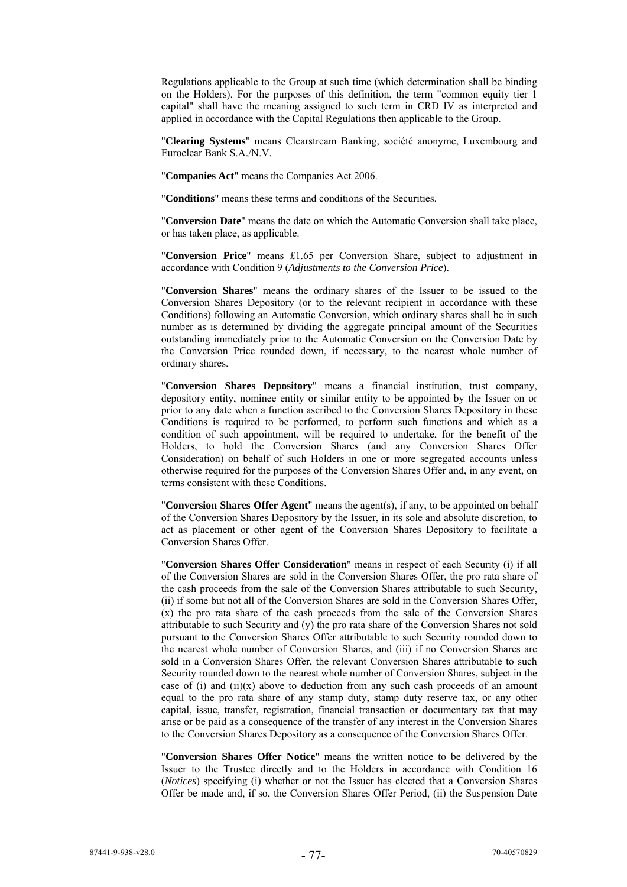Regulations applicable to the Group at such time (which determination shall be binding on the Holders). For the purposes of this definition, the term "common equity tier 1 capital" shall have the meaning assigned to such term in CRD IV as interpreted and applied in accordance with the Capital Regulations then applicable to the Group.

"**Clearing Systems**" means Clearstream Banking, société anonyme, Luxembourg and Euroclear Bank S.A./N.V.

"**Companies Act**" means the Companies Act 2006.

"**Conditions**" means these terms and conditions of the Securities.

"**Conversion Date**" means the date on which the Automatic Conversion shall take place, or has taken place, as applicable.

"**Conversion Price**" means £1.65 per Conversion Share, subject to adjustment in accordance with Condition 9 (*Adjustments to the Conversion Price*).

"**Conversion Shares**" means the ordinary shares of the Issuer to be issued to the Conversion Shares Depository (or to the relevant recipient in accordance with these Conditions) following an Automatic Conversion, which ordinary shares shall be in such number as is determined by dividing the aggregate principal amount of the Securities outstanding immediately prior to the Automatic Conversion on the Conversion Date by the Conversion Price rounded down, if necessary, to the nearest whole number of ordinary shares.

"**Conversion Shares Depository**" means a financial institution, trust company, depository entity, nominee entity or similar entity to be appointed by the Issuer on or prior to any date when a function ascribed to the Conversion Shares Depository in these Conditions is required to be performed, to perform such functions and which as a condition of such appointment, will be required to undertake, for the benefit of the Holders, to hold the Conversion Shares (and any Conversion Shares Offer Consideration) on behalf of such Holders in one or more segregated accounts unless otherwise required for the purposes of the Conversion Shares Offer and, in any event, on terms consistent with these Conditions.

"**Conversion Shares Offer Agent**" means the agent(s), if any, to be appointed on behalf of the Conversion Shares Depository by the Issuer, in its sole and absolute discretion, to act as placement or other agent of the Conversion Shares Depository to facilitate a Conversion Shares Offer.

"**Conversion Shares Offer Consideration**" means in respect of each Security (i) if all of the Conversion Shares are sold in the Conversion Shares Offer, the pro rata share of the cash proceeds from the sale of the Conversion Shares attributable to such Security, (ii) if some but not all of the Conversion Shares are sold in the Conversion Shares Offer, (x) the pro rata share of the cash proceeds from the sale of the Conversion Shares attributable to such Security and (y) the pro rata share of the Conversion Shares not sold pursuant to the Conversion Shares Offer attributable to such Security rounded down to the nearest whole number of Conversion Shares, and (iii) if no Conversion Shares are sold in a Conversion Shares Offer, the relevant Conversion Shares attributable to such Security rounded down to the nearest whole number of Conversion Shares, subject in the case of (i) and (ii)(x) above to deduction from any such cash proceeds of an amount equal to the pro rata share of any stamp duty, stamp duty reserve tax, or any other capital, issue, transfer, registration, financial transaction or documentary tax that may arise or be paid as a consequence of the transfer of any interest in the Conversion Shares to the Conversion Shares Depository as a consequence of the Conversion Shares Offer.

"**Conversion Shares Offer Notice**" means the written notice to be delivered by the Issuer to the Trustee directly and to the Holders in accordance with Condition 16 (*Notices*) specifying (i) whether or not the Issuer has elected that a Conversion Shares Offer be made and, if so, the Conversion Shares Offer Period, (ii) the Suspension Date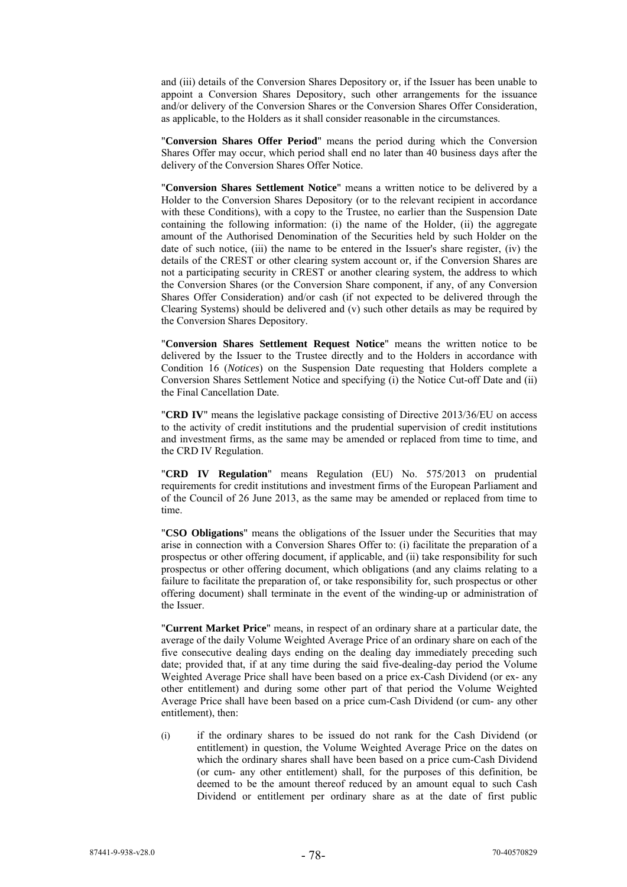and (iii) details of the Conversion Shares Depository or, if the Issuer has been unable to appoint a Conversion Shares Depository, such other arrangements for the issuance and/or delivery of the Conversion Shares or the Conversion Shares Offer Consideration, as applicable, to the Holders as it shall consider reasonable in the circumstances.

"**Conversion Shares Offer Period**" means the period during which the Conversion Shares Offer may occur, which period shall end no later than 40 business days after the delivery of the Conversion Shares Offer Notice.

"**Conversion Shares Settlement Notice**" means a written notice to be delivered by a Holder to the Conversion Shares Depository (or to the relevant recipient in accordance with these Conditions), with a copy to the Trustee, no earlier than the Suspension Date containing the following information: (i) the name of the Holder, (ii) the aggregate amount of the Authorised Denomination of the Securities held by such Holder on the date of such notice, (iii) the name to be entered in the Issuer's share register, (iv) the details of the CREST or other clearing system account or, if the Conversion Shares are not a participating security in CREST or another clearing system, the address to which the Conversion Shares (or the Conversion Share component, if any, of any Conversion Shares Offer Consideration) and/or cash (if not expected to be delivered through the Clearing Systems) should be delivered and (v) such other details as may be required by the Conversion Shares Depository.

"**Conversion Shares Settlement Request Notice**" means the written notice to be delivered by the Issuer to the Trustee directly and to the Holders in accordance with Condition 16 (*Notices*) on the Suspension Date requesting that Holders complete a Conversion Shares Settlement Notice and specifying (i) the Notice Cut-off Date and (ii) the Final Cancellation Date.

"**CRD IV**" means the legislative package consisting of Directive 2013/36/EU on access to the activity of credit institutions and the prudential supervision of credit institutions and investment firms, as the same may be amended or replaced from time to time, and the CRD IV Regulation.

"**CRD IV Regulation**" means Regulation (EU) No. 575/2013 on prudential requirements for credit institutions and investment firms of the European Parliament and of the Council of 26 June 2013, as the same may be amended or replaced from time to time.

"**CSO Obligations**" means the obligations of the Issuer under the Securities that may arise in connection with a Conversion Shares Offer to: (i) facilitate the preparation of a prospectus or other offering document, if applicable, and (ii) take responsibility for such prospectus or other offering document, which obligations (and any claims relating to a failure to facilitate the preparation of, or take responsibility for, such prospectus or other offering document) shall terminate in the event of the winding-up or administration of the Issuer.

"**Current Market Price**" means, in respect of an ordinary share at a particular date, the average of the daily Volume Weighted Average Price of an ordinary share on each of the five consecutive dealing days ending on the dealing day immediately preceding such date; provided that, if at any time during the said five-dealing-day period the Volume Weighted Average Price shall have been based on a price ex-Cash Dividend (or ex- any other entitlement) and during some other part of that period the Volume Weighted Average Price shall have been based on a price cum-Cash Dividend (or cum- any other entitlement), then:

(i) if the ordinary shares to be issued do not rank for the Cash Dividend (or entitlement) in question, the Volume Weighted Average Price on the dates on which the ordinary shares shall have been based on a price cum-Cash Dividend (or cum- any other entitlement) shall, for the purposes of this definition, be deemed to be the amount thereof reduced by an amount equal to such Cash Dividend or entitlement per ordinary share as at the date of first public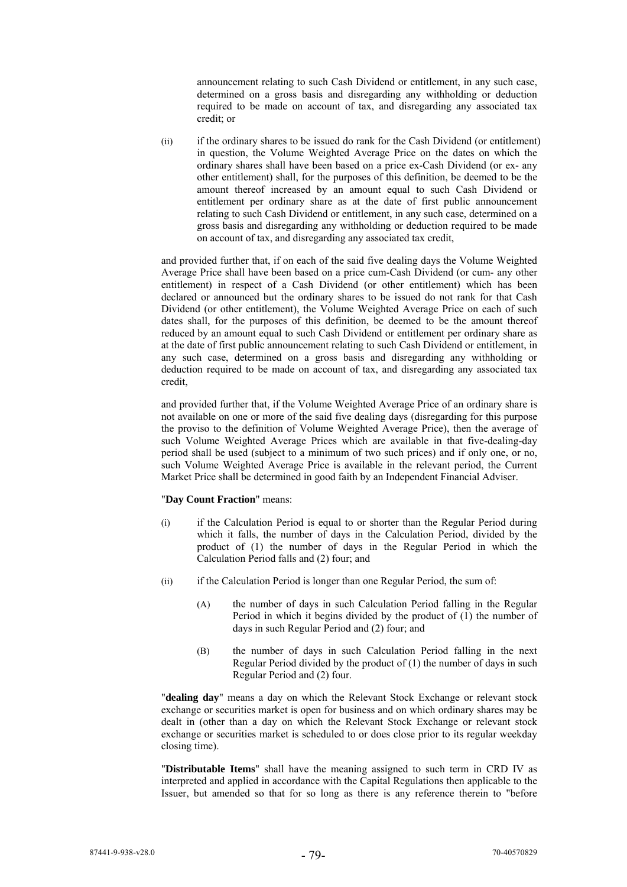announcement relating to such Cash Dividend or entitlement, in any such case, determined on a gross basis and disregarding any withholding or deduction required to be made on account of tax, and disregarding any associated tax credit; or

(ii) if the ordinary shares to be issued do rank for the Cash Dividend (or entitlement) in question, the Volume Weighted Average Price on the dates on which the ordinary shares shall have been based on a price ex-Cash Dividend (or ex- any other entitlement) shall, for the purposes of this definition, be deemed to be the amount thereof increased by an amount equal to such Cash Dividend or entitlement per ordinary share as at the date of first public announcement relating to such Cash Dividend or entitlement, in any such case, determined on a gross basis and disregarding any withholding or deduction required to be made on account of tax, and disregarding any associated tax credit,

and provided further that, if on each of the said five dealing days the Volume Weighted Average Price shall have been based on a price cum-Cash Dividend (or cum- any other entitlement) in respect of a Cash Dividend (or other entitlement) which has been declared or announced but the ordinary shares to be issued do not rank for that Cash Dividend (or other entitlement), the Volume Weighted Average Price on each of such dates shall, for the purposes of this definition, be deemed to be the amount thereof reduced by an amount equal to such Cash Dividend or entitlement per ordinary share as at the date of first public announcement relating to such Cash Dividend or entitlement, in any such case, determined on a gross basis and disregarding any withholding or deduction required to be made on account of tax, and disregarding any associated tax credit,

and provided further that, if the Volume Weighted Average Price of an ordinary share is not available on one or more of the said five dealing days (disregarding for this purpose the proviso to the definition of Volume Weighted Average Price), then the average of such Volume Weighted Average Prices which are available in that five-dealing-day period shall be used (subject to a minimum of two such prices) and if only one, or no, such Volume Weighted Average Price is available in the relevant period, the Current Market Price shall be determined in good faith by an Independent Financial Adviser.

# "**Day Count Fraction**" means:

- (i) if the Calculation Period is equal to or shorter than the Regular Period during which it falls, the number of days in the Calculation Period, divided by the product of (1) the number of days in the Regular Period in which the Calculation Period falls and (2) four; and
- (ii) if the Calculation Period is longer than one Regular Period, the sum of:
	- (A) the number of days in such Calculation Period falling in the Regular Period in which it begins divided by the product of (1) the number of days in such Regular Period and (2) four; and
	- (B) the number of days in such Calculation Period falling in the next Regular Period divided by the product of (1) the number of days in such Regular Period and (2) four.

"**dealing day**" means a day on which the Relevant Stock Exchange or relevant stock exchange or securities market is open for business and on which ordinary shares may be dealt in (other than a day on which the Relevant Stock Exchange or relevant stock exchange or securities market is scheduled to or does close prior to its regular weekday closing time).

"**Distributable Items**" shall have the meaning assigned to such term in CRD IV as interpreted and applied in accordance with the Capital Regulations then applicable to the Issuer, but amended so that for so long as there is any reference therein to "before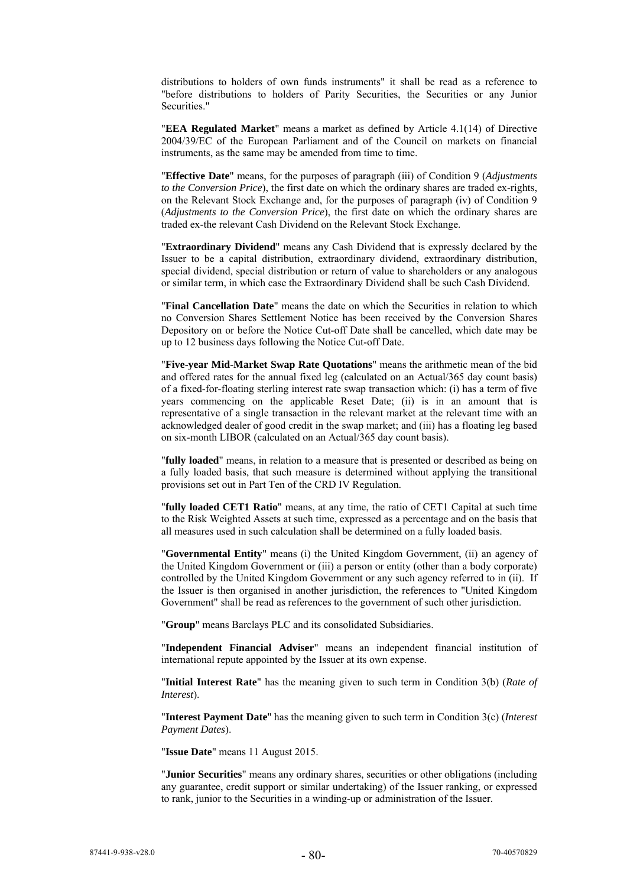distributions to holders of own funds instruments" it shall be read as a reference to "before distributions to holders of Parity Securities, the Securities or any Junior Securities."

"**EEA Regulated Market**" means a market as defined by Article 4.1(14) of Directive 2004/39/EC of the European Parliament and of the Council on markets on financial instruments, as the same may be amended from time to time.

"**Effective Date**" means, for the purposes of paragraph (iii) of Condition 9 (*Adjustments to the Conversion Price*), the first date on which the ordinary shares are traded ex-rights, on the Relevant Stock Exchange and, for the purposes of paragraph (iv) of Condition 9 (*Adjustments to the Conversion Price*), the first date on which the ordinary shares are traded ex-the relevant Cash Dividend on the Relevant Stock Exchange.

"**Extraordinary Dividend**" means any Cash Dividend that is expressly declared by the Issuer to be a capital distribution, extraordinary dividend, extraordinary distribution, special dividend, special distribution or return of value to shareholders or any analogous or similar term, in which case the Extraordinary Dividend shall be such Cash Dividend.

"**Final Cancellation Date**" means the date on which the Securities in relation to which no Conversion Shares Settlement Notice has been received by the Conversion Shares Depository on or before the Notice Cut-off Date shall be cancelled, which date may be up to 12 business days following the Notice Cut-off Date.

"**Five-year Mid-Market Swap Rate Quotations**" means the arithmetic mean of the bid and offered rates for the annual fixed leg (calculated on an Actual/365 day count basis) of a fixed-for-floating sterling interest rate swap transaction which: (i) has a term of five years commencing on the applicable Reset Date; (ii) is in an amount that is representative of a single transaction in the relevant market at the relevant time with an acknowledged dealer of good credit in the swap market; and (iii) has a floating leg based on six-month LIBOR (calculated on an Actual/365 day count basis).

"**fully loaded**" means, in relation to a measure that is presented or described as being on a fully loaded basis, that such measure is determined without applying the transitional provisions set out in Part Ten of the CRD IV Regulation.

"**fully loaded CET1 Ratio**" means, at any time, the ratio of CET1 Capital at such time to the Risk Weighted Assets at such time, expressed as a percentage and on the basis that all measures used in such calculation shall be determined on a fully loaded basis.

"**Governmental Entity**" means (i) the United Kingdom Government, (ii) an agency of the United Kingdom Government or (iii) a person or entity (other than a body corporate) controlled by the United Kingdom Government or any such agency referred to in (ii). If the Issuer is then organised in another jurisdiction, the references to "United Kingdom Government" shall be read as references to the government of such other jurisdiction.

"**Group**" means Barclays PLC and its consolidated Subsidiaries.

"**Independent Financial Adviser**" means an independent financial institution of international repute appointed by the Issuer at its own expense.

"**Initial Interest Rate**" has the meaning given to such term in Condition 3(b) (*Rate of Interest*).

"**Interest Payment Date**" has the meaning given to such term in Condition 3(c) (*Interest Payment Dates*).

"**Issue Date**" means 11 August 2015.

"**Junior Securities**" means any ordinary shares, securities or other obligations (including any guarantee, credit support or similar undertaking) of the Issuer ranking, or expressed to rank, junior to the Securities in a winding-up or administration of the Issuer.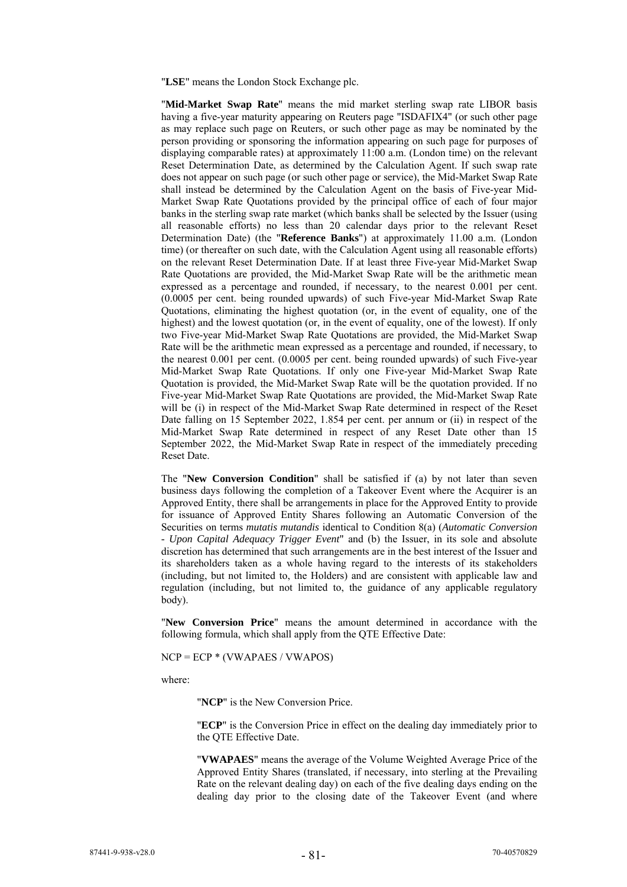"**LSE**" means the London Stock Exchange plc.

"**Mid-Market Swap Rate**" means the mid market sterling swap rate LIBOR basis having a five-year maturity appearing on Reuters page "ISDAFIX4" (or such other page as may replace such page on Reuters, or such other page as may be nominated by the person providing or sponsoring the information appearing on such page for purposes of displaying comparable rates) at approximately 11:00 a.m. (London time) on the relevant Reset Determination Date, as determined by the Calculation Agent. If such swap rate does not appear on such page (or such other page or service), the Mid-Market Swap Rate shall instead be determined by the Calculation Agent on the basis of Five-year Mid-Market Swap Rate Quotations provided by the principal office of each of four major banks in the sterling swap rate market (which banks shall be selected by the Issuer (using all reasonable efforts) no less than 20 calendar days prior to the relevant Reset Determination Date) (the "**Reference Banks**") at approximately 11.00 a.m. (London time) (or thereafter on such date, with the Calculation Agent using all reasonable efforts) on the relevant Reset Determination Date. If at least three Five-year Mid-Market Swap Rate Quotations are provided, the Mid-Market Swap Rate will be the arithmetic mean expressed as a percentage and rounded, if necessary, to the nearest 0.001 per cent. (0.0005 per cent. being rounded upwards) of such Five-year Mid-Market Swap Rate Quotations, eliminating the highest quotation (or, in the event of equality, one of the highest) and the lowest quotation (or, in the event of equality, one of the lowest). If only two Five-year Mid-Market Swap Rate Quotations are provided, the Mid-Market Swap Rate will be the arithmetic mean expressed as a percentage and rounded, if necessary, to the nearest 0.001 per cent. (0.0005 per cent. being rounded upwards) of such Five-year Mid-Market Swap Rate Quotations. If only one Five-year Mid-Market Swap Rate Quotation is provided, the Mid-Market Swap Rate will be the quotation provided. If no Five-year Mid-Market Swap Rate Quotations are provided, the Mid-Market Swap Rate will be (i) in respect of the Mid-Market Swap Rate determined in respect of the Reset Date falling on 15 September 2022, 1.854 per cent. per annum or (ii) in respect of the Mid-Market Swap Rate determined in respect of any Reset Date other than 15 September 2022, the Mid-Market Swap Rate in respect of the immediately preceding Reset Date.

The "**New Conversion Condition**" shall be satisfied if (a) by not later than seven business days following the completion of a Takeover Event where the Acquirer is an Approved Entity, there shall be arrangements in place for the Approved Entity to provide for issuance of Approved Entity Shares following an Automatic Conversion of the Securities on terms *mutatis mutandis* identical to Condition 8(a) (*Automatic Conversion - Upon Capital Adequacy Trigger Event*" and (b) the Issuer, in its sole and absolute discretion has determined that such arrangements are in the best interest of the Issuer and its shareholders taken as a whole having regard to the interests of its stakeholders (including, but not limited to, the Holders) and are consistent with applicable law and regulation (including, but not limited to, the guidance of any applicable regulatory body).

"**New Conversion Price**" means the amount determined in accordance with the following formula, which shall apply from the QTE Effective Date:

NCP = ECP \* (VWAPAES / VWAPOS)

where:

"**NCP**" is the New Conversion Price.

"**ECP**" is the Conversion Price in effect on the dealing day immediately prior to the QTE Effective Date.

"**VWAPAES**" means the average of the Volume Weighted Average Price of the Approved Entity Shares (translated, if necessary, into sterling at the Prevailing Rate on the relevant dealing day) on each of the five dealing days ending on the dealing day prior to the closing date of the Takeover Event (and where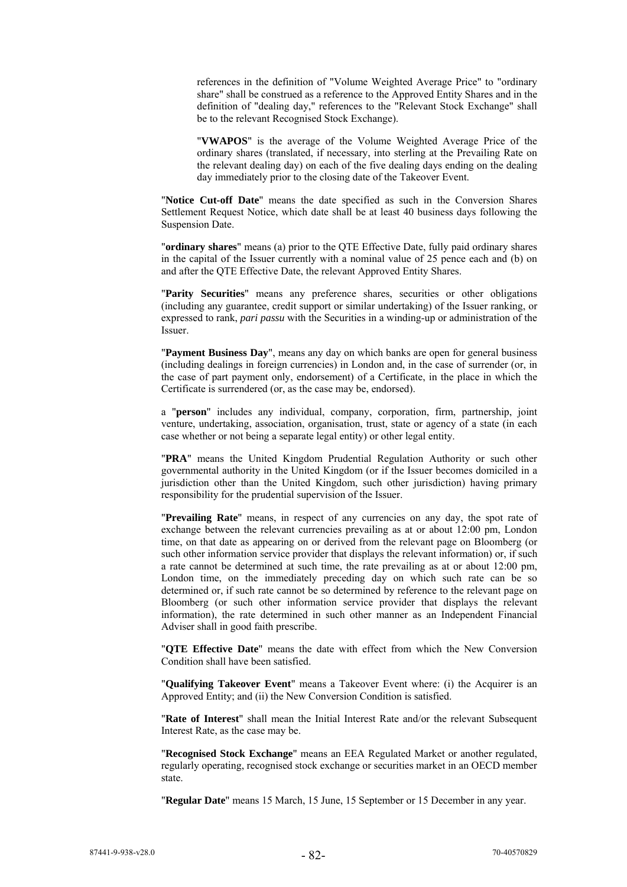references in the definition of "Volume Weighted Average Price" to "ordinary share" shall be construed as a reference to the Approved Entity Shares and in the definition of "dealing day," references to the "Relevant Stock Exchange" shall be to the relevant Recognised Stock Exchange).

"**VWAPOS**" is the average of the Volume Weighted Average Price of the ordinary shares (translated, if necessary, into sterling at the Prevailing Rate on the relevant dealing day) on each of the five dealing days ending on the dealing day immediately prior to the closing date of the Takeover Event.

"**Notice Cut-off Date**" means the date specified as such in the Conversion Shares Settlement Request Notice, which date shall be at least 40 business days following the Suspension Date.

"**ordinary shares**" means (a) prior to the QTE Effective Date, fully paid ordinary shares in the capital of the Issuer currently with a nominal value of 25 pence each and (b) on and after the QTE Effective Date, the relevant Approved Entity Shares.

"**Parity Securities**" means any preference shares, securities or other obligations (including any guarantee, credit support or similar undertaking) of the Issuer ranking, or expressed to rank, *pari passu* with the Securities in a winding-up or administration of the Issuer.

"**Payment Business Day**", means any day on which banks are open for general business (including dealings in foreign currencies) in London and, in the case of surrender (or, in the case of part payment only, endorsement) of a Certificate, in the place in which the Certificate is surrendered (or, as the case may be, endorsed).

a "**person**" includes any individual, company, corporation, firm, partnership, joint venture, undertaking, association, organisation, trust, state or agency of a state (in each case whether or not being a separate legal entity) or other legal entity.

"**PRA**" means the United Kingdom Prudential Regulation Authority or such other governmental authority in the United Kingdom (or if the Issuer becomes domiciled in a jurisdiction other than the United Kingdom, such other jurisdiction) having primary responsibility for the prudential supervision of the Issuer.

"**Prevailing Rate**" means, in respect of any currencies on any day, the spot rate of exchange between the relevant currencies prevailing as at or about 12:00 pm, London time, on that date as appearing on or derived from the relevant page on Bloomberg (or such other information service provider that displays the relevant information) or, if such a rate cannot be determined at such time, the rate prevailing as at or about 12:00 pm, London time, on the immediately preceding day on which such rate can be so determined or, if such rate cannot be so determined by reference to the relevant page on Bloomberg (or such other information service provider that displays the relevant information), the rate determined in such other manner as an Independent Financial Adviser shall in good faith prescribe.

"**QTE Effective Date**" means the date with effect from which the New Conversion Condition shall have been satisfied.

"**Qualifying Takeover Event**" means a Takeover Event where: (i) the Acquirer is an Approved Entity; and (ii) the New Conversion Condition is satisfied.

"**Rate of Interest**" shall mean the Initial Interest Rate and/or the relevant Subsequent Interest Rate, as the case may be.

"**Recognised Stock Exchange**" means an EEA Regulated Market or another regulated, regularly operating, recognised stock exchange or securities market in an OECD member state.

"**Regular Date**" means 15 March, 15 June, 15 September or 15 December in any year.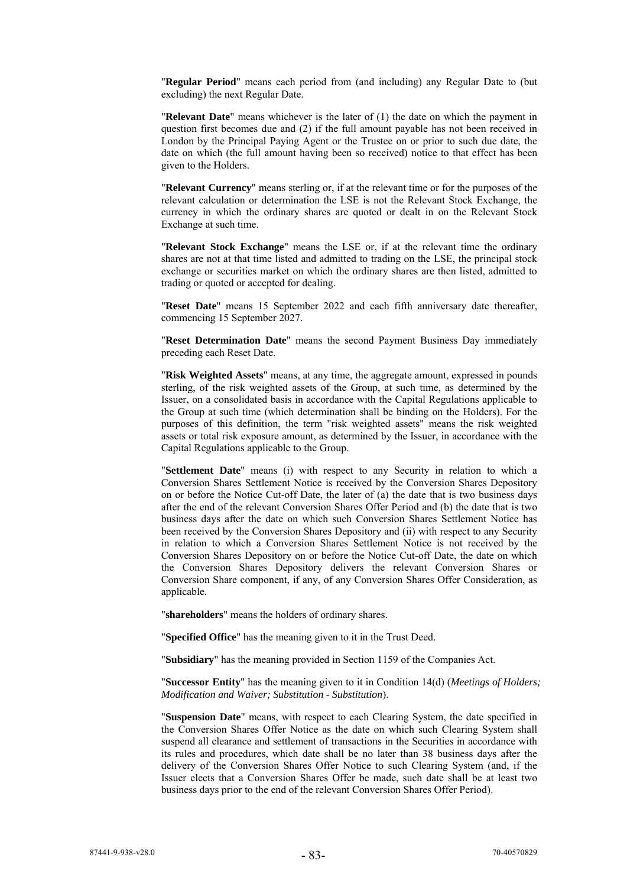"**Regular Period**" means each period from (and including) any Regular Date to (but excluding) the next Regular Date.

"**Relevant Date**" means whichever is the later of (1) the date on which the payment in question first becomes due and (2) if the full amount payable has not been received in London by the Principal Paying Agent or the Trustee on or prior to such due date, the date on which (the full amount having been so received) notice to that effect has been given to the Holders.

"**Relevant Currency**" means sterling or, if at the relevant time or for the purposes of the relevant calculation or determination the LSE is not the Relevant Stock Exchange, the currency in which the ordinary shares are quoted or dealt in on the Relevant Stock Exchange at such time.

"**Relevant Stock Exchange**" means the LSE or, if at the relevant time the ordinary shares are not at that time listed and admitted to trading on the LSE, the principal stock exchange or securities market on which the ordinary shares are then listed, admitted to trading or quoted or accepted for dealing.

"**Reset Date**" means 15 September 2022 and each fifth anniversary date thereafter, commencing 15 September 2027.

"**Reset Determination Date**" means the second Payment Business Day immediately preceding each Reset Date.

"**Risk Weighted Assets**" means, at any time, the aggregate amount, expressed in pounds sterling, of the risk weighted assets of the Group, at such time, as determined by the Issuer, on a consolidated basis in accordance with the Capital Regulations applicable to the Group at such time (which determination shall be binding on the Holders). For the purposes of this definition, the term "risk weighted assets" means the risk weighted assets or total risk exposure amount, as determined by the Issuer, in accordance with the Capital Regulations applicable to the Group.

"**Settlement Date**" means (i) with respect to any Security in relation to which a Conversion Shares Settlement Notice is received by the Conversion Shares Depository on or before the Notice Cut-off Date, the later of (a) the date that is two business days after the end of the relevant Conversion Shares Offer Period and (b) the date that is two business days after the date on which such Conversion Shares Settlement Notice has been received by the Conversion Shares Depository and (ii) with respect to any Security in relation to which a Conversion Shares Settlement Notice is not received by the Conversion Shares Depository on or before the Notice Cut-off Date, the date on which the Conversion Shares Depository delivers the relevant Conversion Shares or Conversion Share component, if any, of any Conversion Shares Offer Consideration, as applicable.

"**shareholders**" means the holders of ordinary shares.

"**Specified Office**" has the meaning given to it in the Trust Deed.

"**Subsidiary**" has the meaning provided in Section 1159 of the Companies Act.

"**Successor Entity**" has the meaning given to it in Condition 14(d) (*Meetings of Holders; Modification and Waiver; Substitution - Substitution*).

"**Suspension Date**" means, with respect to each Clearing System, the date specified in the Conversion Shares Offer Notice as the date on which such Clearing System shall suspend all clearance and settlement of transactions in the Securities in accordance with its rules and procedures, which date shall be no later than 38 business days after the delivery of the Conversion Shares Offer Notice to such Clearing System (and, if the Issuer elects that a Conversion Shares Offer be made, such date shall be at least two business days prior to the end of the relevant Conversion Shares Offer Period).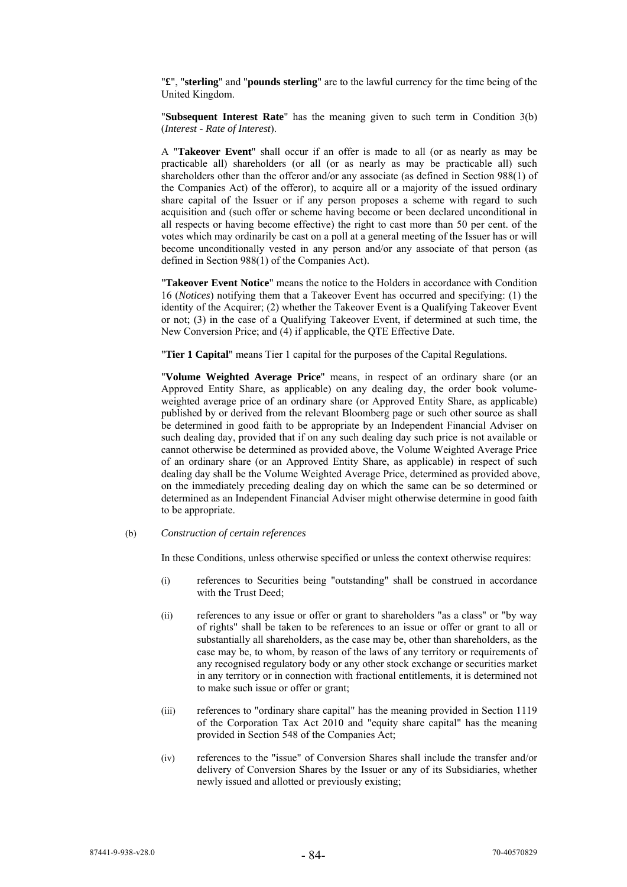"**£**", "**sterling**" and "**pounds sterling**" are to the lawful currency for the time being of the United Kingdom.

"**Subsequent Interest Rate**" has the meaning given to such term in Condition 3(b) (*Interest - Rate of Interest*).

A "**Takeover Event**" shall occur if an offer is made to all (or as nearly as may be practicable all) shareholders (or all (or as nearly as may be practicable all) such shareholders other than the offeror and/or any associate (as defined in Section 988(1) of the Companies Act) of the offeror), to acquire all or a majority of the issued ordinary share capital of the Issuer or if any person proposes a scheme with regard to such acquisition and (such offer or scheme having become or been declared unconditional in all respects or having become effective) the right to cast more than 50 per cent. of the votes which may ordinarily be cast on a poll at a general meeting of the Issuer has or will become unconditionally vested in any person and/or any associate of that person (as defined in Section 988(1) of the Companies Act).

"**Takeover Event Notice**" means the notice to the Holders in accordance with Condition 16 (*Notices*) notifying them that a Takeover Event has occurred and specifying: (1) the identity of the Acquirer; (2) whether the Takeover Event is a Qualifying Takeover Event or not; (3) in the case of a Qualifying Takeover Event, if determined at such time, the New Conversion Price; and (4) if applicable, the QTE Effective Date.

"**Tier 1 Capital**" means Tier 1 capital for the purposes of the Capital Regulations.

"**Volume Weighted Average Price**" means, in respect of an ordinary share (or an Approved Entity Share, as applicable) on any dealing day, the order book volumeweighted average price of an ordinary share (or Approved Entity Share, as applicable) published by or derived from the relevant Bloomberg page or such other source as shall be determined in good faith to be appropriate by an Independent Financial Adviser on such dealing day, provided that if on any such dealing day such price is not available or cannot otherwise be determined as provided above, the Volume Weighted Average Price of an ordinary share (or an Approved Entity Share, as applicable) in respect of such dealing day shall be the Volume Weighted Average Price, determined as provided above, on the immediately preceding dealing day on which the same can be so determined or determined as an Independent Financial Adviser might otherwise determine in good faith to be appropriate.

(b) *Construction of certain references*

In these Conditions, unless otherwise specified or unless the context otherwise requires:

- (i) references to Securities being "outstanding" shall be construed in accordance with the Trust Deed;
- (ii) references to any issue or offer or grant to shareholders "as a class" or "by way of rights" shall be taken to be references to an issue or offer or grant to all or substantially all shareholders, as the case may be, other than shareholders, as the case may be, to whom, by reason of the laws of any territory or requirements of any recognised regulatory body or any other stock exchange or securities market in any territory or in connection with fractional entitlements, it is determined not to make such issue or offer or grant;
- (iii) references to "ordinary share capital" has the meaning provided in Section 1119 of the Corporation Tax Act 2010 and "equity share capital" has the meaning provided in Section 548 of the Companies Act;
- (iv) references to the "issue" of Conversion Shares shall include the transfer and/or delivery of Conversion Shares by the Issuer or any of its Subsidiaries, whether newly issued and allotted or previously existing;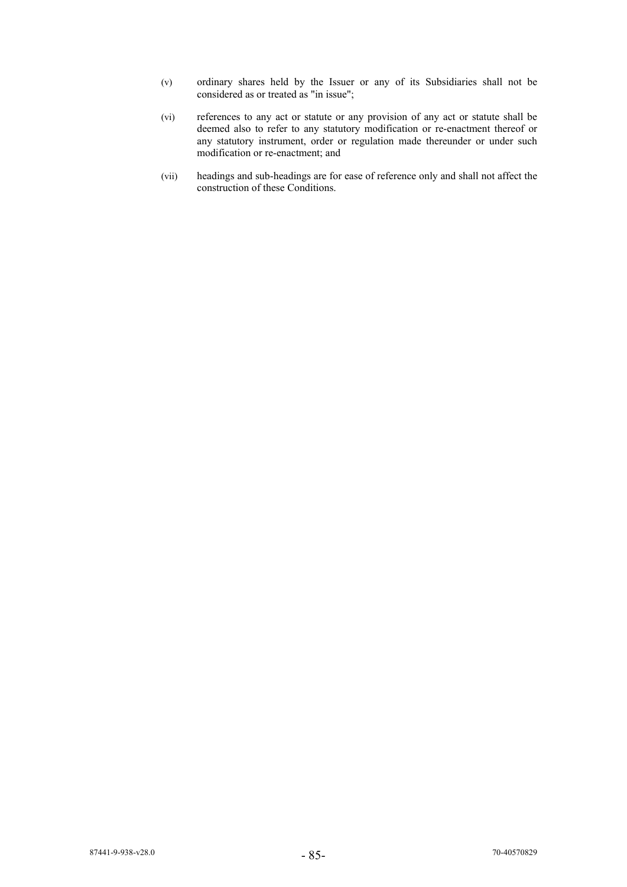- (v) ordinary shares held by the Issuer or any of its Subsidiaries shall not be considered as or treated as "in issue";
- (vi) references to any act or statute or any provision of any act or statute shall be deemed also to refer to any statutory modification or re-enactment thereof or any statutory instrument, order or regulation made thereunder or under such modification or re-enactment; and
- (vii) headings and sub-headings are for ease of reference only and shall not affect the construction of these Conditions.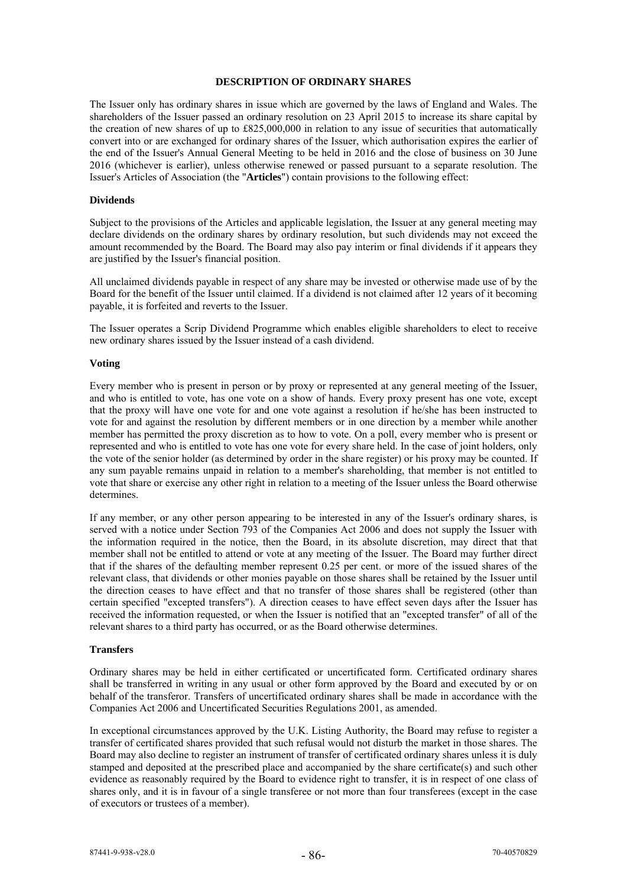### **DESCRIPTION OF ORDINARY SHARES**

The Issuer only has ordinary shares in issue which are governed by the laws of England and Wales. The shareholders of the Issuer passed an ordinary resolution on 23 April 2015 to increase its share capital by the creation of new shares of up to £825,000,000 in relation to any issue of securities that automatically convert into or are exchanged for ordinary shares of the Issuer, which authorisation expires the earlier of the end of the Issuer's Annual General Meeting to be held in 2016 and the close of business on 30 June 2016 (whichever is earlier), unless otherwise renewed or passed pursuant to a separate resolution. The Issuer's Articles of Association (the "**Articles**") contain provisions to the following effect:

### **Dividends**

Subject to the provisions of the Articles and applicable legislation, the Issuer at any general meeting may declare dividends on the ordinary shares by ordinary resolution, but such dividends may not exceed the amount recommended by the Board. The Board may also pay interim or final dividends if it appears they are justified by the Issuer's financial position.

All unclaimed dividends payable in respect of any share may be invested or otherwise made use of by the Board for the benefit of the Issuer until claimed. If a dividend is not claimed after 12 years of it becoming payable, it is forfeited and reverts to the Issuer.

The Issuer operates a Scrip Dividend Programme which enables eligible shareholders to elect to receive new ordinary shares issued by the Issuer instead of a cash dividend.

#### **Voting**

Every member who is present in person or by proxy or represented at any general meeting of the Issuer, and who is entitled to vote, has one vote on a show of hands. Every proxy present has one vote, except that the proxy will have one vote for and one vote against a resolution if he/she has been instructed to vote for and against the resolution by different members or in one direction by a member while another member has permitted the proxy discretion as to how to vote. On a poll, every member who is present or represented and who is entitled to vote has one vote for every share held. In the case of joint holders, only the vote of the senior holder (as determined by order in the share register) or his proxy may be counted. If any sum payable remains unpaid in relation to a member's shareholding, that member is not entitled to vote that share or exercise any other right in relation to a meeting of the Issuer unless the Board otherwise determines.

If any member, or any other person appearing to be interested in any of the Issuer's ordinary shares, is served with a notice under Section 793 of the Companies Act 2006 and does not supply the Issuer with the information required in the notice, then the Board, in its absolute discretion, may direct that that member shall not be entitled to attend or vote at any meeting of the Issuer. The Board may further direct that if the shares of the defaulting member represent 0.25 per cent. or more of the issued shares of the relevant class, that dividends or other monies payable on those shares shall be retained by the Issuer until the direction ceases to have effect and that no transfer of those shares shall be registered (other than certain specified "excepted transfers"). A direction ceases to have effect seven days after the Issuer has received the information requested, or when the Issuer is notified that an "excepted transfer" of all of the relevant shares to a third party has occurred, or as the Board otherwise determines.

# **Transfers**

Ordinary shares may be held in either certificated or uncertificated form. Certificated ordinary shares shall be transferred in writing in any usual or other form approved by the Board and executed by or on behalf of the transferor. Transfers of uncertificated ordinary shares shall be made in accordance with the Companies Act 2006 and Uncertificated Securities Regulations 2001, as amended.

In exceptional circumstances approved by the U.K. Listing Authority, the Board may refuse to register a transfer of certificated shares provided that such refusal would not disturb the market in those shares. The Board may also decline to register an instrument of transfer of certificated ordinary shares unless it is duly stamped and deposited at the prescribed place and accompanied by the share certificate(s) and such other evidence as reasonably required by the Board to evidence right to transfer, it is in respect of one class of shares only, and it is in favour of a single transferee or not more than four transferees (except in the case of executors or trustees of a member).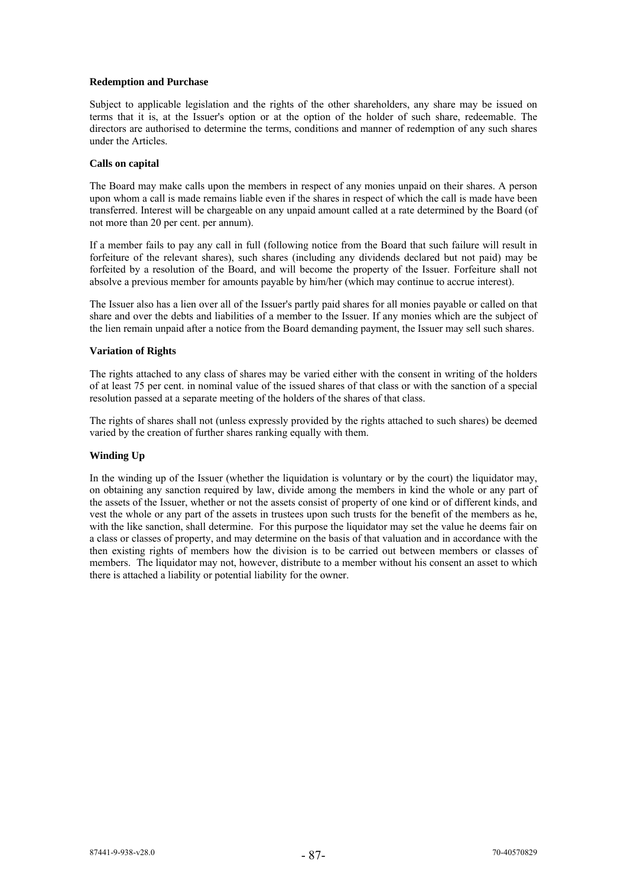# **Redemption and Purchase**

Subject to applicable legislation and the rights of the other shareholders, any share may be issued on terms that it is, at the Issuer's option or at the option of the holder of such share, redeemable. The directors are authorised to determine the terms, conditions and manner of redemption of any such shares under the Articles.

#### **Calls on capital**

The Board may make calls upon the members in respect of any monies unpaid on their shares. A person upon whom a call is made remains liable even if the shares in respect of which the call is made have been transferred. Interest will be chargeable on any unpaid amount called at a rate determined by the Board (of not more than 20 per cent. per annum).

If a member fails to pay any call in full (following notice from the Board that such failure will result in forfeiture of the relevant shares), such shares (including any dividends declared but not paid) may be forfeited by a resolution of the Board, and will become the property of the Issuer. Forfeiture shall not absolve a previous member for amounts payable by him/her (which may continue to accrue interest).

The Issuer also has a lien over all of the Issuer's partly paid shares for all monies payable or called on that share and over the debts and liabilities of a member to the Issuer. If any monies which are the subject of the lien remain unpaid after a notice from the Board demanding payment, the Issuer may sell such shares.

# **Variation of Rights**

The rights attached to any class of shares may be varied either with the consent in writing of the holders of at least 75 per cent. in nominal value of the issued shares of that class or with the sanction of a special resolution passed at a separate meeting of the holders of the shares of that class.

The rights of shares shall not (unless expressly provided by the rights attached to such shares) be deemed varied by the creation of further shares ranking equally with them.

# **Winding Up**

In the winding up of the Issuer (whether the liquidation is voluntary or by the court) the liquidator may, on obtaining any sanction required by law, divide among the members in kind the whole or any part of the assets of the Issuer, whether or not the assets consist of property of one kind or of different kinds, and vest the whole or any part of the assets in trustees upon such trusts for the benefit of the members as he, with the like sanction, shall determine. For this purpose the liquidator may set the value he deems fair on a class or classes of property, and may determine on the basis of that valuation and in accordance with the then existing rights of members how the division is to be carried out between members or classes of members. The liquidator may not, however, distribute to a member without his consent an asset to which there is attached a liability or potential liability for the owner.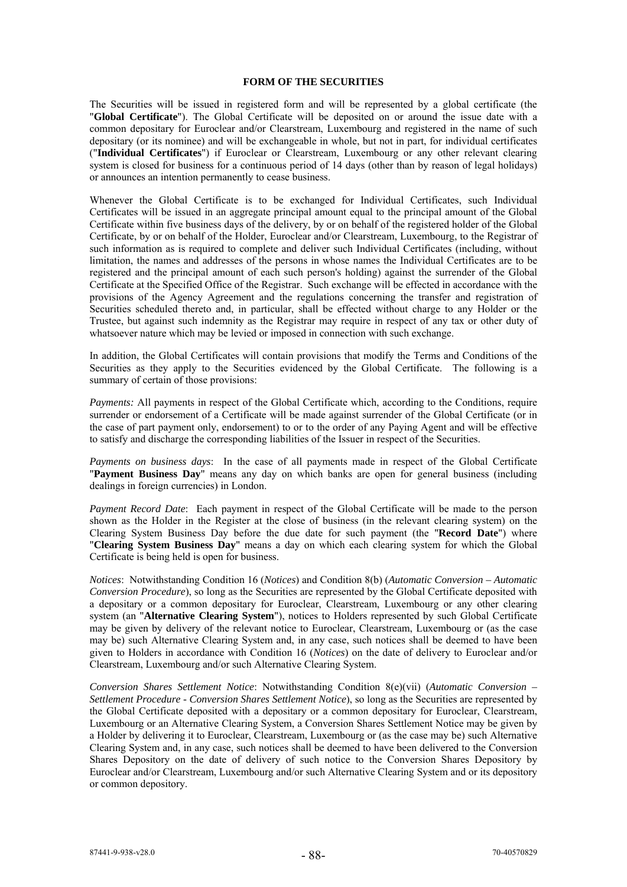# **FORM OF THE SECURITIES**

The Securities will be issued in registered form and will be represented by a global certificate (the "**Global Certificate**"). The Global Certificate will be deposited on or around the issue date with a common depositary for Euroclear and/or Clearstream, Luxembourg and registered in the name of such depositary (or its nominee) and will be exchangeable in whole, but not in part, for individual certificates ("**Individual Certificates**") if Euroclear or Clearstream, Luxembourg or any other relevant clearing system is closed for business for a continuous period of 14 days (other than by reason of legal holidays) or announces an intention permanently to cease business.

Whenever the Global Certificate is to be exchanged for Individual Certificates, such Individual Certificates will be issued in an aggregate principal amount equal to the principal amount of the Global Certificate within five business days of the delivery, by or on behalf of the registered holder of the Global Certificate, by or on behalf of the Holder, Euroclear and/or Clearstream, Luxembourg, to the Registrar of such information as is required to complete and deliver such Individual Certificates (including, without limitation, the names and addresses of the persons in whose names the Individual Certificates are to be registered and the principal amount of each such person's holding) against the surrender of the Global Certificate at the Specified Office of the Registrar. Such exchange will be effected in accordance with the provisions of the Agency Agreement and the regulations concerning the transfer and registration of Securities scheduled thereto and, in particular, shall be effected without charge to any Holder or the Trustee, but against such indemnity as the Registrar may require in respect of any tax or other duty of whatsoever nature which may be levied or imposed in connection with such exchange.

In addition, the Global Certificates will contain provisions that modify the Terms and Conditions of the Securities as they apply to the Securities evidenced by the Global Certificate. The following is a summary of certain of those provisions:

*Payments:* All payments in respect of the Global Certificate which, according to the Conditions, require surrender or endorsement of a Certificate will be made against surrender of the Global Certificate (or in the case of part payment only, endorsement) to or to the order of any Paying Agent and will be effective to satisfy and discharge the corresponding liabilities of the Issuer in respect of the Securities.

*Payments on business days*: In the case of all payments made in respect of the Global Certificate "**Payment Business Day**" means any day on which banks are open for general business (including dealings in foreign currencies) in London.

*Payment Record Date*: Each payment in respect of the Global Certificate will be made to the person shown as the Holder in the Register at the close of business (in the relevant clearing system) on the Clearing System Business Day before the due date for such payment (the "**Record Date**") where "**Clearing System Business Day**" means a day on which each clearing system for which the Global Certificate is being held is open for business.

*Notices*: Notwithstanding Condition 16 (*Notices*) and Condition 8(b) (*Automatic Conversion – Automatic Conversion Procedure*), so long as the Securities are represented by the Global Certificate deposited with a depositary or a common depositary for Euroclear, Clearstream, Luxembourg or any other clearing system (an "**Alternative Clearing System**"), notices to Holders represented by such Global Certificate may be given by delivery of the relevant notice to Euroclear, Clearstream, Luxembourg or (as the case may be) such Alternative Clearing System and, in any case, such notices shall be deemed to have been given to Holders in accordance with Condition 16 (*Notices*) on the date of delivery to Euroclear and/or Clearstream, Luxembourg and/or such Alternative Clearing System.

*Conversion Shares Settlement Notice*: Notwithstanding Condition 8(e)(vii) (*Automatic Conversion – Settlement Procedure - Conversion Shares Settlement Notice*), so long as the Securities are represented by the Global Certificate deposited with a depositary or a common depositary for Euroclear, Clearstream, Luxembourg or an Alternative Clearing System, a Conversion Shares Settlement Notice may be given by a Holder by delivering it to Euroclear, Clearstream, Luxembourg or (as the case may be) such Alternative Clearing System and, in any case, such notices shall be deemed to have been delivered to the Conversion Shares Depository on the date of delivery of such notice to the Conversion Shares Depository by Euroclear and/or Clearstream, Luxembourg and/or such Alternative Clearing System and or its depository or common depository.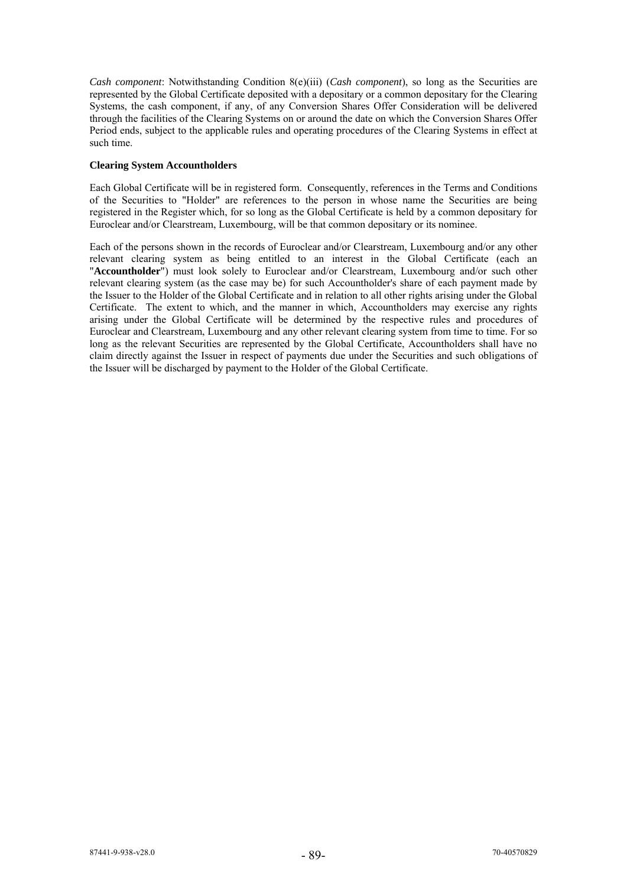*Cash component*: Notwithstanding Condition 8(e)(iii) (*Cash component*), so long as the Securities are represented by the Global Certificate deposited with a depositary or a common depositary for the Clearing Systems, the cash component, if any, of any Conversion Shares Offer Consideration will be delivered through the facilities of the Clearing Systems on or around the date on which the Conversion Shares Offer Period ends, subject to the applicable rules and operating procedures of the Clearing Systems in effect at such time.

# **Clearing System Accountholders**

Each Global Certificate will be in registered form. Consequently, references in the Terms and Conditions of the Securities to "Holder" are references to the person in whose name the Securities are being registered in the Register which, for so long as the Global Certificate is held by a common depositary for Euroclear and/or Clearstream, Luxembourg, will be that common depositary or its nominee.

Each of the persons shown in the records of Euroclear and/or Clearstream, Luxembourg and/or any other relevant clearing system as being entitled to an interest in the Global Certificate (each an "**Accountholder**") must look solely to Euroclear and/or Clearstream, Luxembourg and/or such other relevant clearing system (as the case may be) for such Accountholder's share of each payment made by the Issuer to the Holder of the Global Certificate and in relation to all other rights arising under the Global Certificate. The extent to which, and the manner in which, Accountholders may exercise any rights arising under the Global Certificate will be determined by the respective rules and procedures of Euroclear and Clearstream, Luxembourg and any other relevant clearing system from time to time. For so long as the relevant Securities are represented by the Global Certificate, Accountholders shall have no claim directly against the Issuer in respect of payments due under the Securities and such obligations of the Issuer will be discharged by payment to the Holder of the Global Certificate.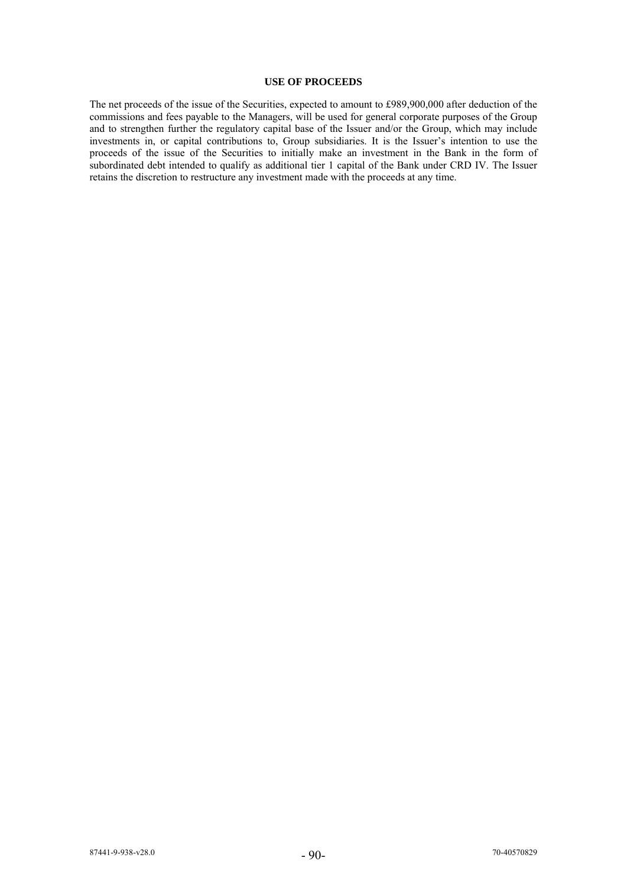# **USE OF PROCEEDS**

The net proceeds of the issue of the Securities, expected to amount to £989,900,000 after deduction of the commissions and fees payable to the Managers, will be used for general corporate purposes of the Group and to strengthen further the regulatory capital base of the Issuer and/or the Group, which may include investments in, or capital contributions to, Group subsidiaries. It is the Issuer's intention to use the proceeds of the issue of the Securities to initially make an investment in the Bank in the form of subordinated debt intended to qualify as additional tier 1 capital of the Bank under CRD IV. The Issuer retains the discretion to restructure any investment made with the proceeds at any time.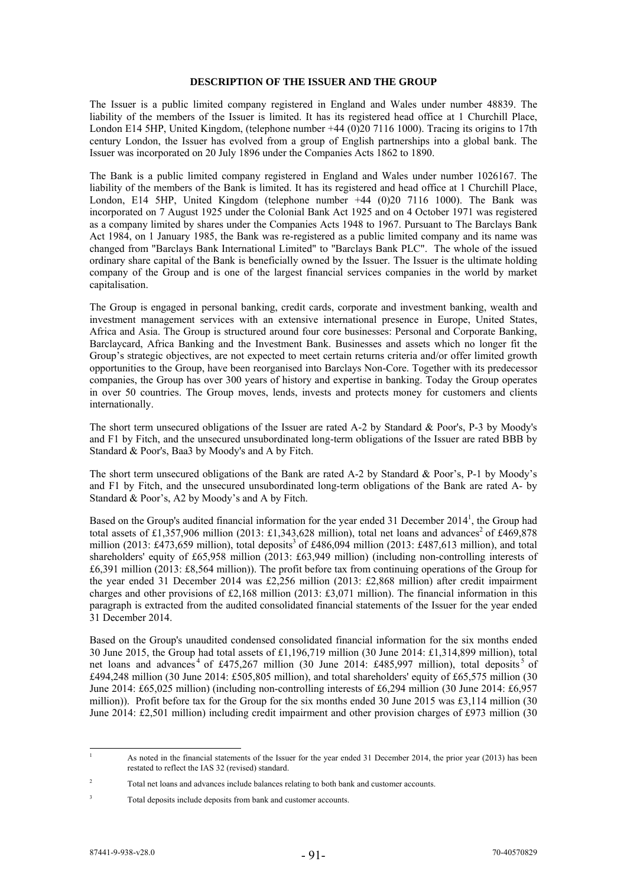### **DESCRIPTION OF THE ISSUER AND THE GROUP**

The Issuer is a public limited company registered in England and Wales under number 48839. The liability of the members of the Issuer is limited. It has its registered head office at 1 Churchill Place, London E14 5HP, United Kingdom, (telephone number +44 (0)20 7116 1000). Tracing its origins to 17th century London, the Issuer has evolved from a group of English partnerships into a global bank. The Issuer was incorporated on 20 July 1896 under the Companies Acts 1862 to 1890.

The Bank is a public limited company registered in England and Wales under number 1026167. The liability of the members of the Bank is limited. It has its registered and head office at 1 Churchill Place, London, E14 5HP, United Kingdom (telephone number +44 (0)20 7116 1000). The Bank was incorporated on 7 August 1925 under the Colonial Bank Act 1925 and on 4 October 1971 was registered as a company limited by shares under the Companies Acts 1948 to 1967. Pursuant to The Barclays Bank Act 1984, on 1 January 1985, the Bank was re-registered as a public limited company and its name was changed from "Barclays Bank International Limited" to "Barclays Bank PLC". The whole of the issued ordinary share capital of the Bank is beneficially owned by the Issuer. The Issuer is the ultimate holding company of the Group and is one of the largest financial services companies in the world by market capitalisation.

The Group is engaged in personal banking, credit cards, corporate and investment banking, wealth and investment management services with an extensive international presence in Europe, United States, Africa and Asia. The Group is structured around four core businesses: Personal and Corporate Banking, Barclaycard, Africa Banking and the Investment Bank. Businesses and assets which no longer fit the Group's strategic objectives, are not expected to meet certain returns criteria and/or offer limited growth opportunities to the Group, have been reorganised into Barclays Non-Core. Together with its predecessor companies, the Group has over 300 years of history and expertise in banking. Today the Group operates in over 50 countries. The Group moves, lends, invests and protects money for customers and clients internationally.

The short term unsecured obligations of the Issuer are rated A-2 by Standard & Poor's, P-3 by Moody's and F1 by Fitch, and the unsecured unsubordinated long-term obligations of the Issuer are rated BBB by Standard & Poor's, Baa3 by Moody's and A by Fitch.

The short term unsecured obligations of the Bank are rated A-2 by Standard & Poor's, P-1 by Moody's and F1 by Fitch, and the unsecured unsubordinated long-term obligations of the Bank are rated A- by Standard & Poor's, A2 by Moody's and A by Fitch.

Based on the Group's audited financial information for the year ended 31 December 2014<sup>1</sup>, the Group had total assets of £1,357,906 million (2013: £1,343,628 million), total net loans and advances<sup>2</sup> of £469,878 million (2013: £473,659 million), total deposits<sup>3</sup> of £486,094 million (2013: £487,613 million), and total shareholders' equity of £65,958 million (2013: £63,949 million) (including non-controlling interests of £6,391 million (2013: £8,564 million)). The profit before tax from continuing operations of the Group for the year ended 31 December 2014 was £2,256 million (2013: £2,868 million) after credit impairment charges and other provisions of £2,168 million (2013: £3,071 million). The financial information in this paragraph is extracted from the audited consolidated financial statements of the Issuer for the year ended 31 December 2014.

Based on the Group's unaudited condensed consolidated financial information for the six months ended 30 June 2015, the Group had total assets of £1,196,719 million (30 June 2014: £1,314,899 million), total net loans and advances<sup>4</sup> of £475,267 million (30 June 2014: £485,997 million), total deposits<sup>5</sup> of £494,248 million (30 June 2014: £505,805 million), and total shareholders' equity of £65,575 million (30 June 2014: £65,025 million) (including non-controlling interests of £6,294 million (30 June 2014: £6,957 million)). Profit before tax for the Group for the six months ended 30 June 2015 was £3,114 million (30 June 2014: £2,501 million) including credit impairment and other provision charges of £973 million (30

<sup>-</sup>1 As noted in the financial statements of the Issuer for the year ended 31 December 2014, the prior year (2013) has been restated to reflect the IAS 32 (revised) standard.

 $\overline{2}$ Total net loans and advances include balances relating to both bank and customer accounts.

<sup>3</sup> Total deposits include deposits from bank and customer accounts.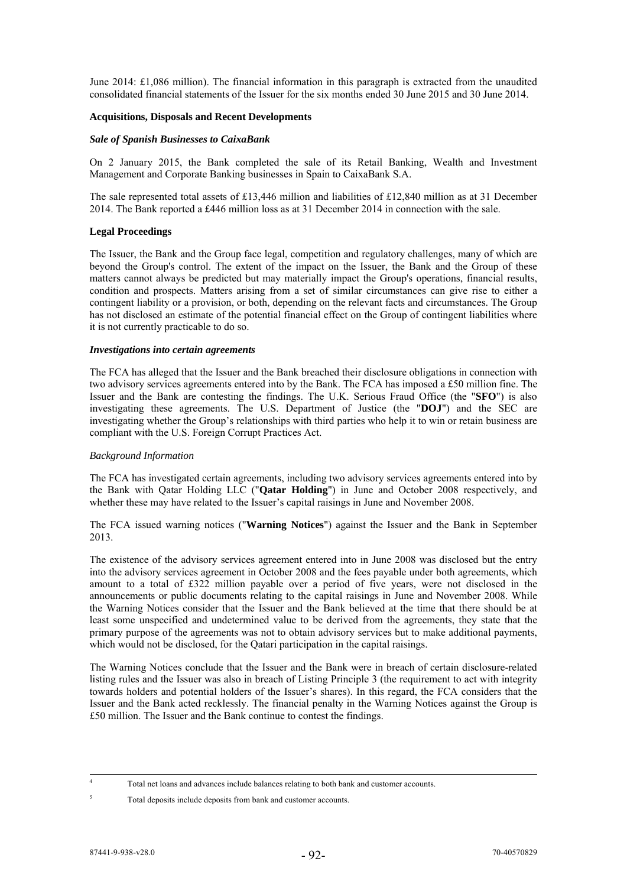June 2014: £1,086 million). The financial information in this paragraph is extracted from the unaudited consolidated financial statements of the Issuer for the six months ended 30 June 2015 and 30 June 2014.

# **Acquisitions, Disposals and Recent Developments**

### *Sale of Spanish Businesses to CaixaBank*

On 2 January 2015, the Bank completed the sale of its Retail Banking, Wealth and Investment Management and Corporate Banking businesses in Spain to CaixaBank S.A.

The sale represented total assets of £13,446 million and liabilities of £12,840 million as at 31 December 2014. The Bank reported a £446 million loss as at 31 December 2014 in connection with the sale.

# **Legal Proceedings**

The Issuer, the Bank and the Group face legal, competition and regulatory challenges, many of which are beyond the Group's control. The extent of the impact on the Issuer, the Bank and the Group of these matters cannot always be predicted but may materially impact the Group's operations, financial results, condition and prospects. Matters arising from a set of similar circumstances can give rise to either a contingent liability or a provision, or both, depending on the relevant facts and circumstances. The Group has not disclosed an estimate of the potential financial effect on the Group of contingent liabilities where it is not currently practicable to do so.

### *Investigations into certain agreements*

The FCA has alleged that the Issuer and the Bank breached their disclosure obligations in connection with two advisory services agreements entered into by the Bank. The FCA has imposed a £50 million fine. The Issuer and the Bank are contesting the findings. The U.K. Serious Fraud Office (the "**SFO**") is also investigating these agreements. The U.S. Department of Justice (the "**DOJ**") and the SEC are investigating whether the Group's relationships with third parties who help it to win or retain business are compliant with the U.S. Foreign Corrupt Practices Act.

#### *Background Information*

The FCA has investigated certain agreements, including two advisory services agreements entered into by the Bank with Qatar Holding LLC ("**Qatar Holding**") in June and October 2008 respectively, and whether these may have related to the Issuer's capital raisings in June and November 2008.

The FCA issued warning notices ("**Warning Notices**") against the Issuer and the Bank in September 2013.

The existence of the advisory services agreement entered into in June 2008 was disclosed but the entry into the advisory services agreement in October 2008 and the fees payable under both agreements, which amount to a total of £322 million payable over a period of five years, were not disclosed in the announcements or public documents relating to the capital raisings in June and November 2008. While the Warning Notices consider that the Issuer and the Bank believed at the time that there should be at least some unspecified and undetermined value to be derived from the agreements, they state that the primary purpose of the agreements was not to obtain advisory services but to make additional payments, which would not be disclosed, for the Oatari participation in the capital raisings.

The Warning Notices conclude that the Issuer and the Bank were in breach of certain disclosure-related listing rules and the Issuer was also in breach of Listing Principle 3 (the requirement to act with integrity towards holders and potential holders of the Issuer's shares). In this regard, the FCA considers that the Issuer and the Bank acted recklessly. The financial penalty in the Warning Notices against the Group is £50 million. The Issuer and the Bank continue to contest the findings.

 $\frac{1}{4}$ 

Total net loans and advances include balances relating to both bank and customer accounts.

<sup>5</sup> Total deposits include deposits from bank and customer accounts.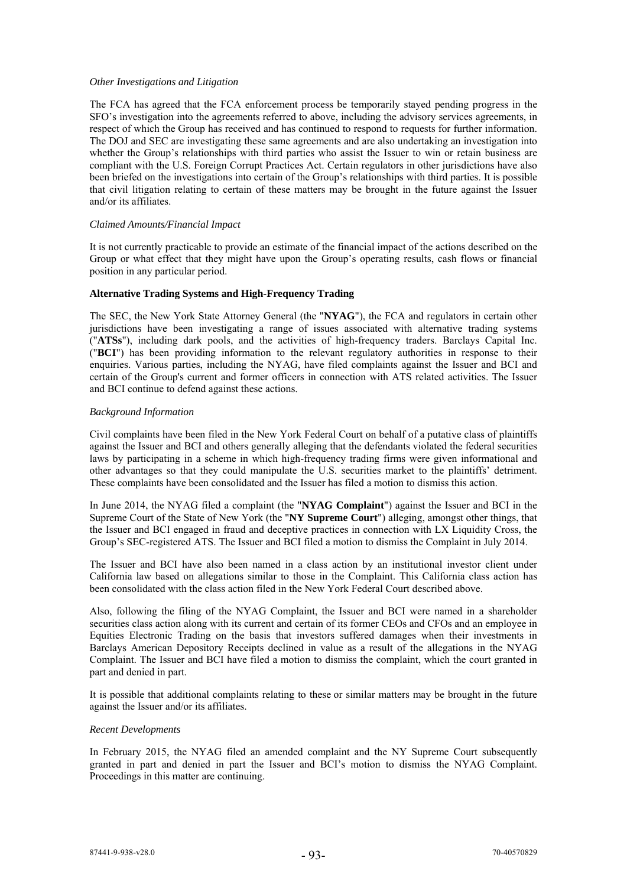### *Other Investigations and Litigation*

The FCA has agreed that the FCA enforcement process be temporarily stayed pending progress in the SFO's investigation into the agreements referred to above, including the advisory services agreements, in respect of which the Group has received and has continued to respond to requests for further information. The DOJ and SEC are investigating these same agreements and are also undertaking an investigation into whether the Group's relationships with third parties who assist the Issuer to win or retain business are compliant with the U.S. Foreign Corrupt Practices Act. Certain regulators in other jurisdictions have also been briefed on the investigations into certain of the Group's relationships with third parties. It is possible that civil litigation relating to certain of these matters may be brought in the future against the Issuer and/or its affiliates.

# *Claimed Amounts/Financial Impact*

It is not currently practicable to provide an estimate of the financial impact of the actions described on the Group or what effect that they might have upon the Group's operating results, cash flows or financial position in any particular period.

# **Alternative Trading Systems and High-Frequency Trading**

The SEC, the New York State Attorney General (the "**NYAG**"), the FCA and regulators in certain other jurisdictions have been investigating a range of issues associated with alternative trading systems ("**ATSs**"), including dark pools, and the activities of high-frequency traders. Barclays Capital Inc. ("**BCI**") has been providing information to the relevant regulatory authorities in response to their enquiries. Various parties, including the NYAG, have filed complaints against the Issuer and BCI and certain of the Group's current and former officers in connection with ATS related activities. The Issuer and BCI continue to defend against these actions.

### *Background Information*

Civil complaints have been filed in the New York Federal Court on behalf of a putative class of plaintiffs against the Issuer and BCI and others generally alleging that the defendants violated the federal securities laws by participating in a scheme in which high-frequency trading firms were given informational and other advantages so that they could manipulate the U.S. securities market to the plaintiffs' detriment. These complaints have been consolidated and the Issuer has filed a motion to dismiss this action.

In June 2014, the NYAG filed a complaint (the "**NYAG Complaint**") against the Issuer and BCI in the Supreme Court of the State of New York (the "**NY Supreme Court**") alleging, amongst other things, that the Issuer and BCI engaged in fraud and deceptive practices in connection with LX Liquidity Cross, the Group's SEC-registered ATS. The Issuer and BCI filed a motion to dismiss the Complaint in July 2014.

The Issuer and BCI have also been named in a class action by an institutional investor client under California law based on allegations similar to those in the Complaint. This California class action has been consolidated with the class action filed in the New York Federal Court described above.

Also, following the filing of the NYAG Complaint, the Issuer and BCI were named in a shareholder securities class action along with its current and certain of its former CEOs and CFOs and an employee in Equities Electronic Trading on the basis that investors suffered damages when their investments in Barclays American Depository Receipts declined in value as a result of the allegations in the NYAG Complaint. The Issuer and BCI have filed a motion to dismiss the complaint, which the court granted in part and denied in part.

It is possible that additional complaints relating to these or similar matters may be brought in the future against the Issuer and/or its affiliates.

#### *Recent Developments*

In February 2015, the NYAG filed an amended complaint and the NY Supreme Court subsequently granted in part and denied in part the Issuer and BCI's motion to dismiss the NYAG Complaint. Proceedings in this matter are continuing.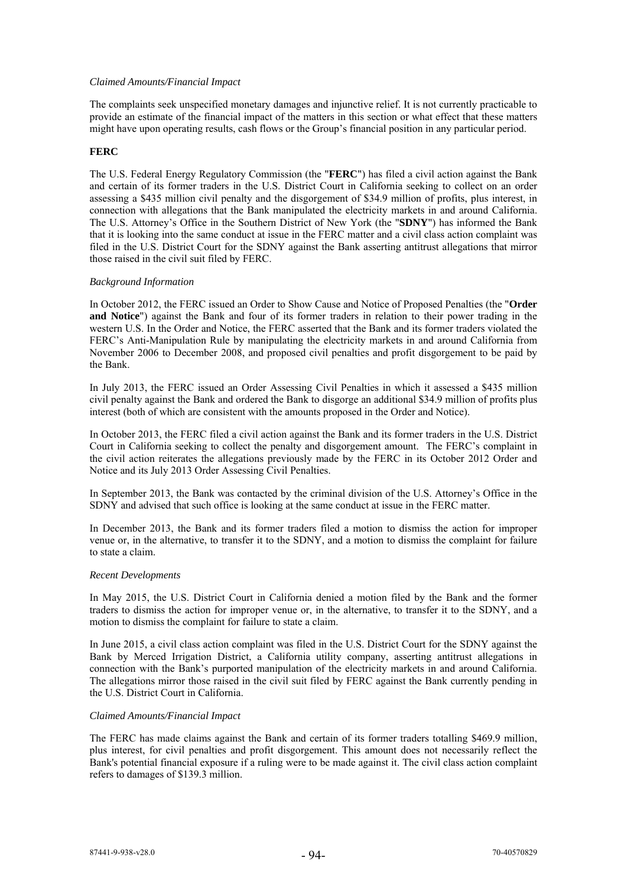# *Claimed Amounts/Financial Impact*

The complaints seek unspecified monetary damages and injunctive relief. It is not currently practicable to provide an estimate of the financial impact of the matters in this section or what effect that these matters might have upon operating results, cash flows or the Group's financial position in any particular period.

# **FERC**

The U.S. Federal Energy Regulatory Commission (the "**FERC**") has filed a civil action against the Bank and certain of its former traders in the U.S. District Court in California seeking to collect on an order assessing a \$435 million civil penalty and the disgorgement of \$34.9 million of profits, plus interest, in connection with allegations that the Bank manipulated the electricity markets in and around California. The U.S. Attorney's Office in the Southern District of New York (the "**SDNY**") has informed the Bank that it is looking into the same conduct at issue in the FERC matter and a civil class action complaint was filed in the U.S. District Court for the SDNY against the Bank asserting antitrust allegations that mirror those raised in the civil suit filed by FERC.

### *Background Information*

In October 2012, the FERC issued an Order to Show Cause and Notice of Proposed Penalties (the "**Order and Notice**") against the Bank and four of its former traders in relation to their power trading in the western U.S. In the Order and Notice, the FERC asserted that the Bank and its former traders violated the FERC's Anti-Manipulation Rule by manipulating the electricity markets in and around California from November 2006 to December 2008, and proposed civil penalties and profit disgorgement to be paid by the Bank.

In July 2013, the FERC issued an Order Assessing Civil Penalties in which it assessed a \$435 million civil penalty against the Bank and ordered the Bank to disgorge an additional \$34.9 million of profits plus interest (both of which are consistent with the amounts proposed in the Order and Notice).

In October 2013, the FERC filed a civil action against the Bank and its former traders in the U.S. District Court in California seeking to collect the penalty and disgorgement amount. The FERC's complaint in the civil action reiterates the allegations previously made by the FERC in its October 2012 Order and Notice and its July 2013 Order Assessing Civil Penalties.

In September 2013, the Bank was contacted by the criminal division of the U.S. Attorney's Office in the SDNY and advised that such office is looking at the same conduct at issue in the FERC matter.

In December 2013, the Bank and its former traders filed a motion to dismiss the action for improper venue or, in the alternative, to transfer it to the SDNY, and a motion to dismiss the complaint for failure to state a claim.

### *Recent Developments*

In May 2015, the U.S. District Court in California denied a motion filed by the Bank and the former traders to dismiss the action for improper venue or, in the alternative, to transfer it to the SDNY, and a motion to dismiss the complaint for failure to state a claim.

In June 2015, a civil class action complaint was filed in the U.S. District Court for the SDNY against the Bank by Merced Irrigation District, a California utility company, asserting antitrust allegations in connection with the Bank's purported manipulation of the electricity markets in and around California. The allegations mirror those raised in the civil suit filed by FERC against the Bank currently pending in the U.S. District Court in California.

#### *Claimed Amounts/Financial Impact*

The FERC has made claims against the Bank and certain of its former traders totalling \$469.9 million, plus interest, for civil penalties and profit disgorgement. This amount does not necessarily reflect the Bank's potential financial exposure if a ruling were to be made against it. The civil class action complaint refers to damages of \$139.3 million.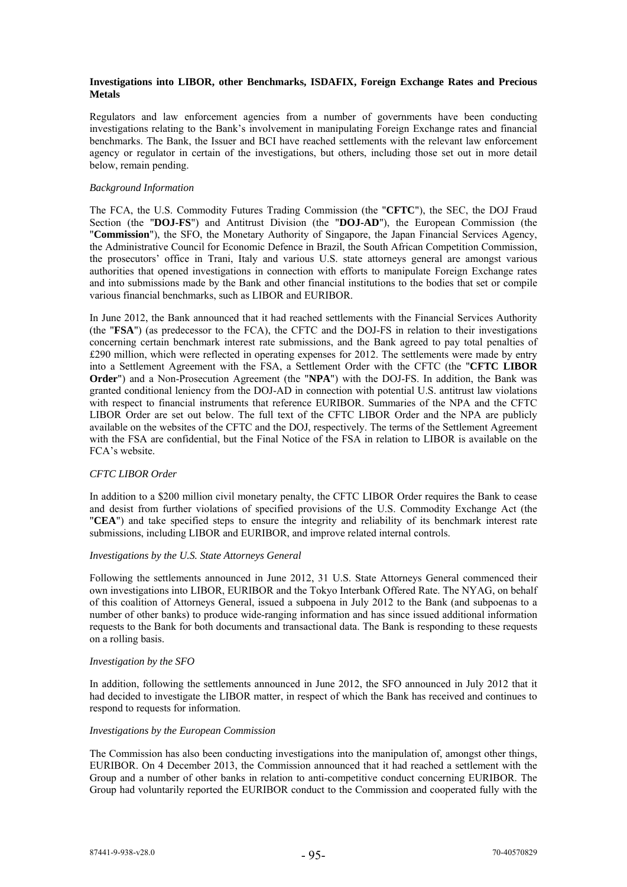# **Investigations into LIBOR, other Benchmarks, ISDAFIX, Foreign Exchange Rates and Precious Metals**

Regulators and law enforcement agencies from a number of governments have been conducting investigations relating to the Bank's involvement in manipulating Foreign Exchange rates and financial benchmarks. The Bank, the Issuer and BCI have reached settlements with the relevant law enforcement agency or regulator in certain of the investigations, but others, including those set out in more detail below, remain pending.

### *Background Information*

The FCA, the U.S. Commodity Futures Trading Commission (the "**CFTC**"), the SEC, the DOJ Fraud Section (the "**DOJ-FS**") and Antitrust Division (the "**DOJ-AD**"), the European Commission (the "**Commission**"), the SFO, the Monetary Authority of Singapore, the Japan Financial Services Agency, the Administrative Council for Economic Defence in Brazil, the South African Competition Commission, the prosecutors' office in Trani, Italy and various U.S. state attorneys general are amongst various authorities that opened investigations in connection with efforts to manipulate Foreign Exchange rates and into submissions made by the Bank and other financial institutions to the bodies that set or compile various financial benchmarks, such as LIBOR and EURIBOR.

In June 2012, the Bank announced that it had reached settlements with the Financial Services Authority (the "**FSA**") (as predecessor to the FCA), the CFTC and the DOJ-FS in relation to their investigations concerning certain benchmark interest rate submissions, and the Bank agreed to pay total penalties of £290 million, which were reflected in operating expenses for 2012. The settlements were made by entry into a Settlement Agreement with the FSA, a Settlement Order with the CFTC (the "**CFTC LIBOR Order**") and a Non-Prosecution Agreement (the "**NPA**") with the DOJ-FS. In addition, the Bank was granted conditional leniency from the DOJ-AD in connection with potential U.S. antitrust law violations with respect to financial instruments that reference EURIBOR. Summaries of the NPA and the CFTC LIBOR Order are set out below. The full text of the CFTC LIBOR Order and the NPA are publicly available on the websites of the CFTC and the DOJ, respectively. The terms of the Settlement Agreement with the FSA are confidential, but the Final Notice of the FSA in relation to LIBOR is available on the FCA's website.

# *CFTC LIBOR Order*

In addition to a \$200 million civil monetary penalty, the CFTC LIBOR Order requires the Bank to cease and desist from further violations of specified provisions of the U.S. Commodity Exchange Act (the "**CEA**") and take specified steps to ensure the integrity and reliability of its benchmark interest rate submissions, including LIBOR and EURIBOR, and improve related internal controls.

#### *Investigations by the U.S. State Attorneys General*

Following the settlements announced in June 2012, 31 U.S. State Attorneys General commenced their own investigations into LIBOR, EURIBOR and the Tokyo Interbank Offered Rate. The NYAG, on behalf of this coalition of Attorneys General, issued a subpoena in July 2012 to the Bank (and subpoenas to a number of other banks) to produce wide-ranging information and has since issued additional information requests to the Bank for both documents and transactional data. The Bank is responding to these requests on a rolling basis.

#### *Investigation by the SFO*

In addition, following the settlements announced in June 2012, the SFO announced in July 2012 that it had decided to investigate the LIBOR matter, in respect of which the Bank has received and continues to respond to requests for information.

### *Investigations by the European Commission*

The Commission has also been conducting investigations into the manipulation of, amongst other things, EURIBOR. On 4 December 2013, the Commission announced that it had reached a settlement with the Group and a number of other banks in relation to anti-competitive conduct concerning EURIBOR. The Group had voluntarily reported the EURIBOR conduct to the Commission and cooperated fully with the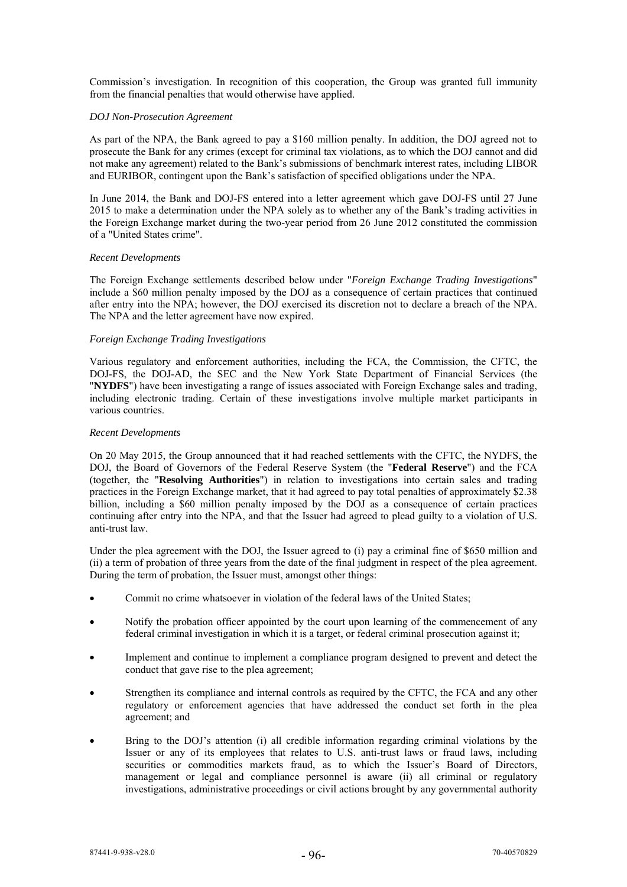Commission's investigation. In recognition of this cooperation, the Group was granted full immunity from the financial penalties that would otherwise have applied.

# *DOJ Non-Prosecution Agreement*

As part of the NPA, the Bank agreed to pay a \$160 million penalty. In addition, the DOJ agreed not to prosecute the Bank for any crimes (except for criminal tax violations, as to which the DOJ cannot and did not make any agreement) related to the Bank's submissions of benchmark interest rates, including LIBOR and EURIBOR, contingent upon the Bank's satisfaction of specified obligations under the NPA.

In June 2014, the Bank and DOJ-FS entered into a letter agreement which gave DOJ-FS until 27 June 2015 to make a determination under the NPA solely as to whether any of the Bank's trading activities in the Foreign Exchange market during the two-year period from 26 June 2012 constituted the commission of a "United States crime".

### *Recent Developments*

The Foreign Exchange settlements described below under "*Foreign Exchange Trading Investigations*" include a \$60 million penalty imposed by the DOJ as a consequence of certain practices that continued after entry into the NPA; however, the DOJ exercised its discretion not to declare a breach of the NPA. The NPA and the letter agreement have now expired.

# *Foreign Exchange Trading Investigations*

Various regulatory and enforcement authorities, including the FCA, the Commission, the CFTC, the DOJ-FS, the DOJ-AD, the SEC and the New York State Department of Financial Services (the "**NYDFS**") have been investigating a range of issues associated with Foreign Exchange sales and trading, including electronic trading. Certain of these investigations involve multiple market participants in various countries.

### *Recent Developments*

On 20 May 2015, the Group announced that it had reached settlements with the CFTC, the NYDFS, the DOJ, the Board of Governors of the Federal Reserve System (the "**Federal Reserve**") and the FCA (together, the "**Resolving Authorities**") in relation to investigations into certain sales and trading practices in the Foreign Exchange market, that it had agreed to pay total penalties of approximately \$2.38 billion, including a \$60 million penalty imposed by the DOJ as a consequence of certain practices continuing after entry into the NPA, and that the Issuer had agreed to plead guilty to a violation of U.S. anti-trust law.

Under the plea agreement with the DOJ, the Issuer agreed to (i) pay a criminal fine of \$650 million and (ii) a term of probation of three years from the date of the final judgment in respect of the plea agreement. During the term of probation, the Issuer must, amongst other things:

- Commit no crime whatsoever in violation of the federal laws of the United States;
- Notify the probation officer appointed by the court upon learning of the commencement of any federal criminal investigation in which it is a target, or federal criminal prosecution against it;
- Implement and continue to implement a compliance program designed to prevent and detect the conduct that gave rise to the plea agreement;
- Strengthen its compliance and internal controls as required by the CFTC, the FCA and any other regulatory or enforcement agencies that have addressed the conduct set forth in the plea agreement; and
- Bring to the DOJ's attention (i) all credible information regarding criminal violations by the Issuer or any of its employees that relates to U.S. anti-trust laws or fraud laws, including securities or commodities markets fraud, as to which the Issuer's Board of Directors, management or legal and compliance personnel is aware (ii) all criminal or regulatory investigations, administrative proceedings or civil actions brought by any governmental authority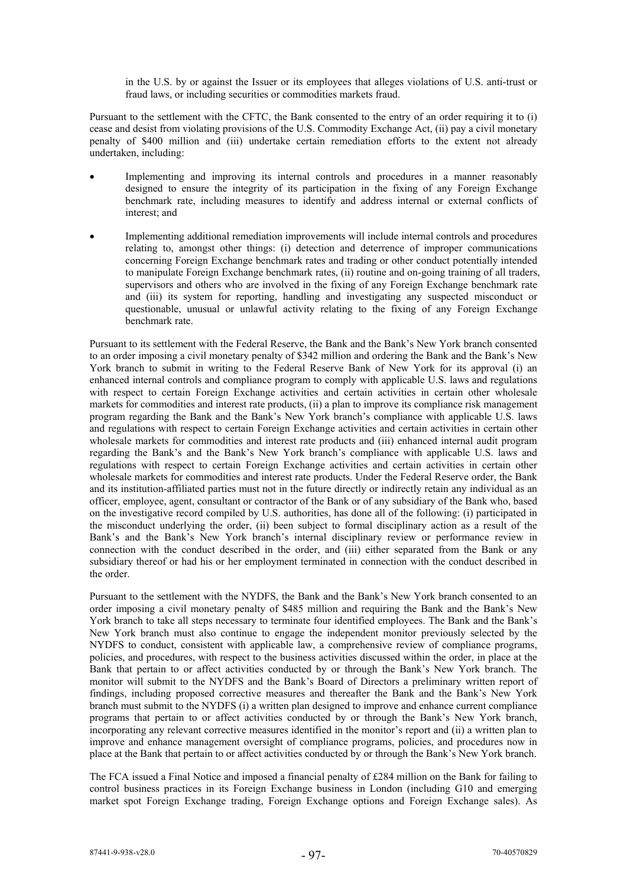in the U.S. by or against the Issuer or its employees that alleges violations of U.S. anti-trust or fraud laws, or including securities or commodities markets fraud.

Pursuant to the settlement with the CFTC, the Bank consented to the entry of an order requiring it to (i) cease and desist from violating provisions of the U.S. Commodity Exchange Act, (ii) pay a civil monetary penalty of \$400 million and (iii) undertake certain remediation efforts to the extent not already undertaken, including:

- Implementing and improving its internal controls and procedures in a manner reasonably designed to ensure the integrity of its participation in the fixing of any Foreign Exchange benchmark rate, including measures to identify and address internal or external conflicts of interest; and
- Implementing additional remediation improvements will include internal controls and procedures relating to, amongst other things: (i) detection and deterrence of improper communications concerning Foreign Exchange benchmark rates and trading or other conduct potentially intended to manipulate Foreign Exchange benchmark rates, (ii) routine and on-going training of all traders, supervisors and others who are involved in the fixing of any Foreign Exchange benchmark rate and (iii) its system for reporting, handling and investigating any suspected misconduct or questionable, unusual or unlawful activity relating to the fixing of any Foreign Exchange **benchmark** rate

Pursuant to its settlement with the Federal Reserve, the Bank and the Bank's New York branch consented to an order imposing a civil monetary penalty of \$342 million and ordering the Bank and the Bank's New York branch to submit in writing to the Federal Reserve Bank of New York for its approval (i) an enhanced internal controls and compliance program to comply with applicable U.S. laws and regulations with respect to certain Foreign Exchange activities and certain activities in certain other wholesale markets for commodities and interest rate products, (ii) a plan to improve its compliance risk management program regarding the Bank and the Bank's New York branch's compliance with applicable U.S. laws and regulations with respect to certain Foreign Exchange activities and certain activities in certain other wholesale markets for commodities and interest rate products and (iii) enhanced internal audit program regarding the Bank's and the Bank's New York branch's compliance with applicable U.S. laws and regulations with respect to certain Foreign Exchange activities and certain activities in certain other wholesale markets for commodities and interest rate products. Under the Federal Reserve order, the Bank and its institution-affiliated parties must not in the future directly or indirectly retain any individual as an officer, employee, agent, consultant or contractor of the Bank or of any subsidiary of the Bank who, based on the investigative record compiled by U.S. authorities, has done all of the following: (i) participated in the misconduct underlying the order, (ii) been subject to formal disciplinary action as a result of the Bank's and the Bank's New York branch's internal disciplinary review or performance review in connection with the conduct described in the order, and (iii) either separated from the Bank or any subsidiary thereof or had his or her employment terminated in connection with the conduct described in the order.

Pursuant to the settlement with the NYDFS, the Bank and the Bank's New York branch consented to an order imposing a civil monetary penalty of \$485 million and requiring the Bank and the Bank's New York branch to take all steps necessary to terminate four identified employees. The Bank and the Bank's New York branch must also continue to engage the independent monitor previously selected by the NYDFS to conduct, consistent with applicable law, a comprehensive review of compliance programs, policies, and procedures, with respect to the business activities discussed within the order, in place at the Bank that pertain to or affect activities conducted by or through the Bank's New York branch. The monitor will submit to the NYDFS and the Bank's Board of Directors a preliminary written report of findings, including proposed corrective measures and thereafter the Bank and the Bank's New York branch must submit to the NYDFS (i) a written plan designed to improve and enhance current compliance programs that pertain to or affect activities conducted by or through the Bank's New York branch, incorporating any relevant corrective measures identified in the monitor's report and (ii) a written plan to improve and enhance management oversight of compliance programs, policies, and procedures now in place at the Bank that pertain to or affect activities conducted by or through the Bank's New York branch.

The FCA issued a Final Notice and imposed a financial penalty of £284 million on the Bank for failing to control business practices in its Foreign Exchange business in London (including G10 and emerging market spot Foreign Exchange trading, Foreign Exchange options and Foreign Exchange sales). As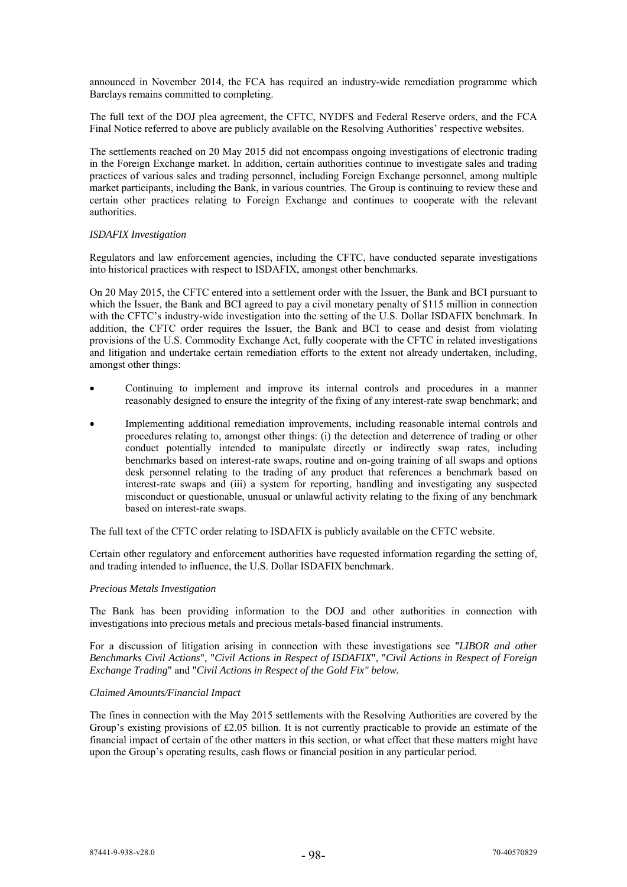announced in November 2014, the FCA has required an industry-wide remediation programme which Barclays remains committed to completing.

The full text of the DOJ plea agreement, the CFTC, NYDFS and Federal Reserve orders, and the FCA Final Notice referred to above are publicly available on the Resolving Authorities' respective websites.

The settlements reached on 20 May 2015 did not encompass ongoing investigations of electronic trading in the Foreign Exchange market. In addition, certain authorities continue to investigate sales and trading practices of various sales and trading personnel, including Foreign Exchange personnel, among multiple market participants, including the Bank, in various countries. The Group is continuing to review these and certain other practices relating to Foreign Exchange and continues to cooperate with the relevant authorities.

# *ISDAFIX Investigation*

Regulators and law enforcement agencies, including the CFTC, have conducted separate investigations into historical practices with respect to ISDAFIX, amongst other benchmarks.

On 20 May 2015, the CFTC entered into a settlement order with the Issuer, the Bank and BCI pursuant to which the Issuer, the Bank and BCI agreed to pay a civil monetary penalty of \$115 million in connection with the CFTC's industry-wide investigation into the setting of the U.S. Dollar ISDAFIX benchmark. In addition, the CFTC order requires the Issuer, the Bank and BCI to cease and desist from violating provisions of the U.S. Commodity Exchange Act, fully cooperate with the CFTC in related investigations and litigation and undertake certain remediation efforts to the extent not already undertaken, including, amongst other things:

- Continuing to implement and improve its internal controls and procedures in a manner reasonably designed to ensure the integrity of the fixing of any interest-rate swap benchmark; and
- Implementing additional remediation improvements, including reasonable internal controls and procedures relating to, amongst other things: (i) the detection and deterrence of trading or other conduct potentially intended to manipulate directly or indirectly swap rates, including benchmarks based on interest-rate swaps, routine and on-going training of all swaps and options desk personnel relating to the trading of any product that references a benchmark based on interest-rate swaps and (iii) a system for reporting, handling and investigating any suspected misconduct or questionable, unusual or unlawful activity relating to the fixing of any benchmark based on interest-rate swaps.

The full text of the CFTC order relating to ISDAFIX is publicly available on the CFTC website.

Certain other regulatory and enforcement authorities have requested information regarding the setting of, and trading intended to influence, the U.S. Dollar ISDAFIX benchmark.

### *Precious Metals Investigation*

The Bank has been providing information to the DOJ and other authorities in connection with investigations into precious metals and precious metals-based financial instruments.

For a discussion of litigation arising in connection with these investigations see "*LIBOR and other Benchmarks Civil Actions*", "*Civil Actions in Respect of ISDAFIX*", "*Civil Actions in Respect of Foreign Exchange Trading*" and "*Civil Actions in Respect of the Gold Fix" below.* 

# *Claimed Amounts/Financial Impact*

The fines in connection with the May 2015 settlements with the Resolving Authorities are covered by the Group's existing provisions of £2.05 billion. It is not currently practicable to provide an estimate of the financial impact of certain of the other matters in this section, or what effect that these matters might have upon the Group's operating results, cash flows or financial position in any particular period.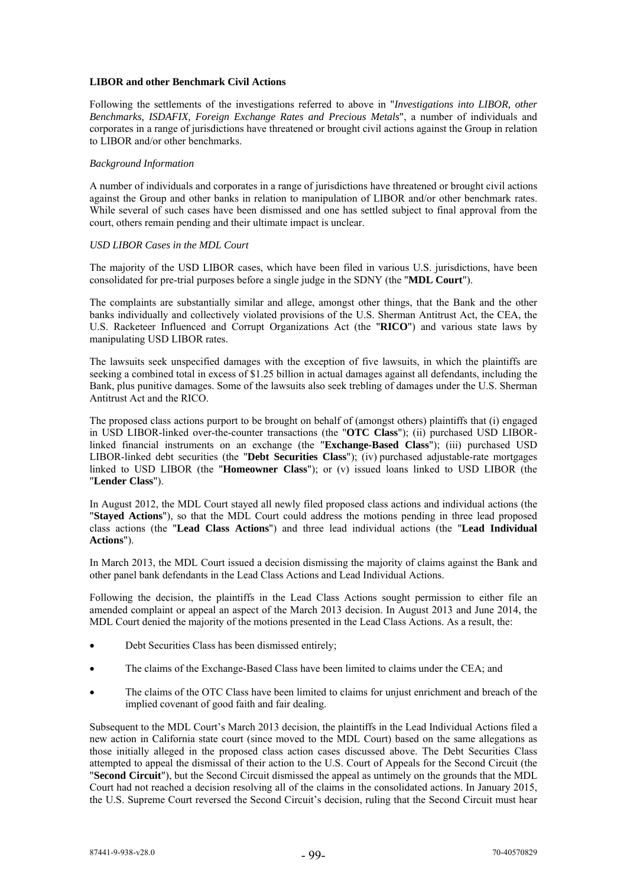# **LIBOR and other Benchmark Civil Actions**

Following the settlements of the investigations referred to above in "*Investigations into LIBOR, other Benchmarks, ISDAFIX, Foreign Exchange Rates and Precious Metals*", a number of individuals and corporates in a range of jurisdictions have threatened or brought civil actions against the Group in relation to LIBOR and/or other benchmarks.

#### *Background Information*

A number of individuals and corporates in a range of jurisdictions have threatened or brought civil actions against the Group and other banks in relation to manipulation of LIBOR and/or other benchmark rates. While several of such cases have been dismissed and one has settled subject to final approval from the court, others remain pending and their ultimate impact is unclear.

### *USD LIBOR Cases in the MDL Court*

The majority of the USD LIBOR cases, which have been filed in various U.S. jurisdictions, have been consolidated for pre-trial purposes before a single judge in the SDNY (the "**MDL Court**").

The complaints are substantially similar and allege, amongst other things, that the Bank and the other banks individually and collectively violated provisions of the U.S. Sherman Antitrust Act, the CEA, the U.S. Racketeer Influenced and Corrupt Organizations Act (the "**RICO**") and various state laws by manipulating USD LIBOR rates.

The lawsuits seek unspecified damages with the exception of five lawsuits, in which the plaintiffs are seeking a combined total in excess of \$1.25 billion in actual damages against all defendants, including the Bank, plus punitive damages. Some of the lawsuits also seek trebling of damages under the U.S. Sherman Antitrust Act and the RICO.

The proposed class actions purport to be brought on behalf of (amongst others) plaintiffs that (i) engaged in USD LIBOR-linked over-the-counter transactions (the "**OTC Class**"); (ii) purchased USD LIBORlinked financial instruments on an exchange (the "**Exchange-Based Class**"); (iii) purchased USD LIBOR-linked debt securities (the "**Debt Securities Class**"); (iv) purchased adjustable-rate mortgages linked to USD LIBOR (the "**Homeowner Class**"); or (v) issued loans linked to USD LIBOR (the "**Lender Class**").

In August 2012, the MDL Court stayed all newly filed proposed class actions and individual actions (the "**Stayed Actions**"), so that the MDL Court could address the motions pending in three lead proposed class actions (the "**Lead Class Actions**") and three lead individual actions (the "**Lead Individual Actions**").

In March 2013, the MDL Court issued a decision dismissing the majority of claims against the Bank and other panel bank defendants in the Lead Class Actions and Lead Individual Actions.

Following the decision, the plaintiffs in the Lead Class Actions sought permission to either file an amended complaint or appeal an aspect of the March 2013 decision. In August 2013 and June 2014, the MDL Court denied the majority of the motions presented in the Lead Class Actions. As a result, the:

- Debt Securities Class has been dismissed entirely;
- The claims of the Exchange-Based Class have been limited to claims under the CEA; and
- The claims of the OTC Class have been limited to claims for unjust enrichment and breach of the implied covenant of good faith and fair dealing.

Subsequent to the MDL Court's March 2013 decision, the plaintiffs in the Lead Individual Actions filed a new action in California state court (since moved to the MDL Court) based on the same allegations as those initially alleged in the proposed class action cases discussed above. The Debt Securities Class attempted to appeal the dismissal of their action to the U.S. Court of Appeals for the Second Circuit (the "**Second Circuit**"), but the Second Circuit dismissed the appeal as untimely on the grounds that the MDL Court had not reached a decision resolving all of the claims in the consolidated actions. In January 2015, the U.S. Supreme Court reversed the Second Circuit's decision, ruling that the Second Circuit must hear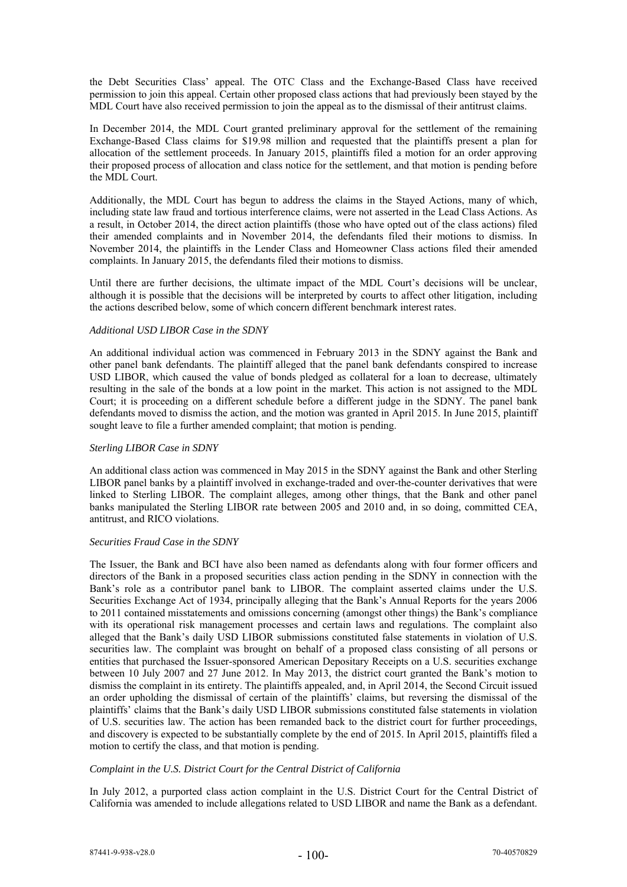the Debt Securities Class' appeal. The OTC Class and the Exchange-Based Class have received permission to join this appeal. Certain other proposed class actions that had previously been stayed by the MDL Court have also received permission to join the appeal as to the dismissal of their antitrust claims.

In December 2014, the MDL Court granted preliminary approval for the settlement of the remaining Exchange-Based Class claims for \$19.98 million and requested that the plaintiffs present a plan for allocation of the settlement proceeds. In January 2015, plaintiffs filed a motion for an order approving their proposed process of allocation and class notice for the settlement, and that motion is pending before the MDL Court.

Additionally, the MDL Court has begun to address the claims in the Stayed Actions, many of which, including state law fraud and tortious interference claims, were not asserted in the Lead Class Actions. As a result, in October 2014, the direct action plaintiffs (those who have opted out of the class actions) filed their amended complaints and in November 2014, the defendants filed their motions to dismiss. In November 2014, the plaintiffs in the Lender Class and Homeowner Class actions filed their amended complaints. In January 2015, the defendants filed their motions to dismiss.

Until there are further decisions, the ultimate impact of the MDL Court's decisions will be unclear, although it is possible that the decisions will be interpreted by courts to affect other litigation, including the actions described below, some of which concern different benchmark interest rates.

# *Additional USD LIBOR Case in the SDNY*

An additional individual action was commenced in February 2013 in the SDNY against the Bank and other panel bank defendants. The plaintiff alleged that the panel bank defendants conspired to increase USD LIBOR, which caused the value of bonds pledged as collateral for a loan to decrease, ultimately resulting in the sale of the bonds at a low point in the market. This action is not assigned to the MDL Court; it is proceeding on a different schedule before a different judge in the SDNY. The panel bank defendants moved to dismiss the action, and the motion was granted in April 2015. In June 2015, plaintiff sought leave to file a further amended complaint; that motion is pending.

### *Sterling LIBOR Case in SDNY*

An additional class action was commenced in May 2015 in the SDNY against the Bank and other Sterling LIBOR panel banks by a plaintiff involved in exchange-traded and over-the-counter derivatives that were linked to Sterling LIBOR. The complaint alleges, among other things, that the Bank and other panel banks manipulated the Sterling LIBOR rate between 2005 and 2010 and, in so doing, committed CEA, antitrust, and RICO violations.

### *Securities Fraud Case in the SDNY*

The Issuer, the Bank and BCI have also been named as defendants along with four former officers and directors of the Bank in a proposed securities class action pending in the SDNY in connection with the Bank's role as a contributor panel bank to LIBOR. The complaint asserted claims under the U.S. Securities Exchange Act of 1934, principally alleging that the Bank's Annual Reports for the years 2006 to 2011 contained misstatements and omissions concerning (amongst other things) the Bank's compliance with its operational risk management processes and certain laws and regulations. The complaint also alleged that the Bank's daily USD LIBOR submissions constituted false statements in violation of U.S. securities law. The complaint was brought on behalf of a proposed class consisting of all persons or entities that purchased the Issuer-sponsored American Depositary Receipts on a U.S. securities exchange between 10 July 2007 and 27 June 2012. In May 2013, the district court granted the Bank's motion to dismiss the complaint in its entirety. The plaintiffs appealed, and, in April 2014, the Second Circuit issued an order upholding the dismissal of certain of the plaintiffs' claims, but reversing the dismissal of the plaintiffs' claims that the Bank's daily USD LIBOR submissions constituted false statements in violation of U.S. securities law. The action has been remanded back to the district court for further proceedings, and discovery is expected to be substantially complete by the end of 2015. In April 2015, plaintiffs filed a motion to certify the class, and that motion is pending.

# *Complaint in the U.S. District Court for the Central District of California*

In July 2012, a purported class action complaint in the U.S. District Court for the Central District of California was amended to include allegations related to USD LIBOR and name the Bank as a defendant.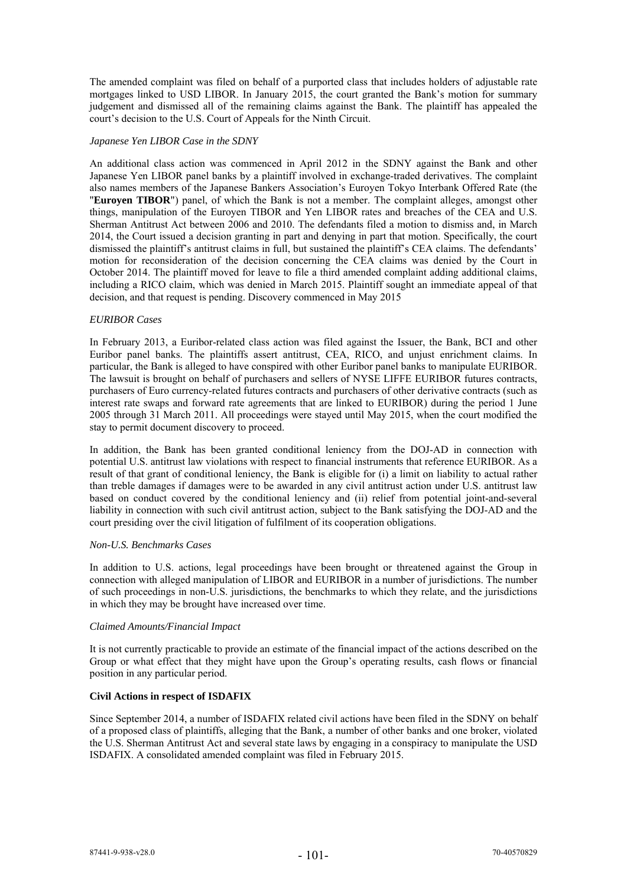The amended complaint was filed on behalf of a purported class that includes holders of adjustable rate mortgages linked to USD LIBOR. In January 2015, the court granted the Bank's motion for summary judgement and dismissed all of the remaining claims against the Bank. The plaintiff has appealed the court's decision to the U.S. Court of Appeals for the Ninth Circuit.

### *Japanese Yen LIBOR Case in the SDNY*

An additional class action was commenced in April 2012 in the SDNY against the Bank and other Japanese Yen LIBOR panel banks by a plaintiff involved in exchange-traded derivatives. The complaint also names members of the Japanese Bankers Association's Euroyen Tokyo Interbank Offered Rate (the "**Euroyen TIBOR**") panel, of which the Bank is not a member. The complaint alleges, amongst other things, manipulation of the Euroyen TIBOR and Yen LIBOR rates and breaches of the CEA and U.S. Sherman Antitrust Act between 2006 and 2010. The defendants filed a motion to dismiss and, in March 2014, the Court issued a decision granting in part and denying in part that motion. Specifically, the court dismissed the plaintiff's antitrust claims in full, but sustained the plaintiff's CEA claims. The defendants' motion for reconsideration of the decision concerning the CEA claims was denied by the Court in October 2014. The plaintiff moved for leave to file a third amended complaint adding additional claims, including a RICO claim, which was denied in March 2015. Plaintiff sought an immediate appeal of that decision, and that request is pending. Discovery commenced in May 2015

### *EURIBOR Cases*

In February 2013, a Euribor-related class action was filed against the Issuer, the Bank, BCI and other Euribor panel banks. The plaintiffs assert antitrust, CEA, RICO, and unjust enrichment claims. In particular, the Bank is alleged to have conspired with other Euribor panel banks to manipulate EURIBOR. The lawsuit is brought on behalf of purchasers and sellers of NYSE LIFFE EURIBOR futures contracts, purchasers of Euro currency-related futures contracts and purchasers of other derivative contracts (such as interest rate swaps and forward rate agreements that are linked to EURIBOR) during the period 1 June 2005 through 31 March 2011. All proceedings were stayed until May 2015, when the court modified the stay to permit document discovery to proceed.

In addition, the Bank has been granted conditional leniency from the DOJ-AD in connection with potential U.S. antitrust law violations with respect to financial instruments that reference EURIBOR. As a result of that grant of conditional leniency, the Bank is eligible for (i) a limit on liability to actual rather than treble damages if damages were to be awarded in any civil antitrust action under U.S. antitrust law based on conduct covered by the conditional leniency and (ii) relief from potential joint-and-several liability in connection with such civil antitrust action, subject to the Bank satisfying the DOJ-AD and the court presiding over the civil litigation of fulfilment of its cooperation obligations.

#### *Non-U.S. Benchmarks Cases*

In addition to U.S. actions, legal proceedings have been brought or threatened against the Group in connection with alleged manipulation of LIBOR and EURIBOR in a number of jurisdictions. The number of such proceedings in non-U.S. jurisdictions, the benchmarks to which they relate, and the jurisdictions in which they may be brought have increased over time.

# *Claimed Amounts/Financial Impact*

It is not currently practicable to provide an estimate of the financial impact of the actions described on the Group or what effect that they might have upon the Group's operating results, cash flows or financial position in any particular period.

# **Civil Actions in respect of ISDAFIX**

Since September 2014, a number of ISDAFIX related civil actions have been filed in the SDNY on behalf of a proposed class of plaintiffs, alleging that the Bank, a number of other banks and one broker, violated the U.S. Sherman Antitrust Act and several state laws by engaging in a conspiracy to manipulate the USD ISDAFIX. A consolidated amended complaint was filed in February 2015.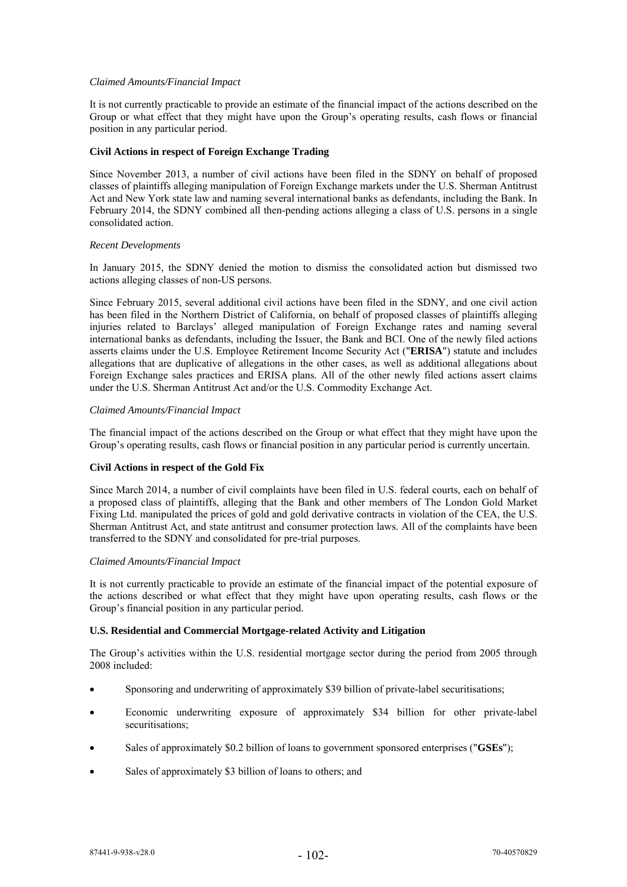## *Claimed Amounts/Financial Impact*

It is not currently practicable to provide an estimate of the financial impact of the actions described on the Group or what effect that they might have upon the Group's operating results, cash flows or financial position in any particular period.

## **Civil Actions in respect of Foreign Exchange Trading**

Since November 2013, a number of civil actions have been filed in the SDNY on behalf of proposed classes of plaintiffs alleging manipulation of Foreign Exchange markets under the U.S. Sherman Antitrust Act and New York state law and naming several international banks as defendants, including the Bank. In February 2014, the SDNY combined all then-pending actions alleging a class of U.S. persons in a single consolidated action.

## *Recent Developments*

In January 2015, the SDNY denied the motion to dismiss the consolidated action but dismissed two actions alleging classes of non-US persons.

Since February 2015, several additional civil actions have been filed in the SDNY, and one civil action has been filed in the Northern District of California, on behalf of proposed classes of plaintiffs alleging injuries related to Barclays' alleged manipulation of Foreign Exchange rates and naming several international banks as defendants, including the Issuer, the Bank and BCI. One of the newly filed actions asserts claims under the U.S. Employee Retirement Income Security Act ("**ERISA**") statute and includes allegations that are duplicative of allegations in the other cases, as well as additional allegations about Foreign Exchange sales practices and ERISA plans. All of the other newly filed actions assert claims under the U.S. Sherman Antitrust Act and/or the U.S. Commodity Exchange Act.

## *Claimed Amounts/Financial Impact*

The financial impact of the actions described on the Group or what effect that they might have upon the Group's operating results, cash flows or financial position in any particular period is currently uncertain.

# **Civil Actions in respect of the Gold Fix**

Since March 2014, a number of civil complaints have been filed in U.S. federal courts, each on behalf of a proposed class of plaintiffs, alleging that the Bank and other members of The London Gold Market Fixing Ltd. manipulated the prices of gold and gold derivative contracts in violation of the CEA, the U.S. Sherman Antitrust Act, and state antitrust and consumer protection laws. All of the complaints have been transferred to the SDNY and consolidated for pre-trial purposes.

### *Claimed Amounts/Financial Impact*

It is not currently practicable to provide an estimate of the financial impact of the potential exposure of the actions described or what effect that they might have upon operating results, cash flows or the Group's financial position in any particular period.

#### **U.S. Residential and Commercial Mortgage-related Activity and Litigation**

The Group's activities within the U.S. residential mortgage sector during the period from 2005 through 2008 included:

- Sponsoring and underwriting of approximately \$39 billion of private-label securitisations;
- Economic underwriting exposure of approximately \$34 billion for other private-label securitisations;
- Sales of approximately \$0.2 billion of loans to government sponsored enterprises ("**GSEs**");
- Sales of approximately \$3 billion of loans to others; and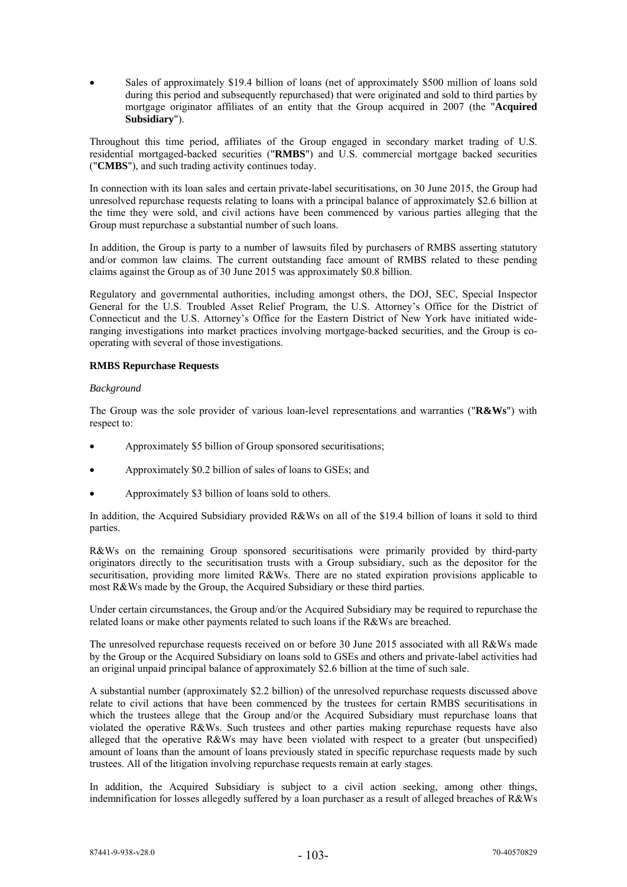Sales of approximately \$19.4 billion of loans (net of approximately \$500 million of loans sold during this period and subsequently repurchased) that were originated and sold to third parties by mortgage originator affiliates of an entity that the Group acquired in 2007 (the "**Acquired Subsidiary**").

Throughout this time period, affiliates of the Group engaged in secondary market trading of U.S. residential mortgaged-backed securities ("**RMBS**") and U.S. commercial mortgage backed securities ("**CMBS**"), and such trading activity continues today.

In connection with its loan sales and certain private-label securitisations, on 30 June 2015, the Group had unresolved repurchase requests relating to loans with a principal balance of approximately \$2.6 billion at the time they were sold, and civil actions have been commenced by various parties alleging that the Group must repurchase a substantial number of such loans.

In addition, the Group is party to a number of lawsuits filed by purchasers of RMBS asserting statutory and/or common law claims. The current outstanding face amount of RMBS related to these pending claims against the Group as of 30 June 2015 was approximately \$0.8 billion.

Regulatory and governmental authorities, including amongst others, the DOJ, SEC, Special Inspector General for the U.S. Troubled Asset Relief Program, the U.S. Attorney's Office for the District of Connecticut and the U.S. Attorney's Office for the Eastern District of New York have initiated wideranging investigations into market practices involving mortgage-backed securities, and the Group is cooperating with several of those investigations.

# **RMBS Repurchase Requests**

## *Background*

The Group was the sole provider of various loan-level representations and warranties ("**R&Ws**") with respect to:

- Approximately \$5 billion of Group sponsored securitisations;
- Approximately \$0.2 billion of sales of loans to GSEs; and
- Approximately \$3 billion of loans sold to others.

In addition, the Acquired Subsidiary provided R&Ws on all of the \$19.4 billion of loans it sold to third parties.

R&Ws on the remaining Group sponsored securitisations were primarily provided by third-party originators directly to the securitisation trusts with a Group subsidiary, such as the depositor for the securitisation, providing more limited R&Ws. There are no stated expiration provisions applicable to most R&Ws made by the Group, the Acquired Subsidiary or these third parties.

Under certain circumstances, the Group and/or the Acquired Subsidiary may be required to repurchase the related loans or make other payments related to such loans if the R&Ws are breached.

The unresolved repurchase requests received on or before 30 June 2015 associated with all R&Ws made by the Group or the Acquired Subsidiary on loans sold to GSEs and others and private-label activities had an original unpaid principal balance of approximately \$2.6 billion at the time of such sale.

A substantial number (approximately \$2.2 billion) of the unresolved repurchase requests discussed above relate to civil actions that have been commenced by the trustees for certain RMBS securitisations in which the trustees allege that the Group and/or the Acquired Subsidiary must repurchase loans that violated the operative R&Ws. Such trustees and other parties making repurchase requests have also alleged that the operative R&Ws may have been violated with respect to a greater (but unspecified) amount of loans than the amount of loans previously stated in specific repurchase requests made by such trustees. All of the litigation involving repurchase requests remain at early stages.

In addition, the Acquired Subsidiary is subject to a civil action seeking, among other things, indemnification for losses allegedly suffered by a loan purchaser as a result of alleged breaches of R&Ws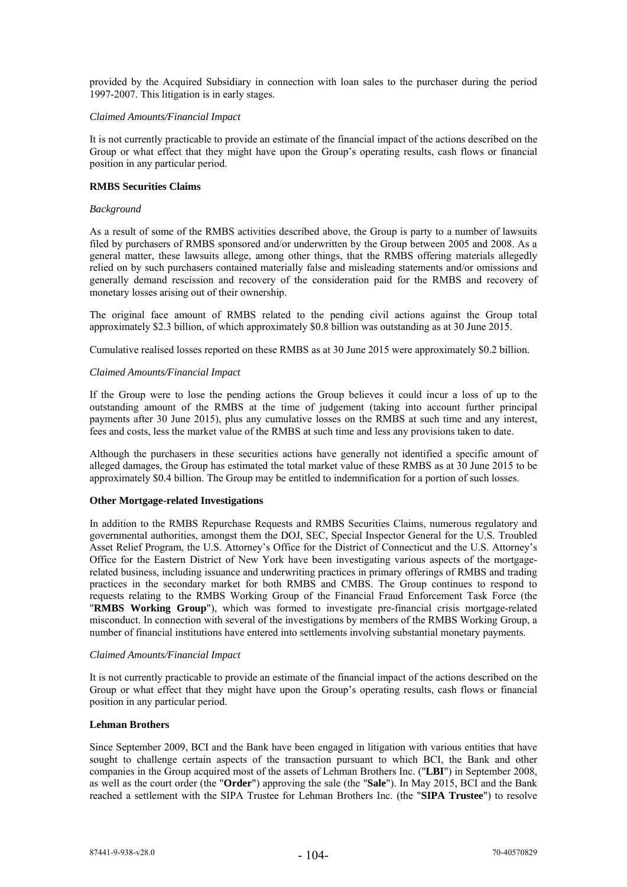provided by the Acquired Subsidiary in connection with loan sales to the purchaser during the period 1997-2007. This litigation is in early stages.

#### *Claimed Amounts/Financial Impact*

It is not currently practicable to provide an estimate of the financial impact of the actions described on the Group or what effect that they might have upon the Group's operating results, cash flows or financial position in any particular period.

## **RMBS Securities Claims**

## *Background*

As a result of some of the RMBS activities described above, the Group is party to a number of lawsuits filed by purchasers of RMBS sponsored and/or underwritten by the Group between 2005 and 2008. As a general matter, these lawsuits allege, among other things, that the RMBS offering materials allegedly relied on by such purchasers contained materially false and misleading statements and/or omissions and generally demand rescission and recovery of the consideration paid for the RMBS and recovery of monetary losses arising out of their ownership.

The original face amount of RMBS related to the pending civil actions against the Group total approximately \$2.3 billion, of which approximately \$0.8 billion was outstanding as at 30 June 2015.

Cumulative realised losses reported on these RMBS as at 30 June 2015 were approximately \$0.2 billion.

## *Claimed Amounts/Financial Impact*

If the Group were to lose the pending actions the Group believes it could incur a loss of up to the outstanding amount of the RMBS at the time of judgement (taking into account further principal payments after 30 June 2015), plus any cumulative losses on the RMBS at such time and any interest, fees and costs, less the market value of the RMBS at such time and less any provisions taken to date.

Although the purchasers in these securities actions have generally not identified a specific amount of alleged damages, the Group has estimated the total market value of these RMBS as at 30 June 2015 to be approximately \$0.4 billion. The Group may be entitled to indemnification for a portion of such losses.

#### **Other Mortgage-related Investigations**

In addition to the RMBS Repurchase Requests and RMBS Securities Claims, numerous regulatory and governmental authorities, amongst them the DOJ, SEC, Special Inspector General for the U.S. Troubled Asset Relief Program, the U.S. Attorney's Office for the District of Connecticut and the U.S. Attorney's Office for the Eastern District of New York have been investigating various aspects of the mortgagerelated business, including issuance and underwriting practices in primary offerings of RMBS and trading practices in the secondary market for both RMBS and CMBS. The Group continues to respond to requests relating to the RMBS Working Group of the Financial Fraud Enforcement Task Force (the "**RMBS Working Group**"), which was formed to investigate pre-financial crisis mortgage-related misconduct. In connection with several of the investigations by members of the RMBS Working Group, a number of financial institutions have entered into settlements involving substantial monetary payments.

#### *Claimed Amounts/Financial Impact*

It is not currently practicable to provide an estimate of the financial impact of the actions described on the Group or what effect that they might have upon the Group's operating results, cash flows or financial position in any particular period.

# **Lehman Brothers**

Since September 2009, BCI and the Bank have been engaged in litigation with various entities that have sought to challenge certain aspects of the transaction pursuant to which BCI, the Bank and other companies in the Group acquired most of the assets of Lehman Brothers Inc. ("**LBI**") in September 2008, as well as the court order (the "**Order**") approving the sale (the "**Sale**"). In May 2015, BCI and the Bank reached a settlement with the SIPA Trustee for Lehman Brothers Inc. (the "**SIPA Trustee**") to resolve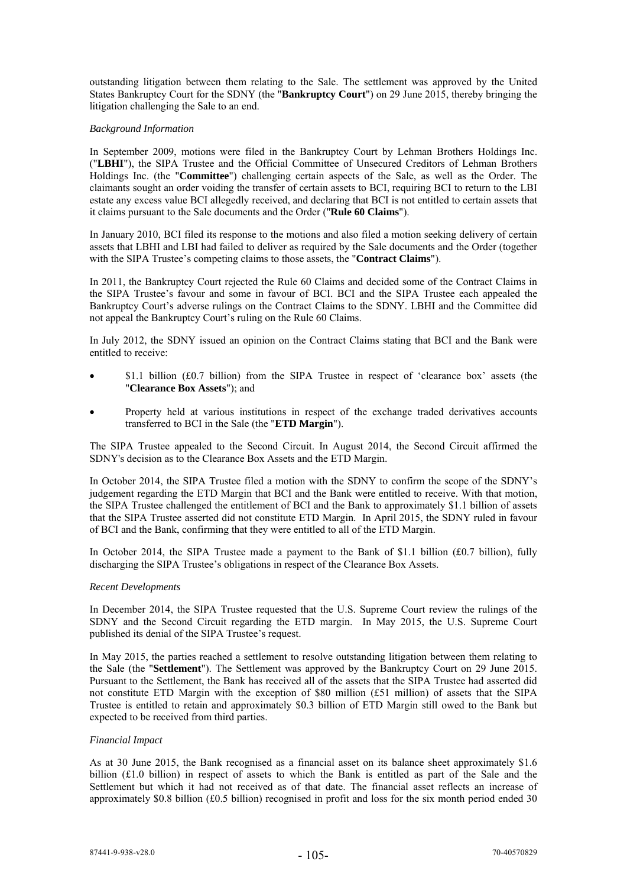outstanding litigation between them relating to the Sale. The settlement was approved by the United States Bankruptcy Court for the SDNY (the "**Bankruptcy Court**") on 29 June 2015, thereby bringing the litigation challenging the Sale to an end.

## *Background Information*

In September 2009, motions were filed in the Bankruptcy Court by Lehman Brothers Holdings Inc. ("**LBHI**"), the SIPA Trustee and the Official Committee of Unsecured Creditors of Lehman Brothers Holdings Inc. (the "**Committee**") challenging certain aspects of the Sale, as well as the Order. The claimants sought an order voiding the transfer of certain assets to BCI, requiring BCI to return to the LBI estate any excess value BCI allegedly received, and declaring that BCI is not entitled to certain assets that it claims pursuant to the Sale documents and the Order ("**Rule 60 Claims**").

In January 2010, BCI filed its response to the motions and also filed a motion seeking delivery of certain assets that LBHI and LBI had failed to deliver as required by the Sale documents and the Order (together with the SIPA Trustee's competing claims to those assets, the "**Contract Claims**").

In 2011, the Bankruptcy Court rejected the Rule 60 Claims and decided some of the Contract Claims in the SIPA Trustee's favour and some in favour of BCI. BCI and the SIPA Trustee each appealed the Bankruptcy Court's adverse rulings on the Contract Claims to the SDNY. LBHI and the Committee did not appeal the Bankruptcy Court's ruling on the Rule 60 Claims.

In July 2012, the SDNY issued an opinion on the Contract Claims stating that BCI and the Bank were entitled to receive:

- \$1.1 billion (£0.7 billion) from the SIPA Trustee in respect of 'clearance box' assets (the "**Clearance Box Assets**"); and
- Property held at various institutions in respect of the exchange traded derivatives accounts transferred to BCI in the Sale (the "**ETD Margin**").

The SIPA Trustee appealed to the Second Circuit. In August 2014, the Second Circuit affirmed the SDNY's decision as to the Clearance Box Assets and the ETD Margin.

In October 2014, the SIPA Trustee filed a motion with the SDNY to confirm the scope of the SDNY's judgement regarding the ETD Margin that BCI and the Bank were entitled to receive. With that motion, the SIPA Trustee challenged the entitlement of BCI and the Bank to approximately \$1.1 billion of assets that the SIPA Trustee asserted did not constitute ETD Margin. In April 2015, the SDNY ruled in favour of BCI and the Bank, confirming that they were entitled to all of the ETD Margin.

In October 2014, the SIPA Trustee made a payment to the Bank of \$1.1 billion (£0.7 billion), fully discharging the SIPA Trustee's obligations in respect of the Clearance Box Assets.

#### *Recent Developments*

In December 2014, the SIPA Trustee requested that the U.S. Supreme Court review the rulings of the SDNY and the Second Circuit regarding the ETD margin. In May 2015, the U.S. Supreme Court published its denial of the SIPA Trustee's request.

In May 2015, the parties reached a settlement to resolve outstanding litigation between them relating to the Sale (the "**Settlement**"). The Settlement was approved by the Bankruptcy Court on 29 June 2015. Pursuant to the Settlement, the Bank has received all of the assets that the SIPA Trustee had asserted did not constitute ETD Margin with the exception of \$80 million (£51 million) of assets that the SIPA Trustee is entitled to retain and approximately \$0.3 billion of ETD Margin still owed to the Bank but expected to be received from third parties.

#### *Financial Impact*

As at 30 June 2015, the Bank recognised as a financial asset on its balance sheet approximately \$1.6 billion (£1.0 billion) in respect of assets to which the Bank is entitled as part of the Sale and the Settlement but which it had not received as of that date. The financial asset reflects an increase of approximately \$0.8 billion (£0.5 billion) recognised in profit and loss for the six month period ended 30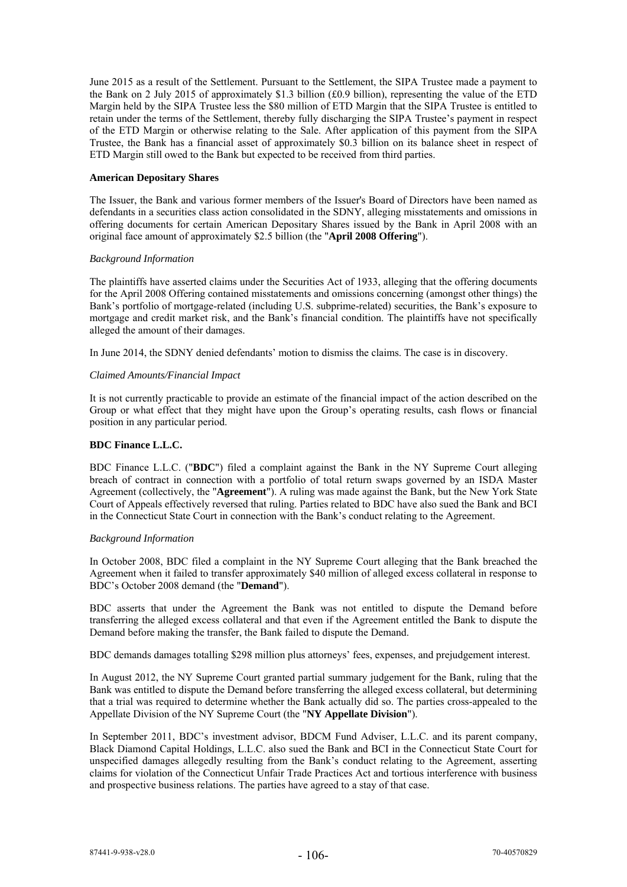June 2015 as a result of the Settlement. Pursuant to the Settlement, the SIPA Trustee made a payment to the Bank on 2 July 2015 of approximately \$1.3 billion (£0.9 billion), representing the value of the ETD Margin held by the SIPA Trustee less the \$80 million of ETD Margin that the SIPA Trustee is entitled to retain under the terms of the Settlement, thereby fully discharging the SIPA Trustee's payment in respect of the ETD Margin or otherwise relating to the Sale. After application of this payment from the SIPA Trustee, the Bank has a financial asset of approximately \$0.3 billion on its balance sheet in respect of ETD Margin still owed to the Bank but expected to be received from third parties.

## **American Depositary Shares**

The Issuer, the Bank and various former members of the Issuer's Board of Directors have been named as defendants in a securities class action consolidated in the SDNY, alleging misstatements and omissions in offering documents for certain American Depositary Shares issued by the Bank in April 2008 with an original face amount of approximately \$2.5 billion (the "**April 2008 Offering**").

## *Background Information*

The plaintiffs have asserted claims under the Securities Act of 1933, alleging that the offering documents for the April 2008 Offering contained misstatements and omissions concerning (amongst other things) the Bank's portfolio of mortgage-related (including U.S. subprime-related) securities, the Bank's exposure to mortgage and credit market risk, and the Bank's financial condition. The plaintiffs have not specifically alleged the amount of their damages.

In June 2014, the SDNY denied defendants' motion to dismiss the claims. The case is in discovery.

## *Claimed Amounts/Financial Impact*

It is not currently practicable to provide an estimate of the financial impact of the action described on the Group or what effect that they might have upon the Group's operating results, cash flows or financial position in any particular period.

# **BDC Finance L.L.C.**

BDC Finance L.L.C. ("**BDC**") filed a complaint against the Bank in the NY Supreme Court alleging breach of contract in connection with a portfolio of total return swaps governed by an ISDA Master Agreement (collectively, the "**Agreement**"). A ruling was made against the Bank, but the New York State Court of Appeals effectively reversed that ruling. Parties related to BDC have also sued the Bank and BCI in the Connecticut State Court in connection with the Bank's conduct relating to the Agreement.

### *Background Information*

In October 2008, BDC filed a complaint in the NY Supreme Court alleging that the Bank breached the Agreement when it failed to transfer approximately \$40 million of alleged excess collateral in response to BDC's October 2008 demand (the "**Demand**").

BDC asserts that under the Agreement the Bank was not entitled to dispute the Demand before transferring the alleged excess collateral and that even if the Agreement entitled the Bank to dispute the Demand before making the transfer, the Bank failed to dispute the Demand.

BDC demands damages totalling \$298 million plus attorneys' fees, expenses, and prejudgement interest.

In August 2012, the NY Supreme Court granted partial summary judgement for the Bank, ruling that the Bank was entitled to dispute the Demand before transferring the alleged excess collateral, but determining that a trial was required to determine whether the Bank actually did so. The parties cross-appealed to the Appellate Division of the NY Supreme Court (the "**NY Appellate Division**").

In September 2011, BDC's investment advisor, BDCM Fund Adviser, L.L.C. and its parent company, Black Diamond Capital Holdings, L.L.C. also sued the Bank and BCI in the Connecticut State Court for unspecified damages allegedly resulting from the Bank's conduct relating to the Agreement, asserting claims for violation of the Connecticut Unfair Trade Practices Act and tortious interference with business and prospective business relations. The parties have agreed to a stay of that case.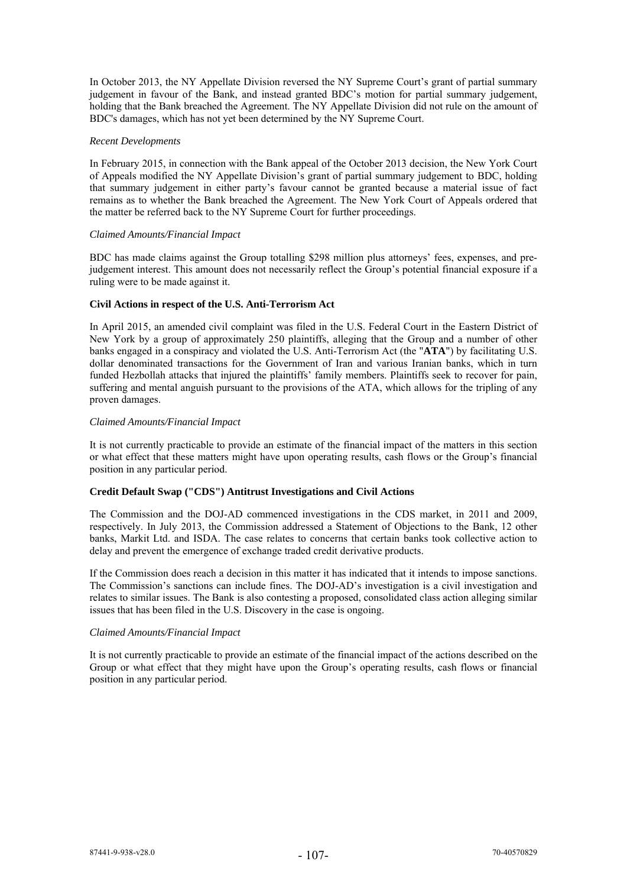In October 2013, the NY Appellate Division reversed the NY Supreme Court's grant of partial summary judgement in favour of the Bank, and instead granted BDC's motion for partial summary judgement, holding that the Bank breached the Agreement. The NY Appellate Division did not rule on the amount of BDC's damages, which has not yet been determined by the NY Supreme Court.

#### *Recent Developments*

In February 2015, in connection with the Bank appeal of the October 2013 decision, the New York Court of Appeals modified the NY Appellate Division's grant of partial summary judgement to BDC, holding that summary judgement in either party's favour cannot be granted because a material issue of fact remains as to whether the Bank breached the Agreement. The New York Court of Appeals ordered that the matter be referred back to the NY Supreme Court for further proceedings.

## *Claimed Amounts/Financial Impact*

BDC has made claims against the Group totalling \$298 million plus attorneys' fees, expenses, and prejudgement interest. This amount does not necessarily reflect the Group's potential financial exposure if a ruling were to be made against it.

# **Civil Actions in respect of the U.S. Anti-Terrorism Act**

In April 2015, an amended civil complaint was filed in the U.S. Federal Court in the Eastern District of New York by a group of approximately 250 plaintiffs, alleging that the Group and a number of other banks engaged in a conspiracy and violated the U.S. Anti-Terrorism Act (the "**ATA**") by facilitating U.S. dollar denominated transactions for the Government of Iran and various Iranian banks, which in turn funded Hezbollah attacks that injured the plaintiffs' family members. Plaintiffs seek to recover for pain, suffering and mental anguish pursuant to the provisions of the ATA, which allows for the tripling of any proven damages.

## *Claimed Amounts/Financial Impact*

It is not currently practicable to provide an estimate of the financial impact of the matters in this section or what effect that these matters might have upon operating results, cash flows or the Group's financial position in any particular period.

# **Credit Default Swap ("CDS") Antitrust Investigations and Civil Actions**

The Commission and the DOJ-AD commenced investigations in the CDS market, in 2011 and 2009, respectively. In July 2013, the Commission addressed a Statement of Objections to the Bank, 12 other banks, Markit Ltd. and ISDA. The case relates to concerns that certain banks took collective action to delay and prevent the emergence of exchange traded credit derivative products.

If the Commission does reach a decision in this matter it has indicated that it intends to impose sanctions. The Commission's sanctions can include fines. The DOJ-AD's investigation is a civil investigation and relates to similar issues. The Bank is also contesting a proposed, consolidated class action alleging similar issues that has been filed in the U.S. Discovery in the case is ongoing.

# *Claimed Amounts/Financial Impact*

It is not currently practicable to provide an estimate of the financial impact of the actions described on the Group or what effect that they might have upon the Group's operating results, cash flows or financial position in any particular period.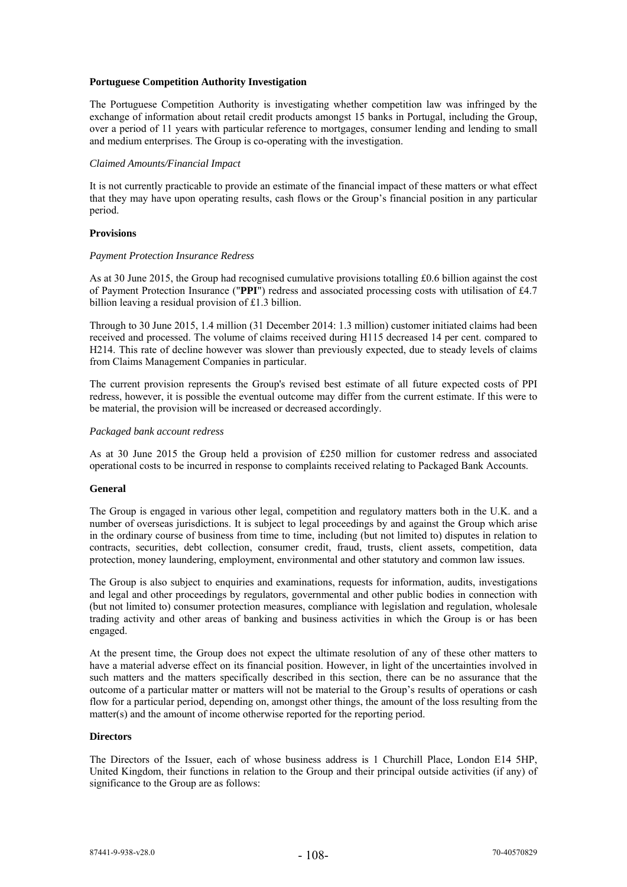## **Portuguese Competition Authority Investigation**

The Portuguese Competition Authority is investigating whether competition law was infringed by the exchange of information about retail credit products amongst 15 banks in Portugal, including the Group, over a period of 11 years with particular reference to mortgages, consumer lending and lending to small and medium enterprises. The Group is co-operating with the investigation.

#### *Claimed Amounts/Financial Impact*

It is not currently practicable to provide an estimate of the financial impact of these matters or what effect that they may have upon operating results, cash flows or the Group's financial position in any particular period.

## **Provisions**

#### *Payment Protection Insurance Redress*

As at 30 June 2015, the Group had recognised cumulative provisions totalling £0.6 billion against the cost of Payment Protection Insurance ("**PPI**") redress and associated processing costs with utilisation of £4.7 billion leaving a residual provision of £1.3 billion.

Through to 30 June 2015, 1.4 million (31 December 2014: 1.3 million) customer initiated claims had been received and processed. The volume of claims received during H115 decreased 14 per cent. compared to H214. This rate of decline however was slower than previously expected, due to steady levels of claims from Claims Management Companies in particular.

The current provision represents the Group's revised best estimate of all future expected costs of PPI redress, however, it is possible the eventual outcome may differ from the current estimate. If this were to be material, the provision will be increased or decreased accordingly.

## *Packaged bank account redress*

As at 30 June 2015 the Group held a provision of £250 million for customer redress and associated operational costs to be incurred in response to complaints received relating to Packaged Bank Accounts.

#### **General**

The Group is engaged in various other legal, competition and regulatory matters both in the U.K. and a number of overseas jurisdictions. It is subject to legal proceedings by and against the Group which arise in the ordinary course of business from time to time, including (but not limited to) disputes in relation to contracts, securities, debt collection, consumer credit, fraud, trusts, client assets, competition, data protection, money laundering, employment, environmental and other statutory and common law issues.

The Group is also subject to enquiries and examinations, requests for information, audits, investigations and legal and other proceedings by regulators, governmental and other public bodies in connection with (but not limited to) consumer protection measures, compliance with legislation and regulation, wholesale trading activity and other areas of banking and business activities in which the Group is or has been engaged.

At the present time, the Group does not expect the ultimate resolution of any of these other matters to have a material adverse effect on its financial position. However, in light of the uncertainties involved in such matters and the matters specifically described in this section, there can be no assurance that the outcome of a particular matter or matters will not be material to the Group's results of operations or cash flow for a particular period, depending on, amongst other things, the amount of the loss resulting from the matter(s) and the amount of income otherwise reported for the reporting period.

# **Directors**

The Directors of the Issuer, each of whose business address is 1 Churchill Place, London E14 5HP, United Kingdom, their functions in relation to the Group and their principal outside activities (if any) of significance to the Group are as follows: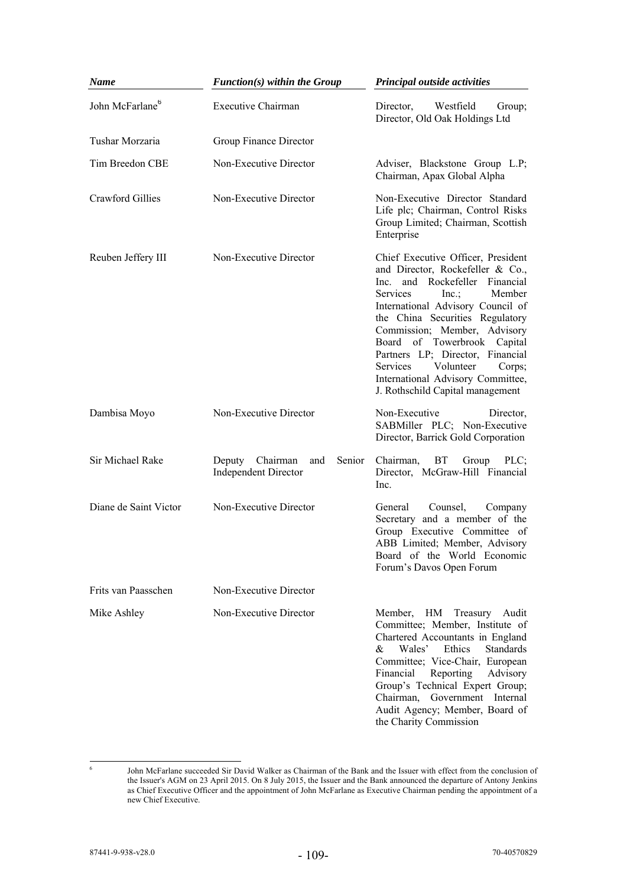| Name                        | $Function(s)$ within the Group                                  | Principal outside activities                                                                                                                                                                                                                                                                                                                                                                                                               |  |  |
|-----------------------------|-----------------------------------------------------------------|--------------------------------------------------------------------------------------------------------------------------------------------------------------------------------------------------------------------------------------------------------------------------------------------------------------------------------------------------------------------------------------------------------------------------------------------|--|--|
| John McFarlane <sup>6</sup> | <b>Executive Chairman</b>                                       | Westfield<br>Director,<br>Group;<br>Director, Old Oak Holdings Ltd                                                                                                                                                                                                                                                                                                                                                                         |  |  |
| Tushar Morzaria             | Group Finance Director                                          |                                                                                                                                                                                                                                                                                                                                                                                                                                            |  |  |
| Tim Breedon CBE             | Non-Executive Director                                          | Adviser, Blackstone Group L.P;<br>Chairman, Apax Global Alpha                                                                                                                                                                                                                                                                                                                                                                              |  |  |
| <b>Crawford Gillies</b>     | Non-Executive Director                                          | Non-Executive Director Standard<br>Life plc; Chairman, Control Risks<br>Group Limited; Chairman, Scottish<br>Enterprise                                                                                                                                                                                                                                                                                                                    |  |  |
| Reuben Jeffery III          | Non-Executive Director                                          | Chief Executive Officer, President<br>and Director, Rockefeller & Co.,<br>and Rockefeller Financial<br>Inc.<br>Services<br>$Inc$ .<br>Member<br>International Advisory Council of<br>the China Securities Regulatory<br>Commission; Member, Advisory<br>Board of Towerbrook Capital<br>Partners LP; Director, Financial<br>Volunteer<br><b>Services</b><br>Corps;<br>International Advisory Committee,<br>J. Rothschild Capital management |  |  |
| Dambisa Moyo                | Non-Executive Director                                          | Non-Executive<br>Director,<br>SABMiller PLC; Non-Executive<br>Director, Barrick Gold Corporation                                                                                                                                                                                                                                                                                                                                           |  |  |
| Sir Michael Rake            | Deputy Chairman<br>and<br>Senior<br><b>Independent Director</b> | <b>BT</b><br>Chairman,<br>Group<br>PLC<br>Director, McGraw-Hill Financial<br>Inc.                                                                                                                                                                                                                                                                                                                                                          |  |  |
| Diane de Saint Victor       | Non-Executive Director                                          | General<br>Counsel,<br>Company<br>Secretary and a member of the<br>Group Executive Committee of<br>ABB Limited; Member, Advisory<br>Board of the World Economic<br>Forum's Davos Open Forum                                                                                                                                                                                                                                                |  |  |
| Frits van Paasschen         | Non-Executive Director                                          |                                                                                                                                                                                                                                                                                                                                                                                                                                            |  |  |
| Mike Ashley                 | Non-Executive Director                                          | Member,<br>HМ<br>Treasury<br>Audit<br>Committee; Member, Institute of<br>Chartered Accountants in England<br>&<br>Wales'<br>Ethics<br><b>Standards</b><br>Committee; Vice-Chair, European<br>Reporting<br>Financial<br>Advisory<br>Group's Technical Expert Group;<br>Government Internal<br>Chairman,<br>Audit Agency; Member, Board of<br>the Charity Commission                                                                         |  |  |

John McFarlane succeeded Sir David Walker as Chairman of the Bank and the Issuer with effect from the conclusion of the Issuer's AGM on 23 April 2015. On 8 July 2015, the Issuer and the Bank announced the departure of Antony Jenkins as Chief Executive Officer and the appointment of John McFarlane as Executive Chairman pending the appointment of a new Chief Executive.

 $-$ <br>6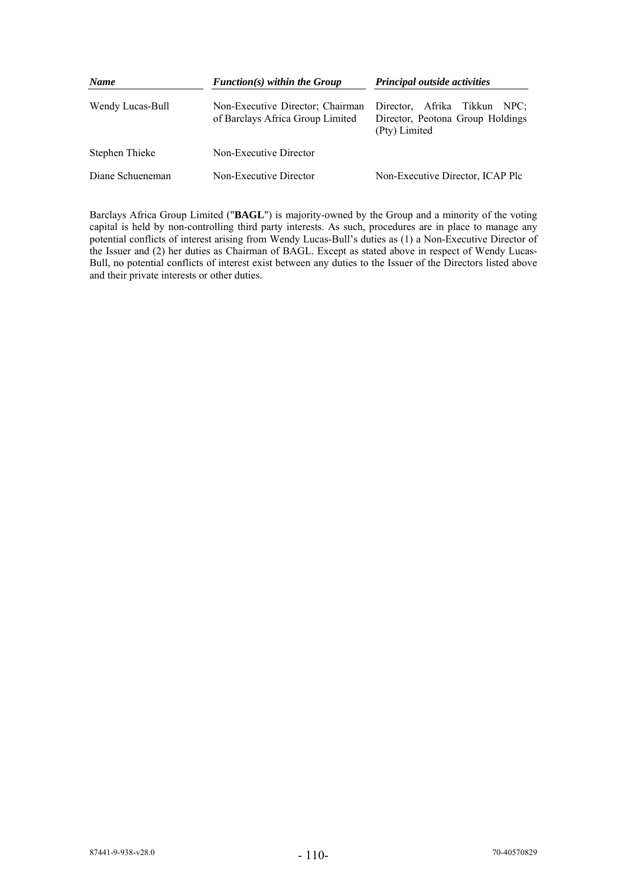| <b>Name</b>      | $Function(s)$ within the Group                                       | Principal outside activities                                                         |  |  |
|------------------|----------------------------------------------------------------------|--------------------------------------------------------------------------------------|--|--|
| Wendy Lucas-Bull | Non-Executive Director; Chairman<br>of Barclays Africa Group Limited | Director.<br>Afrika Tikkun NPC;<br>Director, Peotona Group Holdings<br>(Pty) Limited |  |  |
| Stephen Thieke   | Non-Executive Director                                               |                                                                                      |  |  |
| Diane Schueneman | Non-Executive Director                                               | Non-Executive Director, ICAP Plc                                                     |  |  |

Barclays Africa Group Limited ("**BAGL**") is majority-owned by the Group and a minority of the voting capital is held by non-controlling third party interests. As such, procedures are in place to manage any potential conflicts of interest arising from Wendy Lucas-Bull's duties as (1) a Non-Executive Director of the Issuer and (2) her duties as Chairman of BAGL. Except as stated above in respect of Wendy Lucas-Bull, no potential conflicts of interest exist between any duties to the Issuer of the Directors listed above and their private interests or other duties.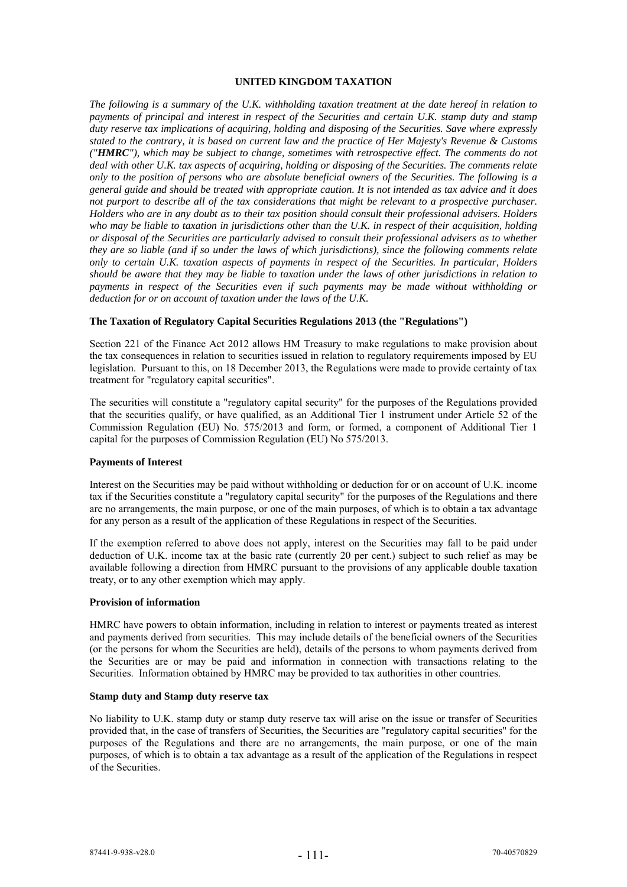## **UNITED KINGDOM TAXATION**

*The following is a summary of the U.K. withholding taxation treatment at the date hereof in relation to payments of principal and interest in respect of the Securities and certain U.K. stamp duty and stamp duty reserve tax implications of acquiring, holding and disposing of the Securities. Save where expressly stated to the contrary, it is based on current law and the practice of Her Majesty's Revenue & Customs ("HMRC"), which may be subject to change, sometimes with retrospective effect. The comments do not deal with other U.K. tax aspects of acquiring, holding or disposing of the Securities. The comments relate only to the position of persons who are absolute beneficial owners of the Securities. The following is a general guide and should be treated with appropriate caution. It is not intended as tax advice and it does not purport to describe all of the tax considerations that might be relevant to a prospective purchaser. Holders who are in any doubt as to their tax position should consult their professional advisers. Holders who may be liable to taxation in jurisdictions other than the U.K. in respect of their acquisition, holding or disposal of the Securities are particularly advised to consult their professional advisers as to whether they are so liable (and if so under the laws of which jurisdictions), since the following comments relate only to certain U.K. taxation aspects of payments in respect of the Securities. In particular, Holders should be aware that they may be liable to taxation under the laws of other jurisdictions in relation to payments in respect of the Securities even if such payments may be made without withholding or deduction for or on account of taxation under the laws of the U.K.* 

## **The Taxation of Regulatory Capital Securities Regulations 2013 (the "Regulations")**

Section 221 of the Finance Act 2012 allows HM Treasury to make regulations to make provision about the tax consequences in relation to securities issued in relation to regulatory requirements imposed by EU legislation. Pursuant to this, on 18 December 2013, the Regulations were made to provide certainty of tax treatment for "regulatory capital securities".

The securities will constitute a "regulatory capital security" for the purposes of the Regulations provided that the securities qualify, or have qualified, as an Additional Tier 1 instrument under Article 52 of the Commission Regulation (EU) No. 575/2013 and form, or formed, a component of Additional Tier 1 capital for the purposes of Commission Regulation (EU) No 575/2013.

### **Payments of Interest**

Interest on the Securities may be paid without withholding or deduction for or on account of U.K. income tax if the Securities constitute a "regulatory capital security" for the purposes of the Regulations and there are no arrangements, the main purpose, or one of the main purposes, of which is to obtain a tax advantage for any person as a result of the application of these Regulations in respect of the Securities.

If the exemption referred to above does not apply, interest on the Securities may fall to be paid under deduction of U.K. income tax at the basic rate (currently 20 per cent.) subject to such relief as may be available following a direction from HMRC pursuant to the provisions of any applicable double taxation treaty, or to any other exemption which may apply.

#### **Provision of information**

HMRC have powers to obtain information, including in relation to interest or payments treated as interest and payments derived from securities. This may include details of the beneficial owners of the Securities (or the persons for whom the Securities are held), details of the persons to whom payments derived from the Securities are or may be paid and information in connection with transactions relating to the Securities. Information obtained by HMRC may be provided to tax authorities in other countries.

# **Stamp duty and Stamp duty reserve tax**

No liability to U.K. stamp duty or stamp duty reserve tax will arise on the issue or transfer of Securities provided that, in the case of transfers of Securities, the Securities are "regulatory capital securities" for the purposes of the Regulations and there are no arrangements, the main purpose, or one of the main purposes, of which is to obtain a tax advantage as a result of the application of the Regulations in respect of the Securities.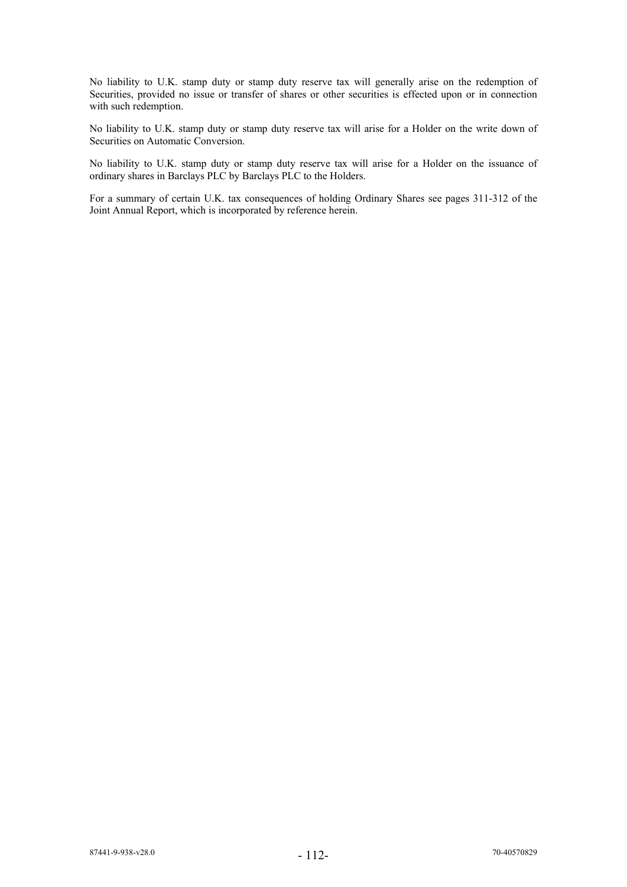No liability to U.K. stamp duty or stamp duty reserve tax will generally arise on the redemption of Securities, provided no issue or transfer of shares or other securities is effected upon or in connection with such redemption.

No liability to U.K. stamp duty or stamp duty reserve tax will arise for a Holder on the write down of Securities on Automatic Conversion.

No liability to U.K. stamp duty or stamp duty reserve tax will arise for a Holder on the issuance of ordinary shares in Barclays PLC by Barclays PLC to the Holders.

For a summary of certain U.K. tax consequences of holding Ordinary Shares see pages 311-312 of the Joint Annual Report, which is incorporated by reference herein.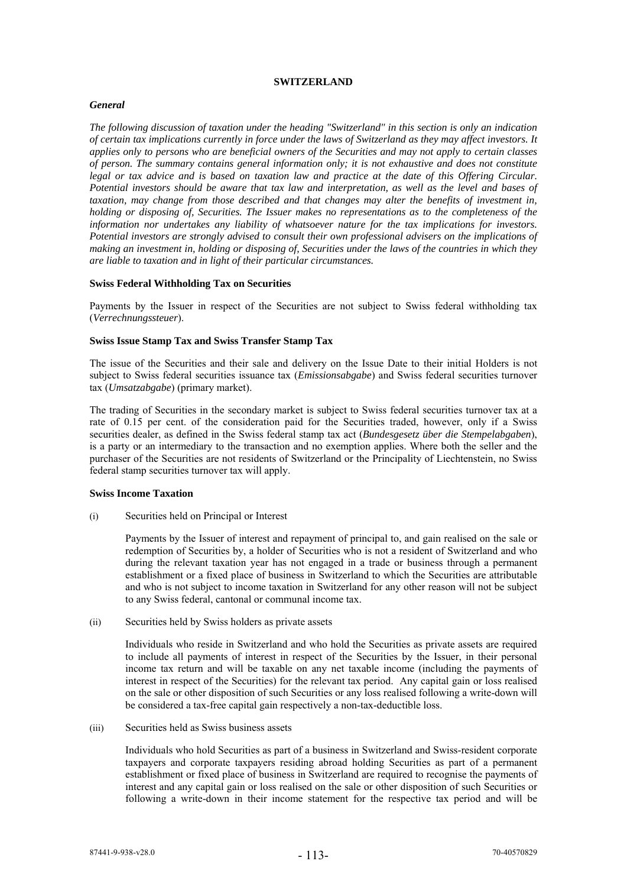### **SWITZERLAND**

# *General*

*The following discussion of taxation under the heading "Switzerland" in this section is only an indication of certain tax implications currently in force under the laws of Switzerland as they may affect investors. It applies only to persons who are beneficial owners of the Securities and may not apply to certain classes of person. The summary contains general information only; it is not exhaustive and does not constitute legal or tax advice and is based on taxation law and practice at the date of this Offering Circular. Potential investors should be aware that tax law and interpretation, as well as the level and bases of taxation, may change from those described and that changes may alter the benefits of investment in, holding or disposing of, Securities. The Issuer makes no representations as to the completeness of the information nor undertakes any liability of whatsoever nature for the tax implications for investors. Potential investors are strongly advised to consult their own professional advisers on the implications of making an investment in, holding or disposing of, Securities under the laws of the countries in which they are liable to taxation and in light of their particular circumstances.* 

# **Swiss Federal Withholding Tax on Securities**

Payments by the Issuer in respect of the Securities are not subject to Swiss federal withholding tax (*Verrechnungssteuer*).

# **Swiss Issue Stamp Tax and Swiss Transfer Stamp Tax**

The issue of the Securities and their sale and delivery on the Issue Date to their initial Holders is not subject to Swiss federal securities issuance tax (*Emissionsabgabe*) and Swiss federal securities turnover tax (*Umsatzabgabe*) (primary market).

The trading of Securities in the secondary market is subject to Swiss federal securities turnover tax at a rate of 0.15 per cent. of the consideration paid for the Securities traded, however, only if a Swiss securities dealer, as defined in the Swiss federal stamp tax act (*Bundesgesetz über die Stempelabgaben*), is a party or an intermediary to the transaction and no exemption applies. Where both the seller and the purchaser of the Securities are not residents of Switzerland or the Principality of Liechtenstein, no Swiss federal stamp securities turnover tax will apply.

# **Swiss Income Taxation**

(i) Securities held on Principal or Interest

Payments by the Issuer of interest and repayment of principal to, and gain realised on the sale or redemption of Securities by, a holder of Securities who is not a resident of Switzerland and who during the relevant taxation year has not engaged in a trade or business through a permanent establishment or a fixed place of business in Switzerland to which the Securities are attributable and who is not subject to income taxation in Switzerland for any other reason will not be subject to any Swiss federal, cantonal or communal income tax.

(ii) Securities held by Swiss holders as private assets

Individuals who reside in Switzerland and who hold the Securities as private assets are required to include all payments of interest in respect of the Securities by the Issuer, in their personal income tax return and will be taxable on any net taxable income (including the payments of interest in respect of the Securities) for the relevant tax period. Any capital gain or loss realised on the sale or other disposition of such Securities or any loss realised following a write-down will be considered a tax-free capital gain respectively a non-tax-deductible loss.

(iii) Securities held as Swiss business assets

Individuals who hold Securities as part of a business in Switzerland and Swiss-resident corporate taxpayers and corporate taxpayers residing abroad holding Securities as part of a permanent establishment or fixed place of business in Switzerland are required to recognise the payments of interest and any capital gain or loss realised on the sale or other disposition of such Securities or following a write-down in their income statement for the respective tax period and will be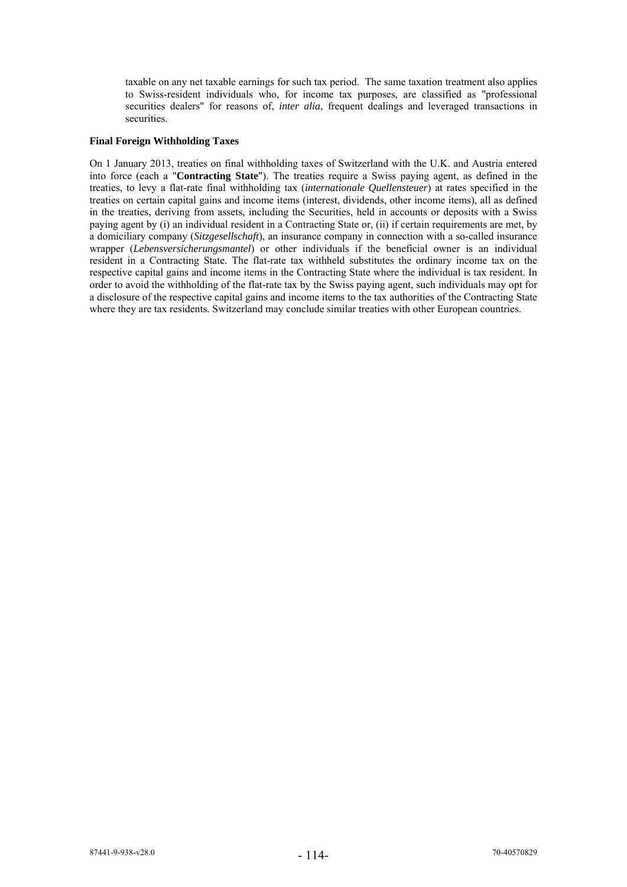taxable on any net taxable earnings for such tax period. The same taxation treatment also applies to Swiss-resident individuals who, for income tax purposes, are classified as "professional securities dealers" for reasons of, *inter alia*, frequent dealings and leveraged transactions in securities.

#### **Final Foreign Withholding Taxes**

On 1 January 2013, treaties on final withholding taxes of Switzerland with the U.K. and Austria entered into force (each a "**Contracting State**"). The treaties require a Swiss paying agent, as defined in the treaties, to levy a flat-rate final withholding tax (*internationale Quellensteuer*) at rates specified in the treaties on certain capital gains and income items (interest, dividends, other income items), all as defined in the treaties, deriving from assets, including the Securities, held in accounts or deposits with a Swiss paying agent by (i) an individual resident in a Contracting State or, (ii) if certain requirements are met, by a domiciliary company (*Sitzgesellschaft*), an insurance company in connection with a so-called insurance wrapper (*Lebensversicherungsmantel*) or other individuals if the beneficial owner is an individual resident in a Contracting State. The flat-rate tax withheld substitutes the ordinary income tax on the respective capital gains and income items in the Contracting State where the individual is tax resident. In order to avoid the withholding of the flat-rate tax by the Swiss paying agent, such individuals may opt for a disclosure of the respective capital gains and income items to the tax authorities of the Contracting State where they are tax residents. Switzerland may conclude similar treaties with other European countries.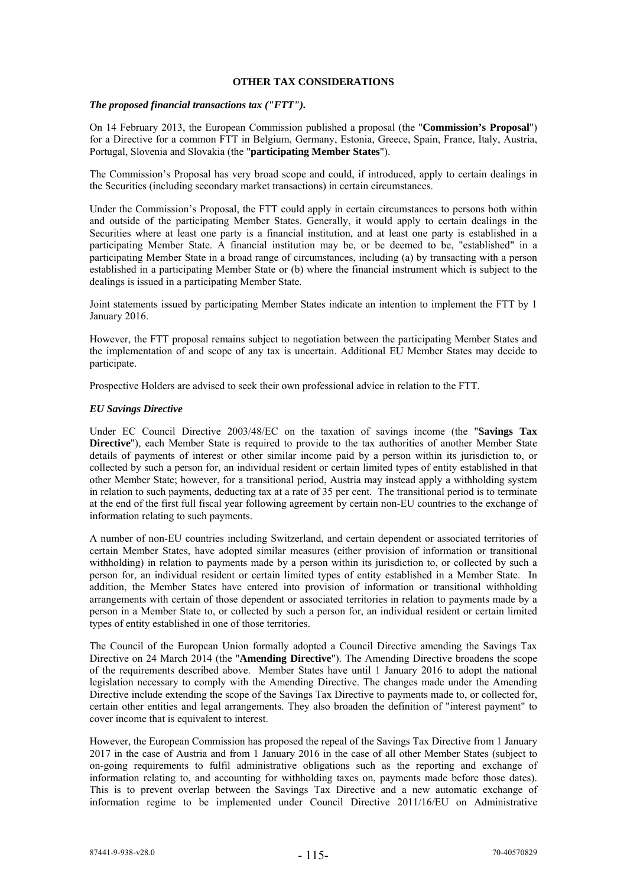## **OTHER TAX CONSIDERATIONS**

## *The proposed financial transactions tax ("FTT").*

On 14 February 2013, the European Commission published a proposal (the "**Commission's Proposal**") for a Directive for a common FTT in Belgium, Germany, Estonia, Greece, Spain, France, Italy, Austria, Portugal, Slovenia and Slovakia (the "**participating Member States**").

The Commission's Proposal has very broad scope and could, if introduced, apply to certain dealings in the Securities (including secondary market transactions) in certain circumstances.

Under the Commission's Proposal, the FTT could apply in certain circumstances to persons both within and outside of the participating Member States. Generally, it would apply to certain dealings in the Securities where at least one party is a financial institution, and at least one party is established in a participating Member State. A financial institution may be, or be deemed to be, "established" in a participating Member State in a broad range of circumstances, including (a) by transacting with a person established in a participating Member State or (b) where the financial instrument which is subject to the dealings is issued in a participating Member State.

Joint statements issued by participating Member States indicate an intention to implement the FTT by 1 January 2016.

However, the FTT proposal remains subject to negotiation between the participating Member States and the implementation of and scope of any tax is uncertain. Additional EU Member States may decide to participate.

Prospective Holders are advised to seek their own professional advice in relation to the FTT.

## *EU Savings Directive*

Under EC Council Directive 2003/48/EC on the taxation of savings income (the "**Savings Tax Directive**"), each Member State is required to provide to the tax authorities of another Member State details of payments of interest or other similar income paid by a person within its jurisdiction to, or collected by such a person for, an individual resident or certain limited types of entity established in that other Member State; however, for a transitional period, Austria may instead apply a withholding system in relation to such payments, deducting tax at a rate of 35 per cent. The transitional period is to terminate at the end of the first full fiscal year following agreement by certain non-EU countries to the exchange of information relating to such payments.

A number of non-EU countries including Switzerland, and certain dependent or associated territories of certain Member States, have adopted similar measures (either provision of information or transitional withholding) in relation to payments made by a person within its jurisdiction to, or collected by such a person for, an individual resident or certain limited types of entity established in a Member State. In addition, the Member States have entered into provision of information or transitional withholding arrangements with certain of those dependent or associated territories in relation to payments made by a person in a Member State to, or collected by such a person for, an individual resident or certain limited types of entity established in one of those territories.

The Council of the European Union formally adopted a Council Directive amending the Savings Tax Directive on 24 March 2014 (the "**Amending Directive**"). The Amending Directive broadens the scope of the requirements described above. Member States have until 1 January 2016 to adopt the national legislation necessary to comply with the Amending Directive. The changes made under the Amending Directive include extending the scope of the Savings Tax Directive to payments made to, or collected for, certain other entities and legal arrangements. They also broaden the definition of "interest payment" to cover income that is equivalent to interest.

However, the European Commission has proposed the repeal of the Savings Tax Directive from 1 January 2017 in the case of Austria and from 1 January 2016 in the case of all other Member States (subject to on-going requirements to fulfil administrative obligations such as the reporting and exchange of information relating to, and accounting for withholding taxes on, payments made before those dates). This is to prevent overlap between the Savings Tax Directive and a new automatic exchange of information regime to be implemented under Council Directive 2011/16/EU on Administrative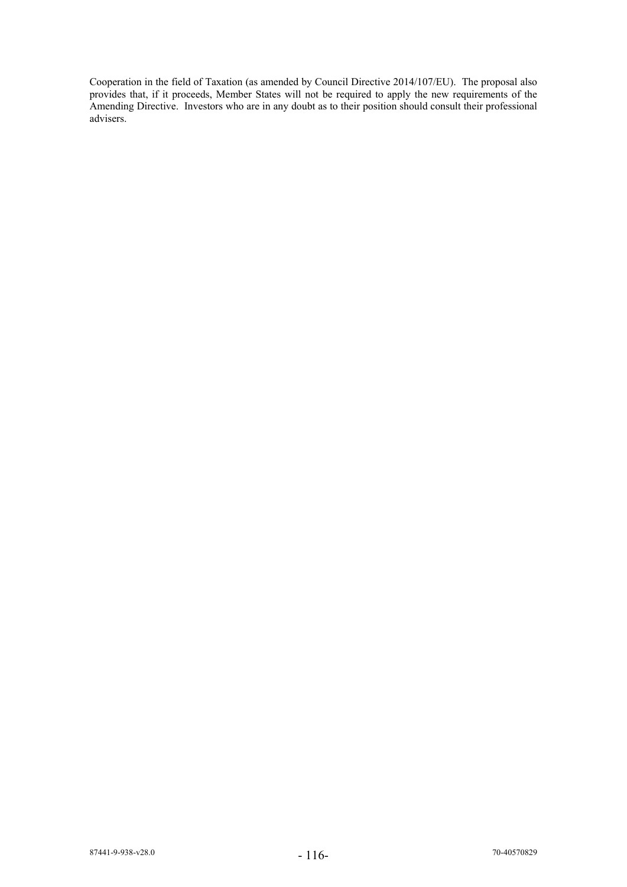Cooperation in the field of Taxation (as amended by Council Directive 2014/107/EU). The proposal also provides that, if it proceeds, Member States will not be required to apply the new requirements of the Amending Directive. Investors who are in any doubt as to their position should consult their professional advisers.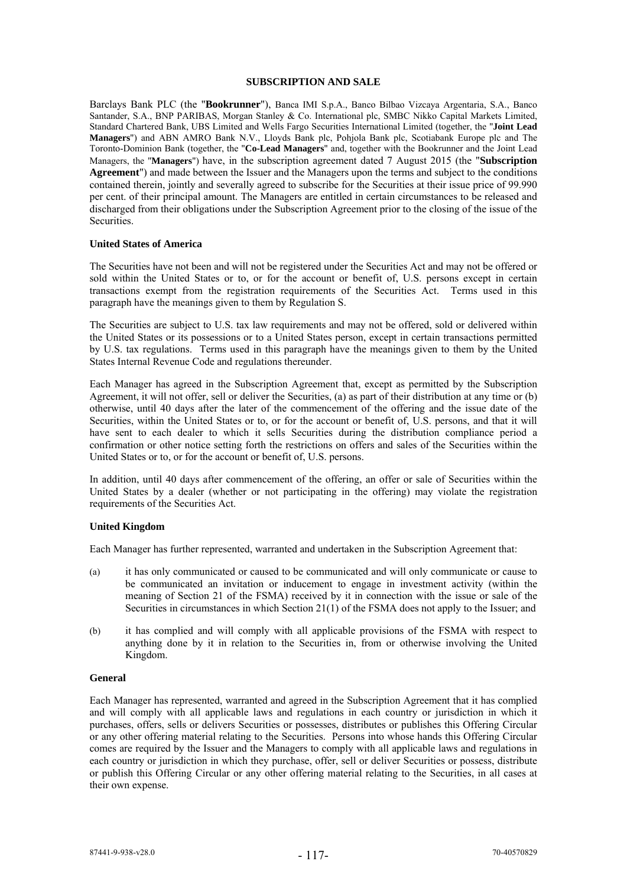## **SUBSCRIPTION AND SALE**

Barclays Bank PLC (the "**Bookrunner**"), Banca IMI S.p.A., Banco Bilbao Vizcaya Argentaria, S.A., Banco Santander, S.A., BNP PARIBAS, Morgan Stanley & Co. International plc, SMBC Nikko Capital Markets Limited, Standard Chartered Bank, UBS Limited and Wells Fargo Securities International Limited (together, the "**Joint Lead Managers**") and ABN AMRO Bank N.V., Lloyds Bank plc, Pohjola Bank plc, Scotiabank Europe plc and The Toronto-Dominion Bank (together, the "**Co-Lead Managers**" and, together with the Bookrunner and the Joint Lead Managers, the "**Managers**") have, in the subscription agreement dated 7 August 2015 (the "**Subscription Agreement**") and made between the Issuer and the Managers upon the terms and subject to the conditions contained therein, jointly and severally agreed to subscribe for the Securities at their issue price of 99.990 per cent. of their principal amount. The Managers are entitled in certain circumstances to be released and discharged from their obligations under the Subscription Agreement prior to the closing of the issue of the Securities.

#### **United States of America**

The Securities have not been and will not be registered under the Securities Act and may not be offered or sold within the United States or to, or for the account or benefit of, U.S. persons except in certain transactions exempt from the registration requirements of the Securities Act. Terms used in this paragraph have the meanings given to them by Regulation S.

The Securities are subject to U.S. tax law requirements and may not be offered, sold or delivered within the United States or its possessions or to a United States person, except in certain transactions permitted by U.S. tax regulations. Terms used in this paragraph have the meanings given to them by the United States Internal Revenue Code and regulations thereunder.

Each Manager has agreed in the Subscription Agreement that, except as permitted by the Subscription Agreement, it will not offer, sell or deliver the Securities, (a) as part of their distribution at any time or (b) otherwise, until 40 days after the later of the commencement of the offering and the issue date of the Securities, within the United States or to, or for the account or benefit of, U.S. persons, and that it will have sent to each dealer to which it sells Securities during the distribution compliance period a confirmation or other notice setting forth the restrictions on offers and sales of the Securities within the United States or to, or for the account or benefit of, U.S. persons.

In addition, until 40 days after commencement of the offering, an offer or sale of Securities within the United States by a dealer (whether or not participating in the offering) may violate the registration requirements of the Securities Act.

## **United Kingdom**

Each Manager has further represented, warranted and undertaken in the Subscription Agreement that:

- (a) it has only communicated or caused to be communicated and will only communicate or cause to be communicated an invitation or inducement to engage in investment activity (within the meaning of Section 21 of the FSMA) received by it in connection with the issue or sale of the Securities in circumstances in which Section 21(1) of the FSMA does not apply to the Issuer; and
- (b) it has complied and will comply with all applicable provisions of the FSMA with respect to anything done by it in relation to the Securities in, from or otherwise involving the United Kingdom.

#### **General**

Each Manager has represented, warranted and agreed in the Subscription Agreement that it has complied and will comply with all applicable laws and regulations in each country or jurisdiction in which it purchases, offers, sells or delivers Securities or possesses, distributes or publishes this Offering Circular or any other offering material relating to the Securities. Persons into whose hands this Offering Circular comes are required by the Issuer and the Managers to comply with all applicable laws and regulations in each country or jurisdiction in which they purchase, offer, sell or deliver Securities or possess, distribute or publish this Offering Circular or any other offering material relating to the Securities, in all cases at their own expense.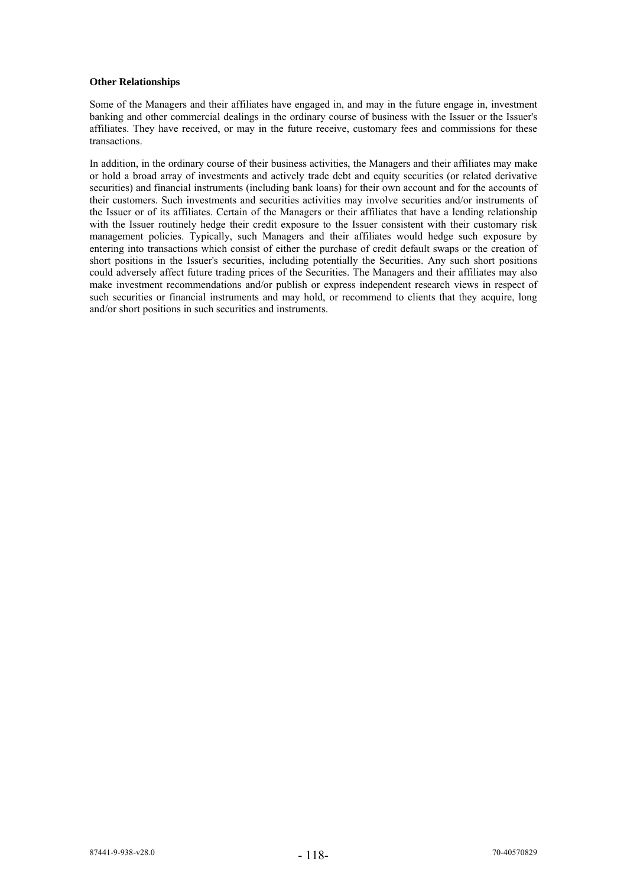## **Other Relationships**

Some of the Managers and their affiliates have engaged in, and may in the future engage in, investment banking and other commercial dealings in the ordinary course of business with the Issuer or the Issuer's affiliates. They have received, or may in the future receive, customary fees and commissions for these transactions.

In addition, in the ordinary course of their business activities, the Managers and their affiliates may make or hold a broad array of investments and actively trade debt and equity securities (or related derivative securities) and financial instruments (including bank loans) for their own account and for the accounts of their customers. Such investments and securities activities may involve securities and/or instruments of the Issuer or of its affiliates. Certain of the Managers or their affiliates that have a lending relationship with the Issuer routinely hedge their credit exposure to the Issuer consistent with their customary risk management policies. Typically, such Managers and their affiliates would hedge such exposure by entering into transactions which consist of either the purchase of credit default swaps or the creation of short positions in the Issuer's securities, including potentially the Securities. Any such short positions could adversely affect future trading prices of the Securities. The Managers and their affiliates may also make investment recommendations and/or publish or express independent research views in respect of such securities or financial instruments and may hold, or recommend to clients that they acquire, long and/or short positions in such securities and instruments.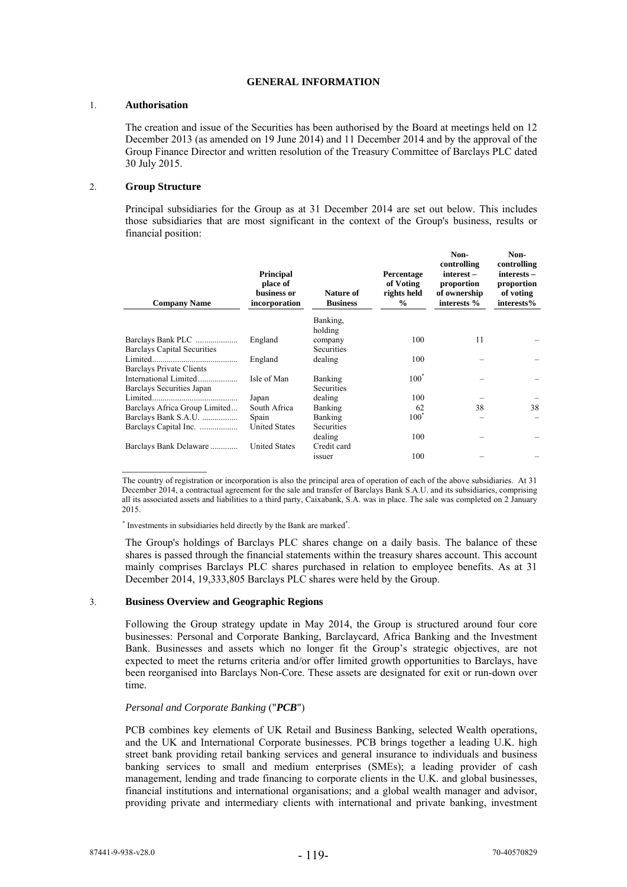## **GENERAL INFORMATION**

### 1. **Authorisation**

The creation and issue of the Securities has been authorised by the Board at meetings held on 12 December 2013 (as amended on 19 June 2014) and 11 December 2014 and by the approval of the Group Finance Director and written resolution of the Treasury Committee of Barclays PLC dated 30 July 2015.

## 2. **Group Structure**

Principal subsidiaries for the Group as at 31 December 2014 are set out below. This includes those subsidiaries that are most significant in the context of the Group's business, results or financial position:

| <b>Company Name</b>                                     | <b>Principal</b><br>place of<br>business or<br>incorporation | Nature of<br><b>Business</b>     | Percentage<br>of Voting<br>rights held<br>$\frac{0}{0}$ | Non-<br>controlling<br>interest-<br>proportion<br>of ownership<br>interests % | Non-<br>controlling<br>interests -<br>proportion<br>of voting<br>interests% |
|---------------------------------------------------------|--------------------------------------------------------------|----------------------------------|---------------------------------------------------------|-------------------------------------------------------------------------------|-----------------------------------------------------------------------------|
|                                                         |                                                              | Banking.                         |                                                         |                                                                               |                                                                             |
| Barclays Bank PLC<br><b>Barclays Capital Securities</b> | England                                                      | holding<br>company<br>Securities | 100                                                     | 11                                                                            |                                                                             |
| Barclays Private Clients                                | England                                                      | dealing                          | 100                                                     |                                                                               |                                                                             |
| International Limited<br>Barclays Securities Japan      | Isle of Man                                                  | Banking<br><b>Securities</b>     | $100^*$                                                 |                                                                               |                                                                             |
|                                                         | Japan                                                        | dealing                          | 100                                                     |                                                                               |                                                                             |
| Barclays Africa Group Limited                           | South Africa                                                 | Banking                          | 62                                                      | 38                                                                            | 38                                                                          |
| Barclays Bank S.A.U.<br>Barclays Capital Inc.           | Spain<br><b>United States</b>                                | Banking<br>Securities            | $100^{\degree}$                                         |                                                                               |                                                                             |
| Barclays Bank Delaware                                  | <b>United States</b>                                         | dealing<br>Credit card           | 100                                                     |                                                                               |                                                                             |
|                                                         |                                                              | issuer                           | 100                                                     |                                                                               |                                                                             |

The country of registration or incorporation is also the principal area of operation of each of the above subsidiaries. At 31 December 2014, a contractual agreement for the sale and transfer of Barclays Bank S.A.U. and its subsidiaries, comprising all its associated assets and liabilities to a third party, Caixabank, S.A. was in place. The sale was completed on 2 January 2015.

\* Investments in subsidiaries held directly by the Bank are marked\* .

The Group's holdings of Barclays PLC shares change on a daily basis. The balance of these shares is passed through the financial statements within the treasury shares account. This account mainly comprises Barclays PLC shares purchased in relation to employee benefits. As at 31 December 2014, 19,333,805 Barclays PLC shares were held by the Group.

# 3. **Business Overview and Geographic Regions**

 $\frac{1}{2}$  ,  $\frac{1}{2}$  ,  $\frac{1}{2}$  ,  $\frac{1}{2}$  ,  $\frac{1}{2}$  ,  $\frac{1}{2}$  ,  $\frac{1}{2}$ 

Following the Group strategy update in May 2014, the Group is structured around four core businesses: Personal and Corporate Banking, Barclaycard, Africa Banking and the Investment Bank. Businesses and assets which no longer fit the Group's strategic objectives, are not expected to meet the returns criteria and/or offer limited growth opportunities to Barclays, have been reorganised into Barclays Non-Core. These assets are designated for exit or run-down over time.

# *Personal and Corporate Banking* ("*PCB*")

PCB combines key elements of UK Retail and Business Banking, selected Wealth operations, and the UK and International Corporate businesses. PCB brings together a leading U.K. high street bank providing retail banking services and general insurance to individuals and business banking services to small and medium enterprises (SMEs); a leading provider of cash management, lending and trade financing to corporate clients in the U.K. and global businesses, financial institutions and international organisations; and a global wealth manager and advisor, providing private and intermediary clients with international and private banking, investment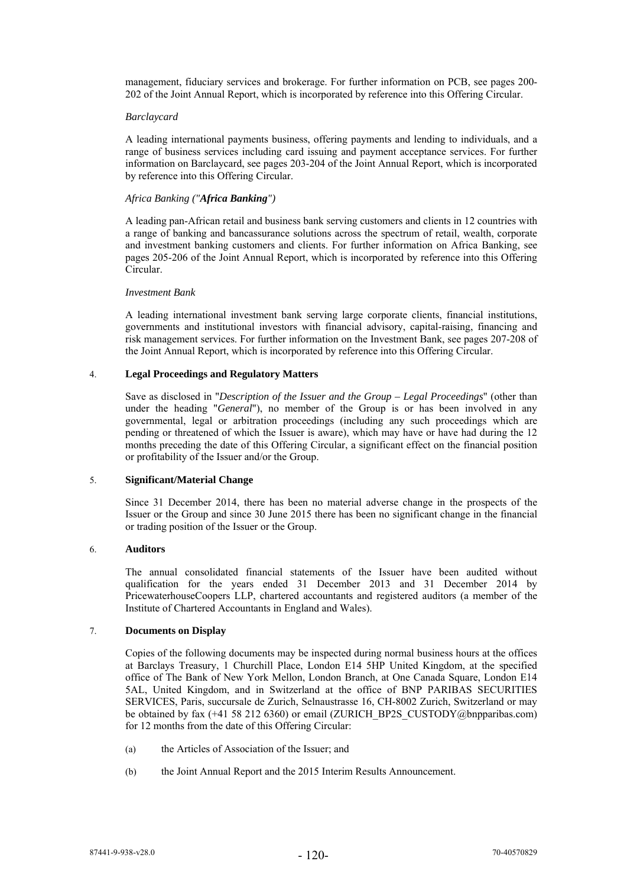management, fiduciary services and brokerage. For further information on PCB, see pages 200- 202 of the Joint Annual Report, which is incorporated by reference into this Offering Circular.

#### *Barclaycard*

A leading international payments business, offering payments and lending to individuals, and a range of business services including card issuing and payment acceptance services. For further information on Barclaycard, see pages 203-204 of the Joint Annual Report, which is incorporated by reference into this Offering Circular.

# *Africa Banking ("Africa Banking")*

A leading pan-African retail and business bank serving customers and clients in 12 countries with a range of banking and bancassurance solutions across the spectrum of retail, wealth, corporate and investment banking customers and clients. For further information on Africa Banking, see pages 205-206 of the Joint Annual Report, which is incorporated by reference into this Offering Circular.

## *Investment Bank*

A leading international investment bank serving large corporate clients, financial institutions, governments and institutional investors with financial advisory, capital-raising, financing and risk management services. For further information on the Investment Bank, see pages 207-208 of the Joint Annual Report, which is incorporated by reference into this Offering Circular.

# 4. **Legal Proceedings and Regulatory Matters**

Save as disclosed in "*Description of the Issuer and the Group – Legal Proceedings*" (other than under the heading "*General*"), no member of the Group is or has been involved in any governmental, legal or arbitration proceedings (including any such proceedings which are pending or threatened of which the Issuer is aware), which may have or have had during the 12 months preceding the date of this Offering Circular, a significant effect on the financial position or profitability of the Issuer and/or the Group.

# 5. **Significant/Material Change**

Since 31 December 2014, there has been no material adverse change in the prospects of the Issuer or the Group and since 30 June 2015 there has been no significant change in the financial or trading position of the Issuer or the Group.

# 6. **Auditors**

The annual consolidated financial statements of the Issuer have been audited without qualification for the years ended 31 December 2013 and 31 December 2014 by PricewaterhouseCoopers LLP, chartered accountants and registered auditors (a member of the Institute of Chartered Accountants in England and Wales).

# 7. **Documents on Display**

Copies of the following documents may be inspected during normal business hours at the offices at Barclays Treasury, 1 Churchill Place, London E14 5HP United Kingdom, at the specified office of The Bank of New York Mellon, London Branch, at One Canada Square, London E14 5AL, United Kingdom, and in Switzerland at the office of BNP PARIBAS SECURITIES SERVICES, Paris, succursale de Zurich, Selnaustrasse 16, CH-8002 Zurich, Switzerland or may be obtained by fax (+41 58 212 6360) or email (ZURICH\_BP2S\_CUSTODY@bnpparibas.com) for 12 months from the date of this Offering Circular:

- (a) the Articles of Association of the Issuer; and
- (b) the Joint Annual Report and the 2015 Interim Results Announcement.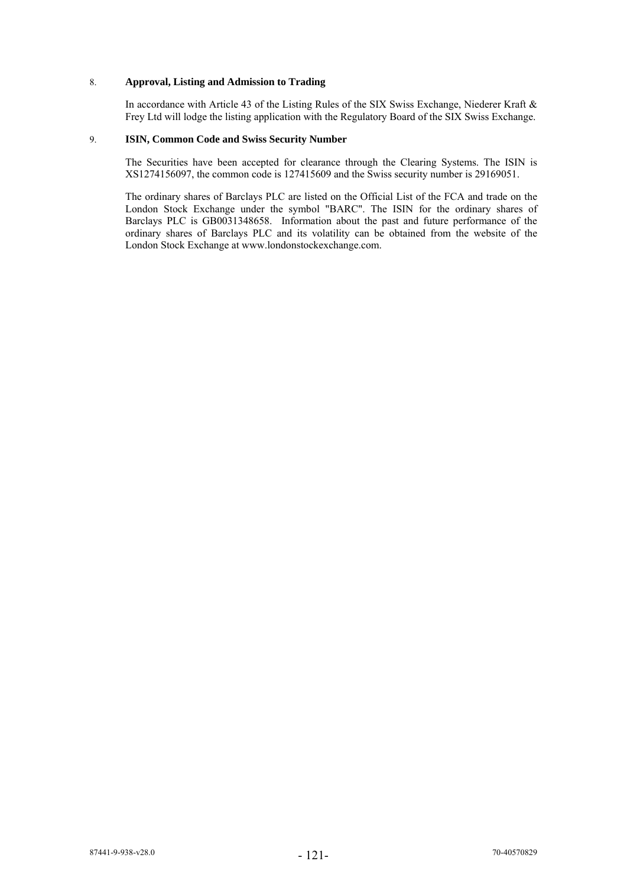## 8. **Approval, Listing and Admission to Trading**

In accordance with Article 43 of the Listing Rules of the SIX Swiss Exchange, Niederer Kraft & Frey Ltd will lodge the listing application with the Regulatory Board of the SIX Swiss Exchange.

## 9. **ISIN, Common Code and Swiss Security Number**

The Securities have been accepted for clearance through the Clearing Systems. The ISIN is XS1274156097, the common code is 127415609 and the Swiss security number is 29169051.

The ordinary shares of Barclays PLC are listed on the Official List of the FCA and trade on the London Stock Exchange under the symbol "BARC". The ISIN for the ordinary shares of Barclays PLC is GB0031348658. Information about the past and future performance of the ordinary shares of Barclays PLC and its volatility can be obtained from the website of the London Stock Exchange at www.londonstockexchange.com.